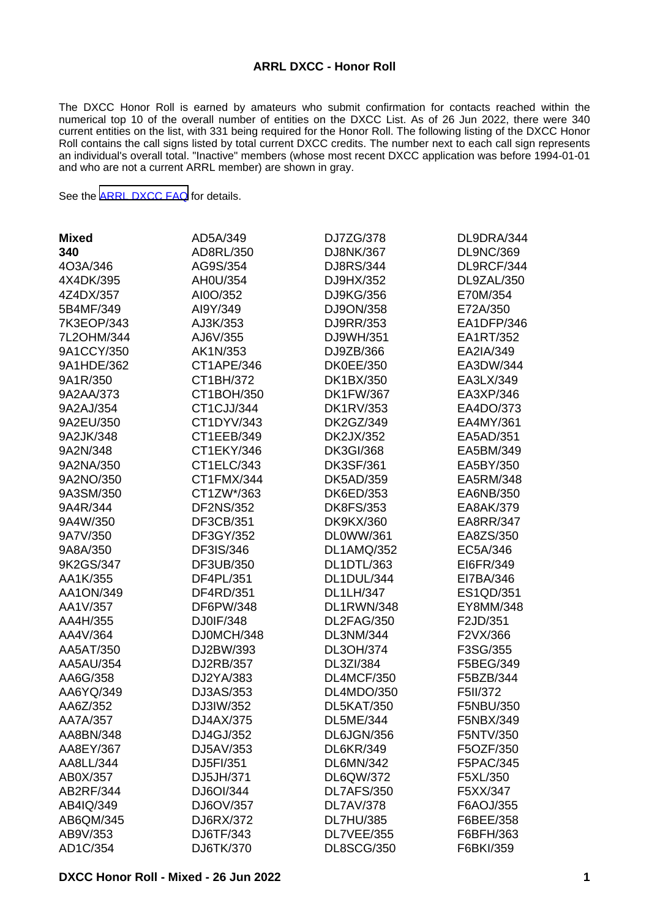#### **ARRL DXCC - Honor Roll**

The DXCC Honor Roll is earned by amateurs who submit confirmation for contacts reached within the numerical top 10 of the overall number of entities on the DXCC List. As of 26 Jun 2022, there were 340 current entities on the list, with 331 being required for the Honor Roll. The following listing of the DXCC Honor Roll contains the call signs listed by total current DXCC credits. The number next to each call sign represents an individual's overall total. "Inactive" members (whose most recent DXCC application was before 1994-01-01 and who are not a current ARRL member) are shown in gray.

See the [ARRL DXCC FAQ](http://www.arrl.org/dxcc-faq/) for details.

| <b>Mixed</b> | AD5A/349         | DJ7ZG/378         | DL9DRA/344       |
|--------------|------------------|-------------------|------------------|
| 340          | AD8RL/350        | DJ8NK/367         | <b>DL9NC/369</b> |
| 4O3A/346     | AG9S/354         | DJ8RS/344         | DL9RCF/344       |
| 4X4DK/395    | AH0U/354         | DJ9HX/352         | DL9ZAL/350       |
| 4Z4DX/357    | AI0O/352         | DJ9KG/356         | E70M/354         |
| 5B4MF/349    | AI9Y/349         | DJ9ON/358         | E72A/350         |
| 7K3EOP/343   | AJ3K/353         | DJ9RR/353         | EA1DFP/346       |
| 7L2OHM/344   | AJ6V/355         | DJ9WH/351         | EA1RT/352        |
| 9A1CCY/350   | AK1N/353         | DJ9ZB/366         | EA2IA/349        |
| 9A1HDE/362   | CT1APE/346       | <b>DK0EE/350</b>  | EA3DW/344        |
| 9A1R/350     | CT1BH/372        | DK1BX/350         | EA3LX/349        |
| 9A2AA/373    | CT1BOH/350       | <b>DK1FW/367</b>  | EA3XP/346        |
| 9A2AJ/354    | CT1CJJ/344       | <b>DK1RV/353</b>  | EA4DO/373        |
| 9A2EU/350    | CT1DYV/343       | DK2GZ/349         | EA4MY/361        |
| 9A2JK/348    | CT1EEB/349       | DK2JX/352         | EA5AD/351        |
| 9A2N/348     | CT1EKY/346       | <b>DK3GI/368</b>  | EA5BM/349        |
| 9A2NA/350    | CT1ELC/343       | <b>DK3SF/361</b>  | EA5BY/350        |
| 9A2NO/350    | CT1FMX/344       | DK5AD/359         | EA5RM/348        |
| 9A3SM/350    | CT1ZW*/363       | DK6ED/353         | EA6NB/350        |
| 9A4R/344     | <b>DF2NS/352</b> | <b>DK8FS/353</b>  | EA8AK/379        |
| 9A4W/350     | DF3CB/351        | <b>DK9KX/360</b>  | <b>EA8RR/347</b> |
| 9A7V/350     | DF3GY/352        | DL0WW/361         | EA8ZS/350        |
| 9A8A/350     | DF3IS/346        | <b>DL1AMQ/352</b> | EC5A/346         |
| 9K2GS/347    | DF3UB/350        | DL1DTL/363        | EI6FR/349        |
| AA1K/355     | DF4PL/351        | DL1DUL/344        | EI7BA/346        |
| AA1ON/349    | DF4RD/351        | <b>DL1LH/347</b>  | ES1QD/351        |
| AA1V/357     | DF6PW/348        | DL1RWN/348        | EY8MM/348        |
| AA4H/355     | DJ0IF/348        | DL2FAG/350        | F2JD/351         |
| AA4V/364     | DJ0MCH/348       | DL3NM/344         | F2VX/366         |
| AA5AT/350    | DJ2BW/393        | DL3OH/374         | F3SG/355         |
| AA5AU/354    | DJ2RB/357        | DL3ZI/384         | F5BEG/349        |
| AA6G/358     | DJ2YA/383        | DL4MCF/350        | F5BZB/344        |
| AA6YQ/349    | DJ3AS/353        | DL4MDO/350        | F5II/372         |
| AA6Z/352     | DJ3IW/352        | <b>DL5KAT/350</b> | F5NBU/350        |
| AA7A/357     | DJ4AX/375        | <b>DL5ME/344</b>  | F5NBX/349        |
| AA8BN/348    | DJ4GJ/352        | DL6JGN/356        | F5NTV/350        |
| AA8EY/367    | DJ5AV/353        | DL6KR/349         | F5OZF/350        |
| AA8LL/344    | DJ5FI/351        | DL6MN/342         | F5PAC/345        |
| AB0X/357     | DJ5JH/371        | DL6QW/372         | F5XL/350         |
| AB2RF/344    | DJ6OI/344        | DL7AFS/350        | F5XX/347         |
| AB4IQ/349    | DJ6OV/357        | <b>DL7AV/378</b>  | F6AOJ/355        |
| AB6QM/345    | DJ6RX/372        | <b>DL7HU/385</b>  | F6BEE/358        |
| AB9V/353     | DJ6TF/343        | DL7VEE/355        | F6BFH/363        |
| AD1C/354     | DJ6TK/370        | <b>DL8SCG/350</b> | F6BKI/359        |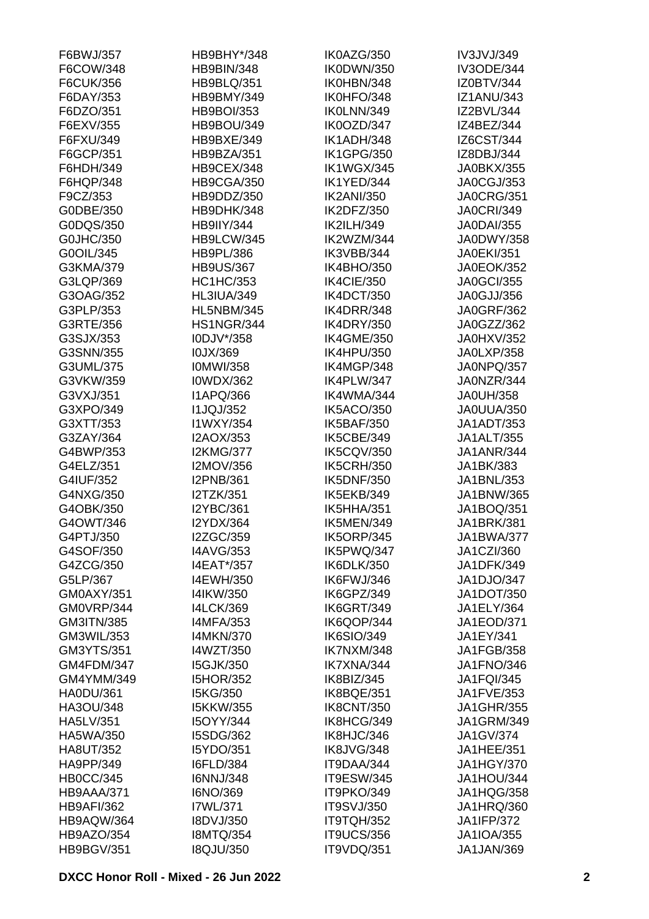| F6BWJ/357         | HB9BHY*/348       | IK0AZG/350        | IV3JVJ/349        |
|-------------------|-------------------|-------------------|-------------------|
| F6COW/348         | <b>HB9BIN/348</b> | IK0DWN/350        | <b>IV3ODE/344</b> |
| F6CUK/356         | <b>HB9BLQ/351</b> | IK0HBN/348        | IZ0BTV/344        |
| F6DAY/353         | HB9BMY/349        | IK0HFO/348        | <b>IZ1ANU/343</b> |
| F6DZO/351         | <b>HB9BOI/353</b> | IK0LNN/349        | IZ2BVL/344        |
| F6EXV/355         | HB9BOU/349        | IK0OZD/347        | IZ4BEZ/344        |
| F6FXU/349         | HB9BXE/349        | IK1ADH/348        | IZ6CST/344        |
| F6GCP/351         | HB9BZA/351        | IK1GPG/350        | IZ8DBJ/344        |
| F6HDH/349         | HB9CEX/348        | <b>IK1WGX/345</b> | <b>JA0BKX/355</b> |
| F6HQP/348         | HB9CGA/350        | IK1YED/344        | JA0CGJ/353        |
| F9CZ/353          | HB9DDZ/350        | <b>IK2ANI/350</b> | <b>JA0CRG/351</b> |
| G0DBE/350         | HB9DHK/348        | IK2DFZ/350        | <b>JA0CRI/349</b> |
| G0DQS/350         | <b>HB9IIY/344</b> | <b>IK2ILH/349</b> | <b>JA0DAI/355</b> |
| G0JHC/350         | HB9LCW/345        | IK2WZM/344        | JA0DWY/358        |
| G0OIL/345         | <b>HB9PL/386</b>  | IK3VBB/344        | <b>JA0EKI/351</b> |
| G3KMA/379         | <b>HB9US/367</b>  | IK4BHO/350        | <b>JA0EOK/352</b> |
| G3LQP/369         | <b>HC1HC/353</b>  | IK4CIE/350        | <b>JA0GCI/355</b> |
| G3OAG/352         | <b>HL3IUA/349</b> | IK4DCT/350        | JA0GJJ/356        |
| G3PLP/353         | <b>HL5NBM/345</b> | IK4DRR/348        | <b>JA0GRF/362</b> |
| G3RTE/356         | <b>HS1NGR/344</b> | <b>IK4DRY/350</b> | JA0GZZ/362        |
| G3SJX/353         | I0DJV*/358        | <b>IK4GME/350</b> | JA0HXV/352        |
| G3SNN/355         | I0JX/369          | <b>IK4HPU/350</b> | JA0LXP/358        |
| G3UML/375         | <b>IOMWI/358</b>  | IK4MGP/348        | JA0NPQ/357        |
| G3VKW/359         | <b>I0WDX/362</b>  | IK4PLW/347        | JA0NZR/344        |
| G3VXJ/351         | <b>I1APQ/366</b>  | IK4WMA/344        | <b>JA0UH/358</b>  |
| G3XPO/349         | <b>I1JQJ/352</b>  | IK5ACO/350        | JA0UUA/350        |
| G3XTT/353         | I1WXY/354         | <b>IK5BAF/350</b> | <b>JA1ADT/353</b> |
| G3ZAY/364         | I2AOX/353         | IK5CBE/349        | <b>JA1ALT/355</b> |
| G4BWP/353         | <b>I2KMG/377</b>  | <b>IK5CQV/350</b> | <b>JA1ANR/344</b> |
| G4ELZ/351         | I2MOV/356         | <b>IK5CRH/350</b> | JA1BK/383         |
| G4IUF/352         | <b>I2PNB/361</b>  | <b>IK5DNF/350</b> | JA1BNL/353        |
| G4NXG/350         | I2TZK/351         | IK5EKB/349        | JA1BNW/365        |
| G4OBK/350         | <b>I2YBC/361</b>  | IK5HHA/351        | JA1BOQ/351        |
| G4OWT/346         | <b>I2YDX/364</b>  | IK5MEN/349        | <b>JA1BRK/381</b> |
| G4PTJ/350         | I2ZGC/359         | <b>IK5ORP/345</b> | <b>JA1BWA/377</b> |
| G4SOF/350         | <b>I4AVG/353</b>  | IK5PWQ/347        | JA1CZI/360        |
| G4ZCG/350         | I4EAT*/357        | IK6DLK/350        | JA1DFK/349        |
| G5LP/367          | I4EWH/350         | IK6FWJ/346        | JA1DJO/347        |
| GM0AXY/351        | I4IKW/350         | IK6GPZ/349        | <b>JA1DOT/350</b> |
| GM0VRP/344        | <b>I4LCK/369</b>  | <b>IK6GRT/349</b> | JA1ELY/364        |
| GM3ITN/385        | <b>I4MFA/353</b>  | IK6QOP/344        | <b>JA1EOD/371</b> |
| GM3WIL/353        | <b>I4MKN/370</b>  | <b>IK6SIO/349</b> | JA1EY/341         |
| GM3YTS/351        | I4WZT/350         | IK7NXM/348        | JA1FGB/358        |
| GM4FDM/347        | <b>I5GJK/350</b>  | IK7XNA/344        | JA1FNO/346        |
| GM4YMM/349        | <b>I5HOR/352</b>  | IK8BIZ/345        | <b>JA1FQI/345</b> |
| <b>HA0DU/361</b>  | I5KG/350          | IK8BQE/351        | JA1FVE/353        |
| HA3OU/348         | <b>I5KKW/355</b>  | <b>IK8CNT/350</b> | <b>JA1GHR/355</b> |
| HA5LV/351         | I5OYY/344         | IK8HCG/349        | <b>JA1GRM/349</b> |
| HA5WA/350         | I5SDG/362         | IK8HJC/346        | JA1GV/374         |
| <b>HA8UT/352</b>  | I5YDO/351         | IK8JVG/348        | JA1HEE/351        |
|                   |                   |                   |                   |
| HA9PP/349         | <b>I6FLD/384</b>  | IT9DAA/344        | <b>JA1HGY/370</b> |
| <b>HB0CC/345</b>  | <b>I6NNJ/348</b>  | <b>IT9ESW/345</b> | JA1HOU/344        |
| HB9AAA/371        | I6NO/369          | IT9PKO/349        | JA1HQG/358        |
| <b>HB9AFI/362</b> | I7WL/371          | <b>IT9SVJ/350</b> | JA1HRQ/360        |
| HB9AQW/364        | I8DVJ/350         | IT9TQH/352        | <b>JA1IFP/372</b> |
| HB9AZO/354        | <b>I8MTQ/354</b>  | <b>IT9UCS/356</b> | <b>JA1IOA/355</b> |
| <b>HB9BGV/351</b> | <b>I8QJU/350</b>  | IT9VDQ/351        | JA1JAN/369        |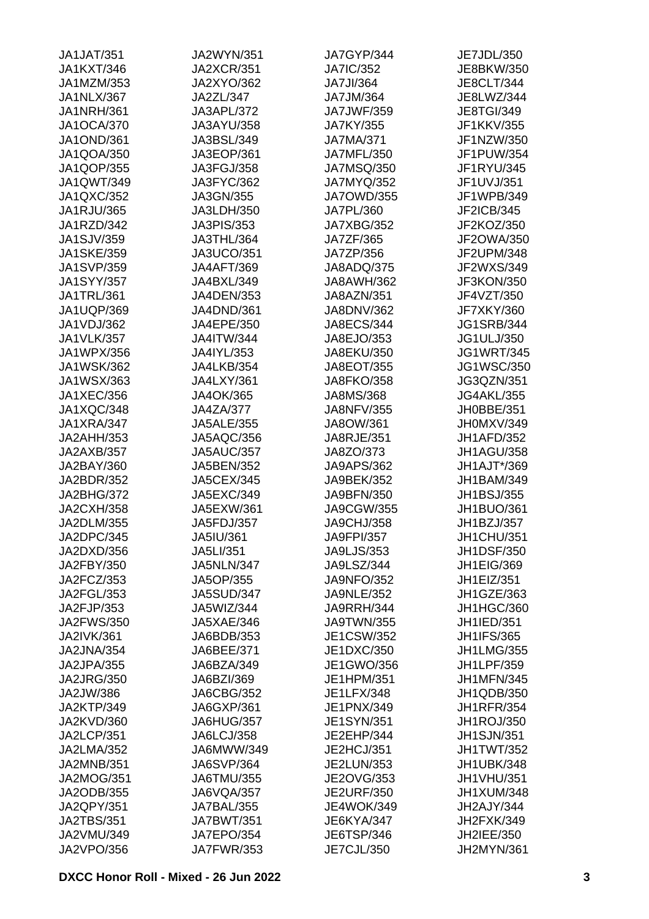| <b>JA1JAT/351</b> | JA2WYN/351        | JA7GYP/344        | JE7JDL/350        |
|-------------------|-------------------|-------------------|-------------------|
| <b>JA1KXT/346</b> | <b>JA2XCR/351</b> | <b>JA7IC/352</b>  | JE8BKW/350        |
| JA1MZM/353        | <b>JA2XYO/362</b> | <b>JA7JI/364</b>  | <b>JE8CLT/344</b> |
| JA1NLX/367        | JA2ZL/347         | JA7JM/364         | JE8LWZ/344        |
| <b>JA1NRH/361</b> | JA3APL/372        | <b>JA7JWF/359</b> | JE8TGI/349        |
| <b>JA1OCA/370</b> | JA3AYU/358        | JA7KY/355         | JF1KKV/355        |
| <b>JA1OND/361</b> | JA3BSL/349        | <b>JA7MA/371</b>  | JF1NZW/350        |
| JA1QOA/350        | JA3EOP/361        | <b>JA7MFL/350</b> | JF1PUW/354        |
| JA1QOP/355        | JA3FGJ/358        | <b>JA7MSQ/350</b> | JF1RYU/345        |
| JA1QWT/349        | JA3FYC/362        | JA7MYQ/352        | JF1UVJ/351        |
| JA1QXC/352        | JA3GN/355         | <b>JA7OWD/355</b> | JF1WPB/349        |
| JA1RJU/365        | JA3LDH/350        | JA7PL/360         | JF2ICB/345        |
| JA1RZD/342        | JA3PIS/353        | JA7XBG/352        | JF2KOZ/350        |
| <b>JA1SJV/359</b> | JA3THL/364        | JA7ZF/365         | JF2OWA/350        |
| <b>JA1SKE/359</b> | <b>JA3UCO/351</b> | JA7ZP/356         | JF2UPM/348        |
| <b>JA1SVP/359</b> | <b>JA4AFT/369</b> | <b>JA8ADQ/375</b> | JF2WXS/349        |
| <b>JA1SYY/357</b> | JA4BXL/349        | <b>JA8AWH/362</b> | JF3KON/350        |
| JA1TRL/361        | JA4DEN/353        | JA8AZN/351        | JF4VZT/350        |
| JA1UQP/369        | JA4DND/361        | <b>JA8DNV/362</b> | <b>JF7XKY/360</b> |
|                   |                   |                   |                   |
| JA1VDJ/362        | JA4EPE/350        | <b>JA8ECS/344</b> | <b>JG1SRB/344</b> |
| <b>JA1VLK/357</b> | <b>JA4ITW/344</b> | JA8EJO/353        | JG1ULJ/350        |
| JA1WPX/356        | JA4IYL/353        | JA8EKU/350        | <b>JG1WRT/345</b> |
| <b>JA1WSK/362</b> | JA4LKB/354        | JA8EOT/355        | <b>JG1WSC/350</b> |
| JA1WSX/363        | JA4LXY/361        | <b>JA8FKO/358</b> | JG3QZN/351        |
| <b>JA1XEC/356</b> | JA4OK/365         | <b>JA8MS/368</b>  | <b>JG4AKL/355</b> |
| JA1XQC/348        | <b>JA4ZA/377</b>  | JA8NFV/355        | JH0BBE/351        |
| JA1XRA/347        | <b>JA5ALE/355</b> | JA8OW/361         | JH0MXV/349        |
| JA2AHH/353        | JA5AQC/356        | JA8RJE/351        | JH1AFD/352        |
| JA2AXB/357        | <b>JA5AUC/357</b> | JA8ZO/373         | JH1AGU/358        |
| JA2BAY/360        | <b>JA5BEN/352</b> | <b>JA9APS/362</b> | JH1AJT*/369       |
| JA2BDR/352        | <b>JA5CEX/345</b> | JA9BEK/352        | <b>JH1BAM/349</b> |
| JA2BHG/372        | JA5EXC/349        | <b>JA9BFN/350</b> | <b>JH1BSJ/355</b> |
| <b>JA2CXH/358</b> | JA5EXW/361        | JA9CGW/355        | JH1BUO/361        |
| JA2DLM/355        | JA5FDJ/357        | JA9CHJ/358        | JH1BZJ/357        |
| JA2DPC/345        | JA5IU/361         | <b>JA9FPI/357</b> | JH1CHU/351        |
| JA2DXD/356        | JA5LI/351         | <b>JA9LJS/353</b> | <b>JH1DSF/350</b> |
| JA2FBY/350        | JA5NLN/347        | JA9LSZ/344        | JH1EIG/369        |
| JA2FCZ/353        | JA5OP/355         | <b>JA9NFO/352</b> | JH1EIZ/351        |
| JA2FGL/353        | <b>JA5SUD/347</b> | <b>JA9NLE/352</b> | JH1GZE/363        |
| JA2FJP/353        | JA5WIZ/344        | JA9RRH/344        | JH1HGC/360        |
| JA2FWS/350        | JA5XAE/346        | JA9TWN/355        | JH1IED/351        |
| <b>JA2IVK/361</b> | JA6BDB/353        | JE1CSW/352        | <b>JH1IFS/365</b> |
| JA2JNA/354        | JA6BEE/371        | JE1DXC/350        | <b>JH1LMG/355</b> |
| JA2JPA/355        | JA6BZA/349        | JE1GWO/356        | JH1LPF/359        |
| <b>JA2JRG/350</b> | JA6BZI/369        | JE1HPM/351        | <b>JH1MFN/345</b> |
| JA2JW/386         | JA6CBG/352        | JE1LFX/348        | JH1QDB/350        |
| JA2KTP/349        | JA6GXP/361        | JE1PNX/349        | <b>JH1RFR/354</b> |
| JA2KVD/360        | JA6HUG/357        | <b>JE1SYN/351</b> | <b>JH1ROJ/350</b> |
| <b>JA2LCP/351</b> | <b>JA6LCJ/358</b> | JE2EHP/344        | <b>JH1SJN/351</b> |
| <b>JA2LMA/352</b> | JA6MWW/349        | JE2HCJ/351        | <b>JH1TWT/352</b> |
| JA2MNB/351        | <b>JA6SVP/364</b> | JE2LUN/353        | JH1UBK/348        |
| <b>JA2MOG/351</b> | JA6TMU/355        | JE2OVG/353        | JH1VHU/351        |
| JA2ODB/355        | JA6VQA/357        | <b>JE2URF/350</b> | <b>JH1XUM/348</b> |
| JA2QPY/351        | JA7BAL/355        | <b>JE4WOK/349</b> | JH2AJY/344        |
| <b>JA2TBS/351</b> | <b>JA7BWT/351</b> | JE6KYA/347        | JH2FXK/349        |
| JA2VMU/349        | <b>JA7EPO/354</b> | JE6TSP/346        | JH2IEE/350        |
| <b>JA2VPO/356</b> | <b>JA7FWR/353</b> | JE7CJL/350        | JH2MYN/361        |
|                   |                   |                   |                   |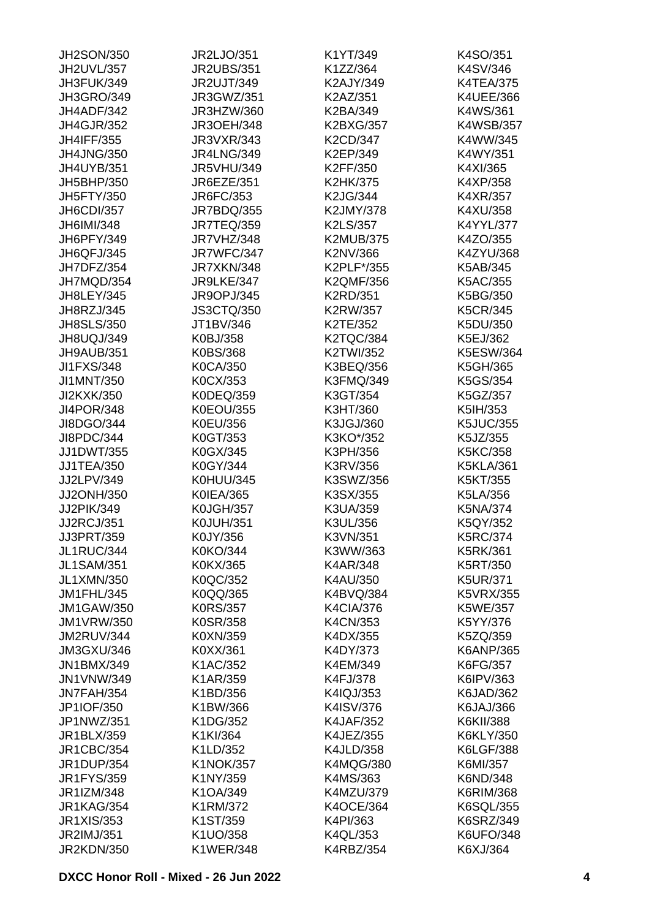| JH2SON/350        | JR2LJO/351        | K1YT/349         | K4SO/351         |
|-------------------|-------------------|------------------|------------------|
| JH2UVL/357        | <b>JR2UBS/351</b> | K1ZZ/364         | K4SV/346         |
| JH3FUK/349        | <b>JR2UJT/349</b> | K2AJY/349        | <b>K4TEA/375</b> |
| <b>JH3GRO/349</b> | JR3GWZ/351        | K2AZ/351         | K4UEE/366        |
| JH4ADF/342        | JR3HZW/360        | K2BA/349         | K4WS/361         |
| <b>JH4GJR/352</b> | <b>JR3OEH/348</b> | K2BXG/357        | <b>K4WSB/357</b> |
| <b>JH4IFF/355</b> | <b>JR3VXR/343</b> | K2CD/347         | K4WW/345         |
| <b>JH4JNG/350</b> | <b>JR4LNG/349</b> | K2EP/349         | K4WY/351         |
| <b>JH4UYB/351</b> | <b>JR5VHU/349</b> | K2FF/350         | K4XI/365         |
| JH5BHP/350        | <b>JR6EZE/351</b> | K2HK/375         | K4XP/358         |
| <b>JH5FTY/350</b> | JR6FC/353         | K2JG/344         | K4XR/357         |
| JH6CDI/357        | JR7BDQ/355        | K2JMY/378        | K4XU/358         |
| JH6IMI/348        | <b>JR7TEQ/359</b> | K2LS/357         | K4YYL/377        |
| JH6PFY/349        | JR7VHZ/348        | <b>K2MUB/375</b> | K4ZO/355         |
| JH6QFJ/345        | JR7WFC/347        | K2NV/366         | K4ZYU/368        |
| JH7DFZ/354        | JR7XKN/348        | K2PLF*/355       | K5AB/345         |
| JH7MQD/354        | JR9LKE/347        | K2QMF/356        | K5AC/355         |
|                   |                   |                  |                  |
| <b>JH8LEY/345</b> | <b>JR9OPJ/345</b> | <b>K2RD/351</b>  | K5BG/350         |
| JH8RZJ/345        | <b>JS3CTQ/350</b> | K2RW/357         | K5CR/345         |
| <b>JH8SLS/350</b> | JT1BV/346         | K2TE/352         | K5DU/350         |
| JH8UQJ/349        | K0BJ/358          | <b>K2TQC/384</b> | K5EJ/362         |
| JH9AUB/351        | K0BS/368          | K2TWI/352        | K5ESW/364        |
| <b>JI1FXS/348</b> | K0CA/350          | K3BEQ/356        | K5GH/365         |
| JI1MNT/350        | K0CX/353          | K3FMQ/349        | K5GS/354         |
| JI2KXK/350        | K0DEQ/359         | K3GT/354         | K5GZ/357         |
| <b>JI4POR/348</b> | <b>K0EOU/355</b>  | K3HT/360         | K5IH/353         |
| JI8DGO/344        | K0EU/356          | K3JGJ/360        | <b>K5JUC/355</b> |
| JI8PDC/344        | K0GT/353          | K3KO*/352        | K5JZ/355         |
| <b>JJ1DWT/355</b> | K0GX/345          | K3PH/356         | K5KC/358         |
| JJ1TEA/350        | K0GY/344          | K3RV/356         | <b>K5KLA/361</b> |
| JJ2LPV/349        | K0HUU/345         | K3SWZ/356        | K5KT/355         |
| JJ2ONH/350        | K0IEA/365         | K3SX/355         | K5LA/356         |
| JJ2PIK/349        | <b>K0JGH/357</b>  | K3UA/359         | K5NA/374         |
| <b>JJ2RCJ/351</b> | <b>K0JUH/351</b>  | K3UL/356         | K5QY/352         |
| JJ3PRT/359        | K0JY/356          | K3VN/351         | K5RC/374         |
| JL1RUC/344        | K0KO/344          | K3WW/363         | K5RK/361         |
| <b>JL1SAM/351</b> | K0KX/365          | K4AR/348         | K5RT/350         |
| <b>JL1XMN/350</b> | K0QC/352          | K4AU/350         | <b>K5UR/371</b>  |
| JM1FHL/345        | K0QQ/365          | K4BVQ/384        | <b>K5VRX/355</b> |
| <b>JM1GAW/350</b> | <b>K0RS/357</b>   | K4CIA/376        | K5WE/357         |
| <b>JM1VRW/350</b> | K0SR/358          | K4CN/353         | K5YY/376         |
| JM2RUV/344        | K0XN/359          | K4DX/355         | K5ZQ/359         |
| JM3GXU/346        | K0XX/361          | K4DY/373         | K6ANP/365        |
| <b>JN1BMX/349</b> | K1AC/352          | K4EM/349         | K6FG/357         |
| <b>JN1VNW/349</b> | K1AR/359          | K4FJ/378         | K6IPV/363        |
| JN7FAH/354        | K1BD/356          | K4IQJ/353        | K6JAD/362        |
| JP1IOF/350        | K1BW/366          | K4ISV/376        | K6JAJ/366        |
| JP1NWZ/351        | K1DG/352          |                  | K6KII/388        |
|                   |                   | <b>K4JAF/352</b> |                  |
| JR1BLX/359        | K1KI/364          | K4JEZ/355        | K6KLY/350        |
| <b>JR1CBC/354</b> | K1LD/352          | <b>K4JLD/358</b> | K6LGF/388        |
| <b>JR1DUP/354</b> | <b>K1NOK/357</b>  | <b>K4MQG/380</b> | K6MI/357         |
| <b>JR1FYS/359</b> | K1NY/359          | K4MS/363         | K6ND/348         |
| JR1IZM/348        | K1OA/349          | K4MZU/379        | K6RIM/368        |
| <b>JR1KAG/354</b> | K1RM/372          | <b>K4OCE/364</b> | K6SQL/355        |
| <b>JR1XIS/353</b> | K1ST/359          | K4PI/363         | K6SRZ/349        |
| JR2IMJ/351        | K1UO/358          | K4QL/353         | K6UFO/348        |
| <b>JR2KDN/350</b> | <b>K1WER/348</b>  | K4RBZ/354        | K6XJ/364         |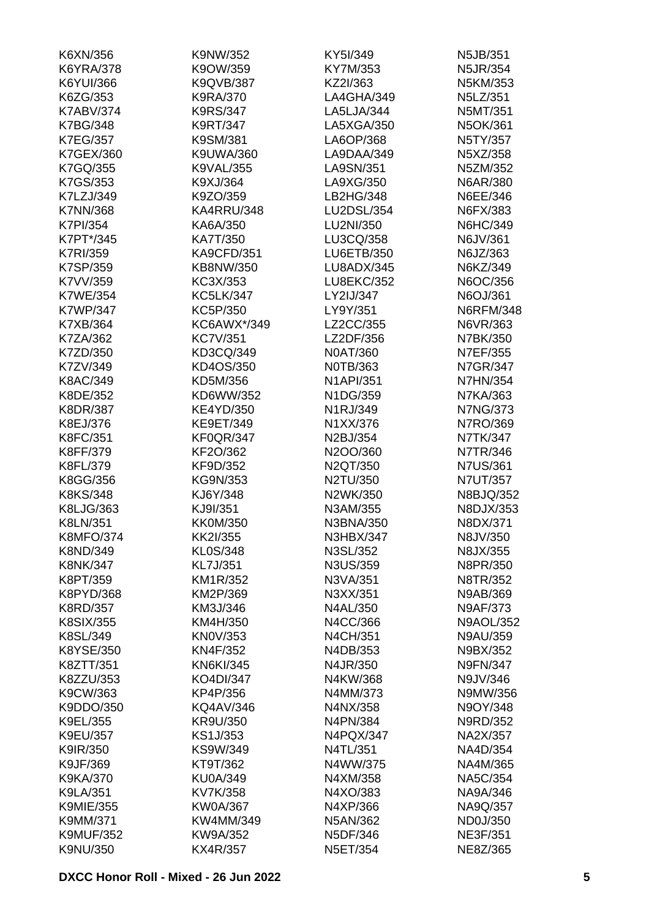| K6XN/356         | K9NW/352          | KY5I/349          | N5JB/351         |
|------------------|-------------------|-------------------|------------------|
| <b>K6YRA/378</b> | K9OW/359          | KY7M/353          | N5JR/354         |
| K6YUI/366        | K9QVB/387         | KZ2I/363          | N5KM/353         |
| K6ZG/353         | K9RA/370          | LA4GHA/349        | N5LZ/351         |
| <b>K7ABV/374</b> | K9RS/347          | LA5LJA/344        | N5MT/351         |
| <b>K7BG/348</b>  | K9RT/347          | LA5XGA/350        | N5OK/361         |
| <b>K7EG/357</b>  | K9SM/381          | LA6OP/368         | N5TY/357         |
| K7GEX/360        | K9UWA/360         | LA9DAA/349        | N5XZ/358         |
| K7GQ/355         | <b>K9VAL/355</b>  | LA9SN/351         | N5ZM/352         |
| K7GS/353         | K9XJ/364          | LA9XG/350         | N6AR/380         |
| K7LZJ/349        | K9ZO/359          | LB2HG/348         | N6EE/346         |
| <b>K7NN/368</b>  | KA4RRU/348        | LU2DSL/354        | N6FX/383         |
| <b>K7PI/354</b>  | KA6A/350          | LU2NI/350         | N6HC/349         |
| K7PT*/345        | KA7T/350          | LU3CQ/358         | N6JV/361         |
| <b>K7RI/359</b>  | <b>KA9CFD/351</b> | <b>LU6ETB/350</b> | N6JZ/363         |
| <b>K7SP/359</b>  | KB8NW/350         | LU8ADX/345        | N6KZ/349         |
|                  |                   | <b>LU8EKC/352</b> |                  |
| K7VV/359         | KC3X/353          |                   | N6OC/356         |
| <b>K7WE/354</b>  | <b>KC5LK/347</b>  | LY2IJ/347         | N6OJ/361         |
| <b>K7WP/347</b>  | KC5P/350          | LY9Y/351          | <b>N6RFM/348</b> |
| K7XB/364         | KC6AWX*/349       | LZ2CC/355         | N6VR/363         |
| K7ZA/362         | <b>KC7V/351</b>   | LZ2DF/356         | N7BK/350         |
| K7ZD/350         | KD3CQ/349         | N0AT/360          | N7EF/355         |
| K7ZV/349         | KD4OS/350         | N0TB/363          | N7GR/347         |
| K8AC/349         | KD5M/356          | <b>N1API/351</b>  | <b>N7HN/354</b>  |
| K8DE/352         | KD6WW/352         | N1DG/359          | N7KA/363         |
| <b>K8DR/387</b>  | <b>KE4YD/350</b>  | N1RJ/349          | <b>N7NG/373</b>  |
| K8EJ/376         | KE9ET/349         | N1XX/376          | N7RO/369         |
| K8FC/351         | <b>KF0QR/347</b>  | N2BJ/354          | N7TK/347         |
| K8FF/379         | KF2O/362          | N2OO/360          | N7TR/346         |
| K8FL/379         | KF9D/352          | N2QT/350          | <b>N7US/361</b>  |
| K8GG/356         | KG9N/353          | N2TU/350          | N7UT/357         |
| K8KS/348         | KJ6Y/348          | N2WK/350          | N8BJQ/352        |
| K8LJG/363        | KJ9I/351          | N3AM/355          | N8DJX/353        |
| K8LN/351         | <b>KK0M/350</b>   | N3BNA/350         | N8DX/371         |
| <b>K8MFO/374</b> | KK2I/355          | <b>N3HBX/347</b>  | N8JV/350         |
| K8ND/349         | KL0S/348          | N3SL/352          | N8JX/355         |
| <b>K8NK/347</b>  | KL7J/351          | N3US/359          | N8PR/350         |
| K8PT/359         | KM1R/352          | N3VA/351          | N8TR/352         |
| K8PYD/368        | KM2P/369          | N3XX/351          | N9AB/369         |
| <b>K8RD/357</b>  | KM3J/346          | N4AL/350          | N9AF/373         |
| <b>K8SIX/355</b> | KM4H/350          | N4CC/366          | <b>N9AOL/352</b> |
| K8SL/349         | <b>KN0V/353</b>   | N4CH/351          | <b>N9AU/359</b>  |
| K8YSE/350        | KN4F/352          | N4DB/353          | N9BX/352         |
| K8ZTT/351        | <b>KN6KI/345</b>  | N4JR/350          | <b>N9FN/347</b>  |
| K8ZZU/353        | KO4DI/347         | N4KW/368          | N9JV/346         |
| K9CW/363         | KP4P/356          | N4MM/373          | N9MW/356         |
| K9DDO/350        | KQ4AV/346         | N4NX/358          | N9OY/348         |
| K9EL/355         | KR9U/350          | N4PN/384          | N9RD/352         |
|                  |                   |                   |                  |
| K9EU/357         | KS1J/353          | N4PQX/347         | NA2X/357         |
| K9IR/350         | KS9W/349          | N4TL/351          | NA4D/354         |
| K9JF/369         | KT9T/362          | N4WW/375          | NA4M/365         |
| <b>K9KA/370</b>  | <b>KU0A/349</b>   | N4XM/358          | <b>NA5C/354</b>  |
| K9LA/351         | KV7K/358          | N4XO/383          | NA9A/346         |
| <b>K9MIE/355</b> | <b>KW0A/367</b>   | N4XP/366          | NA9Q/357         |
| K9MM/371         | KW4MM/349         | N5AN/362          | ND0J/350         |
| <b>K9MUF/352</b> | KW9A/352          | N5DF/346          | <b>NE3F/351</b>  |
| K9NU/350         | KX4R/357          | N5ET/354          | NE8Z/365         |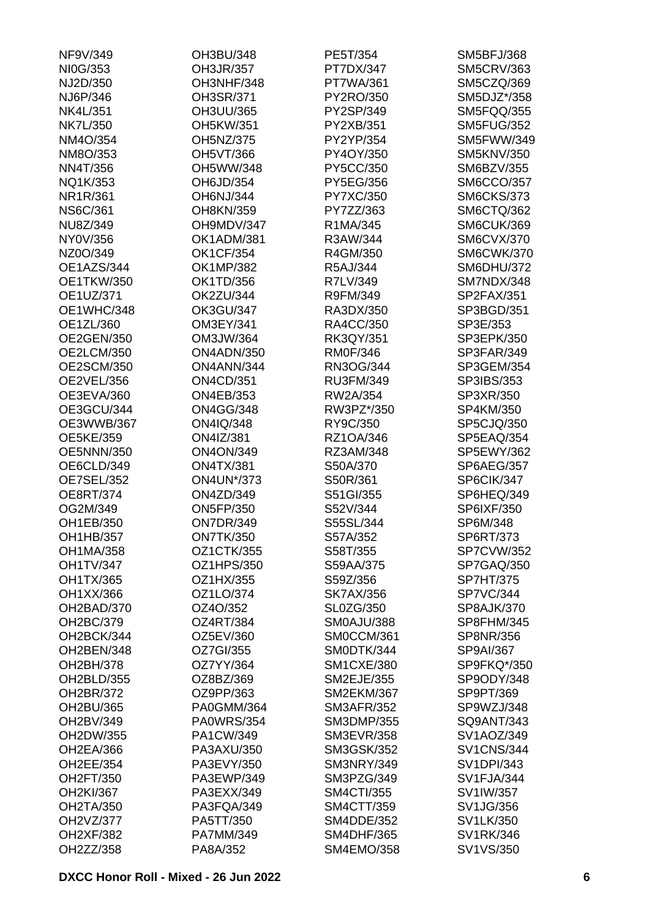| NF9V/349          | OH3BU/348         | PE5T/354          | <b>SM5BFJ/368</b> |
|-------------------|-------------------|-------------------|-------------------|
| NI0G/353          | OH3JR/357         | PT7DX/347         | <b>SM5CRV/363</b> |
| NJ2D/350          | OH3NHF/348        | PT7WA/361         | SM5CZQ/369        |
| NJ6P/346          | OH3SR/371         | PY2RO/350         | SM5DJZ*/358       |
| <b>NK4L/351</b>   | OH3UU/365         | PY2SP/349         | SM5FQQ/355        |
| <b>NK7L/350</b>   | OH5KW/351         | PY2XB/351         | <b>SM5FUG/352</b> |
| NM4O/354          | <b>OH5NZ/375</b>  | PY2YP/354         | <b>SM5FWW/349</b> |
| NM8O/353          | <b>OH5VT/366</b>  | PY4OY/350         | <b>SM5KNV/350</b> |
| <b>NN4T/356</b>   | OH5WW/348         | PY5CC/350         | <b>SM6BZV/355</b> |
| NQ1K/353          | OH6JD/354         | PY5EG/356         | <b>SM6CCO/357</b> |
| NR1R/361          | <b>OH6NJ/344</b>  | PY7XC/350         | <b>SM6CKS/373</b> |
| <b>NS6C/361</b>   | OH8KN/359         | PY7ZZ/363         | SM6CTQ/362        |
| NU8Z/349          | OH9MDV/347        | R1MA/345          | SM6CUK/369        |
| NY0V/356          | OK1ADM/381        | R3AW/344          | <b>SM6CVX/370</b> |
| NZ0O/349          | <b>OK1CF/354</b>  | R4GM/350          | <b>SM6CWK/370</b> |
| OE1AZS/344        | <b>OK1MP/382</b>  | R5AJ/344          | <b>SM6DHU/372</b> |
| <b>OE1TKW/350</b> | OK1TD/356         | R7LV/349          | SM7NDX/348        |
| OE1UZ/371         | <b>OK2ZU/344</b>  | R9FM/349          | SP2FAX/351        |
| OE1WHC/348        | <b>OK3GU/347</b>  | RA3DX/350         | SP3BGD/351        |
| OE1ZL/360         | OM3EY/341         | RA4CC/350         | SP3E/353          |
| <b>OE2GEN/350</b> | OM3JW/364         | RK3QY/351         | SP3EPK/350        |
|                   | ON4ADN/350        | <b>RM0F/346</b>   | SP3FAR/349        |
| OE2LCM/350        |                   |                   |                   |
| <b>OE2SCM/350</b> | ON4ANN/344        | RN3OG/344         | SP3GEM/354        |
| <b>OE2VEL/356</b> | <b>ON4CD/351</b>  | RU3FM/349         | SP3IBS/353        |
| OE3EVA/360        | <b>ON4EB/353</b>  | RW2A/354          | SP3XR/350         |
| OE3GCU/344        | <b>ON4GG/348</b>  | RW3PZ*/350        | SP4KM/350         |
| OE3WWB/367        | ON4IQ/348         | RY9C/350          | SP5CJQ/350        |
| <b>OE5KE/359</b>  | <b>ON4IZ/381</b>  | RZ1OA/346         | SP5EAQ/354        |
| <b>OE5NNN/350</b> | <b>ON4ON/349</b>  | RZ3AM/348         | <b>SP5EWY/362</b> |
| OE6CLD/349        | <b>ON4TX/381</b>  | S50A/370          | <b>SP6AEG/357</b> |
| OE7SEL/352        | <b>ON4UN*/373</b> | S50R/361          | SP6CIK/347        |
| OE8RT/374         | <b>ON4ZD/349</b>  | S51GI/355         | SP6HEQ/349        |
| OG2M/349          | <b>ON5FP/350</b>  | S52V/344          | SP6IXF/350        |
| OH1EB/350         | <b>ON7DR/349</b>  | S55SL/344         | SP6M/348          |
| OH1HB/357         | <b>ON7TK/350</b>  | S57A/352          | SP6RT/373         |
| OH1MA/358         | OZ1CTK/355        | S58T/355          | <b>SP7CVW/352</b> |
| <b>OH1TV/347</b>  | OZ1HPS/350        | S59AA/375         | SP7GAQ/350        |
| OH1TX/365         | OZ1HX/355         | S59Z/356          | <b>SP7HT/375</b>  |
| OH1XX/366         | OZ1LO/374         | <b>SK7AX/356</b>  | SP7VC/344         |
| OH2BAD/370        | OZ4O/352          | SL0ZG/350         | <b>SP8AJK/370</b> |
| OH2BC/379         | OZ4RT/384         | SM0AJU/388        | SP8FHM/345        |
| OH2BCK/344        | OZ5EV/360         | SM0CCM/361        | SP8NR/356         |
| OH2BEN/348        | OZ7GI/355         | SM0DTK/344        | SP9AI/367         |
| OH2BH/378         | OZ7YY/364         | <b>SM1CXE/380</b> | SP9FKQ*/350       |
| OH2BLD/355        | OZ8BZ/369         | <b>SM2EJE/355</b> | SP9ODY/348        |
| OH2BR/372         | OZ9PP/363         | <b>SM2EKM/367</b> | SP9PT/369         |
| OH2BU/365         | <b>PA0GMM/364</b> | <b>SM3AFR/352</b> | SP9WZJ/348        |
| OH2BV/349         | <b>PA0WRS/354</b> | <b>SM3DMP/355</b> | SQ9ANT/343        |
| OH2DW/355         | PA1CW/349         | <b>SM3EVR/358</b> | SV1AOZ/349        |
| <b>OH2EA/366</b>  | PA3AXU/350        | <b>SM3GSK/352</b> | <b>SV1CNS/344</b> |
| OH2EE/354         | PA3EVY/350        | SM3NRY/349        | <b>SV1DPI/343</b> |
| OH2FT/350         | PA3EWP/349        | SM3PZG/349        | SV1FJA/344        |
| OH2KI/367         | PA3EXX/349        | <b>SM4CTI/355</b> | SV1IW/357         |
| <b>OH2TA/350</b>  | PA3FQA/349        | SM4CTT/359        | SV1JG/356         |
| OH2VZ/377         | PA5TT/350         | <b>SM4DDE/352</b> | SV1LK/350         |
| <b>OH2XF/382</b>  | PA7MM/349         | SM4DHF/365        | SV1RK/346         |
| OH2ZZ/358         | PA8A/352          | SM4EMO/358        | SV1VS/350         |
|                   |                   |                   |                   |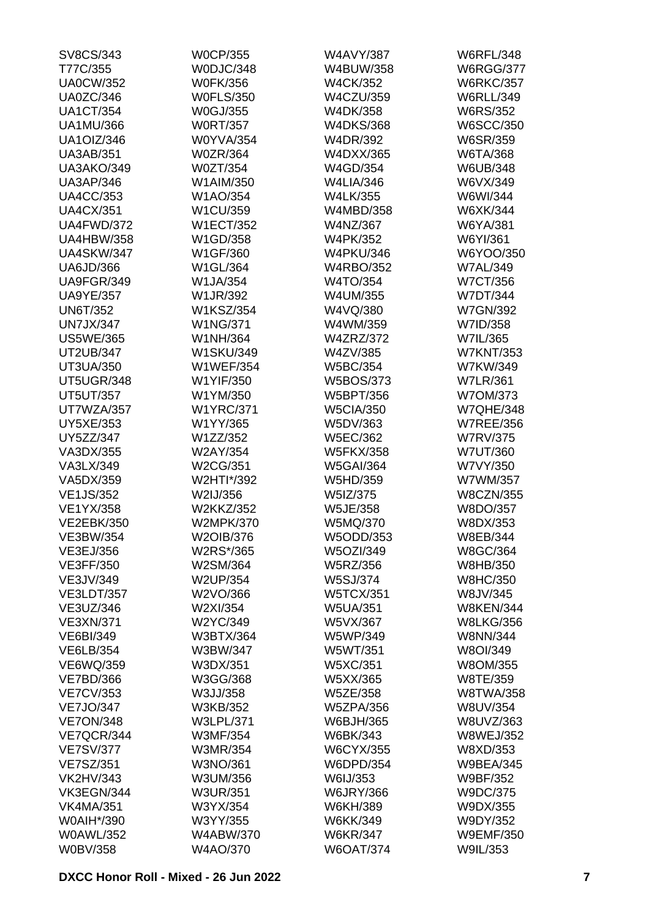| SV8CS/343         | <b>W0CP/355</b>  | <b>W4AVY/387</b> | <b>W6RFL/348</b> |
|-------------------|------------------|------------------|------------------|
| T77C/355          | W0DJC/348        | W4BUW/358        | <b>W6RGG/377</b> |
| <b>UA0CW/352</b>  | <b>W0FK/356</b>  | <b>W4CK/352</b>  | <b>W6RKC/357</b> |
| <b>UA0ZC/346</b>  | <b>W0FLS/350</b> | <b>W4CZU/359</b> | <b>W6RLL/349</b> |
| <b>UA1CT/354</b>  | W0GJ/355         | W4DK/358         | <b>W6RS/352</b>  |
| <b>UA1MU/366</b>  | <b>W0RT/357</b>  | <b>W4DKS/368</b> | <b>W6SCC/350</b> |
| <b>UA1OIZ/346</b> | <b>W0YVA/354</b> | W4DR/392         | W6SR/359         |
| <b>UA3AB/351</b>  | <b>W0ZR/364</b>  | W4DXX/365        | W6TA/368         |
| <b>UA3AKO/349</b> | <b>W0ZT/354</b>  | W4GD/354         | W6UB/348         |
| <b>UA3AP/346</b>  | W1AIM/350        | <b>W4LIA/346</b> | W6VX/349         |
| <b>UA4CC/353</b>  | W1AO/354         | <b>W4LK/355</b>  | W6WI/344         |
| <b>UA4CX/351</b>  | W1CU/359         | W4MBD/358        | W6XK/344         |
| UA4FWD/372        | <b>W1ECT/352</b> | W4NZ/367         | W6YA/381         |
| <b>UA4HBW/358</b> | W1GD/358         | <b>W4PK/352</b>  | W6YI/361         |
| <b>UA4SKW/347</b> | W1GF/360         | <b>W4PKU/346</b> | W6YOO/350        |
| <b>UA6JD/366</b>  | W1GL/364         | <b>W4RBO/352</b> | <b>W7AL/349</b>  |
| UA9FGR/349        | W1JA/354         | W4TO/354         | <b>W7CT/356</b>  |
| <b>UA9YE/357</b>  | W1JR/392         | W4UM/355         | <b>W7DT/344</b>  |
|                   | <b>W1KSZ/354</b> |                  |                  |
| <b>UN6T/352</b>   |                  | W4VQ/380         | <b>W7GN/392</b>  |
| <b>UN7JX/347</b>  | <b>W1NG/371</b>  | W4WM/359         | W7ID/358         |
| <b>US5WE/365</b>  | W1NH/364         | <b>W4ZRZ/372</b> | W7IL/365         |
| <b>UT2UB/347</b>  | <b>W1SKU/349</b> | W4ZV/385         | <b>W7KNT/353</b> |
| <b>UT3UA/350</b>  | <b>W1WEF/354</b> | <b>W5BC/354</b>  | W7KW/349         |
| UT5UGR/348        | W1YIF/350        | <b>W5BOS/373</b> | <b>W7LR/361</b>  |
| <b>UT5UT/357</b>  | W1YM/350         | W5BPT/356        | W7OM/373         |
| UT7WZA/357        | <b>W1YRC/371</b> | <b>W5CIA/350</b> | <b>W7QHE/348</b> |
| <b>UY5XE/353</b>  | W1YY/365         | W5DV/363         | <b>W7REE/356</b> |
| <b>UY5ZZ/347</b>  | W1ZZ/352         | <b>W5EC/362</b>  | <b>W7RV/375</b>  |
| VA3DX/355         | W2AY/354         | <b>W5FKX/358</b> | <b>W7UT/360</b>  |
| VA3LX/349         | W2CG/351         | <b>W5GAI/364</b> | W7VY/350         |
| VA5DX/359         | W2HTI*/392       | W5HD/359         | W7WM/357         |
| <b>VE1JS/352</b>  | W2IJ/356         | W5IZ/375         | <b>W8CZN/355</b> |
| <b>VE1YX/358</b>  | W2KKZ/352        | W5JE/358         | W8DO/357         |
| <b>VE2EBK/350</b> | <b>W2MPK/370</b> | W5MQ/370         | W8DX/353         |
| <b>VE3BW/354</b>  | W2OIB/376        | W5ODD/353        | W8EB/344         |
| VE3EJ/356         | W2RS*/365        | W5OZI/349        | W8GC/364         |
| <b>VE3FF/350</b>  | W2SM/364         | W5RZ/356         | W8HB/350         |
| VE3JV/349         | W2UP/354         | <b>W5SJ/374</b>  | <b>W8HC/350</b>  |
| <b>VE3LDT/357</b> | W2VO/366         | <b>W5TCX/351</b> | W8JV/345         |
| VE3UZ/346         | W2XI/354         | <b>W5UA/351</b>  | <b>W8KEN/344</b> |
| <b>VE3XN/371</b>  | W2YC/349         | W5VX/367         | <b>W8LKG/356</b> |
| <b>VE6BI/349</b>  | W3BTX/364        | W5WP/349         | <b>W8NN/344</b>  |
| VE6LB/354         | W3BW/347         | W5WT/351         | W8OI/349         |
| VE6WQ/359         | W3DX/351         | <b>W5XC/351</b>  | W8OM/355         |
| <b>VE7BD/366</b>  | W3GG/368         | W5XX/365         | W8TE/359         |
| <b>VE7CV/353</b>  | W3JJ/358         | <b>W5ZE/358</b>  | <b>W8TWA/358</b> |
| <b>VE7JO/347</b>  | W3KB/352         | <b>W5ZPA/356</b> | W8UV/354         |
| <b>VE7ON/348</b>  | <b>W3LPL/371</b> | W6BJH/365        | W8UVZ/363        |
| VE7QCR/344        | W3MF/354         | W6BK/343         | <b>W8WEJ/352</b> |
| <b>VE7SV/377</b>  | W3MR/354         | <b>W6CYX/355</b> | W8XD/353         |
|                   |                  |                  |                  |
| <b>VE7SZ/351</b>  | W3NO/361         | W6DPD/354        | <b>W9BEA/345</b> |
| <b>VK2HV/343</b>  | W3UM/356         | W6IJ/353         | W9BF/352         |
| VK3EGN/344        | <b>W3UR/351</b>  | <b>W6JRY/366</b> | W9DC/375         |
| <b>VK4MA/351</b>  | W3YX/354         | W6KH/389         | W9DX/355         |
| W0AIH*/390        | W3YY/355         | <b>W6KK/349</b>  | W9DY/352         |
| <b>W0AWL/352</b>  | W4ABW/370        | <b>W6KR/347</b>  | <b>W9EMF/350</b> |
| <b>W0BV/358</b>   | W4AO/370         | <b>W6OAT/374</b> | W9IL/353         |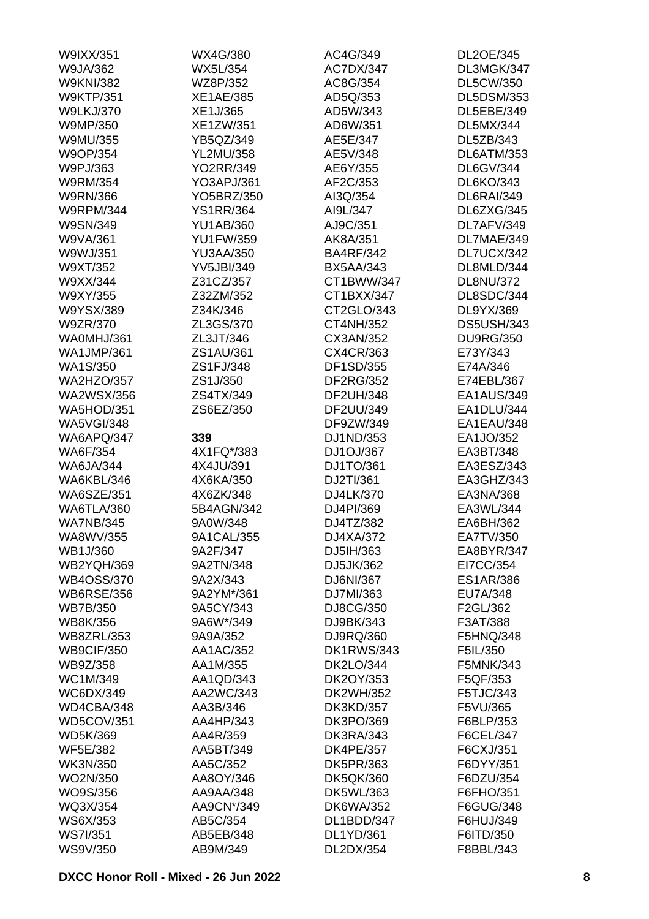| W9IXX/351         | WX4G/380          | AC4G/349          | DL2OE/345         |
|-------------------|-------------------|-------------------|-------------------|
| W9JA/362          | <b>WX5L/354</b>   | AC7DX/347         | DL3MGK/347        |
| <b>W9KNI/382</b>  | WZ8P/352          | AC8G/354          | <b>DL5CW/350</b>  |
| <b>W9KTP/351</b>  | <b>XE1AE/385</b>  | AD5Q/353          | <b>DL5DSM/353</b> |
| <b>W9LKJ/370</b>  | XE1J/365          | AD5W/343          | DL5EBE/349        |
| W9MP/350          | XE1ZW/351         | AD6W/351          | <b>DL5MX/344</b>  |
| W9MU/355          | YB5QZ/349         | AE5E/347          | DL5ZB/343         |
| W9OP/354          | <b>YL2MU/358</b>  | AE5V/348          | DL6ATM/353        |
| W9PJ/363          | <b>YO2RR/349</b>  | AE6Y/355          | <b>DL6GV/344</b>  |
| W9RM/354          | YO3APJ/361        | AF2C/353          | <b>DL6KO/343</b>  |
| <b>W9RN/366</b>   | YO5BRZ/350        | AI3Q/354          | <b>DL6RAI/349</b> |
| <b>W9RPM/344</b>  | <b>YS1RR/364</b>  | AI9L/347          | DL6ZXG/345        |
| W9SN/349          | <b>YU1AB/360</b>  | AJ9C/351          | DL7AFV/349        |
| W9VA/361          | <b>YU1FW/359</b>  | AK8A/351          | DL7MAE/349        |
| W9WJ/351          | <b>YU3AA/350</b>  | <b>BA4RF/342</b>  | DL7UCX/342        |
| W9XT/352          | <b>YV5JBI/349</b> | <b>BX5AA/343</b>  | DL8MLD/344        |
| W9XX/344          | Z31CZ/357         | CT1BWW/347        | <b>DL8NU/372</b>  |
| W9XY/355          |                   | CT1BXX/347        | DL8SDC/344        |
|                   | Z32ZM/352         |                   |                   |
| W9YSX/389         | Z34K/346          | CT2GLO/343        | DL9YX/369         |
| W9ZR/370          | ZL3GS/370         | CT4NH/352         | <b>DS5USH/343</b> |
| WA0MHJ/361        | ZL3JT/346         | CX3AN/352         | <b>DU9RG/350</b>  |
| <b>WA1JMP/361</b> | ZS1AU/361         | CX4CR/363         | E73Y/343          |
| <b>WA1S/350</b>   | ZS1FJ/348         | DF1SD/355         | E74A/346          |
| <b>WA2HZO/357</b> | ZS1J/350          | DF2RG/352         | E74EBL/367        |
| <b>WA2WSX/356</b> | ZS4TX/349         | DF2UH/348         | EA1AUS/349        |
| <b>WA5HOD/351</b> | ZS6EZ/350         | DF2UU/349         | EA1DLU/344        |
| <b>WA5VGI/348</b> |                   | DF9ZW/349         | EA1EAU/348        |
| WA6APQ/347        | 339               | DJ1ND/353         | EA1JO/352         |
| <b>WA6F/354</b>   | 4X1FQ*/383        | DJ1OJ/367         | EA3BT/348         |
| <b>WA6JA/344</b>  | 4X4JU/391         | DJ1TO/361         | EA3ESZ/343        |
| WA6KBL/346        | 4X6KA/350         | DJ2TI/361         | EA3GHZ/343        |
| <b>WA6SZE/351</b> | 4X6ZK/348         | DJ4LK/370         | EA3NA/368         |
| <b>WA6TLA/360</b> | 5B4AGN/342        | DJ4PI/369         | EA3WL/344         |
| <b>WA7NB/345</b>  | 9A0W/348          | DJ4TZ/382         | EA6BH/362         |
| WA8WV/355         | 9A1CAL/355        | DJ4XA/372         | EA7TV/350         |
| WB1J/360          | 9A2F/347          | DJ5IH/363         | EA8BYR/347        |
| <b>WB2YQH/369</b> | 9A2TN/348         | DJ5JK/362         | EI7CC/354         |
| <b>WB4OSS/370</b> | 9A2X/343          | DJ6NI/367         | <b>ES1AR/386</b>  |
| <b>WB6RSE/356</b> | 9A2YM*/361        | DJ7MI/363         | EU7A/348          |
| <b>WB7B/350</b>   | 9A5CY/343         | DJ8CG/350         | F2GL/362          |
| WB8K/356          | 9A6W*/349         | DJ9BK/343         | F3AT/388          |
| <b>WB8ZRL/353</b> | 9A9A/352          | DJ9RQ/360         | F5HNQ/348         |
| <b>WB9CIF/350</b> | AA1AC/352         | <b>DK1RWS/343</b> | F5IL/350          |
| WB9Z/358          | AA1M/355          | <b>DK2LO/344</b>  | F5MNK/343         |
| WC1M/349          | AA1QD/343         | DK2OY/353         | F5QF/353          |
| WC6DX/349         | AA2WC/343         | DK2WH/352         | F5TJC/343         |
| WD4CBA/348        | AA3B/346          | <b>DK3KD/357</b>  | F5VU/365          |
| <b>WD5COV/351</b> | AA4HP/343         | DK3PO/369         | F6BLP/353         |
| WD5K/369          | AA4R/359          | <b>DK3RA/343</b>  | F6CEL/347         |
| <b>WF5E/382</b>   | AA5BT/349         | <b>DK4PE/357</b>  | F6CXJ/351         |
|                   |                   |                   |                   |
| <b>WK3N/350</b>   | AA5C/352          | <b>DK5PR/363</b>  | F6DYY/351         |
| WO2N/350          | AA8OY/346         | <b>DK5QK/360</b>  | F6DZU/354         |
| WO9S/356          | AA9AA/348         | DK5WL/363         | F6FHO/351         |
| WQ3X/354          | AA9CN*/349        | <b>DK6WA/352</b>  | F6GUG/348         |
| WS6X/353          | AB5C/354          | DL1BDD/347        | F6HUJ/349         |
| <b>WS7I/351</b>   | AB5EB/348         | DL1YD/361         | F6ITD/350         |
| WS9V/350          | AB9M/349          | DL2DX/354         | F8BBL/343         |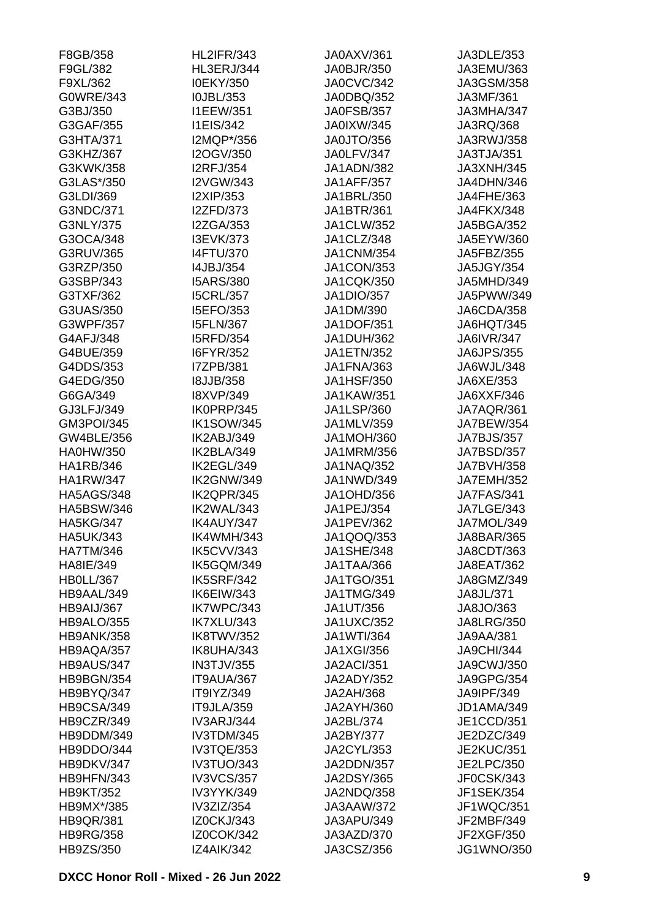| F8GB/358              | <b>HL2IFR/343</b>                    | JA0AXV/361                             | JA3DLE/353              |
|-----------------------|--------------------------------------|----------------------------------------|-------------------------|
| F9GL/382              | HL3ERJ/344                           | JA0BJR/350                             | JA3EMU/363              |
| F9XL/362              | I0EKY/350                            | JA0CVC/342                             | JA3GSM/358              |
| G0WRE/343             | I0JBL/353                            | JA0DBQ/352                             | JA3MF/361               |
| G3BJ/350              | <b>I1EEW/351</b>                     | JA0FSB/357                             | JA3MHA/347              |
| G3GAF/355             | <b>I1EIS/342</b>                     | <b>JA0IXW/345</b>                      | JA3RQ/368               |
| G3HTA/371             | I2MQP*/356                           | JA0JTO/356                             | JA3RWJ/358              |
| G3KHZ/367             | I2OGV/350                            | JA0LFV/347                             | JA3TJA/351              |
| G3KWK/358             | <b>I2RFJ/354</b>                     | JA1ADN/382                             | JA3XNH/345              |
| G3LAS*/350            | I2VGW/343                            | <b>JA1AFF/357</b>                      | JA4DHN/346              |
| G3LDI/369             | I2XIP/353                            | JA1BRL/350                             | JA4FHE/363              |
| G3NDC/371             | <b>I2ZFD/373</b>                     | JA1BTR/361                             | JA4FKX/348              |
| G3NLY/375             | <b>I2ZGA/353</b>                     | JA1CLW/352                             | <b>JA5BGA/352</b>       |
| G3OCA/348             | <b>I3EVK/373</b>                     | JA1CLZ/348                             | JA5EYW/360              |
| G3RUV/365             | <b>I4FTU/370</b>                     | <b>JA1CNM/354</b>                      | JA5FBZ/355              |
| G3RZP/350             | I4JBJ/354                            | <b>JA1CON/353</b>                      | <b>JA5JGY/354</b>       |
| G3SBP/343             | <b>I5ARS/380</b>                     | <b>JA1CQK/350</b>                      | JA5MHD/349              |
| G3TXF/362             | <b>I5CRL/357</b>                     | <b>JA1DIO/357</b>                      | JA5PWW/349              |
| G3UAS/350             | I5EFO/353                            | JA1DM/390                              | JA6CDA/358              |
| G3WPF/357             | <b>I5FLN/367</b>                     | <b>JA1DOF/351</b>                      | JA6HQT/345              |
| G4AFJ/348             | <b>I5RFD/354</b>                     | <b>JA1DUH/362</b>                      | <b>JA6IVR/347</b>       |
| G4BUE/359             | I6FYR/352                            | <b>JA1ETN/352</b>                      | <b>JA6JPS/355</b>       |
| G4DDS/353             | I7ZPB/381                            | <b>JA1FNA/363</b>                      | JA6WJL/348              |
|                       |                                      |                                        |                         |
| G4EDG/350<br>G6GA/349 | <b>I8JJB/358</b><br><b>I8XVP/349</b> | <b>JA1HSF/350</b><br><b>JA1KAW/351</b> | JA6XE/353<br>JA6XXF/346 |
|                       |                                      |                                        |                         |
| GJ3LFJ/349            | IK0PRP/345                           | <b>JA1LSP/360</b>                      | JA7AQR/361              |
| <b>GM3POI/345</b>     | <b>IK1SOW/345</b>                    | JA1MLV/359                             | <b>JA7BEW/354</b>       |
| GW4BLE/356            | IK2ABJ/349                           | <b>JA1MOH/360</b>                      | JA7BJS/357              |
| <b>HA0HW/350</b>      | IK2BLA/349                           | JA1MRM/356                             | JA7BSD/357              |
| HA1RB/346             | IK2EGL/349                           | <b>JA1NAQ/352</b>                      | <b>JA7BVH/358</b>       |
| <b>HA1RW/347</b>      | IK2GNW/349                           | JA1NWD/349                             | <b>JA7EMH/352</b>       |
| <b>HA5AGS/348</b>     | IK2QPR/345                           | <b>JA1OHD/356</b>                      | <b>JA7FAS/341</b>       |
| <b>HA5BSW/346</b>     | IK2WAL/343                           | JA1PEJ/354                             | <b>JA7LGE/343</b>       |
| <b>HA5KG/347</b>      | IK4AUY/347                           | JA1PEV/362                             | JA7MOL/349              |
| <b>HA5UK/343</b>      | IK4WMH/343                           | JA1QOQ/353                             | JA8BAR/365              |
| <b>HA7TM/346</b>      | IK5CVV/343                           | <b>JA1SHE/348</b>                      | JA8CDT/363              |
| HA8IE/349             | IK5GQM/349                           | JA1TAA/366                             | JA8EAT/362              |
| <b>HB0LL/367</b>      | <b>IK5SRF/342</b>                    | <b>JA1TGO/351</b>                      | JA8GMZ/349              |
| HB9AAL/349            | IK6EIW/343                           | <b>JA1TMG/349</b>                      | JA8JL/371               |
| HB9AIJ/367            | IK7WPC/343                           | JA1UT/356                              | JA8JO/363               |
| HB9ALO/355            | IK7XLU/343                           | <b>JA1UXC/352</b>                      | <b>JA8LRG/350</b>       |
| <b>HB9ANK/358</b>     | IK8TWV/352                           | <b>JA1WTI/364</b>                      | <b>JA9AA/381</b>        |
| HB9AQA/357            | IK8UHA/343                           | <b>JA1XGI/356</b>                      | <b>JA9CHI/344</b>       |
| HB9AUS/347            | <b>IN3TJV/355</b>                    | <b>JA2ACI/351</b>                      | <b>JA9CWJ/350</b>       |
| HB9BGN/354            | IT9AUA/367                           | <b>JA2ADY/352</b>                      | <b>JA9GPG/354</b>       |
| HB9BYQ/347            | IT9IYZ/349                           | <b>JA2AH/368</b>                       | <b>JA9IPF/349</b>       |
| HB9CSA/349            | IT9JLA/359                           | JA2AYH/360                             | JD1AMA/349              |
| HB9CZR/349            | <b>IV3ARJ/344</b>                    | JA2BL/374                              | JE1CCD/351              |
| HB9DDM/349            | IV3TDM/345                           | JA2BY/377                              | JE2DZC/349              |
| HB9DDO/344            | IV3TQE/353                           | JA2CYL/353                             | <b>JE2KUC/351</b>       |
| HB9DKV/347            | IV3TUO/343                           | JA2DDN/357                             | <b>JE2LPC/350</b>       |
| HB9HFN/343            | <b>IV3VCS/357</b>                    | <b>JA2DSY/365</b>                      | JF0CSK/343              |
| <b>HB9KT/352</b>      | IV3YYK/349                           | JA2NDQ/358                             | <b>JF1SEK/354</b>       |
| HB9MX*/385            | IV3ZIZ/354                           | JA3AAW/372                             | JF1WQC/351              |
| <b>HB9QR/381</b>      | IZ0CKJ/343                           | JA3APU/349                             | JF2MBF/349              |
| <b>HB9RG/358</b>      | <b>IZ0COK/342</b>                    | JA3AZD/370                             | JF2XGF/350              |
| HB9ZS/350             | IZ4AIK/342                           | JA3CSZ/356                             | <b>JG1WNO/350</b>       |
|                       |                                      |                                        |                         |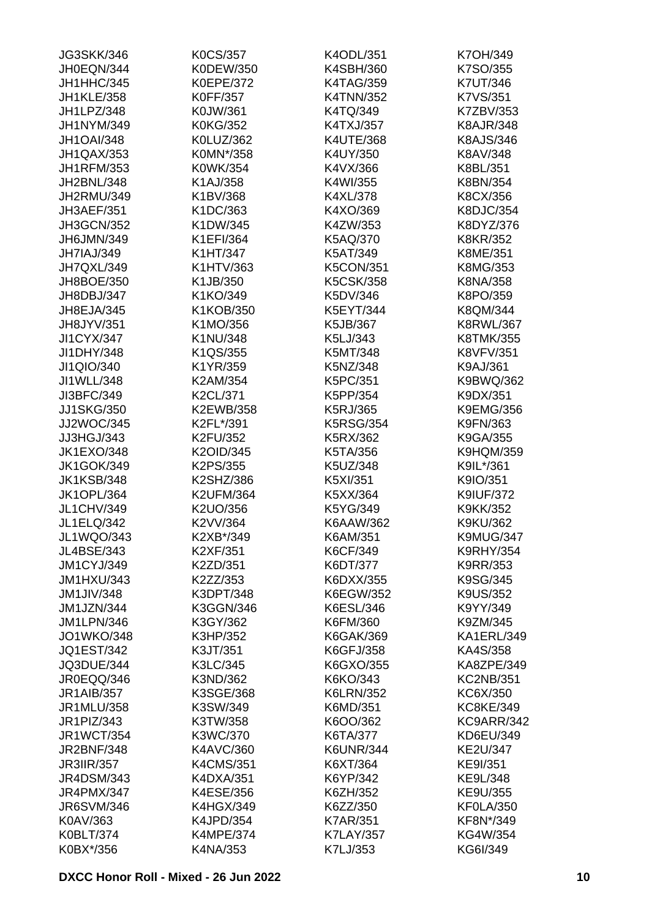| <b>JG3SKK/346</b> | <b>K0CS/357</b>  | K4ODL/351        | K7OH/349         |
|-------------------|------------------|------------------|------------------|
| JH0EQN/344        | K0DEW/350        | K4SBH/360        | K7SO/355         |
| JH1HHC/345        | K0EPE/372        | <b>K4TAG/359</b> | K7UT/346         |
| <b>JH1KLE/358</b> | <b>K0FF/357</b>  | <b>K4TNN/352</b> | K7VS/351         |
| JH1LPZ/348        | K0JW/361         | K4TQ/349         | K7ZBV/353        |
| JH1NYM/349        | <b>K0KG/352</b>  | K4TXJ/357        | <b>K8AJR/348</b> |
| <b>JH1OAI/348</b> | K0LUZ/362        | <b>K4UTE/368</b> | <b>K8AJS/346</b> |
| JH1QAX/353        | K0MN*/358        | K4UY/350         | K8AV/348         |
| <b>JH1RFM/353</b> | K0WK/354         | K4VX/366         | K8BL/351         |
| JH2BNL/348        | K1AJ/358         | K4WI/355         | K8BN/354         |
| JH2RMU/349        | K1BV/368         | K4XL/378         | K8CX/356         |
| JH3AEF/351        | K1DC/363         | K4XO/369         | K8DJC/354        |
| <b>JH3GCN/352</b> | K1DW/345         | K4ZW/353         | K8DYZ/376        |
| JH6JMN/349        | K1EFI/364        | K5AQ/370         | K8KR/352         |
| <b>JH7IAJ/349</b> | K1HT/347         | K5AT/349         | K8ME/351         |
| JH7QXL/349        | K1HTV/363        | <b>K5CON/351</b> | K8MG/353         |
| JH8BOE/350        | K1JB/350         | <b>K5CSK/358</b> | K8NA/358         |
| JH8DBJ/347        | K1KO/349         | K5DV/346         | K8PO/359         |
| JH8EJA/345        | K1KOB/350        | K5EYT/344        | K8QM/344         |
| JH8JYV/351        | K1MO/356         | K5JB/367         | <b>K8RWL/367</b> |
| <b>JI1CYX/347</b> | K1NU/348         | K5LJ/343         | K8TMK/355        |
| JI1DHY/348        | K1QS/355         | K5MT/348         | <b>K8VFV/351</b> |
| JI1QIO/340        | K1YR/359         | K5NZ/348         |                  |
|                   |                  |                  | K9AJ/361         |
| JI1WLL/348        | K2AM/354         | K5PC/351         | K9BWQ/362        |
| JI3BFC/349        | K2CL/371         | K5PP/354         | K9DX/351         |
| <b>JJ1SKG/350</b> | K2EWB/358        | K5RJ/365         | <b>K9EMG/356</b> |
| JJ2WOC/345        | K2FL*/391        | <b>K5RSG/354</b> | K9FN/363         |
| JJ3HGJ/343        | K2FU/352         | K5RX/362         | K9GA/355         |
| <b>JK1EXO/348</b> | K2OID/345        | K5TA/356         | <b>K9HQM/359</b> |
| <b>JK1GOK/349</b> | K2PS/355         | K5UZ/348         | K9IL*/361        |
| <b>JK1KSB/348</b> | K2SHZ/386        | K5XI/351         | K9IO/351         |
| <b>JK1OPL/364</b> | <b>K2UFM/364</b> | K5XX/364         | <b>K9IUF/372</b> |
| <b>JL1CHV/349</b> | K2UO/356         | K5YG/349         | K9KK/352         |
| <b>JL1ELQ/342</b> | K2VV/364         | K6AAW/362        | K9KU/362         |
| <b>JL1WQO/343</b> | K2XB*/349        | K6AM/351         | K9MUG/347        |
| JL4BSE/343        | K2XF/351         | K6CF/349         | <b>K9RHY/354</b> |
| <b>JM1CYJ/349</b> | K2ZD/351         | K6DT/377         | <b>K9RR/353</b>  |
| <b>JM1HXU/343</b> | K2ZZ/353         | K6DXX/355        | K9SG/345         |
| <b>JM1JIV/348</b> | K3DPT/348        | K6EGW/352        | K9US/352         |
| JM1JZN/344        | K3GGN/346        | K6ESL/346        | K9YY/349         |
| <b>JM1LPN/346</b> | K3GY/362         | K6FM/360         | K9ZM/345         |
| <b>JO1WKO/348</b> | K3HP/352         | <b>K6GAK/369</b> | KA1ERL/349       |
| <b>JQ1EST/342</b> | K3JT/351         | K6GFJ/358        | KA4S/358         |
| JQ3DUE/344        | K3LC/345         | K6GXO/355        | KA8ZPE/349       |
| JR0EQQ/346        | K3ND/362         | K6KO/343         | <b>KC2NB/351</b> |
| <b>JR1AIB/357</b> | K3SGE/368        | <b>K6LRN/352</b> | KC6X/350         |
| JR1MLU/358        | K3SW/349         | K6MD/351         | <b>KC8KE/349</b> |
| JR1PIZ/343        | K3TW/358         | K6OO/362         | KC9ARR/342       |
| <b>JR1WCT/354</b> | K3WC/370         | K6TA/377         | KD6EU/349        |
| <b>JR2BNF/348</b> | K4AVC/360        | <b>K6UNR/344</b> | KE2U/347         |
| <b>JR3IIR/357</b> | <b>K4CMS/351</b> | K6XT/364         | KE9I/351         |
| <b>JR4DSM/343</b> | K4DXA/351        | K6YP/342         | KE9L/348         |
| JR4PMX/347        | K4ESE/356        | K6ZH/352         | KE9U/355         |
| <b>JR6SVM/346</b> | <b>K4HGX/349</b> | K6ZZ/350         | KF0LA/350        |
| K0AV/363          | K4JPD/354        | <b>K7AR/351</b>  | KF8N*/349        |
| K0BLT/374         | <b>K4MPE/374</b> | <b>K7LAY/357</b> | KG4W/354         |
| K0BX*/356         | K4NA/353         | K7LJ/353         | KG6I/349         |
|                   |                  |                  |                  |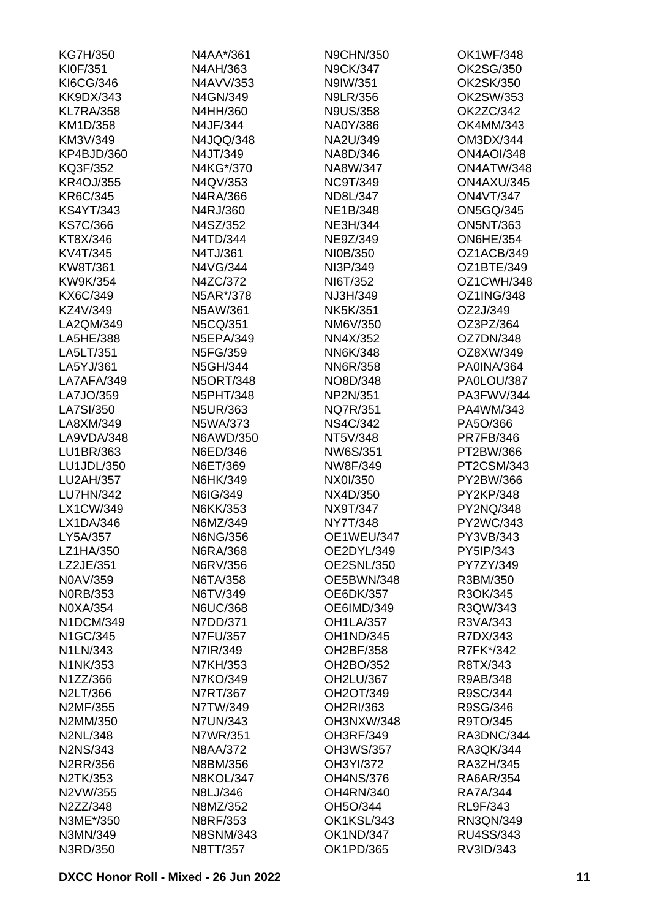| <b>KG7H/350</b>  | N4AA*/361        | <b>N9CHN/350</b>  | <b>OK1WF/348</b>  |
|------------------|------------------|-------------------|-------------------|
| KI0F/351         | N4AH/363         | <b>N9CK/347</b>   | OK2SG/350         |
| KI6CG/346        | N4AVV/353        | N9IW/351          | OK2SK/350         |
| <b>KK9DX/343</b> | N4GN/349         | <b>N9LR/356</b>   | OK2SW/353         |
| <b>KL7RA/358</b> | N4HH/360         | <b>N9US/358</b>   | OK2ZC/342         |
| KM1D/358         | N4JF/344         | NA0Y/386          | OK4MM/343         |
| KM3V/349         | N4JQQ/348        | NA2U/349          | OM3DX/344         |
| KP4BJD/360       | N4JT/349         | NA8D/346          | <b>ON4AOI/348</b> |
| KQ3F/352         | N4KG*/370        | NA8W/347          | ON4ATW/348        |
| <b>KR4OJ/355</b> | N4QV/353         | <b>NC9T/349</b>   | ON4AXU/345        |
| KR6C/345         | N4RA/366         | ND8L/347          | <b>ON4VT/347</b>  |
| <b>KS4YT/343</b> | N4RJ/360         | NE1B/348          | <b>ON5GQ/345</b>  |
| <b>KS7C/366</b>  | N4SZ/352         | NE3H/344          | <b>ON5NT/363</b>  |
| KT8X/346         | N4TD/344         | NE9Z/349          | <b>ON6HE/354</b>  |
| KV4T/345         | N4TJ/361         | NI0B/350          | OZ1ACB/349        |
| KW8T/361         | N4VG/344         | NI3P/349          | OZ1BTE/349        |
| KW9K/354         | N4ZC/372         | NI6T/352          | OZ1CWH/348        |
| KX6C/349         | N5AR*/378        | NJ3H/349          | OZ1ING/348        |
| KZ4V/349         | N5AW/361         | <b>NK5K/351</b>   | OZ2J/349          |
| LA2QM/349        | N5CQ/351         | NM6V/350          | OZ3PZ/364         |
| LA5HE/388        | <b>N5EPA/349</b> | NN4X/352          | OZ7DN/348         |
| LA5LT/351        | N5FG/359         | NN6K/348          | OZ8XW/349         |
| LA5YJ/361        | N5GH/344         | <b>NN6R/358</b>   | PA0INA/364        |
| LA7AFA/349       | <b>N5ORT/348</b> | NO8D/348          | PA0LOU/387        |
| LA7JO/359        | <b>N5PHT/348</b> | NP2N/351          | PA3FWV/344        |
| LA7SI/350        | <b>N5UR/363</b>  | <b>NQ7R/351</b>   | PA4WM/343         |
| LA8XM/349        | N5WA/373         | <b>NS4C/342</b>   | PA5O/366          |
| LA9VDA/348       | N6AWD/350        | NT5V/348          | <b>PR7FB/346</b>  |
| LU1BR/363        | N6ED/346         | NW6S/351          | PT2BW/366         |
| LU1JDL/350       | N6ET/369         | NW8F/349          | PT2CSM/343        |
| LU2AH/357        | N6HK/349         | NX0I/350          | PY2BW/366         |
| LU7HN/342        | N6IG/349         | NX4D/350          | PY2KP/348         |
| LX1CW/349        | N6KK/353         | NX9T/347          | PY2NQ/348         |
| LX1DA/346        | N6MZ/349         | NY7T/348          | PY2WC/343         |
| LY5A/357         | N6NG/356         | OE1WEU/347        | PY3VB/343         |
| LZ1HA/350        | N6RA/368         | OE2DYL/349        | PY5IP/343         |
| LZ2JE/351        | N6RV/356         | <b>OE2SNL/350</b> | PY7ZY/349         |
| N0AV/359         | N6TA/358         | OE5BWN/348        | R3BM/350          |
| <b>NORB/353</b>  | N6TV/349         | <b>OE6DK/357</b>  | R3OK/345          |
| N0XA/354         | <b>N6UC/368</b>  | OE6IMD/349        | R3QW/343          |
| N1DCM/349        | N7DD/371         | <b>OH1LA/357</b>  | R3VA/343          |
| N1GC/345         | <b>N7FU/357</b>  | OH1ND/345         | R7DX/343          |
| N1LN/343         | N7IR/349         | OH2BF/358         | R7FK*/342         |
| N1NK/353         | N7KH/353         | OH2BO/352         | R8TX/343          |
| N1ZZ/366         | N7KO/349         | OH2LU/367         | R9AB/348          |
| N2LT/366         | N7RT/367         | OH2OT/349         | R9SC/344          |
| N2MF/355         | N7TW/349         | OH2RI/363         | R9SG/346          |
| N2MM/350         | <b>N7UN/343</b>  | OH3NXW/348        | R9TO/345          |
| <b>N2NL/348</b>  | N7WR/351         | OH3RF/349         | RA3DNC/344        |
| <b>N2NS/343</b>  | N8AA/372         | OH3WS/357         | RA3QK/344         |
| <b>N2RR/356</b>  | N8BM/356         | OH3YI/372         | RA3ZH/345         |
| N2TK/353         | <b>N8KOL/347</b> | <b>OH4NS/376</b>  | RA6AR/354         |
| N2VW/355         | N8LJ/346         | <b>OH4RN/340</b>  | RA7A/344          |
| N2ZZ/348         | N8MZ/352         | OH5O/344          | RL9F/343          |
| N3ME*/350        | N8RF/353         | OK1KSL/343        | RN3QN/349         |
| N3MN/349         | <b>N8SNM/343</b> | <b>OK1ND/347</b>  | RU4SS/343         |
| N3RD/350         | N8TT/357         | OK1PD/365         | RV3ID/343         |
|                  |                  |                   |                   |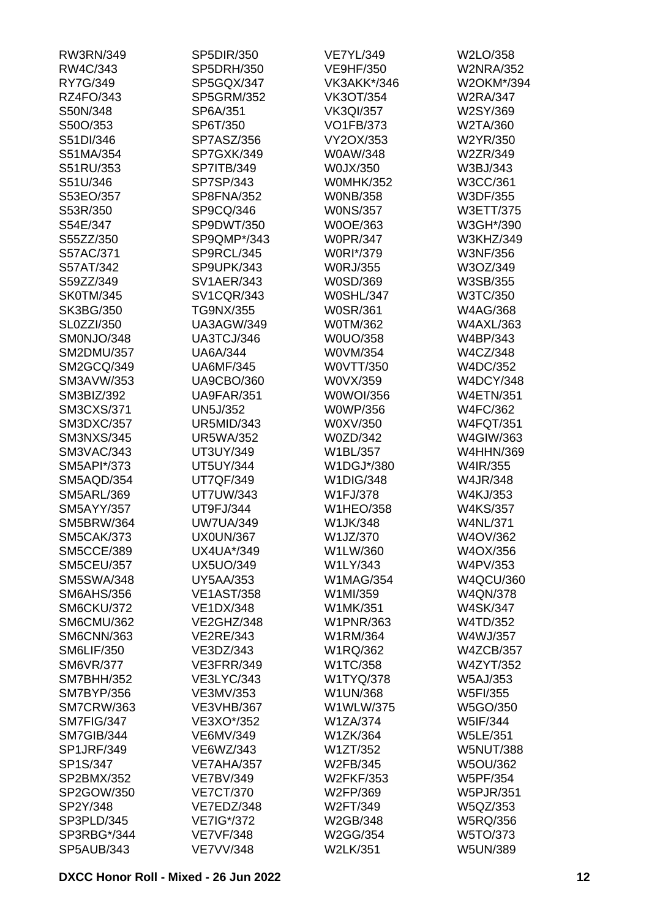| RW3RN/349         | SP5DIR/350        | <b>VE7YL/349</b> | W2LO/358         |
|-------------------|-------------------|------------------|------------------|
| RW4C/343          | SP5DRH/350        | <b>VE9HF/350</b> | <b>W2NRA/352</b> |
| RY7G/349          | SP5GQX/347        | VK3AKK*/346      | W2OKM*/394       |
| RZ4FO/343         | <b>SP5GRM/352</b> | <b>VK3OT/354</b> | <b>W2RA/347</b>  |
| S50N/348          | SP6A/351          | <b>VK3QI/357</b> | W2SY/369         |
| S50O/353          | SP6T/350          | <b>VO1FB/373</b> | W2TA/360         |
| S51DI/346         | SP7ASZ/356        | VY2OX/353        | W2YR/350         |
| S51MA/354         | SP7GXK/349        | W0AW/348         | W2ZR/349         |
| S51RU/353         | SP7ITB/349        | W0JX/350         | W3BJ/343         |
| S51U/346          | SP7SP/343         | <b>W0MHK/352</b> | W3CC/361         |
| S53EO/357         | SP8FNA/352        | <b>WONB/358</b>  | W3DF/355         |
| S53R/350          | SP9CQ/346         | <b>WONS/357</b>  | W3ETT/375        |
| S54E/347          | SP9DWT/350        | W0OE/363         | W3GH*/390        |
| S55ZZ/350         | SP9QMP*/343       | <b>W0PR/347</b>  | W3KHZ/349        |
| S57AC/371         | SP9RCL/345        | W0RI*/379        | <b>W3NF/356</b>  |
| S57AT/342         | SP9UPK/343        | <b>W0RJ/355</b>  | W3OZ/349         |
| S59ZZ/349         | <b>SV1AER/343</b> | W0SD/369         | W3SB/355         |
| <b>SK0TM/345</b>  | <b>SV1CQR/343</b> | <b>W0SHL/347</b> | W3TC/350         |
| SK3BG/350         | TG9NX/355         | <b>W0SR/361</b>  | W4AG/368         |
| <b>SL0ZZI/350</b> | <b>UA3AGW/349</b> | <b>W0TM/362</b>  | <b>W4AXL/363</b> |
| SM0NJO/348        | UA3TCJ/346        | W0UO/358         | W4BP/343         |
| <b>SM2DMU/357</b> | <b>UA6A/344</b>   | W0VM/354         | W4CZ/348         |
| SM2GCQ/349        | <b>UA6MF/345</b>  | W0VTT/350        | W4DC/352         |
| <b>SM3AVW/353</b> | <b>UA9CBO/360</b> | W0VX/359         | <b>W4DCY/348</b> |
| SM3BIZ/392        | <b>UA9FAR/351</b> | W0WOI/356        | <b>W4ETN/351</b> |
| <b>SM3CXS/371</b> | <b>UN5J/352</b>   | <b>W0WP/356</b>  | W4FC/362         |
| <b>SM3DXC/357</b> | <b>UR5MID/343</b> | W0XV/350         | <b>W4FQT/351</b> |
| <b>SM3NXS/345</b> | <b>UR5WA/352</b>  | W0ZD/342         | W4GIW/363        |
| SM3VAC/343        | UT3UY/349         | W1BL/357         | <b>W4HHN/369</b> |
|                   |                   |                  |                  |
| SM5API*/373       | <b>UT5UY/344</b>  | W1DGJ*/380       | W4IR/355         |
| SM5AQD/354        | <b>UT7QF/349</b>  | <b>W1DIG/348</b> | W4JR/348         |
| <b>SM5ARL/369</b> | <b>UT7UW/343</b>  | W1FJ/378         | W4KJ/353         |
| <b>SM5AYY/357</b> | UT9FJ/344         | <b>W1HEO/358</b> | <b>W4KS/357</b>  |
| <b>SM5BRW/364</b> | <b>UW7UA/349</b>  | W1JK/348         | <b>W4NL/371</b>  |
| <b>SM5CAK/373</b> | <b>UX0UN/367</b>  | W1JZ/370         | W4OV/362         |
| <b>SM5CCE/389</b> | UX4UA*/349        | W1LW/360         | W4OX/356         |
| <b>SM5CEU/357</b> | <b>UX5UO/349</b>  | W1LY/343         | W4PV/353         |
| <b>SM5SWA/348</b> | <b>UY5AA/353</b>  | <b>W1MAG/354</b> | <b>W4QCU/360</b> |
| <b>SM6AHS/356</b> | <b>VE1AST/358</b> | W1MI/359         | <b>W4QN/378</b>  |
| SM6CKU/372        | <b>VE1DX/348</b>  | W1MK/351         | <b>W4SK/347</b>  |
| SM6CMU/362        | VE2GHZ/348        | <b>W1PNR/363</b> | W4TD/352         |
| <b>SM6CNN/363</b> | <b>VE2RE/343</b>  | W1RM/364         | W4WJ/357         |
| <b>SM6LIF/350</b> | VE3DZ/343         | W1RQ/362         | <b>W4ZCB/357</b> |
| <b>SM6VR/377</b>  | VE3FRR/349        | W1TC/358         | <b>W4ZYT/352</b> |
| <b>SM7BHH/352</b> | <b>VE3LYC/343</b> | <b>W1TYQ/378</b> | <b>W5AJ/353</b>  |
| <b>SM7BYP/356</b> | VE3MV/353         | W1UN/368         | W5FI/355         |
| <b>SM7CRW/363</b> | <b>VE3VHB/367</b> | W1WLW/375        | W5GO/350         |
| SM7FIG/347        | VE3XO*/352        | <b>W1ZA/374</b>  | W5IF/344         |
| SM7GIB/344        | VE6MV/349         | W1ZK/364         | <b>W5LE/351</b>  |
| <b>SP1JRF/349</b> | VE6WZ/343         | W1ZT/352         | <b>W5NUT/388</b> |
| SP1S/347          | VE7AHA/357        | W2FB/345         | <b>W5OU/362</b>  |
| SP2BMX/352        | <b>VE7BV/349</b>  | <b>W2FKF/353</b> | W5PF/354         |
| SP2GOW/350        | <b>VE7CT/370</b>  | W2FP/369         | <b>W5PJR/351</b> |
| SP2Y/348          | VE7EDZ/348        | W2FT/349         | W5QZ/353         |
| SP3PLD/345        | VE7IG*/372        | W2GB/348         | <b>W5RQ/356</b>  |
| SP3RBG*/344       | <b>VE7VF/348</b>  | W2GG/354         | W5TO/373         |
| <b>SP5AUB/343</b> | <b>VE7VV/348</b>  | W2LK/351         | <b>W5UN/389</b>  |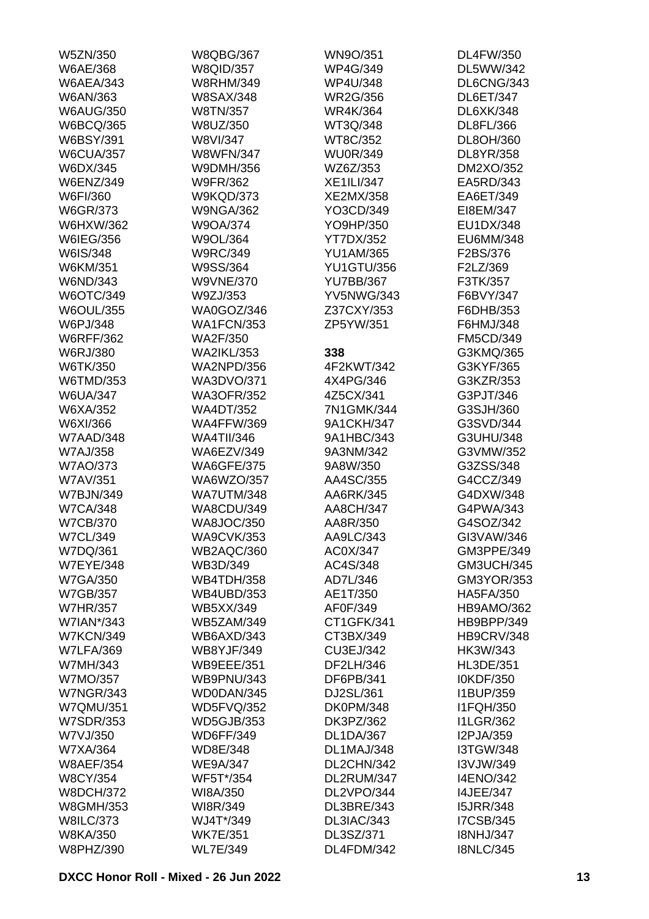| W5ZN/350                     | <b>W8QBG/367</b>  | WN9O/351          | <b>DL4FW/350</b>  |
|------------------------------|-------------------|-------------------|-------------------|
| W6AE/368                     | <b>W8QID/357</b>  | <b>WP4G/349</b>   | DL5WW/342         |
| <b>W6AEA/343</b>             | <b>W8RHM/349</b>  | <b>WP4U/348</b>   | DL6CNG/343        |
| W6AN/363                     | <b>W8SAX/348</b>  | <b>WR2G/356</b>   | <b>DL6ET/347</b>  |
| <b>W6AUG/350</b>             | W8TN/357          | <b>WR4K/364</b>   | DL6XK/348         |
| <b>W6BCQ/365</b>             | W8UZ/350          | WT3Q/348          | DL8FL/366         |
| <b>W6BSY/391</b>             | W8VI/347          | WT8C/352          | DL8OH/360         |
| <b>W6CUA/357</b>             | <b>W8WFN/347</b>  | <b>WU0R/349</b>   | DL8YR/358         |
| W6DX/345                     | W9DMH/356         | WZ6Z/353          | DM2XO/352         |
| <b>W6ENZ/349</b>             | <b>W9FR/362</b>   | <b>XE1ILI/347</b> | EA5RD/343         |
| W6FI/360                     | <b>W9KQD/373</b>  | XE2MX/358         | EA6ET/349         |
| W6GR/373                     | <b>W9NGA/362</b>  | YO3CD/349         | EI8EM/347         |
| <b>W6HXW/362</b>             | W9OA/374          | YO9HP/350         | EU1DX/348         |
| W6IEG/356                    | W9OL/364          | <b>YT7DX/352</b>  | EU6MM/348         |
| W6IS/348                     | <b>W9RC/349</b>   | <b>YU1AM/365</b>  | F2BS/376          |
| W6KM/351                     | W9SS/364          | <b>YU1GTU/356</b> | F2LZ/369          |
| W6ND/343                     | <b>W9VNE/370</b>  | <b>YU7BB/367</b>  | F3TK/357          |
| W6OTC/349                    | W9ZJ/353          | <b>YV5NWG/343</b> | F6BVY/347         |
| <b>W6OUL/355</b>             | WA0GOZ/346        | Z37CXY/353        | F6DHB/353         |
|                              | <b>WA1FCN/353</b> | ZP5YW/351         | F6HMJ/348         |
| W6PJ/348                     |                   |                   |                   |
| <b>W6RFF/362</b><br>W6RJ/380 | WA2F/350          |                   | <b>FM5CD/349</b>  |
|                              | <b>WA2IKL/353</b> | 338               | G3KMQ/365         |
| W6TK/350                     | <b>WA2NPD/356</b> | 4F2KWT/342        | G3KYF/365         |
| W6TMD/353                    | WA3DVO/371        | 4X4PG/346         | G3KZR/353         |
| <b>W6UA/347</b>              | <b>WA3OFR/352</b> | 4Z5CX/341         | G3PJT/346         |
| W6XA/352                     | <b>WA4DT/352</b>  | 7N1GMK/344        | G3SJH/360         |
| W6XI/366                     | <b>WA4FFW/369</b> | 9A1CKH/347        | G3SVD/344         |
| W7AAD/348                    | <b>WA4TII/346</b> | 9A1HBC/343        | G3UHU/348         |
| <b>W7AJ/358</b>              | WA6EZV/349        | 9A3NM/342         | G3VMW/352         |
| <b>W7AO/373</b>              | <b>WA6GFE/375</b> | 9A8W/350          | G3ZSS/348         |
| <b>W7AV/351</b>              | WA6WZO/357        | AA4SC/355         | G4CCZ/349         |
| <b>W7BJN/349</b>             | <b>WA7UTM/348</b> | AA6RK/345         | G4DXW/348         |
| <b>W7CA/348</b>              | <b>WA8CDU/349</b> | AA8CH/347         | G4PWA/343         |
| <b>W7CB/370</b>              | <b>WA8JOC/350</b> | AA8R/350          | G4SOZ/342         |
| <b>W7CL/349</b>              | <b>WA9CVK/353</b> | AA9LC/343         | GI3VAW/346        |
| W7DQ/361                     | WB2AQC/360        | AC0X/347          | GM3PPE/349        |
| <b>W7EYE/348</b>             | WB3D/349          | AC4S/348          | <b>GM3UCH/345</b> |
| <b>W7GA/350</b>              | <b>WB4TDH/358</b> | AD7L/346          | GM3YOR/353        |
| <b>W7GB/357</b>              | <b>WB4UBD/353</b> | AE1T/350          | <b>HA5FA/350</b>  |
| <b>W7HR/357</b>              | <b>WB5XX/349</b>  | AF0F/349          | HB9AMO/362        |
| W7IAN*/343                   | <b>WB5ZAM/349</b> | CT1GFK/341        | HB9BPP/349        |
| <b>W7KCN/349</b>             | WB6AXD/343        | CT3BX/349         | <b>HB9CRV/348</b> |
| <b>W7LFA/369</b>             | <b>WB8YJF/349</b> | CU3EJ/342         | HK3W/343          |
| W7MH/343                     | <b>WB9EEE/351</b> | DF2LH/346         | <b>HL3DE/351</b>  |
| W7MO/357                     | <b>WB9PNU/343</b> | DF6PB/341         | I0KDF/350         |
| <b>W7NGR/343</b>             | WD0DAN/345        | DJ2SL/361         | I1BUP/359         |
| <b>W7QMU/351</b>             | <b>WD5FVQ/352</b> | <b>DK0PM/348</b>  | <b>I1FQH/350</b>  |
| <b>W7SDR/353</b>             | <b>WD5GJB/353</b> | DK3PZ/362         | <b>I1LGR/362</b>  |
| W7VJ/350                     | <b>WD6FF/349</b>  | <b>DL1DA/367</b>  | I2PJA/359         |
| W7XA/364                     | WD8E/348          | DL1MAJ/348        | <b>I3TGW/348</b>  |
| <b>W8AEF/354</b>             | <b>WE9A/347</b>   | DL2CHN/342        | I3VJW/349         |
| <b>W8CY/354</b>              | WF5T*/354         | DL2RUM/347        | <b>I4ENO/342</b>  |
| <b>W8DCH/372</b>             | WI8A/350          | DL2VPO/344        | <b>I4JEE/347</b>  |
| <b>W8GMH/353</b>             | WI8R/349          | DL3BRE/343        | <b>I5JRR/348</b>  |
| <b>W8ILC/373</b>             | WJ4T*/349         | DL3IAC/343        | <b>I7CSB/345</b>  |
| <b>W8KA/350</b>              | <b>WK7E/351</b>   | DL3SZ/371         | <b>I8NHJ/347</b>  |
| W8PHZ/390                    | <b>WL7E/349</b>   | DL4FDM/342        | <b>I8NLC/345</b>  |
|                              |                   |                   |                   |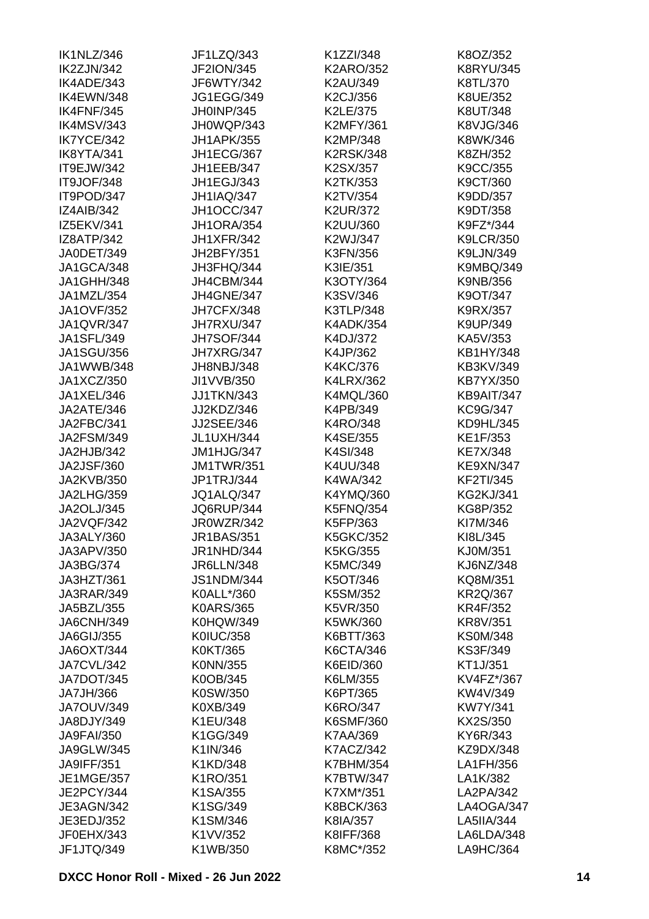| IK1NLZ/346        | JF1LZQ/343        | K1ZZI/348        | K8OZ/352         |
|-------------------|-------------------|------------------|------------------|
| IK2ZJN/342        | <b>JF2ION/345</b> | <b>K2ARO/352</b> | <b>K8RYU/345</b> |
| IK4ADE/343        | JF6WTY/342        | K2AU/349         | K8TL/370         |
| IK4EWN/348        | <b>JG1EGG/349</b> | K2CJ/356         | K8UE/352         |
| IK4FNF/345        | JH0INP/345        | K2LE/375         | K8UT/348         |
| IK4MSV/343        | JH0WQP/343        | <b>K2MFY/361</b> | K8VJG/346        |
| IK7YCE/342        | <b>JH1APK/355</b> | K2MP/348         | K8WK/346         |
| IK8YTA/341        | JH1ECG/367        | <b>K2RSK/348</b> | K8ZH/352         |
| IT9EJW/342        | JH1EEB/347        | K2SX/357         | K9CC/355         |
| IT9JOF/348        | JH1EGJ/343        | K2TK/353         | K9CT/360         |
| IT9POD/347        | <b>JH1IAQ/347</b> | K2TV/354         | K9DD/357         |
| <b>IZ4AIB/342</b> | <b>JH1OCC/347</b> | <b>K2UR/372</b>  | K9DT/358         |
| IZ5EKV/341        | <b>JH1ORA/354</b> | K2UU/360         | K9FZ*/344        |
| IZ8ATP/342        | <b>JH1XFR/342</b> | K2WJ/347         | <b>K9LCR/350</b> |
| JA0DET/349        | JH2BFY/351        | K3FN/356         | K9LJN/349        |
| JA1GCA/348        | JH3FHQ/344        | K3IE/351         | <b>K9MBQ/349</b> |
| JA1GHH/348        | JH4CBM/344        | K3OTY/364        | K9NB/356         |
| JA1MZL/354        | JH4GNE/347        | K3SV/346         | K9OT/347         |
| <b>JA1OVF/352</b> | JH7CFX/348        | K3TLP/348        | K9RX/357         |
| JA1QVR/347        | JH7RXU/347        | <b>K4ADK/354</b> | K9UP/349         |
| JA1SFL/349        |                   |                  | KA5V/353         |
|                   | <b>JH7SOF/344</b> | K4DJ/372         |                  |
| <b>JA1SGU/356</b> | JH7XRG/347        | K4JP/362         | KB1HY/348        |
| JA1WWB/348        | JH8NBJ/348        | K4KC/376         | KB3KV/349        |
| JA1XCZ/350        | JI1VVB/350        | <b>K4LRX/362</b> | KB7YX/350        |
| JA1XEL/346        | <b>JJ1TKN/343</b> | K4MQL/360        | KB9AIT/347       |
| JA2ATE/346        | JJ2KDZ/346        | K4PB/349         | KC9G/347         |
| JA2FBC/341        | <b>JJ2SEE/346</b> | K4RO/348         | KD9HL/345        |
| JA2FSM/349        | JL1UXH/344        | K4SE/355         | KE1F/353         |
| JA2HJB/342        | JM1HJG/347        | K4SI/348         | <b>KE7X/348</b>  |
| <b>JA2JSF/360</b> | <b>JM1TWR/351</b> | K4UU/348         | <b>KE9XN/347</b> |
| JA2KVB/350        | JP1TRJ/344        | K4WA/342         | <b>KF2TI/345</b> |
| JA2LHG/359        | <b>JQ1ALQ/347</b> | K4YMQ/360        | <b>KG2KJ/341</b> |
| JA2OLJ/345        | JQ6RUP/344        | <b>K5FNQ/354</b> | KG8P/352         |
| JA2VQF/342        | JR0WZR/342        | K5FP/363         | KI7M/346         |
| JA3ALY/360        | JR1BAS/351        | <b>K5GKC/352</b> | KI8L/345         |
| JA3APV/350        | JR1NHD/344        | K5KG/355         | KJ0M/351         |
| JA3BG/374         | <b>JR6LLN/348</b> | K5MC/349         | <b>KJ6NZ/348</b> |
| JA3HZT/361        | <b>JS1NDM/344</b> | K5OT/346         | KQ8M/351         |
| JA3RAR/349        | K0ALL*/360        | K5SM/352         | <b>KR2Q/367</b>  |
| JA5BZL/355        | <b>K0ARS/365</b>  | K5VR/350         | <b>KR4F/352</b>  |
| <b>JA6CNH/349</b> | <b>K0HQW/349</b>  | K5WK/360         | <b>KR8V/351</b>  |
| JA6GIJ/355        | <b>K0IUC/358</b>  | K6BTT/363        | <b>KS0M/348</b>  |
| <b>JA6OXT/344</b> | K0KT/365          | K6CTA/346        | KS3F/349         |
| JA7CVL/342        | K0NN/355          | K6EID/360        | KT1J/351         |
| JA7DOT/345        | K0OB/345          | K6LM/355         | KV4FZ*/367       |
| JA7JH/366         | K0SW/350          | K6PT/365         | KW4V/349         |
| <b>JA7OUV/349</b> | K0XB/349          | K6RO/347         | <b>KW7Y/341</b>  |
| JA8DJY/349        | K1EU/348          | <b>K6SMF/360</b> | KX2S/350         |
| <b>JA9FAI/350</b> | K1GG/349          | K7AA/369         | KY6R/343         |
| <b>JA9GLW/345</b> | K1IN/346          | <b>K7ACZ/342</b> | KZ9DX/348        |
| JA9IFF/351        | K1KD/348          | <b>K7BHM/354</b> | LA1FH/356        |
| <b>JE1MGE/357</b> | K1RO/351          | <b>K7BTW/347</b> | LA1K/382         |
| JE2PCY/344        | K1SA/355          | K7XM*/351        | LA2PA/342        |
| JE3AGN/342        | K1SG/349          | <b>K8BCK/363</b> | LA4OGA/347       |
| JE3EDJ/352        | K1SM/346          | K8IA/357         | LA5IIA/344       |
| JF0EHX/343        | K1VV/352          | K8IFF/368        | LA6LDA/348       |
| JF1JTQ/349        | K1WB/350          | K8MC*/352        | LA9HC/364        |
|                   |                   |                  |                  |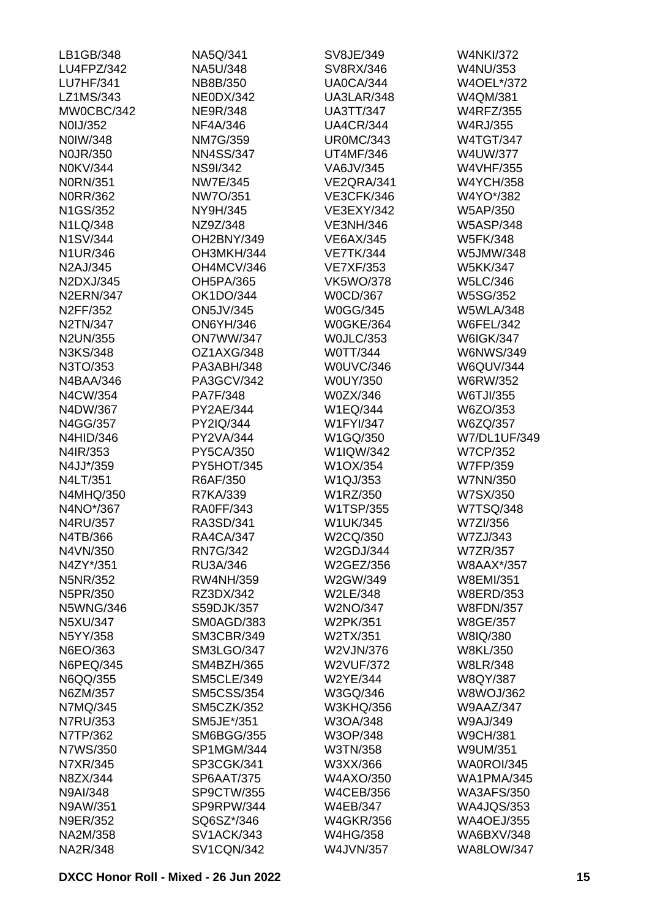| LB1GB/348        | NA5Q/341          | SV8JE/349         | <b>W4NKI/372</b>  |
|------------------|-------------------|-------------------|-------------------|
| LU4FPZ/342       | NA5U/348          | SV8RX/346         | <b>W4NU/353</b>   |
| <b>LU7HF/341</b> | NB8B/350          | <b>UA0CA/344</b>  | W4OEL*/372        |
| LZ1MS/343        | <b>NE0DX/342</b>  | UA3LAR/348        | W4QM/381          |
| MW0CBC/342       | <b>NE9R/348</b>   | <b>UA3TT/347</b>  | <b>W4RFZ/355</b>  |
| N0IJ/352         | NF4A/346          | <b>UA4CR/344</b>  | <b>W4RJ/355</b>   |
| N0IW/348         | <b>NM7G/359</b>   | <b>UR0MC/343</b>  | <b>W4TGT/347</b>  |
| <b>NOJR/350</b>  | <b>NN4SS/347</b>  | <b>UT4MF/346</b>  | W4UW/377          |
| N0KV/344         | <b>NS9I/342</b>   | VA6JV/345         | <b>W4VHF/355</b>  |
| <b>N0RN/351</b>  | <b>NW7E/345</b>   | VE2QRA/341        | <b>W4YCH/358</b>  |
| <b>N0RR/362</b>  | NW7O/351          | <b>VE3CFK/346</b> | W4YO*/382         |
| N1GS/352         | NY9H/345          | VE3EXY/342        | W5AP/350          |
| N1LQ/348         | NZ9Z/348          | <b>VE3NH/346</b>  | <b>W5ASP/348</b>  |
| <b>N1SV/344</b>  | OH2BNY/349        | <b>VE6AX/345</b>  | <b>W5FK/348</b>   |
| N1UR/346         | OH3MKH/344        | <b>VE7TK/344</b>  | W5JMW/348         |
| N2AJ/345         | OH4MCV/346        | <b>VE7XF/353</b>  | <b>W5KK/347</b>   |
| N2DXJ/345        | OH5PA/365         | <b>VK5WO/378</b>  | <b>W5LC/346</b>   |
| <b>N2ERN/347</b> | OK1DO/344         | <b>W0CD/367</b>   | W5SG/352          |
| N2FF/352         | <b>ON5JV/345</b>  | <b>W0GG/345</b>   | <b>W5WLA/348</b>  |
| N2TN/347         | <b>ON6YH/346</b>  | <b>W0GKE/364</b>  | <b>W6FEL/342</b>  |
| <b>N2UN/355</b>  | <b>ON7WW/347</b>  | <b>WOJLC/353</b>  | <b>W6IGK/347</b>  |
| N3KS/348         | OZ1AXG/348        | W0TT/344          | <b>W6NWS/349</b>  |
| N3TO/353         | PA3ABH/348        | W0UVC/346         | <b>W6QUV/344</b>  |
| N4BAA/346        | PA3GCV/342        | W0UY/350          | W6RW/352          |
| N4CW/354         | PA7F/348          | W0ZX/346          | W6TJI/355         |
| N4DW/367         | PY2AE/344         | W1EQ/344          | W6ZO/353          |
| N4GG/357         | PY2IQ/344         | <b>W1FYI/347</b>  | W6ZQ/357          |
| N4HID/346        | PY2VA/344         | W1GQ/350          | W7/DL1UF/349      |
| N4IR/353         | PY5CA/350         | W1IQW/342         | <b>W7CP/352</b>   |
| N4JJ*/359        | PY5HOT/345        | W1OX/354          | W7FP/359          |
| N4LT/351         | R6AF/350          | W1QJ/353          | W7NN/350          |
| N4MHQ/350        | R7KA/339          | W1RZ/350          | W7SX/350          |
| N4NO*/367        | <b>RA0FF/343</b>  | W1TSP/355         | <b>W7TSQ/348</b>  |
| N4RU/357         | RA3SD/341         | <b>W1UK/345</b>   | W7ZI/356          |
| N4TB/366         | <b>RA4CA/347</b>  | W2CQ/350          | W7ZJ/343          |
| N4VN/350         | <b>RN7G/342</b>   | W2GDJ/344         | <b>W7ZR/357</b>   |
| N4ZY*/351        | RU3A/346          | W2GEZ/356         | <b>W8AAX*/357</b> |
| <b>N5NR/352</b>  | <b>RW4NH/359</b>  | W2GW/349          | <b>W8EMI/351</b>  |
| N5PR/350         | RZ3DX/342         | W2LE/348          | <b>W8ERD/353</b>  |
| <b>N5WNG/346</b> | S59DJK/357        | W2NO/347          | <b>W8FDN/357</b>  |
| N5XU/347         | SM0AGD/383        | W2PK/351          | <b>W8GE/357</b>   |
| N5YY/358         | <b>SM3CBR/349</b> | W2TX/351          | W8IQ/380          |
| N6EO/363         | SM3LGO/347        | W2VJN/376         | <b>W8KL/350</b>   |
| N6PEQ/345        | SM4BZH/365        | <b>W2VUF/372</b>  | <b>W8LR/348</b>   |
| N6QQ/355         | <b>SM5CLE/349</b> | <b>W2YE/344</b>   | <b>W8QY/387</b>   |
| N6ZM/357         | <b>SM5CSS/354</b> | W3GQ/346          | <b>W8WOJ/362</b>  |
| N7MQ/345         | <b>SM5CZK/352</b> | <b>W3KHQ/356</b>  | <b>W9AAZ/347</b>  |
| N7RU/353         | SM5JE*/351        | W3OA/348          | W9AJ/349          |
| N7TP/362         | <b>SM6BGG/355</b> | W3OP/348          | <b>W9CH/381</b>   |
| N7WS/350         | SP1MGM/344        | W3TN/358          | W9UM/351          |
| N7XR/345         | SP3CGK/341        | W3XX/366          | <b>WA0ROI/345</b> |
| N8ZX/344         | <b>SP6AAT/375</b> | <b>W4AXO/350</b>  | <b>WA1PMA/345</b> |
| N9AI/348         | SP9CTW/355        | <b>W4CEB/356</b>  | <b>WA3AFS/350</b> |
| N9AW/351         | SP9RPW/344        | <b>W4EB/347</b>   | <b>WA4JQS/353</b> |
| <b>N9ER/352</b>  | SQ6SZ*/346        | <b>W4GKR/356</b>  | <b>WA4OEJ/355</b> |
| NA2M/358         | <b>SV1ACK/343</b> | <b>W4HG/358</b>   | <b>WA6BXV/348</b> |
| <b>NA2R/348</b>  | <b>SV1CQN/342</b> | <b>W4JVN/357</b>  | WA8LOW/347        |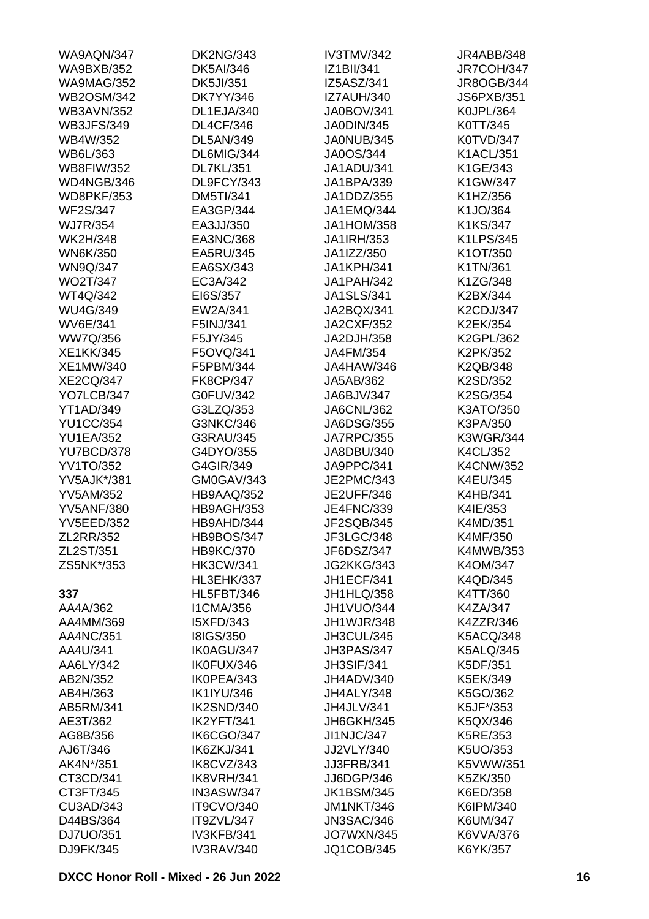| WA9AQN/347         | <b>DK2NG/343</b>  | IV3TMV/342        | JR4ABB/348        |
|--------------------|-------------------|-------------------|-------------------|
| <b>WA9BXB/352</b>  | <b>DK5AI/346</b>  | IZ1BII/341        | <b>JR7COH/347</b> |
| <b>WA9MAG/352</b>  | <b>DK5JI/351</b>  | IZ5ASZ/341        | JR8OGB/344        |
| <b>WB2OSM/342</b>  | <b>DK7YY/346</b>  | <b>IZ7AUH/340</b> | <b>JS6PXB/351</b> |
| <b>WB3AVN/352</b>  | DL1EJA/340        | <b>JA0BOV/341</b> | K0JPL/364         |
| <b>WB3JFS/349</b>  | <b>DL4CF/346</b>  | JA0DIN/345        | K0TT/345          |
| WB4W/352           | <b>DL5AN/349</b>  | JA0NUB/345        | <b>K0TVD/347</b>  |
| WB6L/363           | DL6MIG/344        | JA0OS/344         | <b>K1ACL/351</b>  |
| <b>WB8FIW/352</b>  | <b>DL7KL/351</b>  | JA1ADU/341        | K1GE/343          |
| WD4NGB/346         | DL9FCY/343        | JA1BPA/339        | K1GW/347          |
| <b>WD8PKF/353</b>  | <b>DM5TI/341</b>  | JA1DDZ/355        | K1HZ/356          |
| <b>WF2S/347</b>    | EA3GP/344         | JA1EMQ/344        | K1JO/364          |
| <b>WJ7R/354</b>    | EA3JJ/350         | JA1HOM/358        | K1KS/347          |
| <b>WK2H/348</b>    | EA3NC/368         | JA1IRH/353        | K1LPS/345         |
| <b>WN6K/350</b>    | EA5RU/345         | JA1IZZ/350        | K1OT/350          |
| <b>WN9Q/347</b>    | EA6SX/343         | <b>JA1KPH/341</b> | K1TN/361          |
|                    |                   |                   |                   |
| <b>WO2T/347</b>    | EC3A/342          | JA1PAH/342        | K1ZG/348          |
| WT4Q/342           | EI6S/357          | <b>JA1SLS/341</b> | K2BX/344          |
| <b>WU4G/349</b>    | EW2A/341          | JA2BQX/341        | <b>K2CDJ/347</b>  |
| <b>WV6E/341</b>    | F5INJ/341         | <b>JA2CXF/352</b> | K2EK/354          |
| WW7Q/356           | F5JY/345          | JA2DJH/358        | K2GPL/362         |
| <b>XE1KK/345</b>   | F5OVQ/341         | JA4FM/354         | K2PK/352          |
| XE1MW/340          | F5PBM/344         | JA4HAW/346        | K2QB/348          |
| <b>XE2CQ/347</b>   | <b>FK8CP/347</b>  | JA5AB/362         | K2SD/352          |
| YO7LCB/347         | G0FUV/342         | JA6BJV/347        | K2SG/354          |
| <b>YT1AD/349</b>   | G3LZQ/353         | <b>JA6CNL/362</b> | K3ATO/350         |
| <b>YU1CC/354</b>   | G3NKC/346         | <b>JA6DSG/355</b> | K3PA/350          |
| <b>YU1EA/352</b>   | G3RAU/345         | <b>JA7RPC/355</b> | <b>K3WGR/344</b>  |
| YU7BCD/378         | G4DYO/355         | JA8DBU/340        | K4CL/352          |
| <b>YV1TO/352</b>   | G4GIR/349         | JA9PPC/341        | <b>K4CNW/352</b>  |
| <b>YV5AJK*/381</b> | GM0GAV/343        | JE2PMC/343        | K4EU/345          |
| <b>YV5AM/352</b>   | HB9AAQ/352        | <b>JE2UFF/346</b> | K4HB/341          |
| <b>YV5ANF/380</b>  | HB9AGH/353        | <b>JE4FNC/339</b> | K4IE/353          |
| <b>YV5EED/352</b>  | HB9AHD/344        | JF2SQB/345        | K4MD/351          |
| ZL2RR/352          | HB9BOS/347        | JF3LGC/348        | K4MF/350          |
| ZL2ST/351          | <b>HB9KC/370</b>  | JF6DSZ/347        | <b>K4MWB/353</b>  |
| ZS5NK*/353         | <b>HK3CW/341</b>  | <b>JG2KKG/343</b> | K4OM/347          |
|                    | <b>HL3EHK/337</b> | <b>JH1ECF/341</b> | K4QD/345          |
| 337                | <b>HL5FBT/346</b> | JH1HLQ/358        | K4TT/360          |
| AA4A/362           | <b>I1CMA/356</b>  | JH1VUO/344        | K4ZA/347          |
| AA4MM/369          | <b>I5XFD/343</b>  | <b>JH1WJR/348</b> | K4ZZR/346         |
| AA4NC/351          | <b>I8IGS/350</b>  | JH3CUL/345        | <b>K5ACQ/348</b>  |
| AA4U/341           | IK0AGU/347        | JH3PAS/347        | <b>K5ALQ/345</b>  |
| AA6LY/342          | IK0FUX/346        | <b>JH3SIF/341</b> | K5DF/351          |
| AB2N/352           | IK0PEA/343        | JH4ADV/340        | K5EK/349          |
| AB4H/363           | <b>IK1IYU/346</b> | JH4ALY/348        | K5GO/362          |
|                    |                   |                   |                   |
| AB5RM/341          | IK2SND/340        | JH4JLV/341        | K5JF*/353         |
| AE3T/362           | IK2YFT/341        | JH6GKH/345        | K5QX/346          |
| AG8B/356           | IK6CGO/347        | JI1NJC/347        | K5RE/353          |
| AJ6T/346           | IK6ZKJ/341        | JJ2VLY/340        | K5UO/353          |
| AK4N*/351          | IK8CVZ/343        | <b>JJ3FRB/341</b> | K5VWW/351         |
| CT3CD/341          | IK8VRH/341        | JJ6DGP/346        | K5ZK/350          |
| CT3FT/345          | IN3ASW/347        | <b>JK1BSM/345</b> | K6ED/358          |
| CU3AD/343          | <b>IT9CVO/340</b> | <b>JM1NKT/346</b> | K6IPM/340         |
| D44BS/364          | IT9ZVL/347        | <b>JN3SAC/346</b> | K6UM/347          |
| DJ7UO/351          | IV3KFB/341        | <b>JO7WXN/345</b> | K6VVA/376         |
| DJ9FK/345          | IV3RAV/340        | JQ1COB/345        | K6YK/357          |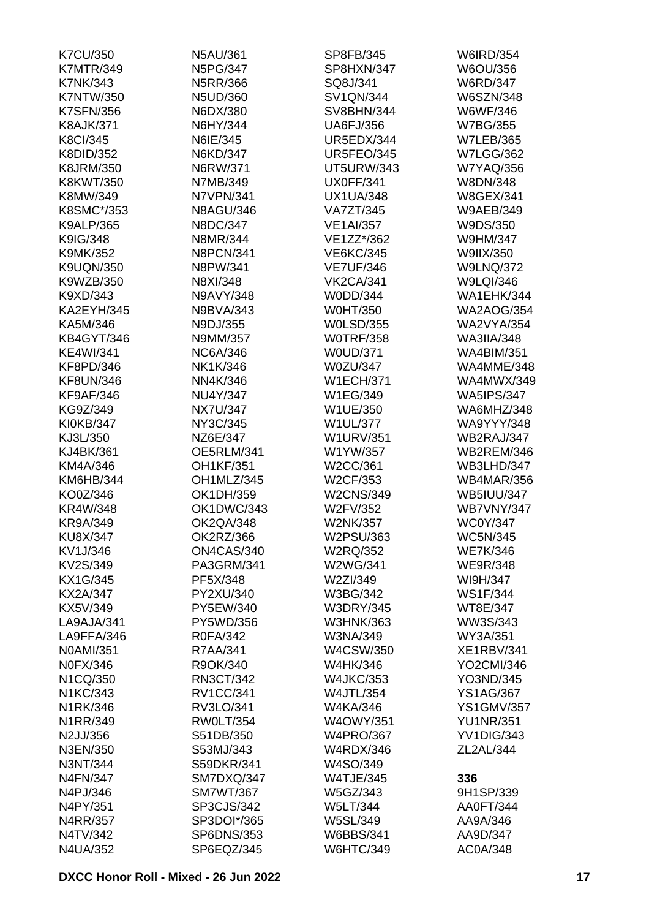| <b>K7CU/350</b>   | N5AU/361         | SP8FB/345         | <b>W6IRD/354</b>  |
|-------------------|------------------|-------------------|-------------------|
| <b>K7MTR/349</b>  | <b>N5PG/347</b>  | SP8HXN/347        | W6OU/356          |
| <b>K7NK/343</b>   | N5RR/366         | SQ8J/341          | <b>W6RD/347</b>   |
| <b>K7NTW/350</b>  | N5UD/360         | <b>SV1QN/344</b>  | W6SZN/348         |
| <b>K7SFN/356</b>  | N6DX/380         | <b>SV8BHN/344</b> | W6WF/346          |
| <b>K8AJK/371</b>  | N6HY/344         | <b>UA6FJ/356</b>  | <b>W7BG/355</b>   |
| <b>K8CI/345</b>   | N6IE/345         | UR5EDX/344        | <b>W7LEB/365</b>  |
| K8DID/352         | N6KD/347         | <b>UR5FEO/345</b> | <b>W7LGG/362</b>  |
| K8JRM/350         | N6RW/371         | <b>UT5URW/343</b> | <b>W7YAQ/356</b>  |
| K8KWT/350         | N7MB/349         | <b>UX0FF/341</b>  | W8DN/348          |
| K8MW/349          | N7VPN/341        | <b>UX1UA/348</b>  | <b>W8GEX/341</b>  |
| K8SMC*/353        | <b>N8AGU/346</b> | <b>VA7ZT/345</b>  | <b>W9AEB/349</b>  |
| <b>K9ALP/365</b>  | N8DC/347         | <b>VE1AI/357</b>  | W9DS/350          |
| K9IG/348          | N8MR/344         | VE1ZZ*/362        | W9HM/347          |
| K9MK/352          | <b>N8PCN/341</b> | <b>VE6KC/345</b>  | W9IIX/350         |
| <b>K9UQN/350</b>  | N8PW/341         | <b>VE7UF/346</b>  | <b>W9LNQ/372</b>  |
| K9WZB/350         | N8XI/348         | <b>VK2CA/341</b>  | W9LQI/346         |
|                   |                  | W0DD/344          | <b>WA1EHK/344</b> |
| K9XD/343          | N9AVY/348        |                   |                   |
| <b>KA2EYH/345</b> | N9BVA/343        | <b>W0HT/350</b>   | <b>WA2AOG/354</b> |
| KA5M/346          | N9DJ/355         | <b>W0LSD/355</b>  | <b>WA2VYA/354</b> |
| <b>KB4GYT/346</b> | N9MM/357         | <b>WOTRF/358</b>  | <b>WA3IIA/348</b> |
| <b>KE4WI/341</b>  | <b>NC6A/346</b>  | <b>W0UD/371</b>   | <b>WA4BIM/351</b> |
| KF8PD/346         | NK1K/346         | W0ZU/347          | WA4MME/348        |
| <b>KF8UN/346</b>  | NN4K/346         | <b>W1ECH/371</b>  | <b>WA4MWX/349</b> |
| <b>KF9AF/346</b>  | NU4Y/347         | W1EG/349          | <b>WA5IPS/347</b> |
| KG9Z/349          | <b>NX7U/347</b>  | W1UE/350          | WA6MHZ/348        |
| KI0KB/347         | NY3C/345         | <b>W1UL/377</b>   | <b>WA9YYY/348</b> |
| KJ3L/350          | NZ6E/347         | <b>W1URV/351</b>  | WB2RAJ/347        |
| KJ4BK/361         | OE5RLM/341       | W1YW/357          | <b>WB2REM/346</b> |
| KM4A/346          | <b>OH1KF/351</b> | W2CC/361          | WB3LHD/347        |
| KM6HB/344         | OH1MLZ/345       | W2CF/353          | <b>WB4MAR/356</b> |
| KO0Z/346          | OK1DH/359        | <b>W2CNS/349</b>  | <b>WB5IUU/347</b> |
| KR4W/348          | OK1DWC/343       | W2FV/352          | <b>WB7VNY/347</b> |
| <b>KR9A/349</b>   | OK2QA/348        | <b>W2NK/357</b>   | <b>WC0Y/347</b>   |
| KU8X/347          | OK2RZ/366        | W2PSU/363         | <b>WC5N/345</b>   |
| KV1J/346          | ON4CAS/340       | W2RQ/352          | <b>WE7K/346</b>   |
| KV2S/349          | PA3GRM/341       | W2WG/341          | <b>WE9R/348</b>   |
| KX1G/345          | PF5X/348         | W2ZI/349          | WI9H/347          |
| <b>KX2A/347</b>   | PY2XU/340        | W3BG/342          | <b>WS1F/344</b>   |
| KX5V/349          | PY5EW/340        | <b>W3DRY/345</b>  | WT8E/347          |
| LA9AJA/341        | PY5WD/356        | W3HNK/363         | WW3S/343          |
| LA9FFA/346        | R0FA/342         | W3NA/349          | WY3A/351          |
| N0AMI/351         | R7AA/341         | W4CSW/350         | <b>XE1RBV/341</b> |
| <b>N0FX/346</b>   | R9OK/340         | W4HK/346          | YO2CMI/346        |
| N1CQ/350          | RN3CT/342        | <b>W4JKC/353</b>  | YO3ND/345         |
| N1KC/343          | <b>RV1CC/341</b> | <b>W4JTL/354</b>  | <b>YS1AG/367</b>  |
| N1RK/346          | RV3LO/341        | W4KA/346          | <b>YS1GMV/357</b> |
| N1RR/349          | <b>RW0LT/354</b> | <b>W4OWY/351</b>  | <b>YU1NR/351</b>  |
| N2JJ/356          | S51DB/350        | <b>W4PRO/367</b>  | YV1DIG/343        |
| N3EN/350          | S53MJ/343        | <b>W4RDX/346</b>  | ZL2AL/344         |
|                   | S59DKR/341       |                   |                   |
| N3NT/344          |                  | W4SO/349          |                   |
| N4FN/347          | SM7DXQ/347       | <b>W4TJE/345</b>  | 336               |
| N4PJ/346          | <b>SM7WT/367</b> | W5GZ/343          | 9H1SP/339         |
| N4PY/351          | SP3CJS/342       | <b>W5LT/344</b>   | AA0FT/344         |
| N4RR/357          | SP3DOI*/365      | <b>W5SL/349</b>   | AA9A/346          |
| N4TV/342          | SP6DNS/353       | <b>W6BBS/341</b>  | AA9D/347          |
| N4UA/352          | SP6EQZ/345       | <b>W6HTC/349</b>  | AC0A/348          |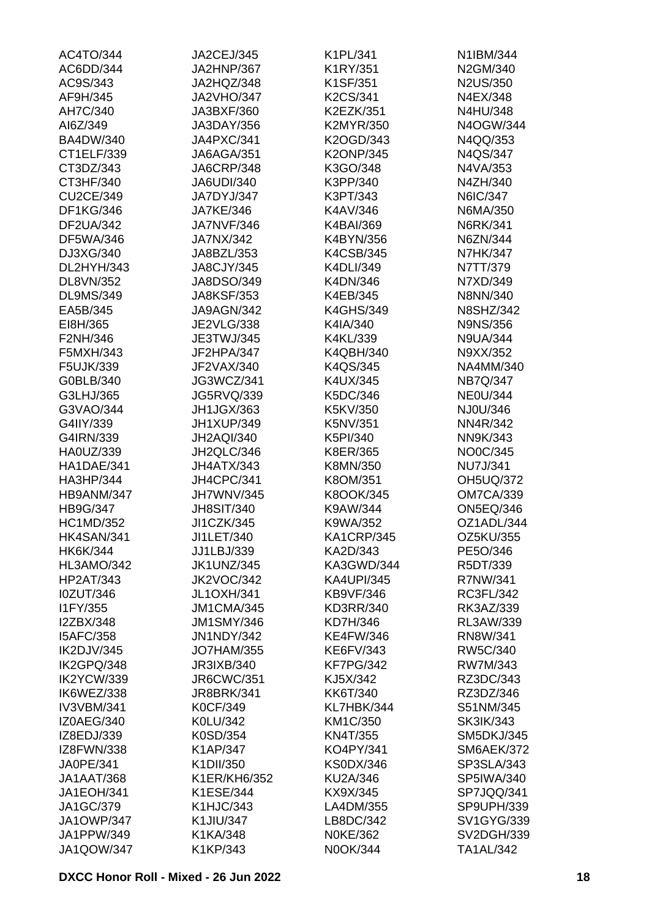| JA2HNP/367<br>N2US/350<br>AC9S/343<br>JA2HQZ/348<br>K1SF/351<br>AF9H/345<br>K2CS/341<br>N4EX/348<br><b>JA2VHO/347</b><br>AH7C/340<br>N4HU/348<br>JA3BXF/360<br>K2EZK/351<br>AI6Z/349<br>JA3DAY/356<br>K2MYR/350<br>N4OGW/344<br><b>BA4DW/340</b><br>JA4PXC/341<br>K2OGD/343<br>N4QQ/353<br><b>K2ONP/345</b><br>N4QS/347<br>CT1ELF/339<br>JA6AGA/351<br>CT3DZ/343<br><b>JA6CRP/348</b><br>K3GO/348<br>N4VA/353<br>CT3HF/340<br>K3PP/340<br>N4ZH/340<br><b>JA6UDI/340</b><br>K3PT/343<br>N6IC/347<br><b>CU2CE/349</b><br>JA7DYJ/347<br>DF1KG/346<br><b>JA7KE/346</b><br>K4AV/346<br>N6MA/350<br><b>DF2UA/342</b><br><b>JA7NVF/346</b><br>K4BAI/369<br>N6RK/341<br>N6ZN/344<br>DF5WA/346<br>JA7NX/342<br>K4BYN/356<br>DJ3XG/340<br>K4CSB/345<br><b>N7HK/347</b><br>JA8BZL/353<br>DL2HYH/343<br><b>JA8CJY/345</b><br>K4DLI/349<br>N7TT/379<br>DL8VN/352<br>JA8DSO/349<br>K4DN/346<br>N7XD/349<br><b>JA8KSF/353</b><br>K4EB/345<br><b>DL9MS/349</b><br>N8NN/340<br><b>N8SHZ/342</b><br>EA5B/345<br>JA9AGN/342<br><b>K4GHS/349</b><br><b>JE2VLG/338</b><br>EI8H/365<br>K4IA/340<br><b>N9NS/356</b><br>F2NH/346<br>K4KL/339<br>JE3TWJ/345<br><b>N9UA/344</b><br>F5MXH/343<br>JF2HPA/347<br>K4QBH/340<br>N9XX/352<br>F5UJK/339<br>JF2VAX/340<br>K4QS/345<br>NA4MM/340<br><b>NB7Q/347</b><br>G0BLB/340<br>JG3WCZ/341<br>K4UX/345<br>G3LHJ/365<br>JG5RVQ/339<br>K5DC/346<br><b>NE0U/344</b><br>NJ0U/346<br>G3VAO/344<br>JH1JGX/363<br>K5KV/350<br>G4IIY/339<br>JH1XUP/349<br>K5NV/351<br>NN4R/342<br>G4IRN/339<br><b>JH2AQI/340</b><br>K5PI/340<br>NN9K/343<br>NO0C/345<br>HA0UZ/339<br>JH2QLC/346<br>K8ER/365<br><b>NU7J/341</b><br>HA1DAE/341<br>JH4ATX/343<br>K8MN/350<br>JH4CPC/341<br>HA3HP/344<br>K8OM/351<br><b>OH5UQ/372</b><br>JH7WNV/345<br><b>OM7CA/339</b><br>HB9ANM/347<br>K8OOK/345<br>HB9G/347<br>K9AW/344<br><b>ON5EQ/346</b><br><b>JH8SIT/340</b><br>K9WA/352<br><b>HC1MD/352</b><br>JI1CZK/345<br>OZ1ADL/344<br><b>OZ5KU/355</b><br>JI1LET/340<br>KA1CRP/345<br><b>HK4SAN/341</b><br>HK6K/344<br>JJ1LBJ/339<br>KA2D/343<br>PE5O/346<br>HL3AMO/342<br><b>JK1UNZ/345</b><br>KA3GWD/344<br>R5DT/339<br><b>HP2AT/343</b><br>JK2VOC/342<br><b>KA4UPI/345</b><br>R7NW/341<br><b>I0ZUT/346</b><br><b>JL1OXH/341</b><br><b>KB9VF/346</b><br>RC3FL/342<br>I1FY/355<br>JM1CMA/345<br>KD3RR/340<br>RK3AZ/339<br>I2ZBX/348<br><b>JM1SMY/346</b><br>KD7H/346<br>RL3AW/339<br><b>I5AFC/358</b><br><b>JN1NDY/342</b><br><b>KE4FW/346</b><br>RN8W/341<br>IK2DJV/345<br><b>JO7HAM/355</b><br>KE6FV/343<br>RW5C/340<br>IK2GPQ/348<br>JR3IXB/340<br><b>KF7PG/342</b><br>RW7M/343<br>IK2YCW/339<br><b>JR6CWC/351</b><br>KJ5X/342<br>RZ3DC/343<br>IK6WEZ/338<br><b>JR8BRK/341</b><br>KK6T/340<br>RZ3DZ/346<br><b>IV3VBM/341</b><br><b>K0CF/349</b><br>KL7HBK/344<br>S51NM/345<br>IZ0AEG/340<br>K0LU/342<br>KM1C/350<br><b>SK3IK/343</b><br>IZ8EDJ/339<br>K0SD/354<br><b>KN4T/355</b><br><b>SM5DKJ/345</b><br>IZ8FWN/338<br>K1AP/347<br>KO4PY/341<br><b>SM6AEK/372</b><br>JA0PE/341<br>K1DII/350<br><b>KS0DX/346</b><br>SP3SLA/343<br><b>SP5IWA/340</b><br><b>JA1AAT/368</b><br>K1ER/KH6/352<br>KU2A/346<br><b>JA1EOH/341</b><br>K1ESE/344<br>KX9X/345<br>SP7JQQ/341<br>JA1GC/379<br><b>K1HJC/343</b><br>LA4DM/355<br>SP9UPH/339<br><b>JA1OWP/347</b><br>K1JIU/347<br>LB8DC/342<br>JA1PPW/349<br>K1KA/348<br><b>N0KE/362</b><br><b>JA1QOW/347</b><br>K1KP/343<br>N0OK/344<br>TA1AL/342 | AC4TO/344 | JA2CEJ/345 | K1PL/341 | N1IBM/344         |
|--------------------------------------------------------------------------------------------------------------------------------------------------------------------------------------------------------------------------------------------------------------------------------------------------------------------------------------------------------------------------------------------------------------------------------------------------------------------------------------------------------------------------------------------------------------------------------------------------------------------------------------------------------------------------------------------------------------------------------------------------------------------------------------------------------------------------------------------------------------------------------------------------------------------------------------------------------------------------------------------------------------------------------------------------------------------------------------------------------------------------------------------------------------------------------------------------------------------------------------------------------------------------------------------------------------------------------------------------------------------------------------------------------------------------------------------------------------------------------------------------------------------------------------------------------------------------------------------------------------------------------------------------------------------------------------------------------------------------------------------------------------------------------------------------------------------------------------------------------------------------------------------------------------------------------------------------------------------------------------------------------------------------------------------------------------------------------------------------------------------------------------------------------------------------------------------------------------------------------------------------------------------------------------------------------------------------------------------------------------------------------------------------------------------------------------------------------------------------------------------------------------------------------------------------------------------------------------------------------------------------------------------------------------------------------------------------------------------------------------------------------------------------------------------------------------------------------------------------------------------------------------------------------------------------------------------------------------------------------------------------------------------------------------------------------------------------------------------------------------------------------------------------------------------------------------------------------------------------------------------------------------------------------------------------------------------------------------------------------------------------|-----------|------------|----------|-------------------|
|                                                                                                                                                                                                                                                                                                                                                                                                                                                                                                                                                                                                                                                                                                                                                                                                                                                                                                                                                                                                                                                                                                                                                                                                                                                                                                                                                                                                                                                                                                                                                                                                                                                                                                                                                                                                                                                                                                                                                                                                                                                                                                                                                                                                                                                                                                                                                                                                                                                                                                                                                                                                                                                                                                                                                                                                                                                                                                                                                                                                                                                                                                                                                                                                                                                                                                                                                                          | AC6DD/344 |            | K1RY/351 | N2GM/340          |
|                                                                                                                                                                                                                                                                                                                                                                                                                                                                                                                                                                                                                                                                                                                                                                                                                                                                                                                                                                                                                                                                                                                                                                                                                                                                                                                                                                                                                                                                                                                                                                                                                                                                                                                                                                                                                                                                                                                                                                                                                                                                                                                                                                                                                                                                                                                                                                                                                                                                                                                                                                                                                                                                                                                                                                                                                                                                                                                                                                                                                                                                                                                                                                                                                                                                                                                                                                          |           |            |          |                   |
|                                                                                                                                                                                                                                                                                                                                                                                                                                                                                                                                                                                                                                                                                                                                                                                                                                                                                                                                                                                                                                                                                                                                                                                                                                                                                                                                                                                                                                                                                                                                                                                                                                                                                                                                                                                                                                                                                                                                                                                                                                                                                                                                                                                                                                                                                                                                                                                                                                                                                                                                                                                                                                                                                                                                                                                                                                                                                                                                                                                                                                                                                                                                                                                                                                                                                                                                                                          |           |            |          |                   |
|                                                                                                                                                                                                                                                                                                                                                                                                                                                                                                                                                                                                                                                                                                                                                                                                                                                                                                                                                                                                                                                                                                                                                                                                                                                                                                                                                                                                                                                                                                                                                                                                                                                                                                                                                                                                                                                                                                                                                                                                                                                                                                                                                                                                                                                                                                                                                                                                                                                                                                                                                                                                                                                                                                                                                                                                                                                                                                                                                                                                                                                                                                                                                                                                                                                                                                                                                                          |           |            |          |                   |
|                                                                                                                                                                                                                                                                                                                                                                                                                                                                                                                                                                                                                                                                                                                                                                                                                                                                                                                                                                                                                                                                                                                                                                                                                                                                                                                                                                                                                                                                                                                                                                                                                                                                                                                                                                                                                                                                                                                                                                                                                                                                                                                                                                                                                                                                                                                                                                                                                                                                                                                                                                                                                                                                                                                                                                                                                                                                                                                                                                                                                                                                                                                                                                                                                                                                                                                                                                          |           |            |          |                   |
|                                                                                                                                                                                                                                                                                                                                                                                                                                                                                                                                                                                                                                                                                                                                                                                                                                                                                                                                                                                                                                                                                                                                                                                                                                                                                                                                                                                                                                                                                                                                                                                                                                                                                                                                                                                                                                                                                                                                                                                                                                                                                                                                                                                                                                                                                                                                                                                                                                                                                                                                                                                                                                                                                                                                                                                                                                                                                                                                                                                                                                                                                                                                                                                                                                                                                                                                                                          |           |            |          |                   |
|                                                                                                                                                                                                                                                                                                                                                                                                                                                                                                                                                                                                                                                                                                                                                                                                                                                                                                                                                                                                                                                                                                                                                                                                                                                                                                                                                                                                                                                                                                                                                                                                                                                                                                                                                                                                                                                                                                                                                                                                                                                                                                                                                                                                                                                                                                                                                                                                                                                                                                                                                                                                                                                                                                                                                                                                                                                                                                                                                                                                                                                                                                                                                                                                                                                                                                                                                                          |           |            |          |                   |
|                                                                                                                                                                                                                                                                                                                                                                                                                                                                                                                                                                                                                                                                                                                                                                                                                                                                                                                                                                                                                                                                                                                                                                                                                                                                                                                                                                                                                                                                                                                                                                                                                                                                                                                                                                                                                                                                                                                                                                                                                                                                                                                                                                                                                                                                                                                                                                                                                                                                                                                                                                                                                                                                                                                                                                                                                                                                                                                                                                                                                                                                                                                                                                                                                                                                                                                                                                          |           |            |          |                   |
|                                                                                                                                                                                                                                                                                                                                                                                                                                                                                                                                                                                                                                                                                                                                                                                                                                                                                                                                                                                                                                                                                                                                                                                                                                                                                                                                                                                                                                                                                                                                                                                                                                                                                                                                                                                                                                                                                                                                                                                                                                                                                                                                                                                                                                                                                                                                                                                                                                                                                                                                                                                                                                                                                                                                                                                                                                                                                                                                                                                                                                                                                                                                                                                                                                                                                                                                                                          |           |            |          |                   |
|                                                                                                                                                                                                                                                                                                                                                                                                                                                                                                                                                                                                                                                                                                                                                                                                                                                                                                                                                                                                                                                                                                                                                                                                                                                                                                                                                                                                                                                                                                                                                                                                                                                                                                                                                                                                                                                                                                                                                                                                                                                                                                                                                                                                                                                                                                                                                                                                                                                                                                                                                                                                                                                                                                                                                                                                                                                                                                                                                                                                                                                                                                                                                                                                                                                                                                                                                                          |           |            |          |                   |
|                                                                                                                                                                                                                                                                                                                                                                                                                                                                                                                                                                                                                                                                                                                                                                                                                                                                                                                                                                                                                                                                                                                                                                                                                                                                                                                                                                                                                                                                                                                                                                                                                                                                                                                                                                                                                                                                                                                                                                                                                                                                                                                                                                                                                                                                                                                                                                                                                                                                                                                                                                                                                                                                                                                                                                                                                                                                                                                                                                                                                                                                                                                                                                                                                                                                                                                                                                          |           |            |          |                   |
|                                                                                                                                                                                                                                                                                                                                                                                                                                                                                                                                                                                                                                                                                                                                                                                                                                                                                                                                                                                                                                                                                                                                                                                                                                                                                                                                                                                                                                                                                                                                                                                                                                                                                                                                                                                                                                                                                                                                                                                                                                                                                                                                                                                                                                                                                                                                                                                                                                                                                                                                                                                                                                                                                                                                                                                                                                                                                                                                                                                                                                                                                                                                                                                                                                                                                                                                                                          |           |            |          |                   |
|                                                                                                                                                                                                                                                                                                                                                                                                                                                                                                                                                                                                                                                                                                                                                                                                                                                                                                                                                                                                                                                                                                                                                                                                                                                                                                                                                                                                                                                                                                                                                                                                                                                                                                                                                                                                                                                                                                                                                                                                                                                                                                                                                                                                                                                                                                                                                                                                                                                                                                                                                                                                                                                                                                                                                                                                                                                                                                                                                                                                                                                                                                                                                                                                                                                                                                                                                                          |           |            |          |                   |
|                                                                                                                                                                                                                                                                                                                                                                                                                                                                                                                                                                                                                                                                                                                                                                                                                                                                                                                                                                                                                                                                                                                                                                                                                                                                                                                                                                                                                                                                                                                                                                                                                                                                                                                                                                                                                                                                                                                                                                                                                                                                                                                                                                                                                                                                                                                                                                                                                                                                                                                                                                                                                                                                                                                                                                                                                                                                                                                                                                                                                                                                                                                                                                                                                                                                                                                                                                          |           |            |          |                   |
|                                                                                                                                                                                                                                                                                                                                                                                                                                                                                                                                                                                                                                                                                                                                                                                                                                                                                                                                                                                                                                                                                                                                                                                                                                                                                                                                                                                                                                                                                                                                                                                                                                                                                                                                                                                                                                                                                                                                                                                                                                                                                                                                                                                                                                                                                                                                                                                                                                                                                                                                                                                                                                                                                                                                                                                                                                                                                                                                                                                                                                                                                                                                                                                                                                                                                                                                                                          |           |            |          |                   |
|                                                                                                                                                                                                                                                                                                                                                                                                                                                                                                                                                                                                                                                                                                                                                                                                                                                                                                                                                                                                                                                                                                                                                                                                                                                                                                                                                                                                                                                                                                                                                                                                                                                                                                                                                                                                                                                                                                                                                                                                                                                                                                                                                                                                                                                                                                                                                                                                                                                                                                                                                                                                                                                                                                                                                                                                                                                                                                                                                                                                                                                                                                                                                                                                                                                                                                                                                                          |           |            |          |                   |
|                                                                                                                                                                                                                                                                                                                                                                                                                                                                                                                                                                                                                                                                                                                                                                                                                                                                                                                                                                                                                                                                                                                                                                                                                                                                                                                                                                                                                                                                                                                                                                                                                                                                                                                                                                                                                                                                                                                                                                                                                                                                                                                                                                                                                                                                                                                                                                                                                                                                                                                                                                                                                                                                                                                                                                                                                                                                                                                                                                                                                                                                                                                                                                                                                                                                                                                                                                          |           |            |          |                   |
|                                                                                                                                                                                                                                                                                                                                                                                                                                                                                                                                                                                                                                                                                                                                                                                                                                                                                                                                                                                                                                                                                                                                                                                                                                                                                                                                                                                                                                                                                                                                                                                                                                                                                                                                                                                                                                                                                                                                                                                                                                                                                                                                                                                                                                                                                                                                                                                                                                                                                                                                                                                                                                                                                                                                                                                                                                                                                                                                                                                                                                                                                                                                                                                                                                                                                                                                                                          |           |            |          |                   |
|                                                                                                                                                                                                                                                                                                                                                                                                                                                                                                                                                                                                                                                                                                                                                                                                                                                                                                                                                                                                                                                                                                                                                                                                                                                                                                                                                                                                                                                                                                                                                                                                                                                                                                                                                                                                                                                                                                                                                                                                                                                                                                                                                                                                                                                                                                                                                                                                                                                                                                                                                                                                                                                                                                                                                                                                                                                                                                                                                                                                                                                                                                                                                                                                                                                                                                                                                                          |           |            |          |                   |
|                                                                                                                                                                                                                                                                                                                                                                                                                                                                                                                                                                                                                                                                                                                                                                                                                                                                                                                                                                                                                                                                                                                                                                                                                                                                                                                                                                                                                                                                                                                                                                                                                                                                                                                                                                                                                                                                                                                                                                                                                                                                                                                                                                                                                                                                                                                                                                                                                                                                                                                                                                                                                                                                                                                                                                                                                                                                                                                                                                                                                                                                                                                                                                                                                                                                                                                                                                          |           |            |          |                   |
|                                                                                                                                                                                                                                                                                                                                                                                                                                                                                                                                                                                                                                                                                                                                                                                                                                                                                                                                                                                                                                                                                                                                                                                                                                                                                                                                                                                                                                                                                                                                                                                                                                                                                                                                                                                                                                                                                                                                                                                                                                                                                                                                                                                                                                                                                                                                                                                                                                                                                                                                                                                                                                                                                                                                                                                                                                                                                                                                                                                                                                                                                                                                                                                                                                                                                                                                                                          |           |            |          |                   |
|                                                                                                                                                                                                                                                                                                                                                                                                                                                                                                                                                                                                                                                                                                                                                                                                                                                                                                                                                                                                                                                                                                                                                                                                                                                                                                                                                                                                                                                                                                                                                                                                                                                                                                                                                                                                                                                                                                                                                                                                                                                                                                                                                                                                                                                                                                                                                                                                                                                                                                                                                                                                                                                                                                                                                                                                                                                                                                                                                                                                                                                                                                                                                                                                                                                                                                                                                                          |           |            |          |                   |
|                                                                                                                                                                                                                                                                                                                                                                                                                                                                                                                                                                                                                                                                                                                                                                                                                                                                                                                                                                                                                                                                                                                                                                                                                                                                                                                                                                                                                                                                                                                                                                                                                                                                                                                                                                                                                                                                                                                                                                                                                                                                                                                                                                                                                                                                                                                                                                                                                                                                                                                                                                                                                                                                                                                                                                                                                                                                                                                                                                                                                                                                                                                                                                                                                                                                                                                                                                          |           |            |          |                   |
|                                                                                                                                                                                                                                                                                                                                                                                                                                                                                                                                                                                                                                                                                                                                                                                                                                                                                                                                                                                                                                                                                                                                                                                                                                                                                                                                                                                                                                                                                                                                                                                                                                                                                                                                                                                                                                                                                                                                                                                                                                                                                                                                                                                                                                                                                                                                                                                                                                                                                                                                                                                                                                                                                                                                                                                                                                                                                                                                                                                                                                                                                                                                                                                                                                                                                                                                                                          |           |            |          |                   |
|                                                                                                                                                                                                                                                                                                                                                                                                                                                                                                                                                                                                                                                                                                                                                                                                                                                                                                                                                                                                                                                                                                                                                                                                                                                                                                                                                                                                                                                                                                                                                                                                                                                                                                                                                                                                                                                                                                                                                                                                                                                                                                                                                                                                                                                                                                                                                                                                                                                                                                                                                                                                                                                                                                                                                                                                                                                                                                                                                                                                                                                                                                                                                                                                                                                                                                                                                                          |           |            |          |                   |
|                                                                                                                                                                                                                                                                                                                                                                                                                                                                                                                                                                                                                                                                                                                                                                                                                                                                                                                                                                                                                                                                                                                                                                                                                                                                                                                                                                                                                                                                                                                                                                                                                                                                                                                                                                                                                                                                                                                                                                                                                                                                                                                                                                                                                                                                                                                                                                                                                                                                                                                                                                                                                                                                                                                                                                                                                                                                                                                                                                                                                                                                                                                                                                                                                                                                                                                                                                          |           |            |          |                   |
|                                                                                                                                                                                                                                                                                                                                                                                                                                                                                                                                                                                                                                                                                                                                                                                                                                                                                                                                                                                                                                                                                                                                                                                                                                                                                                                                                                                                                                                                                                                                                                                                                                                                                                                                                                                                                                                                                                                                                                                                                                                                                                                                                                                                                                                                                                                                                                                                                                                                                                                                                                                                                                                                                                                                                                                                                                                                                                                                                                                                                                                                                                                                                                                                                                                                                                                                                                          |           |            |          |                   |
|                                                                                                                                                                                                                                                                                                                                                                                                                                                                                                                                                                                                                                                                                                                                                                                                                                                                                                                                                                                                                                                                                                                                                                                                                                                                                                                                                                                                                                                                                                                                                                                                                                                                                                                                                                                                                                                                                                                                                                                                                                                                                                                                                                                                                                                                                                                                                                                                                                                                                                                                                                                                                                                                                                                                                                                                                                                                                                                                                                                                                                                                                                                                                                                                                                                                                                                                                                          |           |            |          |                   |
|                                                                                                                                                                                                                                                                                                                                                                                                                                                                                                                                                                                                                                                                                                                                                                                                                                                                                                                                                                                                                                                                                                                                                                                                                                                                                                                                                                                                                                                                                                                                                                                                                                                                                                                                                                                                                                                                                                                                                                                                                                                                                                                                                                                                                                                                                                                                                                                                                                                                                                                                                                                                                                                                                                                                                                                                                                                                                                                                                                                                                                                                                                                                                                                                                                                                                                                                                                          |           |            |          |                   |
|                                                                                                                                                                                                                                                                                                                                                                                                                                                                                                                                                                                                                                                                                                                                                                                                                                                                                                                                                                                                                                                                                                                                                                                                                                                                                                                                                                                                                                                                                                                                                                                                                                                                                                                                                                                                                                                                                                                                                                                                                                                                                                                                                                                                                                                                                                                                                                                                                                                                                                                                                                                                                                                                                                                                                                                                                                                                                                                                                                                                                                                                                                                                                                                                                                                                                                                                                                          |           |            |          |                   |
|                                                                                                                                                                                                                                                                                                                                                                                                                                                                                                                                                                                                                                                                                                                                                                                                                                                                                                                                                                                                                                                                                                                                                                                                                                                                                                                                                                                                                                                                                                                                                                                                                                                                                                                                                                                                                                                                                                                                                                                                                                                                                                                                                                                                                                                                                                                                                                                                                                                                                                                                                                                                                                                                                                                                                                                                                                                                                                                                                                                                                                                                                                                                                                                                                                                                                                                                                                          |           |            |          |                   |
|                                                                                                                                                                                                                                                                                                                                                                                                                                                                                                                                                                                                                                                                                                                                                                                                                                                                                                                                                                                                                                                                                                                                                                                                                                                                                                                                                                                                                                                                                                                                                                                                                                                                                                                                                                                                                                                                                                                                                                                                                                                                                                                                                                                                                                                                                                                                                                                                                                                                                                                                                                                                                                                                                                                                                                                                                                                                                                                                                                                                                                                                                                                                                                                                                                                                                                                                                                          |           |            |          |                   |
|                                                                                                                                                                                                                                                                                                                                                                                                                                                                                                                                                                                                                                                                                                                                                                                                                                                                                                                                                                                                                                                                                                                                                                                                                                                                                                                                                                                                                                                                                                                                                                                                                                                                                                                                                                                                                                                                                                                                                                                                                                                                                                                                                                                                                                                                                                                                                                                                                                                                                                                                                                                                                                                                                                                                                                                                                                                                                                                                                                                                                                                                                                                                                                                                                                                                                                                                                                          |           |            |          |                   |
|                                                                                                                                                                                                                                                                                                                                                                                                                                                                                                                                                                                                                                                                                                                                                                                                                                                                                                                                                                                                                                                                                                                                                                                                                                                                                                                                                                                                                                                                                                                                                                                                                                                                                                                                                                                                                                                                                                                                                                                                                                                                                                                                                                                                                                                                                                                                                                                                                                                                                                                                                                                                                                                                                                                                                                                                                                                                                                                                                                                                                                                                                                                                                                                                                                                                                                                                                                          |           |            |          |                   |
|                                                                                                                                                                                                                                                                                                                                                                                                                                                                                                                                                                                                                                                                                                                                                                                                                                                                                                                                                                                                                                                                                                                                                                                                                                                                                                                                                                                                                                                                                                                                                                                                                                                                                                                                                                                                                                                                                                                                                                                                                                                                                                                                                                                                                                                                                                                                                                                                                                                                                                                                                                                                                                                                                                                                                                                                                                                                                                                                                                                                                                                                                                                                                                                                                                                                                                                                                                          |           |            |          |                   |
|                                                                                                                                                                                                                                                                                                                                                                                                                                                                                                                                                                                                                                                                                                                                                                                                                                                                                                                                                                                                                                                                                                                                                                                                                                                                                                                                                                                                                                                                                                                                                                                                                                                                                                                                                                                                                                                                                                                                                                                                                                                                                                                                                                                                                                                                                                                                                                                                                                                                                                                                                                                                                                                                                                                                                                                                                                                                                                                                                                                                                                                                                                                                                                                                                                                                                                                                                                          |           |            |          |                   |
|                                                                                                                                                                                                                                                                                                                                                                                                                                                                                                                                                                                                                                                                                                                                                                                                                                                                                                                                                                                                                                                                                                                                                                                                                                                                                                                                                                                                                                                                                                                                                                                                                                                                                                                                                                                                                                                                                                                                                                                                                                                                                                                                                                                                                                                                                                                                                                                                                                                                                                                                                                                                                                                                                                                                                                                                                                                                                                                                                                                                                                                                                                                                                                                                                                                                                                                                                                          |           |            |          |                   |
|                                                                                                                                                                                                                                                                                                                                                                                                                                                                                                                                                                                                                                                                                                                                                                                                                                                                                                                                                                                                                                                                                                                                                                                                                                                                                                                                                                                                                                                                                                                                                                                                                                                                                                                                                                                                                                                                                                                                                                                                                                                                                                                                                                                                                                                                                                                                                                                                                                                                                                                                                                                                                                                                                                                                                                                                                                                                                                                                                                                                                                                                                                                                                                                                                                                                                                                                                                          |           |            |          |                   |
|                                                                                                                                                                                                                                                                                                                                                                                                                                                                                                                                                                                                                                                                                                                                                                                                                                                                                                                                                                                                                                                                                                                                                                                                                                                                                                                                                                                                                                                                                                                                                                                                                                                                                                                                                                                                                                                                                                                                                                                                                                                                                                                                                                                                                                                                                                                                                                                                                                                                                                                                                                                                                                                                                                                                                                                                                                                                                                                                                                                                                                                                                                                                                                                                                                                                                                                                                                          |           |            |          |                   |
|                                                                                                                                                                                                                                                                                                                                                                                                                                                                                                                                                                                                                                                                                                                                                                                                                                                                                                                                                                                                                                                                                                                                                                                                                                                                                                                                                                                                                                                                                                                                                                                                                                                                                                                                                                                                                                                                                                                                                                                                                                                                                                                                                                                                                                                                                                                                                                                                                                                                                                                                                                                                                                                                                                                                                                                                                                                                                                                                                                                                                                                                                                                                                                                                                                                                                                                                                                          |           |            |          |                   |
|                                                                                                                                                                                                                                                                                                                                                                                                                                                                                                                                                                                                                                                                                                                                                                                                                                                                                                                                                                                                                                                                                                                                                                                                                                                                                                                                                                                                                                                                                                                                                                                                                                                                                                                                                                                                                                                                                                                                                                                                                                                                                                                                                                                                                                                                                                                                                                                                                                                                                                                                                                                                                                                                                                                                                                                                                                                                                                                                                                                                                                                                                                                                                                                                                                                                                                                                                                          |           |            |          |                   |
|                                                                                                                                                                                                                                                                                                                                                                                                                                                                                                                                                                                                                                                                                                                                                                                                                                                                                                                                                                                                                                                                                                                                                                                                                                                                                                                                                                                                                                                                                                                                                                                                                                                                                                                                                                                                                                                                                                                                                                                                                                                                                                                                                                                                                                                                                                                                                                                                                                                                                                                                                                                                                                                                                                                                                                                                                                                                                                                                                                                                                                                                                                                                                                                                                                                                                                                                                                          |           |            |          |                   |
|                                                                                                                                                                                                                                                                                                                                                                                                                                                                                                                                                                                                                                                                                                                                                                                                                                                                                                                                                                                                                                                                                                                                                                                                                                                                                                                                                                                                                                                                                                                                                                                                                                                                                                                                                                                                                                                                                                                                                                                                                                                                                                                                                                                                                                                                                                                                                                                                                                                                                                                                                                                                                                                                                                                                                                                                                                                                                                                                                                                                                                                                                                                                                                                                                                                                                                                                                                          |           |            |          |                   |
|                                                                                                                                                                                                                                                                                                                                                                                                                                                                                                                                                                                                                                                                                                                                                                                                                                                                                                                                                                                                                                                                                                                                                                                                                                                                                                                                                                                                                                                                                                                                                                                                                                                                                                                                                                                                                                                                                                                                                                                                                                                                                                                                                                                                                                                                                                                                                                                                                                                                                                                                                                                                                                                                                                                                                                                                                                                                                                                                                                                                                                                                                                                                                                                                                                                                                                                                                                          |           |            |          |                   |
|                                                                                                                                                                                                                                                                                                                                                                                                                                                                                                                                                                                                                                                                                                                                                                                                                                                                                                                                                                                                                                                                                                                                                                                                                                                                                                                                                                                                                                                                                                                                                                                                                                                                                                                                                                                                                                                                                                                                                                                                                                                                                                                                                                                                                                                                                                                                                                                                                                                                                                                                                                                                                                                                                                                                                                                                                                                                                                                                                                                                                                                                                                                                                                                                                                                                                                                                                                          |           |            |          |                   |
|                                                                                                                                                                                                                                                                                                                                                                                                                                                                                                                                                                                                                                                                                                                                                                                                                                                                                                                                                                                                                                                                                                                                                                                                                                                                                                                                                                                                                                                                                                                                                                                                                                                                                                                                                                                                                                                                                                                                                                                                                                                                                                                                                                                                                                                                                                                                                                                                                                                                                                                                                                                                                                                                                                                                                                                                                                                                                                                                                                                                                                                                                                                                                                                                                                                                                                                                                                          |           |            |          |                   |
|                                                                                                                                                                                                                                                                                                                                                                                                                                                                                                                                                                                                                                                                                                                                                                                                                                                                                                                                                                                                                                                                                                                                                                                                                                                                                                                                                                                                                                                                                                                                                                                                                                                                                                                                                                                                                                                                                                                                                                                                                                                                                                                                                                                                                                                                                                                                                                                                                                                                                                                                                                                                                                                                                                                                                                                                                                                                                                                                                                                                                                                                                                                                                                                                                                                                                                                                                                          |           |            |          |                   |
|                                                                                                                                                                                                                                                                                                                                                                                                                                                                                                                                                                                                                                                                                                                                                                                                                                                                                                                                                                                                                                                                                                                                                                                                                                                                                                                                                                                                                                                                                                                                                                                                                                                                                                                                                                                                                                                                                                                                                                                                                                                                                                                                                                                                                                                                                                                                                                                                                                                                                                                                                                                                                                                                                                                                                                                                                                                                                                                                                                                                                                                                                                                                                                                                                                                                                                                                                                          |           |            |          |                   |
|                                                                                                                                                                                                                                                                                                                                                                                                                                                                                                                                                                                                                                                                                                                                                                                                                                                                                                                                                                                                                                                                                                                                                                                                                                                                                                                                                                                                                                                                                                                                                                                                                                                                                                                                                                                                                                                                                                                                                                                                                                                                                                                                                                                                                                                                                                                                                                                                                                                                                                                                                                                                                                                                                                                                                                                                                                                                                                                                                                                                                                                                                                                                                                                                                                                                                                                                                                          |           |            |          |                   |
|                                                                                                                                                                                                                                                                                                                                                                                                                                                                                                                                                                                                                                                                                                                                                                                                                                                                                                                                                                                                                                                                                                                                                                                                                                                                                                                                                                                                                                                                                                                                                                                                                                                                                                                                                                                                                                                                                                                                                                                                                                                                                                                                                                                                                                                                                                                                                                                                                                                                                                                                                                                                                                                                                                                                                                                                                                                                                                                                                                                                                                                                                                                                                                                                                                                                                                                                                                          |           |            |          |                   |
|                                                                                                                                                                                                                                                                                                                                                                                                                                                                                                                                                                                                                                                                                                                                                                                                                                                                                                                                                                                                                                                                                                                                                                                                                                                                                                                                                                                                                                                                                                                                                                                                                                                                                                                                                                                                                                                                                                                                                                                                                                                                                                                                                                                                                                                                                                                                                                                                                                                                                                                                                                                                                                                                                                                                                                                                                                                                                                                                                                                                                                                                                                                                                                                                                                                                                                                                                                          |           |            |          |                   |
|                                                                                                                                                                                                                                                                                                                                                                                                                                                                                                                                                                                                                                                                                                                                                                                                                                                                                                                                                                                                                                                                                                                                                                                                                                                                                                                                                                                                                                                                                                                                                                                                                                                                                                                                                                                                                                                                                                                                                                                                                                                                                                                                                                                                                                                                                                                                                                                                                                                                                                                                                                                                                                                                                                                                                                                                                                                                                                                                                                                                                                                                                                                                                                                                                                                                                                                                                                          |           |            |          |                   |
|                                                                                                                                                                                                                                                                                                                                                                                                                                                                                                                                                                                                                                                                                                                                                                                                                                                                                                                                                                                                                                                                                                                                                                                                                                                                                                                                                                                                                                                                                                                                                                                                                                                                                                                                                                                                                                                                                                                                                                                                                                                                                                                                                                                                                                                                                                                                                                                                                                                                                                                                                                                                                                                                                                                                                                                                                                                                                                                                                                                                                                                                                                                                                                                                                                                                                                                                                                          |           |            |          |                   |
|                                                                                                                                                                                                                                                                                                                                                                                                                                                                                                                                                                                                                                                                                                                                                                                                                                                                                                                                                                                                                                                                                                                                                                                                                                                                                                                                                                                                                                                                                                                                                                                                                                                                                                                                                                                                                                                                                                                                                                                                                                                                                                                                                                                                                                                                                                                                                                                                                                                                                                                                                                                                                                                                                                                                                                                                                                                                                                                                                                                                                                                                                                                                                                                                                                                                                                                                                                          |           |            |          |                   |
|                                                                                                                                                                                                                                                                                                                                                                                                                                                                                                                                                                                                                                                                                                                                                                                                                                                                                                                                                                                                                                                                                                                                                                                                                                                                                                                                                                                                                                                                                                                                                                                                                                                                                                                                                                                                                                                                                                                                                                                                                                                                                                                                                                                                                                                                                                                                                                                                                                                                                                                                                                                                                                                                                                                                                                                                                                                                                                                                                                                                                                                                                                                                                                                                                                                                                                                                                                          |           |            |          |                   |
|                                                                                                                                                                                                                                                                                                                                                                                                                                                                                                                                                                                                                                                                                                                                                                                                                                                                                                                                                                                                                                                                                                                                                                                                                                                                                                                                                                                                                                                                                                                                                                                                                                                                                                                                                                                                                                                                                                                                                                                                                                                                                                                                                                                                                                                                                                                                                                                                                                                                                                                                                                                                                                                                                                                                                                                                                                                                                                                                                                                                                                                                                                                                                                                                                                                                                                                                                                          |           |            |          | <b>SV1GYG/339</b> |
|                                                                                                                                                                                                                                                                                                                                                                                                                                                                                                                                                                                                                                                                                                                                                                                                                                                                                                                                                                                                                                                                                                                                                                                                                                                                                                                                                                                                                                                                                                                                                                                                                                                                                                                                                                                                                                                                                                                                                                                                                                                                                                                                                                                                                                                                                                                                                                                                                                                                                                                                                                                                                                                                                                                                                                                                                                                                                                                                                                                                                                                                                                                                                                                                                                                                                                                                                                          |           |            |          | <b>SV2DGH/339</b> |
|                                                                                                                                                                                                                                                                                                                                                                                                                                                                                                                                                                                                                                                                                                                                                                                                                                                                                                                                                                                                                                                                                                                                                                                                                                                                                                                                                                                                                                                                                                                                                                                                                                                                                                                                                                                                                                                                                                                                                                                                                                                                                                                                                                                                                                                                                                                                                                                                                                                                                                                                                                                                                                                                                                                                                                                                                                                                                                                                                                                                                                                                                                                                                                                                                                                                                                                                                                          |           |            |          |                   |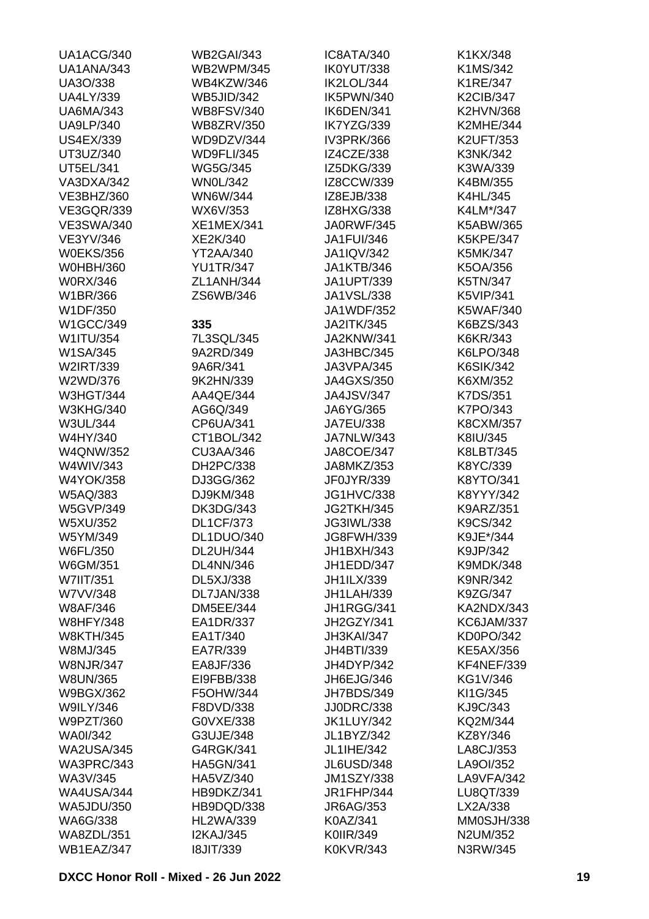| UA1ACG/340        | <b>WB2GAI/343</b> | IC8ATA/340        | K1KX/348          |
|-------------------|-------------------|-------------------|-------------------|
| UA1ANA/343        | <b>WB2WPM/345</b> | IK0YUT/338        | K1MS/342          |
| UA3O/338          | WB4KZW/346        | IK2LOL/344        | K1RE/347          |
| <b>UA4LY/339</b>  | <b>WB5JID/342</b> | IK5PWN/340        | <b>K2CIB/347</b>  |
| <b>UA6MA/343</b>  | <b>WB8FSV/340</b> | IK6DEN/341        | <b>K2HVN/368</b>  |
| <b>UA9LP/340</b>  | <b>WB8ZRV/350</b> | IK7YZG/339        | <b>K2MHE/344</b>  |
| <b>US4EX/339</b>  | WD9DZV/344        | IV3PRK/366        | <b>K2UFT/353</b>  |
| UT3UZ/340         | <b>WD9FLI/345</b> | IZ4CZE/338        | K3NK/342          |
| <b>UT5EL/341</b>  | <b>WG5G/345</b>   | IZ5DKG/339        | K3WA/339          |
| VA3DXA/342        | <b>WN0L/342</b>   | IZ8CCW/339        | K4BM/355          |
| VE3BHZ/360        | WN6W/344          | IZ8EJB/338        | K4HL/345          |
| <b>VE3GQR/339</b> | WX6V/353          | IZ8HXG/338        | K4LM*/347         |
| <b>VE3SWA/340</b> | <b>XE1MEX/341</b> | JA0RWF/345        | K5ABW/365         |
| VE3YV/346         | XE2K/340          | <b>JA1FUI/346</b> | <b>K5KPE/347</b>  |
| <b>W0EKS/356</b>  | YT2AA/340         | <b>JA1IQV/342</b> | K5MK/347          |
| <b>W0HBH/360</b>  | <b>YU1TR/347</b>  | <b>JA1KTB/346</b> | K5OA/356          |
| <b>W0RX/346</b>   | ZL1ANH/344        | JA1UPT/339        | K5TN/347          |
| W1BR/366          | ZS6WB/346         | JA1VSL/338        | <b>K5VIP/341</b>  |
| W1DF/350          |                   | JA1WDF/352        | <b>K5WAF/340</b>  |
| W1GCC/349         | 335               | <b>JA2ITK/345</b> | K6BZS/343         |
| W1ITU/354         | 7L3SQL/345        | JA2KNW/341        | K6KR/343          |
| W1SA/345          | 9A2RD/349         | JA3HBC/345        | K6LPO/348         |
| W2IRT/339         | 9A6R/341          | JA3VPA/345        | <b>K6SIK/342</b>  |
| W2WD/376          | 9K2HN/339         | <b>JA4GXS/350</b> | K6XM/352          |
| <b>W3HGT/344</b>  | AA4QE/344         | <b>JA4JSV/347</b> | K7DS/351          |
| <b>W3KHG/340</b>  | AG6Q/349          | JA6YG/365         | K7PO/343          |
|                   |                   |                   | <b>K8CXM/357</b>  |
| W3UL/344          | CP6UA/341         | <b>JA7EU/338</b>  |                   |
| W4HY/340          | CT1BOL/342        | JA7NLW/343        | K8IU/345          |
| <b>W4QNW/352</b>  | <b>CU3AA/346</b>  | <b>JA8COE/347</b> | K8LBT/345         |
| W4WIV/343         | DH2PC/338         | JA8MKZ/353        | K8YC/339          |
| <b>W4YOK/358</b>  | DJ3GG/362         | JF0JYR/339        | K8YTO/341         |
| W5AQ/383          | DJ9KM/348         | <b>JG1HVC/338</b> | K8YYY/342         |
| <b>W5GVP/349</b>  | <b>DK3DG/343</b>  | JG2TKH/345        | K9ARZ/351         |
| W5XU/352          | <b>DL1CF/373</b>  | JG3IWL/338        | K9CS/342          |
| W5YM/349          | DL1DUO/340        | JG8FWH/339        | K9JE*/344         |
| W6FL/350          | <b>DL2UH/344</b>  | JH1BXH/343        | K9JP/342          |
| W6GM/351          | <b>DL4NN/346</b>  | JH1EDD/347        | <b>K9MDK/348</b>  |
| W7IIT/351         | DL5XJ/338         | JH1ILX/339        | K9NR/342          |
| W7VV/348          | DL7JAN/338        | <b>JH1LAH/339</b> | K9ZG/347          |
| <b>W8AF/346</b>   | <b>DM5EE/344</b>  | JH1RGG/341        | KA2NDX/343        |
| <b>W8HFY/348</b>  | EA1DR/337         | JH2GZY/341        | KC6JAM/337        |
| <b>W8KTH/345</b>  | EA1T/340          | JH3KAI/347        | KD0PO/342         |
| W8MJ/345          | EA7R/339          | JH4BTI/339        | <b>KE5AX/356</b>  |
| <b>W8NJR/347</b>  | EA8JF/336         | JH4DYP/342        | <b>KF4NEF/339</b> |
| <b>W8UN/365</b>   | EI9FBB/338        | JH6EJG/346        | KG1V/346          |
| W9BGX/362         | F5OHW/344         | JH7BDS/349        | KI1G/345          |
| <b>W9ILY/346</b>  | F8DVD/338         | <b>JJ0DRC/338</b> | KJ9C/343          |
| W9PZT/360         | G0VXE/338         | <b>JK1LUY/342</b> | KQ2M/344          |
| <b>WA0I/342</b>   | G3UJE/348         | JL1BYZ/342        | KZ8Y/346          |
| <b>WA2USA/345</b> | G4RGK/341         | JL1IHE/342        | LA8CJ/353         |
| WA3PRC/343        | <b>HA5GN/341</b>  | JL6USD/348        | LA9OI/352         |
| WA3V/345          | HA5VZ/340         | <b>JM1SZY/338</b> | LA9VFA/342        |
| <b>WA4USA/344</b> | HB9DKZ/341        | <b>JR1FHP/344</b> | LU8QT/339         |
| <b>WA5JDU/350</b> | HB9DQD/338        | JR6AG/353         | LX2A/338          |
| WA6G/338          | <b>HL2WA/339</b>  | K0AZ/341          | MM0SJH/338        |
| WA8ZDL/351        | <b>I2KAJ/345</b>  | K0IIR/349         | N2UM/352          |
| WB1EAZ/347        | <b>I8JIT/339</b>  | <b>K0KVR/343</b>  | N3RW/345          |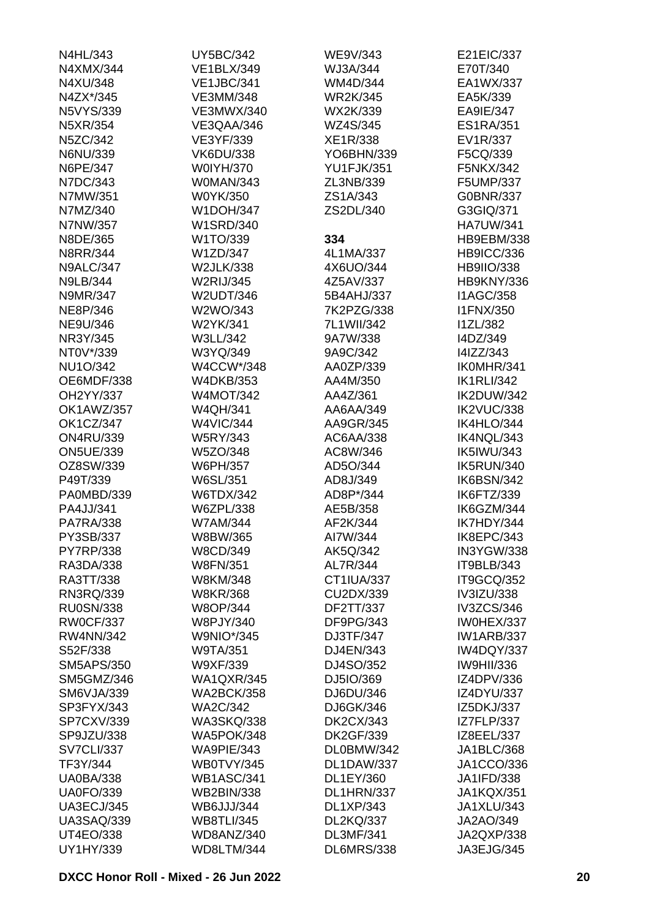| N4HL/343          | <b>UY5BC/342</b>  | WE9V/343          | E21EIC/337        |
|-------------------|-------------------|-------------------|-------------------|
| N4XMX/344         | <b>VE1BLX/349</b> | WJ3A/344          | E70T/340          |
| N4XU/348          | <b>VE1JBC/341</b> | WM4D/344          | EA1WX/337         |
| N4ZX*/345         | <b>VE3MM/348</b>  | <b>WR2K/345</b>   | EA5K/339          |
| <b>N5VYS/339</b>  | <b>VE3MWX/340</b> | WX2K/339          | EA9IE/347         |
| N5XR/354          | VE3QAA/346        | WZ4S/345          | <b>ES1RA/351</b>  |
| N5ZC/342          | VE3YF/339         | XE1R/338          | EV1R/337          |
| N6NU/339          | <b>VK6DU/338</b>  | YO6BHN/339        | F5CQ/339          |
| N6PE/347          | <b>W0IYH/370</b>  | <b>YU1FJK/351</b> | F5NKX/342         |
| N7DC/343          | W0MAN/343         | ZL3NB/339         | F5UMP/337         |
| N7MW/351          | W0YK/350          | ZS1A/343          | G0BNR/337         |
| N7MZ/340          | <b>W1DOH/347</b>  | ZS2DL/340         | G3GIQ/371         |
| N7NW/357          | <b>W1SRD/340</b>  |                   | <b>HA7UW/341</b>  |
| N8DE/365          | W1TO/339          | 334               | <b>HB9EBM/338</b> |
| <b>N8RR/344</b>   | W1ZD/347          | 4L1MA/337         | <b>HB9ICC/336</b> |
| <b>N9ALC/347</b>  | <b>W2JLK/338</b>  | 4X6UO/344         | <b>HB9IIO/338</b> |
| <b>N9LB/344</b>   | <b>W2RIJ/345</b>  | 4Z5AV/337         | HB9KNY/336        |
| N9MR/347          | W2UDT/346         | 5B4AHJ/337        | <b>I1AGC/358</b>  |
|                   |                   | 7K2PZG/338        |                   |
| NE8P/346          | W2WO/343          |                   | <b>I1FNX/350</b>  |
| <b>NE9U/346</b>   | W2YK/341          | 7L1WII/342        | <b>I1ZL/382</b>   |
| NR3Y/345          | W3LL/342          | 9A7W/338          | I4DZ/349          |
| NT0V*/339         | W3YQ/349          | 9A9C/342          | I4IZZ/343         |
| <b>NU1O/342</b>   | W4CCW*/348        | AA0ZP/339         | IK0MHR/341        |
| OE6MDF/338        | <b>W4DKB/353</b>  | AA4M/350          | <b>IK1RLI/342</b> |
| OH2YY/337         | <b>W4MOT/342</b>  | AA4Z/361          | IK2DUW/342        |
| OK1AWZ/357        | <b>W4QH/341</b>   | AA6AA/349         | IK2VUC/338        |
| <b>OK1CZ/347</b>  | <b>W4VIC/344</b>  | AA9GR/345         | IK4HLO/344        |
| <b>ON4RU/339</b>  | <b>W5RY/343</b>   | AC6AA/338         | IK4NQL/343        |
| <b>ON5UE/339</b>  | W5ZO/348          | AC8W/346          | <b>IK5IWU/343</b> |
| OZ8SW/339         | W6PH/357          | AD5O/344          | IK5RUN/340        |
| P49T/339          | W6SL/351          | AD8J/349          | IK6BSN/342        |
| PA0MBD/339        | <b>W6TDX/342</b>  | AD8P*/344         | IK6FTZ/339        |
| PA4JJ/341         | W6ZPL/338         | AE5B/358          | IK6GZM/344        |
| <b>PA7RA/338</b>  | <b>W7AM/344</b>   | AF2K/344          | IK7HDY/344        |
| PY3SB/337         | W8BW/365          | AI7W/344          | IK8EPC/343        |
| <b>PY7RP/338</b>  | W8CD/349          | AK5Q/342          | IN3YGW/338        |
| RA3DA/338         | <b>W8FN/351</b>   | AL7R/344          | IT9BLB/343        |
| RA3TT/338         | W8KM/348          | CT1IUA/337        | IT9GCQ/352        |
| RN3RQ/339         | <b>W8KR/368</b>   | CU2DX/339         | IV3IZU/338        |
| <b>RU0SN/338</b>  | <b>W8OP/344</b>   | DF2TT/337         | IV3ZCS/346        |
| <b>RW0CF/337</b>  | W8PJY/340         | DF9PG/343         | IW0HEX/337        |
| <b>RW4NN/342</b>  | <b>W9NIO*/345</b> | DJ3TF/347         | <b>IW1ARB/337</b> |
| S52F/338          | <b>W9TA/351</b>   | DJ4EN/343         | IW4DQY/337        |
| <b>SM5APS/350</b> | W9XF/339          | DJ4SO/352         | <b>IW9HII/336</b> |
| SM5GMZ/346        | <b>WA1QXR/345</b> | DJ5IO/369         | IZ4DPV/336        |
| <b>SM6VJA/339</b> | <b>WA2BCK/358</b> | DJ6DU/346         | IZ4DYU/337        |
| SP3FYX/343        | <b>WA2C/342</b>   | DJ6GK/346         | IZ5DKJ/337        |
| SP7CXV/339        | <b>WA3SKQ/338</b> | <b>DK2CX/343</b>  | IZ7FLP/337        |
| SP9JZU/338        | <b>WA5POK/348</b> | <b>DK2GF/339</b>  | IZ8EEL/337        |
| <b>SV7CLI/337</b> | WA9PIE/343        | DL0BMW/342        | JA1BLC/368        |
| TF3Y/344          | WB0TVY/345        | DL1DAW/337        | JA1CCO/336        |
| <b>UA0BA/338</b>  | <b>WB1ASC/341</b> | DL1EY/360         | JA1IFD/338        |
| <b>UA0FO/339</b>  | <b>WB2BIN/338</b> | DL1HRN/337        | <b>JA1KQX/351</b> |
| <b>UA3ECJ/345</b> | <b>WB6JJJ/344</b> | <b>DL1XP/343</b>  | JA1XLU/343        |
| <b>UA3SAQ/339</b> | <b>WB8TLI/345</b> | <b>DL2KQ/337</b>  | JA2AO/349         |
| <b>UT4EO/338</b>  | WD8ANZ/340        | <b>DL3MF/341</b>  | JA2QXP/338        |
|                   |                   |                   |                   |
| UY1HY/339         | WD8LTM/344        | <b>DL6MRS/338</b> | JA3EJG/345        |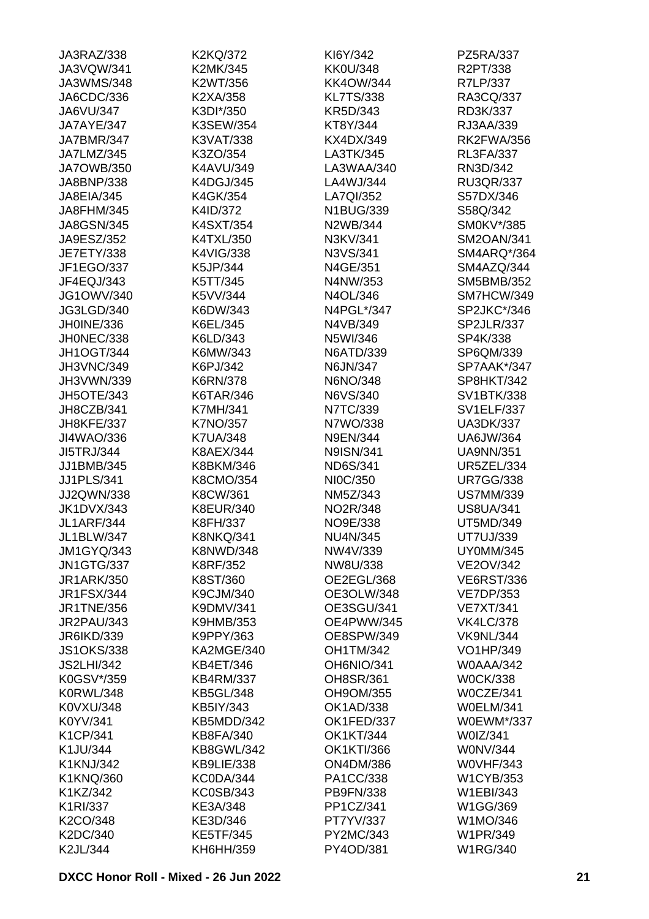| JA3RAZ/338        | K2KQ/372          | KI6Y/342                              | PZ5RA/337         |
|-------------------|-------------------|---------------------------------------|-------------------|
| JA3VQW/341        | K2MK/345          | <b>KK0U/348</b>                       | R2PT/338          |
| <b>JA3WMS/348</b> | K2WT/356          | <b>KK4OW/344</b>                      | R7LP/337          |
| JA6CDC/336        | K2XA/358          | <b>KL7TS/338</b>                      | RA3CQ/337         |
| JA6VU/347         | K3DI*/350         | KR5D/343                              | RD3K/337          |
| JA7AYE/347        | K3SEW/354         | KT8Y/344                              | RJ3AA/339         |
| JA7BMR/347        | K3VAT/338         | KX4DX/349                             | RK2FWA/356        |
| JA7LMZ/345        | K3ZO/354          | LA3TK/345                             | <b>RL3FA/337</b>  |
| <b>JA7OWB/350</b> | K4AVU/349         | LA3WAA/340                            | RN3D/342          |
| JA8BNP/338        | K4DGJ/345         | LA4WJ/344                             | <b>RU3QR/337</b>  |
| <b>JA8EIA/345</b> | K4GK/354          | LA7QI/352                             | S57DX/346         |
| JA8FHM/345        | K4ID/372          | N1BUG/339                             | S58Q/342          |
| <b>JA8GSN/345</b> | K4SXT/354         | N2WB/344                              | SM0KV*/385        |
| JA9ESZ/352        | K4TXL/350         | N3KV/341                              | SM2OAN/341        |
| <b>JE7ETY/338</b> | K4VIG/338         | N3VS/341                              | SM4ARQ*/364       |
| JF1EGO/337        | K5JP/344          | N4GE/351                              | SM4AZQ/344        |
| JF4EQJ/343        | K5TT/345          | N4NW/353                              | SM5BMB/352        |
|                   |                   |                                       |                   |
| <b>JG1OWV/340</b> | K5VV/344          | N4OL/346                              | SM7HCW/349        |
| JG3LGD/340        | K6DW/343          | N4PGL*/347                            | SP2JKC*/346       |
| JH0INE/336        | K6EL/345          | N4VB/349                              | SP2JLR/337        |
| JH0NEC/338        | K6LD/343          | N5WI/346                              | SP4K/338          |
| <b>JH1OGT/344</b> | K6MW/343          | N6ATD/339                             | SP6QM/339         |
| <b>JH3VNC/349</b> | K6PJ/342          | N6JN/347                              | SP7AAK*/347       |
| JH3VWN/339        | <b>K6RN/378</b>   | N6NO/348                              | SP8HKT/342        |
| <b>JH5OTE/343</b> | K6TAR/346         | N6VS/340                              | SV1BTK/338        |
| JH8CZB/341        | <b>K7MH/341</b>   | N7TC/339                              | <b>SV1ELF/337</b> |
| JH8KFE/337        | K7NO/357          | N7WO/338                              | <b>UA3DK/337</b>  |
| JI4WAO/336        | <b>K7UA/348</b>   | <b>N9EN/344</b>                       | <b>UA6JW/364</b>  |
| JI5TRJ/344        | K8AEX/344         | <b>N9ISN/341</b>                      | <b>UA9NN/351</b>  |
| JJ1BMB/345        | K8BKM/346         | <b>ND6S/341</b>                       | <b>UR5ZEL/334</b> |
| <b>JJ1PLS/341</b> | K8CMO/354         | NI0C/350                              | <b>UR7GG/338</b>  |
| JJ2QWN/338        | K8CW/361          | NM5Z/343                              | <b>US7MM/339</b>  |
| <b>JK1DVX/343</b> | K8EUR/340         | NO2R/348                              | <b>US8UA/341</b>  |
| <b>JL1ARF/344</b> | K8FH/337          | NO9E/338                              | UT5MD/349         |
| JL1BLW/347        | <b>K8NKQ/341</b>  | <b>NU4N/345</b>                       | UT7UJ/339         |
| <b>JM1GYQ/343</b> | <b>K8NWD/348</b>  | NW4V/339                              | <b>UY0MM/345</b>  |
| <b>JN1GTG/337</b> | K8RF/352          | NW8U/338                              | <b>VE2OV/342</b>  |
| <b>JR1ARK/350</b> | K8ST/360          | OE2EGL/368                            | <b>VE6RST/336</b> |
| <b>JR1FSX/344</b> | K9CJM/340         | OE3OLW/348                            | <b>VE7DP/353</b>  |
| <b>JR1TNE/356</b> | K9DMV/341         | OE3SGU/341                            | <b>VE7XT/341</b>  |
| <b>JR2PAU/343</b> | <b>K9HMB/353</b>  | OE4PWW/345                            | <b>VK4LC/378</b>  |
| <b>JR6IKD/339</b> | K9PPY/363         | OE8SPW/349                            | <b>VK9NL/344</b>  |
| <b>JS1OKS/338</b> | KA2MGE/340        | <b>OH1TM/342</b>                      | VO1HP/349         |
| <b>JS2LHI/342</b> | KB4ET/346         | OH6NIO/341                            | <b>W0AAA/342</b>  |
| K0GSV*/359        | <b>KB4RM/337</b>  | OH8SR/361                             | <b>W0CK/338</b>   |
| <b>K0RWL/348</b>  | <b>KB5GL/348</b>  | OH9OM/355                             | W0CZE/341         |
| K0VXU/348         | KB5IY/343         | <b>OK1AD/338</b>                      | <b>W0ELM/341</b>  |
| K0YV/341          | KB5MDD/342        | OK1FED/337                            | W0EWM*/337        |
|                   |                   |                                       | W0IZ/341          |
| K1CP/341          | <b>KB8FA/340</b>  | <b>OK1KT/344</b><br><b>OK1KTI/366</b> |                   |
| K1JU/344          | <b>KB8GWL/342</b> |                                       | <b>WONV/344</b>   |
| K1KNJ/342         | KB9LIE/338        | <b>ON4DM/386</b>                      | <b>W0VHF/343</b>  |
| K1KNQ/360         | KC0DA/344         | PA1CC/338                             | <b>W1CYB/353</b>  |
| K1KZ/342          | <b>KC0SB/343</b>  | PB9FN/338                             | W1EBI/343         |
| K1RI/337          | KE3A/348          | PP1CZ/341                             | W1GG/369          |
| K2CO/348          | KE3D/346          | PT7YV/337                             | W1MO/346          |
| K2DC/340          | <b>KE5TF/345</b>  | PY2MC/343                             | W1PR/349          |
| K2JL/344          | KH6HH/359         | PY4OD/381                             | <b>W1RG/340</b>   |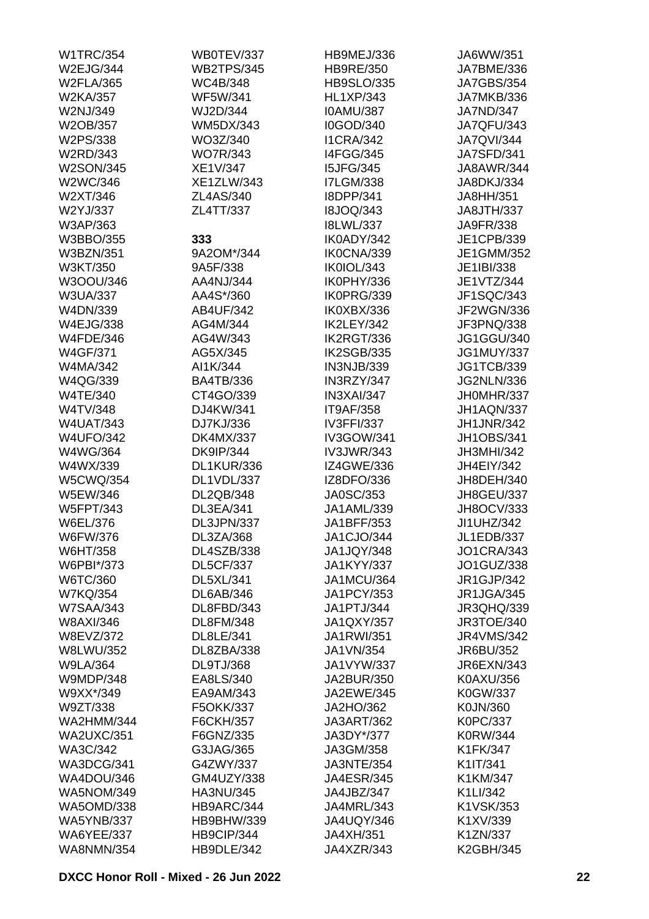| <b>W1TRC/354</b>  | WB0TEV/337        | HB9MEJ/336        | JA6WW/351         |
|-------------------|-------------------|-------------------|-------------------|
| W2EJG/344         | <b>WB2TPS/345</b> | <b>HB9RE/350</b>  | JA7BME/336        |
| <b>W2FLA/365</b>  | <b>WC4B/348</b>   | <b>HB9SLO/335</b> | <b>JA7GBS/354</b> |
| <b>W2KA/357</b>   | <b>WF5W/341</b>   | <b>HL1XP/343</b>  | JA7MKB/336        |
| W2NJ/349          | WJ2D/344          | <b>IOAMU/387</b>  | <b>JA7ND/347</b>  |
| W2OB/357          | <b>WM5DX/343</b>  | I0GOD/340         | <b>JA7QFU/343</b> |
| W2PS/338          | WO3Z/340          | <b>I1CRA/342</b>  | <b>JA7QVI/344</b> |
| W2RD/343          | <b>WO7R/343</b>   | <b>I4FGG/345</b>  | <b>JA7SFD/341</b> |
| <b>W2SON/345</b>  | XE1V/347          | <b>I5JFG/345</b>  | <b>JA8AWR/344</b> |
| W2WC/346          | <b>XE1ZLW/343</b> | <b>I7LGM/338</b>  | JA8DKJ/334        |
| W2XT/346          | ZL4AS/340         | I8DPP/341         | JA8HH/351         |
| W2YJ/337          | ZL4TT/337         | <b>I8JOQ/343</b>  | <b>JA8JTH/337</b> |
| W3AP/363          |                   | <b>I8LWL/337</b>  | JA9FR/338         |
| W3BBO/355         | 333               | IK0ADY/342        | JE1CPB/339        |
| <b>W3BZN/351</b>  | 9A2OM*/344        | IK0CNA/339        | JE1GMM/352        |
| W3KT/350          | 9A5F/338          | IK0IOL/343        | JE1IBI/338        |
| W3OOU/346         | AA4NJ/344         | IK0PHY/336        | JE1VTZ/344        |
|                   | AA4S*/360         | IK0PRG/339        |                   |
| <b>W3UA/337</b>   |                   | IK0XBX/336        | JF1SQC/343        |
| W4DN/339          | AB4UF/342         |                   | <b>JF2WGN/336</b> |
| <b>W4EJG/338</b>  | AG4M/344          | IK2LEY/342        | JF3PNQ/338        |
| <b>W4FDE/346</b>  | AG4W/343          | IK2RGT/336        | <b>JG1GGU/340</b> |
| <b>W4GF/371</b>   | AG5X/345          | IK2SGB/335        | <b>JG1MUY/337</b> |
| W4MA/342          | AI1K/344          | IN3NJB/339        | <b>JG1TCB/339</b> |
| W4QG/339          | <b>BA4TB/336</b>  | IN3RZY/347        | <b>JG2NLN/336</b> |
| <b>W4TE/340</b>   | CT4GO/339         | IN3XAI/347        | JH0MHR/337        |
| W4TV/348          | DJ4KW/341         | IT9AF/358         | JH1AQN/337        |
| <b>W4UAT/343</b>  | DJ7KJ/336         | <b>IV3FFI/337</b> | <b>JH1JNR/342</b> |
| <b>W4UFO/342</b>  | <b>DK4MX/337</b>  | IV3GOW/341        | <b>JH1OBS/341</b> |
| W4WG/364          | <b>DK9IP/344</b>  | <b>IV3JWR/343</b> | <b>JH3MHI/342</b> |
| W4WX/339          | DL1KUR/336        | IZ4GWE/336        | JH4EIY/342        |
| <b>W5CWQ/354</b>  | DL1VDL/337        | IZ8DFO/336        | JH8DEH/340        |
| W5EW/346          | DL2QB/348         | JA0SC/353         | JH8GEU/337        |
| <b>W5FPT/343</b>  | DL3EA/341         | JA1AML/339        | JH8OCV/333        |
| W6EL/376          | DL3JPN/337        | JA1BFF/353        | JI1UHZ/342        |
| W6FW/376          | DL3ZA/368         | JA1CJO/344        | <b>JL1EDB/337</b> |
| W6HT/358          | <b>DL4SZB/338</b> | JA1JQY/348        | <b>JO1CRA/343</b> |
| W6PBI*/373        | <b>DL5CF/337</b>  | <b>JA1KYY/337</b> | JO1GUZ/338        |
| W6TC/360          | DL5XL/341         | <b>JA1MCU/364</b> | JR1GJP/342        |
| <b>W7KQ/354</b>   | <b>DL6AB/346</b>  | <b>JA1PCY/353</b> | JR1JGA/345        |
| <b>W7SAA/343</b>  | DL8FBD/343        | JA1PTJ/344        | JR3QHQ/339        |
| W8AXI/346         | <b>DL8FM/348</b>  | <b>JA1QXY/357</b> | JR3TOE/340        |
| W8EVZ/372         | DL8LE/341         | <b>JA1RWI/351</b> | <b>JR4VMS/342</b> |
| <b>W8LWU/352</b>  | DL8ZBA/338        | JA1VN/354         | JR6BU/352         |
| <b>W9LA/364</b>   | DL9TJ/368         | JA1VYW/337        | JR6EXN/343        |
| <b>W9MDP/348</b>  | EA8LS/340         | JA2BUR/350        | K0AXU/356         |
| W9XX*/349         | EA9AM/343         | JA2EWE/345        | K0GW/337          |
| W9ZT/338          | F5OKK/337         | JA2HO/362         | K0JN/360          |
| WA2HMM/344        | F6CKH/357         | <b>JA3ART/362</b> | K0PC/337          |
| <b>WA2UXC/351</b> | F6GNZ/335         | JA3DY*/377        | K0RW/344          |
| WA3C/342          | G3JAG/365         | JA3GM/358         | K1FK/347          |
|                   | G4ZWY/337         |                   |                   |
| WA3DCG/341        |                   | <b>JA3NTE/354</b> | K1IT/341          |
| WA4DOU/346        | GM4UZY/338        | <b>JA4ESR/345</b> | K1KM/347          |
| WA5NOM/349        | HA3NU/345         | JA4JBZ/347        | K1LI/342          |
| <b>WA5OMD/338</b> | HB9ARC/344        | JA4MRL/343        | K1VSK/353         |
| <b>WA5YNB/337</b> | HB9BHW/339        | JA4UQY/346        | K1XV/339          |
| <b>WA6YEE/337</b> | HB9CIP/344        | JA4XH/351         | K1ZN/337          |
| <b>WA8NMN/354</b> | HB9DLE/342        | JA4XZR/343        | K2GBH/345         |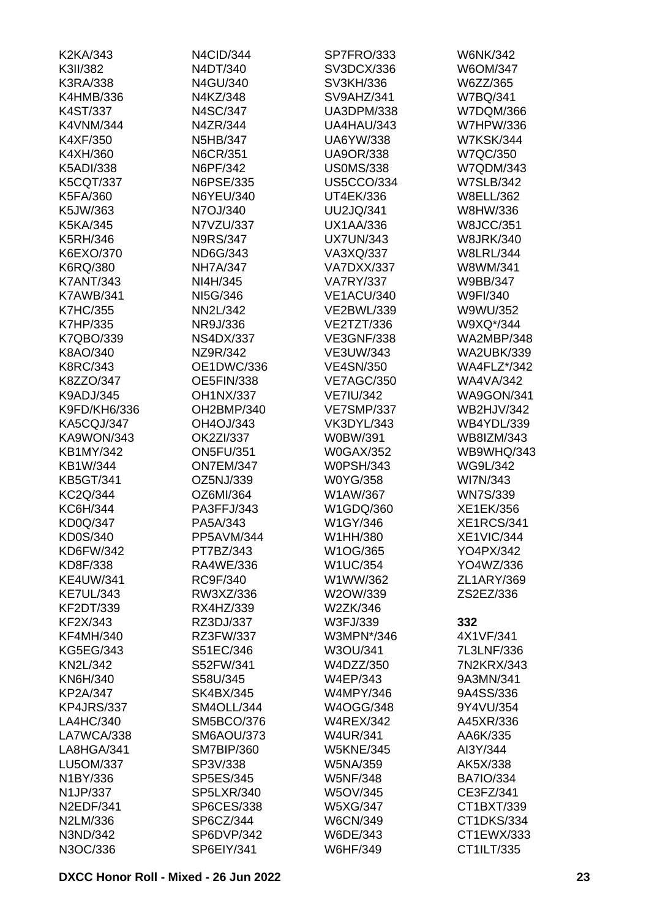| K2KA/343         | N4CID/344         | SP7FRO/333        | <b>W6NK/342</b>    |
|------------------|-------------------|-------------------|--------------------|
| K3II/382         | N4DT/340          | SV3DCX/336        | W6OM/347           |
| K3RA/338         | N4GU/340          | SV3KH/336         | W6ZZ/365           |
| K4HMB/336        | N4KZ/348          | SV9AHZ/341        | W7BQ/341           |
| K4ST/337         | N4SC/347          | <b>UA3DPM/338</b> | W7DQM/366          |
| <b>K4VNM/344</b> | N4ZR/344          | UA4HAU/343        | <b>W7HPW/336</b>   |
| K4XF/350         | <b>N5HB/347</b>   | <b>UA6YW/338</b>  | <b>W7KSK/344</b>   |
| K4XH/360         | N6CR/351          | <b>UA9OR/338</b>  | <b>W7QC/350</b>    |
| <b>K5ADI/338</b> | N6PF/342          | <b>US0MS/338</b>  | W7QDM/343          |
| <b>K5CQT/337</b> | N6PSE/335         | <b>US5CCO/334</b> | <b>W7SLB/342</b>   |
| K5FA/360         | N6YEU/340         | UT4EK/336         | <b>W8ELL/362</b>   |
| K5JW/363         | N7OJ/340          | <b>UU2JQ/341</b>  | W8HW/336           |
| K5KA/345         | N7VZU/337         | <b>UX1AA/336</b>  | <b>W8JCC/351</b>   |
| <b>K5RH/346</b>  | <b>N9RS/347</b>   | <b>UX7UN/343</b>  | <b>W8JRK/340</b>   |
| K6EXO/370        | ND6G/343          | VA3XQ/337         | <b>W8LRL/344</b>   |
| <b>K6RQ/380</b>  | <b>NH7A/347</b>   | VA7DXX/337        | W8WM/341           |
| <b>K7ANT/343</b> | NI4H/345          | <b>VA7RY/337</b>  | W9BB/347           |
| <b>K7AWB/341</b> | NI5G/346          | <b>VE1ACU/340</b> | W9FI/340           |
| <b>K7HC/355</b>  | <b>NN2L/342</b>   | <b>VE2BWL/339</b> | W9WU/352           |
| <b>K7HP/335</b>  | NR9J/336          | VE2TZT/336        | W9XQ*/344          |
| K7QBO/339        | <b>NS4DX/337</b>  | <b>VE3GNF/338</b> | <b>WA2MBP/348</b>  |
| K8AO/340         | NZ9R/342          | VE3UW/343         | <b>WA2UBK/339</b>  |
| <b>K8RC/343</b>  | OE1DWC/336        | <b>VE4SN/350</b>  | <b>WA4FLZ*/342</b> |
| K8ZZO/347        | <b>OE5FIN/338</b> | <b>VE7AGC/350</b> | <b>WA4VA/342</b>   |
| K9ADJ/345        | <b>OH1NX/337</b>  | <b>VE7IU/342</b>  | <b>WA9GON/341</b>  |
| K9FD/KH6/336     | OH2BMP/340        | <b>VE7SMP/337</b> | <b>WB2HJV/342</b>  |
| KA5CQJ/347       | OH4OJ/343         | VK3DYL/343        | WB4YDL/339         |
| KA9WON/343       | OK2ZI/337         | W0BW/391          | WB8IZM/343         |
| <b>KB1MY/342</b> | <b>ON5FU/351</b>  | <b>W0GAX/352</b>  | WB9WHQ/343         |
| KB1W/344         | <b>ON7EM/347</b>  | <b>W0PSH/343</b>  | WG9L/342           |
| <b>KB5GT/341</b> | OZ5NJ/339         | W0YG/358          | WI7N/343           |
| KC2Q/344         | OZ6MI/364         | W1AW/367          | <b>WN7S/339</b>    |
| KC6H/344         | PA3FFJ/343        | W1GDQ/360         | XE1EK/356          |
| <b>KD0Q/347</b>  | PA5A/343          | W1GY/346          | <b>XE1RCS/341</b>  |
| KD0S/340         | PP5AVM/344        | W1HH/380          | XE1VIC/344         |
| KD6FW/342        | PT7BZ/343         | W1OG/365          | YO4PX/342          |
| KD8F/338         | RA4WE/336         | <b>W1UC/354</b>   | YO4WZ/336          |
| <b>KE4UW/341</b> | RC9F/340          | W1WW/362          | ZL1ARY/369         |
| <b>KE7UL/343</b> | RW3XZ/336         | W2OW/339          | ZS2EZ/336          |
| KF2DT/339        | RX4HZ/339         | W2ZK/346          |                    |
| KF2X/343         | RZ3DJ/337         | W3FJ/339          | 332                |
| <b>KF4MH/340</b> | RZ3FW/337         | W3MPN*/346        | 4X1VF/341          |
| <b>KG5EG/343</b> | S51EC/346         | W3OU/341          | 7L3LNF/336         |
| <b>KN2L/342</b>  | S52FW/341         | W4DZZ/350         | 7N2KRX/343         |
| KN6H/340         | S58U/345          | W4EP/343          | 9A3MN/341          |
| KP2A/347         | <b>SK4BX/345</b>  | <b>W4MPY/346</b>  | 9A4SS/336          |
| KP4JRS/337       | SM4OLL/344        | W4OGG/348         | 9Y4VU/354          |
| LA4HC/340        | SM5BCO/376        | <b>W4REX/342</b>  | A45XR/336          |
| LA7WCA/338       | <b>SM6AOU/373</b> | <b>W4UR/341</b>   | AA6K/335           |
| LA8HGA/341       | SM7BIP/360        | <b>W5KNE/345</b>  | AI3Y/344           |
| LU5OM/337        | SP3V/338          | W5NA/359          | AK5X/338           |
| N1BY/336         | SP5ES/345         | <b>W5NF/348</b>   | <b>BA7IO/334</b>   |
| N1JP/337         | <b>SP5LXR/340</b> | W5OV/345          | CE3FZ/341          |
| <b>N2EDF/341</b> | <b>SP6CES/338</b> | <b>W5XG/347</b>   | CT1BXT/339         |
| N2LM/336         | SP6CZ/344         | <b>W6CN/349</b>   | CT1DKS/334         |
| N3ND/342         | SP6DVP/342        | W6DE/343          | CT1EWX/333         |
| N3OC/336         | SP6EIY/341        | W6HF/349          | CT1ILT/335         |
|                  |                   |                   |                    |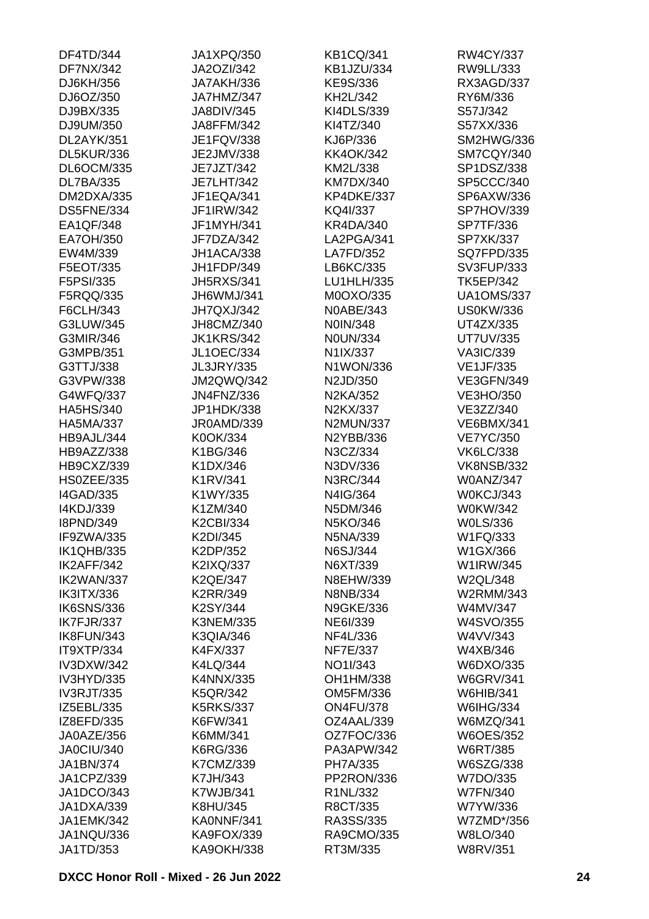| DF4TD/344         | JA1XPQ/350        | <b>KB1CQ/341</b> | RW4CY/337         |
|-------------------|-------------------|------------------|-------------------|
| <b>DF7NX/342</b>  | <b>JA2OZI/342</b> | KB1JZU/334       | RW9LL/333         |
| DJ6KH/356         | JA7AKH/336        | KE9S/336         | RX3AGD/337        |
| DJ6OZ/350         | JA7HMZ/347        | KH2L/342         | RY6M/336          |
| DJ9BX/335         | <b>JA8DIV/345</b> | KI4DLS/339       | S57J/342          |
| DJ9UM/350         | JA8FFM/342        | KI4TZ/340        | S57XX/336         |
| DL2AYK/351        | JE1FQV/338        | KJ6P/336         | SM2HWG/336        |
| DL5KUR/336        | JE2JMV/338        | <b>KK4OK/342</b> | SM7CQY/340        |
| <b>DL6OCM/335</b> | JE7JZT/342        | KM2L/338         | SP1DSZ/338        |
| <b>DL7BA/335</b>  | <b>JE7LHT/342</b> | <b>KM7DX/340</b> | SP5CCC/340        |
| DM2DXA/335        | JF1EQA/341        | KP4DKE/337       | SP6AXW/336        |
| DS5FNE/334        | JF1IRW/342        | KQ4I/337         | SP7HOV/339        |
| EA1QF/348         | JF1MYH/341        | <b>KR4DA/340</b> | SP7TF/336         |
| EA7OH/350         | JF7DZA/342        | LA2PGA/341       | <b>SP7XK/337</b>  |
| EW4M/339          | JH1ACA/338        | LA7FD/352        | <b>SQ7FPD/335</b> |
| F5EOT/335         | JH1FDP/349        | LB6KC/335        | SV3FUP/333        |
| F5PSI/335         | <b>JH5RXS/341</b> | LU1HLH/335       | <b>TK5EP/342</b>  |
|                   |                   |                  |                   |
| F5RQQ/335         | JH6WMJ/341        | M0OXO/335        | <b>UA1OMS/337</b> |
| F6CLH/343         | JH7QXJ/342        | N0ABE/343        | <b>US0KW/336</b>  |
| G3LUW/345         | JH8CMZ/340        | N0IN/348         | UT4ZX/335         |
| G3MIR/346         | <b>JK1KRS/342</b> | <b>N0UN/334</b>  | <b>UT7UV/335</b>  |
| G3MPB/351         | <b>JL1OEC/334</b> | N1IX/337         | <b>VA3IC/339</b>  |
| G3TTJ/338         | <b>JL3JRY/335</b> | N1WON/336        | <b>VE1JF/335</b>  |
| G3VPW/338         | <b>JM2QWQ/342</b> | N2JD/350         | <b>VE3GFN/349</b> |
| G4WFQ/337         | <b>JN4FNZ/336</b> | N2KA/352         | <b>VE3HO/350</b>  |
| <b>HA5HS/340</b>  | JP1HDK/338        | N2KX/337         | VE3ZZ/340         |
| <b>HA5MA/337</b>  | JR0AMD/339        | <b>N2MUN/337</b> | <b>VE6BMX/341</b> |
| HB9AJL/344        | K0OK/334          | N2YBB/336        | <b>VE7YC/350</b>  |
| HB9AZZ/338        | K1BG/346          | N3CZ/334         | <b>VK6LC/338</b>  |
| <b>HB9CXZ/339</b> | K1DX/346          | N3DV/336         | <b>VK8NSB/332</b> |
| HS0ZEE/335        | K1RV/341          | N3RC/344         | <b>W0ANZ/347</b>  |
| <b>I4GAD/335</b>  | K1WY/335          | N4IG/364         | <b>W0KCJ/343</b>  |
| I4KDJ/339         | K1ZM/340          | N5DM/346         | W0KW/342          |
| <b>I8PND/349</b>  | K2CBI/334         | N5KO/346         | <b>WOLS/336</b>   |
| IF9ZWA/335        | K2DI/345          | N5NA/339         | W1FQ/333          |
| <b>IK1QHB/335</b> | K2DP/352          | N6SJ/344         | W1GX/366          |
| IK2AFF/342        | K2IXQ/337         | N6XT/339         | <b>W1IRW/345</b>  |
| IK2WAN/337        | <b>K2QE/347</b>   | N8EHW/339        | W2QL/348          |
| <b>IK3ITX/336</b> | K2RR/349          | <b>N8NB/334</b>  | W2RMM/343         |
| <b>IK6SNS/336</b> | K2SY/344          | <b>N9GKE/336</b> | W4MV/347          |
| IK7FJR/337        | <b>K3NEM/335</b>  | NE6I/339         | <b>W4SVO/355</b>  |
| IK8FUN/343        | <b>K3QIA/346</b>  | NF4L/336         | W4VV/343          |
| IT9XTP/334        | K4FX/337          | <b>NF7E/337</b>  | W4XB/346          |
| <b>IV3DXW/342</b> | K4LQ/344          | NO1I/343         | W6DXO/335         |
| IV3HYD/335        | K4NNX/335         | OH1HM/338        | <b>W6GRV/341</b>  |
| <b>IV3RJT/335</b> | <b>K5QR/342</b>   | OM5FM/336        | <b>W6HIB/341</b>  |
| IZ5EBL/335        | <b>K5RKS/337</b>  | <b>ON4FU/378</b> | W6IHG/334         |
| IZ8EFD/335        | K6FW/341          | OZ4AAL/339       |                   |
|                   |                   |                  | W6MZQ/341         |
| JA0AZE/356        | K6MM/341          | OZ7FOC/336       | <b>W6OES/352</b>  |
| JA0CIU/340        | K6RG/336          | PA3APW/342       | <b>W6RT/385</b>   |
| JA1BN/374         | K7CMZ/339         | PH7A/335         | W6SZG/338         |
| JA1CPZ/339        | K7JH/343          | PP2RON/336       | W7DO/335          |
| JA1DCO/343        | K7WJB/341         | R1NL/332         | <b>W7FN/340</b>   |
| JA1DXA/339        | K8HU/345          | R8CT/335         | W7YW/336          |
| JA1EMK/342        | KA0NNF/341        | RA3SS/335        | W7ZMD*/356        |
| JA1NQU/336        | <b>KA9FOX/339</b> | RA9CMO/335       | W8LO/340          |
| JA1TD/353         | <b>KA9OKH/338</b> | RT3M/335         | <b>W8RV/351</b>   |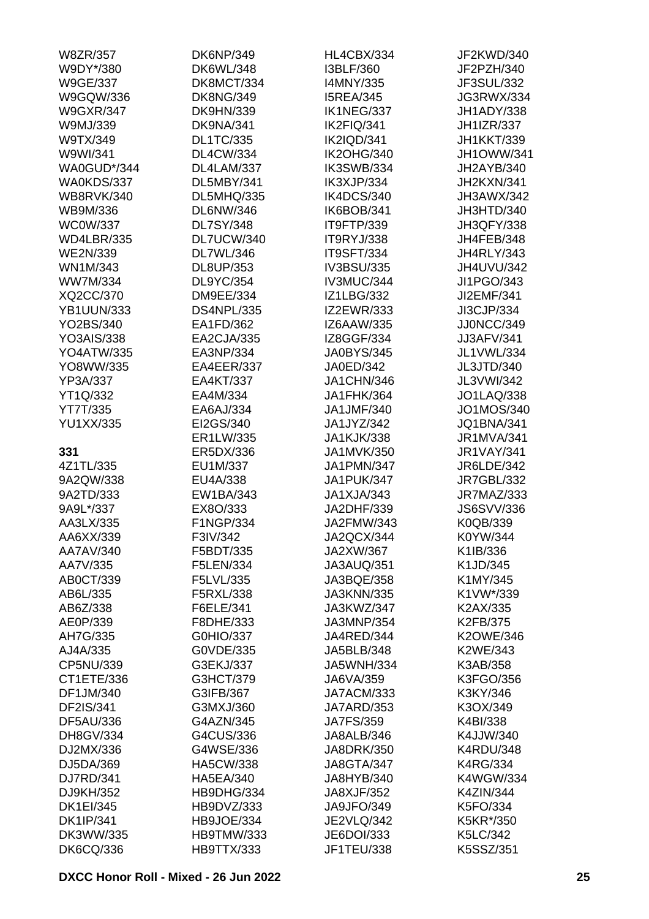| W8ZR/357          | <b>DK6NP/349</b>  | HL4CBX/334        | JF2KWD/340        |
|-------------------|-------------------|-------------------|-------------------|
| W9DY*/380         | <b>DK6WL/348</b>  | I3BLF/360         | JF2PZH/340        |
| <b>W9GE/337</b>   | DK8MCT/334        | I4MNY/335         | JF3SUL/332        |
| W9GQW/336         | <b>DK8NG/349</b>  | <b>I5REA/345</b>  | JG3RWX/334        |
| <b>W9GXR/347</b>  | <b>DK9HN/339</b>  | IK1NEG/337        | JH1ADY/338        |
| W9MJ/339          | DK9NA/341         | IK2FIQ/341        | <b>JH1IZR/337</b> |
| W9TX/349          | <b>DL1TC/335</b>  | IK2IQD/341        | <b>JH1KKT/339</b> |
| W9WI/341          | <b>DL4CW/334</b>  | <b>IK2OHG/340</b> | JH1OWW/341        |
| WA0GUD*/344       | DL4LAM/337        | IK3SWB/334        | JH2AYB/340        |
| WA0KDS/337        | DL5MBY/341        | IK3XJP/334        | JH2KXN/341        |
| <b>WB8RVK/340</b> | <b>DL5MHQ/335</b> | IK4DCS/340        | JH3AWX/342        |
| WB9M/336          | <b>DL6NW/346</b>  | IK6BOB/341        | JH3HTD/340        |
| <b>WC0W/337</b>   | <b>DL7SY/348</b>  | IT9FTP/339        | JH3QFY/338        |
| <b>WD4LBR/335</b> | DL7UCW/340        | IT9RYJ/338        | JH4FEB/348        |
| <b>WE2N/339</b>   | DL7WL/346         | IT9SFT/334        | <b>JH4RLY/343</b> |
| WN1M/343          | DL8UP/353         | IV3BSU/335        | JH4UVU/342        |
| <b>WW7M/334</b>   | DL9YC/354         | IV3MUC/344        | JI1PGO/343        |
| XQ2CC/370         | DM9EE/334         | <b>IZ1LBG/332</b> | JI2EMF/341        |
|                   | <b>DS4NPL/335</b> |                   |                   |
| <b>YB1UUN/333</b> |                   | <b>IZ2EWR/333</b> | JI3CJP/334        |
| YO2BS/340         | EA1FD/362         | IZ6AAW/335        | JJ0NCC/349        |
| <b>YO3AIS/338</b> | EA2CJA/335        | IZ8GGF/334        | <b>JJ3AFV/341</b> |
| <b>YO4ATW/335</b> | EA3NP/334         | <b>JA0BYS/345</b> | JL1VWL/334        |
| YO8WW/335         | EA4EER/337        | JA0ED/342         | JL3JTD/340        |
| YP3A/337          | EA4KT/337         | JA1CHN/346        | JL3VWI/342        |
| YT1Q/332          | EA4M/334          | JA1FHK/364        | <b>JO1LAQ/338</b> |
| YT7T/335          | EA6AJ/334         | JA1JMF/340        | JO1MOS/340        |
| <b>YU1XX/335</b>  | EI2GS/340         | JA1JYZ/342        | <b>JQ1BNA/341</b> |
|                   | ER1LW/335         | <b>JA1KJK/338</b> | <b>JR1MVA/341</b> |
| 331               | ER5DX/336         | JA1MVK/350        | <b>JR1VAY/341</b> |
| 4Z1TL/335         | EU1M/337          | <b>JA1PMN/347</b> | <b>JR6LDE/342</b> |
| 9A2QW/338         | EU4A/338          | JA1PUK/347        | <b>JR7GBL/332</b> |
| 9A2TD/333         | EW1BA/343         | JA1XJA/343        | <b>JR7MAZ/333</b> |
| 9A9L*/337         | EX8O/333          | JA2DHF/339        | <b>JS6SVV/336</b> |
| AA3LX/335         | F1NGP/334         | JA2FMW/343        | K0QB/339          |
| AA6XX/339         | F3IV/342          | JA2QCX/344        | K0YW/344          |
| AA7AV/340         | F5BDT/335         | JA2XW/367         | K1IB/336          |
| AA7V/335          | F5LEN/334         | JA3AUQ/351        | K1JD/345          |
| AB0CT/339         | F5LVL/335         | JA3BQE/358        | K1MY/345          |
| AB6L/335          | F5RXL/338         | <b>JA3KNN/335</b> | K1VW*/339         |
| AB6Z/338          | F6ELE/341         | JA3KWZ/347        | K2AX/335          |
| AE0P/339          | F8DHE/333         | JA3MNP/354        | K2FB/375          |
| AH7G/335          | G0HIO/337         | JA4RED/344        | <b>K2OWE/346</b>  |
| AJ4A/335          | G0VDE/335         | JA5BLB/348        | K2WE/343          |
| CP5NU/339         | G3EKJ/337         | <b>JA5WNH/334</b> | K3AB/358          |
| CT1ETE/336        | G3HCT/379         | JA6VA/359         | K3FGO/356         |
| DF1JM/340         | G3IFB/367         | JA7ACM/333        | K3KY/346          |
| DF2IS/341         | G3MXJ/360         | JA7ARD/353        | K3OX/349          |
| <b>DF5AU/336</b>  | G4AZN/345         | <b>JA7FS/359</b>  | K4BI/338          |
| DH8GV/334         | G4CUS/336         | JA8ALB/346        | K4JJW/340         |
| DJ2MX/336         | G4WSE/336         | JA8DRK/350        | <b>K4RDU/348</b>  |
|                   |                   |                   |                   |
| DJ5DA/369         | <b>HA5CW/338</b>  | JA8GTA/347        | <b>K4RG/334</b>   |
| DJ7RD/341         | <b>HA5EA/340</b>  | JA8HYB/340        | <b>K4WGW/334</b>  |
| DJ9KH/352         | HB9DHG/334        | JA8XJF/352        | <b>K4ZIN/344</b>  |
| <b>DK1EI/345</b>  | HB9DVZ/333        | JA9JFO/349        | K5FO/334          |
| <b>DK1IP/341</b>  | HB9JOE/334        | <b>JE2VLQ/342</b> | K5KR*/350         |
| DK3WW/335         | <b>HB9TMW/333</b> | JE6DOI/333        | K5LC/342          |
| <b>DK6CQ/336</b>  | HB9TTX/333        | JF1TEU/338        | K5SSZ/351         |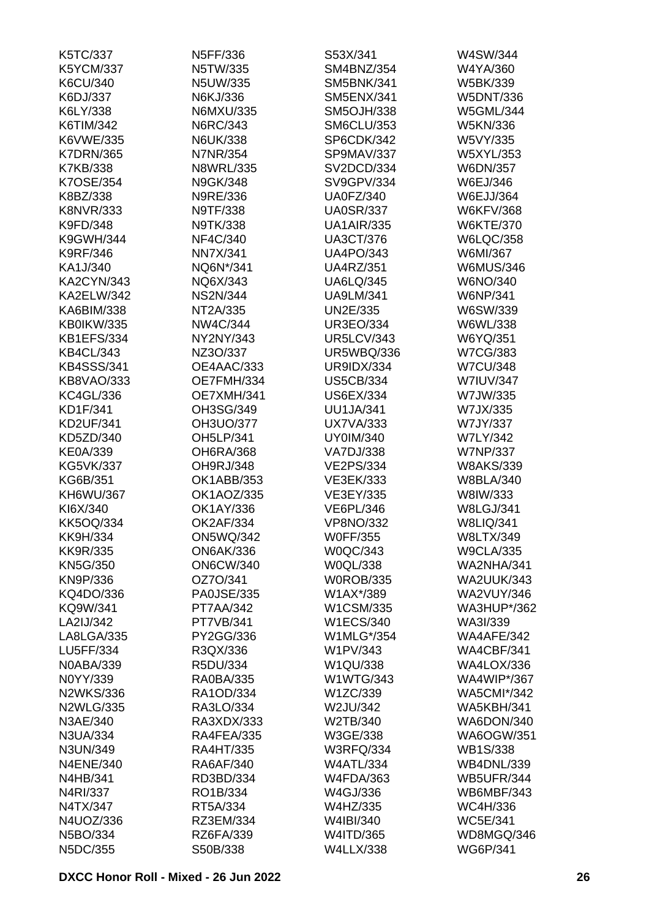| K5TC/337          | N5FF/336          | S53X/341          | W4SW/344           |
|-------------------|-------------------|-------------------|--------------------|
| <b>K5YCM/337</b>  | N5TW/335          | SM4BNZ/354        | W4YA/360           |
| K6CU/340          | N5UW/335          | SM5BNK/341        | W5BK/339           |
| K6DJ/337          | N6KJ/336          | <b>SM5ENX/341</b> | <b>W5DNT/336</b>   |
| K6LY/338          | N6MXU/335         | <b>SM5OJH/338</b> | <b>W5GML/344</b>   |
| K6TIM/342         | N6RC/343          | <b>SM6CLU/353</b> | <b>W5KN/336</b>    |
| K6VWE/335         | <b>N6UK/338</b>   | SP6CDK/342        | W5VY/335           |
| <b>K7DRN/365</b>  | <b>N7NR/354</b>   | SP9MAV/337        | W5XYL/353          |
| K7KB/338          | <b>N8WRL/335</b>  | SV2DCD/334        | W6DN/357           |
| K7OSE/354         | N9GK/348          | SV9GPV/334        | W6EJ/346           |
| K8BZ/338          | N9RE/336          | <b>UA0FZ/340</b>  | <b>W6EJJ/364</b>   |
| <b>K8NVR/333</b>  | N9TF/338          | <b>UA0SR/337</b>  | <b>W6KFV/368</b>   |
| K9FD/348          | N9TK/338          | <b>UA1AIR/335</b> | <b>W6KTE/370</b>   |
| K9GWH/344         | NF4C/340          | <b>UA3CT/376</b>  | <b>W6LQC/358</b>   |
| <b>K9RF/346</b>   | <b>NN7X/341</b>   | <b>UA4PO/343</b>  | W6MI/367           |
| KA1J/340          | NQ6N*/341         | <b>UA4RZ/351</b>  | <b>W6MUS/346</b>   |
| <b>KA2CYN/343</b> | NQ6X/343          | <b>UA6LQ/345</b>  | W6NO/340           |
| <b>KA2ELW/342</b> | <b>NS2N/344</b>   | <b>UA9LM/341</b>  | W6NP/341           |
| KA6BIM/338        | NT2A/335          | UN2E/335          | W6SW/339           |
| KB0IKW/335        | NW4C/344          | <b>UR3EO/334</b>  | W6WL/338           |
| <b>KB1EFS/334</b> | NY2NY/343         | <b>UR5LCV/343</b> | W6YQ/351           |
| <b>KB4CL/343</b>  | NZ3O/337          | <b>UR5WBQ/336</b> | <b>W7CG/383</b>    |
| <b>KB4SSS/341</b> |                   | <b>UR9IDX/334</b> |                    |
|                   | OE4AAC/333        |                   | <b>W7CU/348</b>    |
| KB8VAO/333        | OE7FMH/334        | <b>US5CB/334</b>  | <b>W7IUV/347</b>   |
| <b>KC4GL/336</b>  | OE7XMH/341        | <b>US6EX/334</b>  | W7JW/335           |
| KD1F/341          | OH3SG/349         | <b>UU1JA/341</b>  | W7JX/335           |
| <b>KD2UF/341</b>  | OH3UO/377         | <b>UX7VA/333</b>  | W7JY/337           |
| KD5ZD/340         | OH5LP/341         | <b>UY0IM/340</b>  | <b>W7LY/342</b>    |
| <b>KE0A/339</b>   | <b>OH6RA/368</b>  | <b>VA7DJ/338</b>  | <b>W7NP/337</b>    |
| <b>KG5VK/337</b>  | OH9RJ/348         | <b>VE2PS/334</b>  | <b>W8AKS/339</b>   |
| KG6B/351          | OK1ABB/353        | VE3EK/333         | <b>W8BLA/340</b>   |
| KH6WU/367         | OK1AOZ/335        | VE3EY/335         | W8IW/333           |
| KI6X/340          | OK1AY/336         | <b>VE6PL/346</b>  | <b>W8LGJ/341</b>   |
| <b>KK5OQ/334</b>  | <b>OK2AF/334</b>  | <b>VP8NO/332</b>  | <b>W8LIQ/341</b>   |
| <b>KK9H/334</b>   | <b>ON5WQ/342</b>  | <b>W0FF/355</b>   | W8LTX/349          |
| <b>KK9R/335</b>   | <b>ON6AK/336</b>  | <b>W0QC/343</b>   | <b>W9CLA/335</b>   |
| <b>KN5G/350</b>   | <b>ON6CW/340</b>  | W0QL/338          | <b>WA2NHA/341</b>  |
| KN9P/336          | OZ7O/341          | <b>W0ROB/335</b>  | <b>WA2UUK/343</b>  |
| KQ4DO/336         | <b>PA0JSE/335</b> | W1AX*/389         | <b>WA2VUY/346</b>  |
| KQ9W/341          | <b>PT7AA/342</b>  | W1CSM/335         | <b>WA3HUP*/362</b> |
| LA2IJ/342         | <b>PT7VB/341</b>  | <b>W1ECS/340</b>  | WA3I/339           |
| LA8LGA/335        | PY2GG/336         | W1MLG*/354        | WA4AFE/342         |
| LU5FF/334         | R3QX/336          | W1PV/343          | WA4CBF/341         |
| <b>N0ABA/339</b>  | R5DU/334          | W1QU/338          | <b>WA4LOX/336</b>  |
| N0YY/339          | <b>RA0BA/335</b>  | <b>W1WTG/343</b>  | <b>WA4WIP*/367</b> |
| <b>N2WKS/336</b>  | RA1OD/334         | W1ZC/339          | <b>WA5CMI*/342</b> |
| <b>N2WLG/335</b>  | RA3LO/334         | W2JU/342          | <b>WA5KBH/341</b>  |
| N3AE/340          | RA3XDX/333        | W2TB/340          | WA6DON/340         |
| N3UA/334          | RA4FEA/335        | W3GE/338          | <b>WA6OGW/351</b>  |
| N3UN/349          | <b>RA4HT/335</b>  | <b>W3RFQ/334</b>  | <b>WB1S/338</b>    |
| <b>N4ENE/340</b>  | RA6AF/340         | <b>W4ATL/334</b>  | <b>WB4DNL/339</b>  |
| N4HB/341          | RD3BD/334         | <b>W4FDA/363</b>  | <b>WB5UFR/344</b>  |
| N4RI/337          | RO1B/334          | W4GJ/336          | WB6MBF/343         |
| N4TX/347          | RT5A/334          | W4HZ/335          | WC4H/336           |
| N4UOZ/336         | RZ3EM/334         | W4IBI/340         | <b>WC5E/341</b>    |
| N5BO/334          | RZ6FA/339         | W4ITD/365         | WD8MGQ/346         |
| N5DC/355          | S50B/338          | <b>W4LLX/338</b>  | <b>WG6P/341</b>    |
|                   |                   |                   |                    |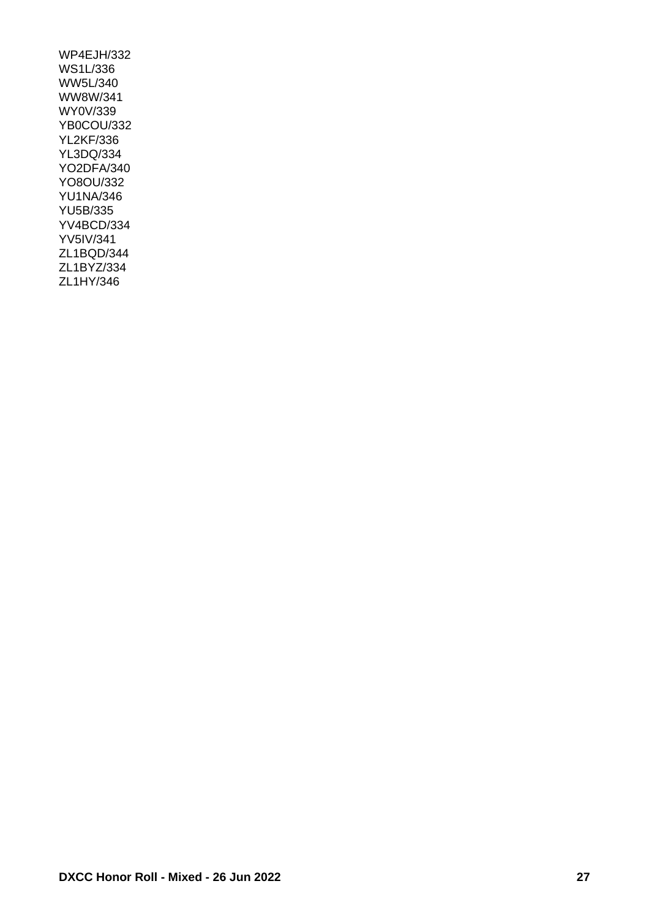WP4EJH/332 WS1L/336 WW5L/340 WW8W/341 WY0V/339 YB0COU/332 YL2KF/336 YL3DQ/334 YO2DFA/340 YO8OU/332 YU1NA/346 YU5B/335 YV4BCD/334 YV5IV/341 ZL1BQD/344 ZL1BYZ/334 ZL1HY/346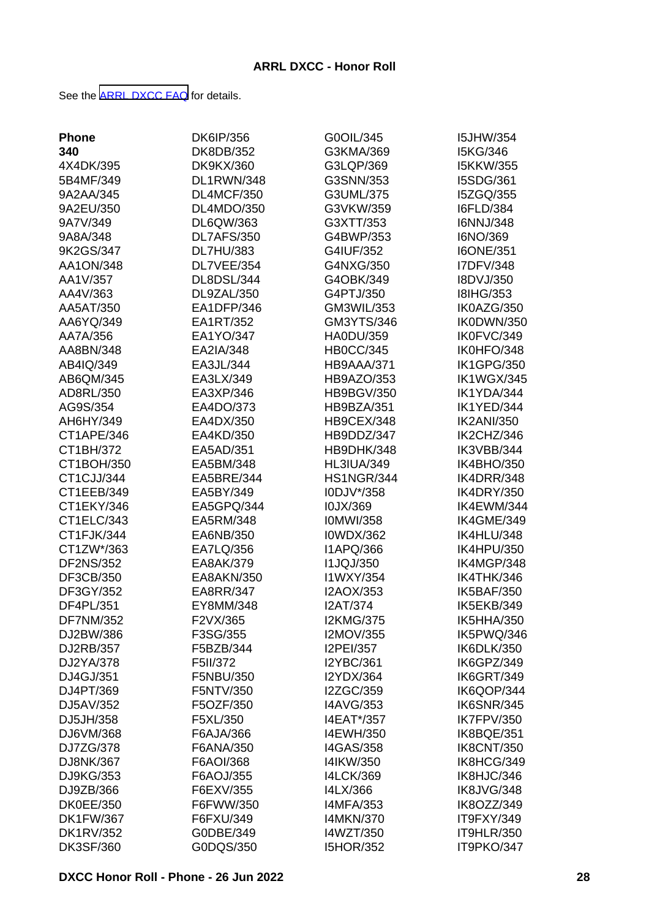See the [ARRL DXCC FAQ](http://www.arrl.org/dxcc-faq/) for details.

| <b>Phone</b>     | DK6IP/356        | G0OIL/345         | <b>I5JHW/354</b>  |
|------------------|------------------|-------------------|-------------------|
| 340              | DK8DB/352        | G3KMA/369         | I5KG/346          |
| 4X4DK/395        | <b>DK9KX/360</b> | G3LQP/369         | <b>I5KKW/355</b>  |
| 5B4MF/349        | DL1RWN/348       | G3SNN/353         | I5SDG/361         |
| 9A2AA/345        | DL4MCF/350       | G3UML/375         | I5ZGQ/355         |
| 9A2EU/350        | DL4MDO/350       | G3VKW/359         | <b>I6FLD/384</b>  |
| 9A7V/349         | DL6QW/363        | G3XTT/353         | I6NNJ/348         |
| 9A8A/348         | DL7AFS/350       | G4BWP/353         | I6NO/369          |
| 9K2GS/347        | <b>DL7HU/383</b> | G4IUF/352         | <b>I6ONE/351</b>  |
| AA1ON/348        | DL7VEE/354       | G4NXG/350         | I7DFV/348         |
| AA1V/357         | DL8DSL/344       | G4OBK/349         | I8DVJ/350         |
| AA4V/363         | DL9ZAL/350       | G4PTJ/350         | <b>I8IHG/353</b>  |
| AA5AT/350        | EA1DFP/346       | GM3WIL/353        | IK0AZG/350        |
| AA6YQ/349        | EA1RT/352        | GM3YTS/346        | IK0DWN/350        |
| AA7A/356         | EA1YO/347        | HA0DU/359         | IK0FVC/349        |
| AA8BN/348        | EA2IA/348        | <b>HB0CC/345</b>  | IK0HFO/348        |
| AB4IQ/349        | EA3JL/344        | HB9AAA/371        | <b>IK1GPG/350</b> |
| AB6QM/345        | EA3LX/349        |                   | <b>IK1WGX/345</b> |
| AD8RL/350        |                  | HB9AZO/353        | IK1YDA/344        |
|                  | EA3XP/346        | <b>HB9BGV/350</b> |                   |
| AG9S/354         | EA4DO/373        | HB9BZA/351        | IK1YED/344        |
| AH6HY/349        | EA4DX/350        | HB9CEX/348        | <b>IK2ANI/350</b> |
| CT1APE/346       | EA4KD/350        | HB9DDZ/347        | IK2CHZ/346        |
| CT1BH/372        | EA5AD/351        | HB9DHK/348        | IK3VBB/344        |
| CT1BOH/350       | EA5BM/348        | <b>HL3IUA/349</b> | IK4BHO/350        |
| CT1CJJ/344       | EA5BRE/344       | <b>HS1NGR/344</b> | IK4DRR/348        |
| CT1EEB/349       | EA5BY/349        | I0DJV*/358        | <b>IK4DRY/350</b> |
| CT1EKY/346       | EA5GPQ/344       | I0JX/369          | IK4EWM/344        |
| CT1ELC/343       | EA5RM/348        | <b>IOMWI/358</b>  | IK4GME/349        |
| CT1FJK/344       | EA6NB/350        | <b>I0WDX/362</b>  | IK4HLU/348        |
| CT1ZW*/363       | EA7LQ/356        | I1APQ/366         | IK4HPU/350        |
| <b>DF2NS/352</b> | EA8AK/379        | <b>I1JQJ/350</b>  | IK4MGP/348        |
| DF3CB/350        | EA8AKN/350       | I1WXY/354         | IK4THK/346        |
| DF3GY/352        | EA8RR/347        | I2AOX/353         | <b>IK5BAF/350</b> |
| DF4PL/351        | EY8MM/348        | <b>I2AT/374</b>   | IK5EKB/349        |
| <b>DF7NM/352</b> | F2VX/365         | <b>I2KMG/375</b>  | IK5HHA/350        |
| DJ2BW/386        | F3SG/355         | I2MOV/355         | IK5PWQ/346        |
| DJ2RB/357        | F5BZB/344        | I2PEI/357         | IK6DLK/350        |
| DJ2YA/378        | F5II/372         | <b>I2YBC/361</b>  | IK6GPZ/349        |
| DJ4GJ/351        | F5NBU/350        | I2YDX/364         | IK6GRT/349        |
| DJ4PT/369        | F5NTV/350        | I2ZGC/359         | IK6QOP/344        |
| DJ5AV/352        | F5OZF/350        | <b>I4AVG/353</b>  | <b>IK6SNR/345</b> |
| DJ5JH/358        | F5XL/350         | I4EAT*/357        | <b>IK7FPV/350</b> |
| DJ6VM/368        | F6AJA/366        | I4EWH/350         | IK8BQE/351        |
| DJ7ZG/378        | F6ANA/350        | <b>I4GAS/358</b>  | <b>IK8CNT/350</b> |
| DJ8NK/367        | F6AOI/368        | I4IKW/350         | IK8HCG/349        |
| DJ9KG/353        | F6AOJ/355        | <b>I4LCK/369</b>  | IK8HJC/346        |
| DJ9ZB/366        | F6EXV/355        | I4LX/366          | IK8JVG/348        |
| <b>DK0EE/350</b> | F6FWW/350        | <b>I4MFA/353</b>  | IK8OZZ/349        |
| <b>DK1FW/367</b> | F6FXU/349        | <b>I4MKN/370</b>  | IT9FXY/349        |
| <b>DK1RV/352</b> | G0DBE/349        | I4WZT/350         | IT9HLR/350        |
| <b>DK3SF/360</b> | G0DQS/350        | <b>I5HOR/352</b>  | IT9PKO/347        |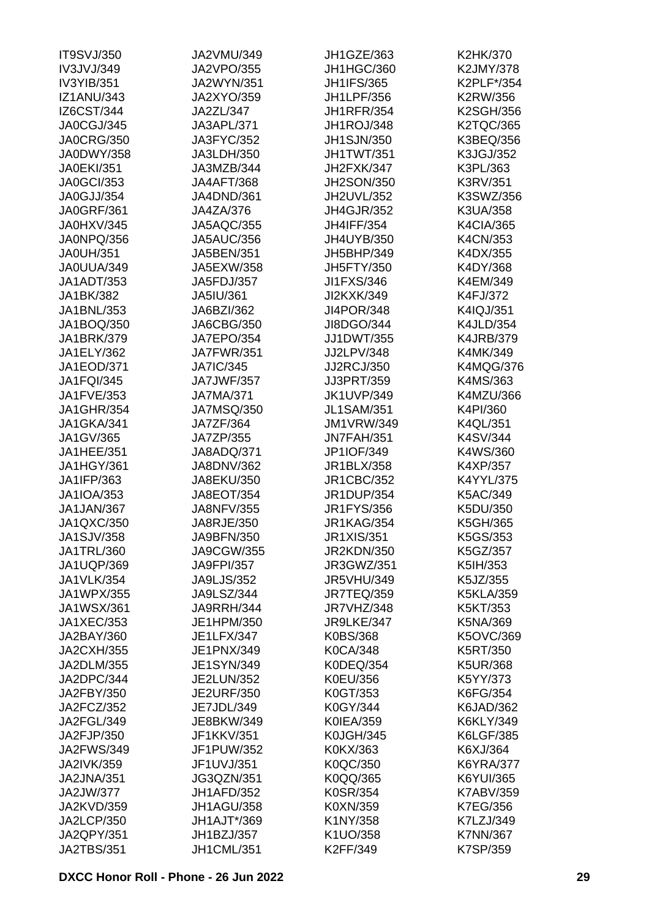| <b>IT9SVJ/350</b> | JA2VMU/349        | <b>JH1GZE/363</b> | K2HK/370         |
|-------------------|-------------------|-------------------|------------------|
| IV3JVJ/349        | <b>JA2VPO/355</b> | JH1HGC/360        | K2JMY/378        |
| IV3YIB/351        | <b>JA2WYN/351</b> | <b>JH1IFS/365</b> | K2PLF*/354       |
| <b>IZ1ANU/343</b> | <b>JA2XYO/359</b> | <b>JH1LPF/356</b> | K2RW/356         |
| IZ6CST/344        | JA2ZL/347         | <b>JH1RFR/354</b> | K2SGH/356        |
| JA0CGJ/345        | JA3APL/371        | JH1ROJ/348        | <b>K2TQC/365</b> |
| <b>JA0CRG/350</b> | JA3FYC/352        | <b>JH1SJN/350</b> | K3BEQ/356        |
| JA0DWY/358        | JA3LDH/350        | JH1TWT/351        | K3JGJ/352        |
| <b>JA0EKI/351</b> | JA3MZB/344        | JH2FXK/347        | K3PL/363         |
| <b>JA0GCI/353</b> | <b>JA4AFT/368</b> | <b>JH2SON/350</b> | K3RV/351         |
| JA0GJJ/354        | JA4DND/361        | JH2UVL/352        | K3SWZ/356        |
| <b>JA0GRF/361</b> | JA4ZA/376         | <b>JH4GJR/352</b> | K3UA/358         |
| JA0HXV/345        | <b>JA5AQC/355</b> | <b>JH4IFF/354</b> | <b>K4CIA/365</b> |
| JA0NPQ/356        | <b>JA5AUC/356</b> | <b>JH4UYB/350</b> | K4CN/353         |
| <b>JA0UH/351</b>  | JA5BEN/351        | JH5BHP/349        | K4DX/355         |
| JA0UUA/349        | JA5EXW/358        | JH5FTY/350        | K4DY/368         |
| JA1ADT/353        | JA5FDJ/357        | JI1FXS/346        | K4EM/349         |
| JA1BK/382         | JA5IU/361         | JI2KXK/349        | K4FJ/372         |
| JA1BNL/353        | JA6BZI/362        | <b>JI4POR/348</b> | K4IQJ/351        |
| JA1BOQ/350        | JA6CBG/350        | JI8DGO/344        | <b>K4JLD/354</b> |
| <b>JA1BRK/379</b> | <b>JA7EPO/354</b> | <b>JJ1DWT/355</b> | <b>K4JRB/379</b> |
|                   | <b>JA7FWR/351</b> | JJ2LPV/348        | K4MK/349         |
| JA1ELY/362        |                   |                   |                  |
| JA1EOD/371        | <b>JA7IC/345</b>  | <b>JJ2RCJ/350</b> | <b>K4MQG/376</b> |
| <b>JA1FQI/345</b> | <b>JA7JWF/357</b> | JJ3PRT/359        | K4MS/363         |
| JA1FVE/353        | <b>JA7MA/371</b>  | <b>JK1UVP/349</b> | K4MZU/366        |
| <b>JA1GHR/354</b> | <b>JA7MSQ/350</b> | <b>JL1SAM/351</b> | K4PI/360         |
| JA1GKA/341        | JA7ZF/364         | <b>JM1VRW/349</b> | K4QL/351         |
| JA1GV/365         | JA7ZP/355         | <b>JN7FAH/351</b> | K4SV/344         |
| JA1HEE/351        | JA8ADQ/371        | JP1IOF/349        | K4WS/360         |
| JA1HGY/361        | <b>JA8DNV/362</b> | JR1BLX/358        | K4XP/357         |
| JA1IFP/363        | JA8EKU/350        | <b>JR1CBC/352</b> | K4YYL/375        |
| JA1IOA/353        | <b>JA8EOT/354</b> | <b>JR1DUP/354</b> | K5AC/349         |
| JA1JAN/367        | <b>JA8NFV/355</b> | <b>JR1FYS/356</b> | K5DU/350         |
| JA1QXC/350        | JA8RJE/350        | <b>JR1KAG/354</b> | K5GH/365         |
| JA1SJV/358        | JA9BFN/350        | JR1XIS/351        | K5GS/353         |
| JA1TRL/360        | JA9CGW/355        | <b>JR2KDN/350</b> | K5GZ/357         |
| JA1UQP/369        | <b>JA9FPI/357</b> | JR3GWZ/351        | K5IH/353         |
| <b>JA1VLK/354</b> | <b>JA9LJS/352</b> | <b>JR5VHU/349</b> | K5JZ/355         |
| <b>JA1WPX/355</b> | JA9LSZ/344        | <b>JR7TEQ/359</b> | <b>K5KLA/359</b> |
| <b>JA1WSX/361</b> | JA9RRH/344        | JR7VHZ/348        | K5KT/353         |
| JA1XEC/353        | JE1HPM/350        | JR9LKE/347        | K5NA/369         |
| JA2BAY/360        | <b>JE1LFX/347</b> | <b>K0BS/368</b>   | K5OVC/369        |
| <b>JA2CXH/355</b> | JE1PNX/349        | <b>K0CA/348</b>   | K5RT/350         |
| JA2DLM/355        | <b>JE1SYN/349</b> | K0DEQ/354         | <b>K5UR/368</b>  |
| JA2DPC/344        | <b>JE2LUN/352</b> | K0EU/356          | K5YY/373         |
| JA2FBY/350        | <b>JE2URF/350</b> | K0GT/353          | K6FG/354         |
| JA2FCZ/352        | JE7JDL/349        | K0GY/344          | K6JAD/362        |
| JA2FGL/349        | JE8BKW/349        | <b>K0IEA/359</b>  | K6KLY/349        |
| JA2FJP/350        | JF1KKV/351        | <b>K0JGH/345</b>  | K6LGF/385        |
| <b>JA2FWS/349</b> | JF1PUW/352        | K0KX/363          | K6XJ/364         |
| JA2IVK/359        | JF1UVJ/351        | K0QC/350          | <b>K6YRA/377</b> |
| JA2JNA/351        | JG3QZN/351        | K0QQ/365          | K6YUI/365        |
| JA2JW/377         | JH1AFD/352        | K0SR/354          | <b>K7ABV/359</b> |
| JA2KVD/359        | <b>JH1AGU/358</b> | K0XN/359          | K7EG/356         |
| <b>JA2LCP/350</b> | JH1AJT*/369       | K1NY/358          | K7LZJ/349        |
| JA2QPY/351        | JH1BZJ/357        | K1UO/358          | K7NN/367         |
| <b>JA2TBS/351</b> | JH1CML/351        | K2FF/349          | K7SP/359         |
|                   |                   |                   |                  |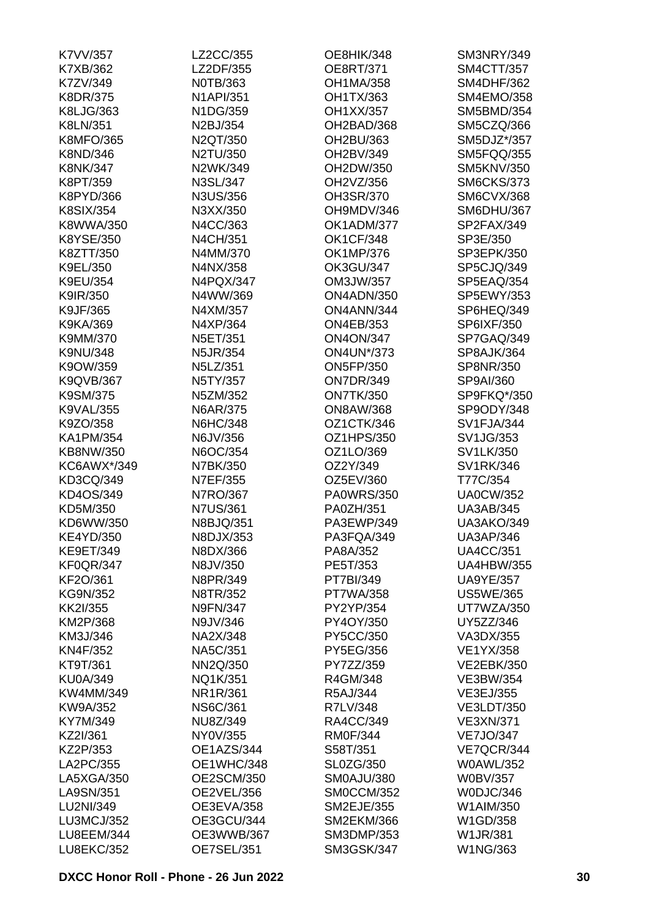| K7VV/357          | LZ2CC/355         | <b>OE8HIK/348</b> | SM3NRY/349        |
|-------------------|-------------------|-------------------|-------------------|
| K7XB/362          | LZ2DF/355         | <b>OE8RT/371</b>  | SM4CTT/357        |
| K7ZV/349          | N0TB/363          | <b>OH1MA/358</b>  | <b>SM4DHF/362</b> |
| <b>K8DR/375</b>   | <b>N1API/351</b>  | OH1TX/363         | <b>SM4EMO/358</b> |
| K8LJG/363         | N1DG/359          | OH1XX/357         | <b>SM5BMD/354</b> |
| K8LN/351          | N2BJ/354          | OH2BAD/368        | SM5CZQ/366        |
| <b>K8MFO/365</b>  | N2QT/350          | OH2BU/363         | SM5DJZ*/357       |
| K8ND/346          | N2TU/350          | OH2BV/349         | SM5FQQ/355        |
| <b>K8NK/347</b>   | N2WK/349          | OH2DW/350         | <b>SM5KNV/350</b> |
| K8PT/359          | N3SL/347          | OH2VZ/356         | <b>SM6CKS/373</b> |
| K8PYD/366         | N3US/356          | OH3SR/370         | <b>SM6CVX/368</b> |
| <b>K8SIX/354</b>  | N3XX/350          | OH9MDV/346        | SM6DHU/367        |
| K8WWA/350         | N4CC/363          | OK1ADM/377        | SP2FAX/349        |
| K8YSE/350         | N4CH/351          | <b>OK1CF/348</b>  | SP3E/350          |
| K8ZTT/350         | N4MM/370          | OK1MP/376         | SP3EPK/350        |
| K9EL/350          | N4NX/358          | <b>OK3GU/347</b>  | SP5CJQ/349        |
| K9EU/354          | N4PQX/347         | OM3JW/357         | SP5EAQ/354        |
|                   |                   |                   |                   |
| K9IR/350          | N4WW/369          | ON4ADN/350        | <b>SP5EWY/353</b> |
| K9JF/365          | N4XM/357          | ON4ANN/344        | SP6HEQ/349        |
| K9KA/369          | N4XP/364          | <b>ON4EB/353</b>  | SP6IXF/350        |
| K9MM/370          | N5ET/351          | <b>ON4ON/347</b>  | SP7GAQ/349        |
| <b>K9NU/348</b>   | N5JR/354          | <b>ON4UN*/373</b> | SP8AJK/364        |
| K9OW/359          | N5LZ/351          | <b>ON5FP/350</b>  | SP8NR/350         |
| <b>K9QVB/367</b>  | N5TY/357          | <b>ON7DR/349</b>  | SP9AI/360         |
| K9SM/375          | N5ZM/352          | <b>ON7TK/350</b>  | SP9FKQ*/350       |
| <b>K9VAL/355</b>  | N6AR/375          | <b>ON8AW/368</b>  | SP9ODY/348        |
| K9ZO/358          | <b>N6HC/348</b>   | OZ1CTK/346        | SV1FJA/344        |
| <b>KA1PM/354</b>  | N6JV/356          | OZ1HPS/350        | SV1JG/353         |
| KB8NW/350         | N6OC/354          | OZ1LO/369         | SV1LK/350         |
| KC6AWX*/349       | N7BK/350          | OZ2Y/349          | SV1RK/346         |
| KD3CQ/349         | N7EF/355          | OZ5EV/360         | T77C/354          |
| KD4OS/349         | N7RO/367          | <b>PA0WRS/350</b> | <b>UA0CW/352</b>  |
| KD5M/350          | <b>N7US/361</b>   | PA0ZH/351         | <b>UA3AB/345</b>  |
| KD6WW/350         | N8BJQ/351         | PA3EWP/349        | <b>UA3AKO/349</b> |
| <b>KE4YD/350</b>  | N8DJX/353         | PA3FQA/349        | <b>UA3AP/346</b>  |
| <b>KE9ET/349</b>  | N8DX/366          | PA8A/352          | <b>UA4CC/351</b>  |
| <b>KF0QR/347</b>  | N8JV/350          | PE5T/353          | <b>UA4HBW/355</b> |
| KF2O/361          | N8PR/349          | PT7BI/349         | <b>UA9YE/357</b>  |
| KG9N/352          | N8TR/352          | <b>PT7WA/358</b>  | <b>US5WE/365</b>  |
| KK2I/355          | <b>N9FN/347</b>   | PY2YP/354         | UT7WZA/350        |
| KM2P/368          | N9JV/346          | PY4OY/350         | UY5ZZ/346         |
| KM3J/346          | NA2X/348          | PY5CC/350         | VA3DX/355         |
| KN4F/352          | NA5C/351          | PY5EG/356         | VE1YX/358         |
| KT9T/361          | NN2Q/350          | PY7ZZ/359         | <b>VE2EBK/350</b> |
| <b>KU0A/349</b>   | NQ1K/351          | R4GM/348          | VE3BW/354         |
| KW4MM/349         | NR1R/361          | R5AJ/344          | VE3EJ/355         |
| KW9A/352          | <b>NS6C/361</b>   | R7LV/348          | <b>VE3LDT/350</b> |
| KY7M/349          | NU8Z/349          | RA4CC/349         | <b>VE3XN/371</b>  |
| KZ2I/361          | NY0V/355          | <b>RM0F/344</b>   | <b>VE7JO/347</b>  |
| KZ2P/353          | OE1AZS/344        | S58T/351          | VE7QCR/344        |
|                   |                   |                   |                   |
| LA2PC/355         | OE1WHC/348        | SL0ZG/350         | <b>W0AWL/352</b>  |
| LA5XGA/350        | <b>OE2SCM/350</b> | SM0AJU/380        | <b>W0BV/357</b>   |
| LA9SN/351         | OE2VEL/356        | SM0CCM/352        | W0DJC/346         |
| LU2NI/349         | OE3EVA/358        | <b>SM2EJE/355</b> | W1AIM/350         |
| LU3MCJ/352        | OE3GCU/344        | <b>SM2EKM/366</b> | W1GD/358          |
| LU8EEM/344        | OE3WWB/367        | <b>SM3DMP/353</b> | <b>W1JR/381</b>   |
| <b>LU8EKC/352</b> | OE7SEL/351        | <b>SM3GSK/347</b> | W1NG/363          |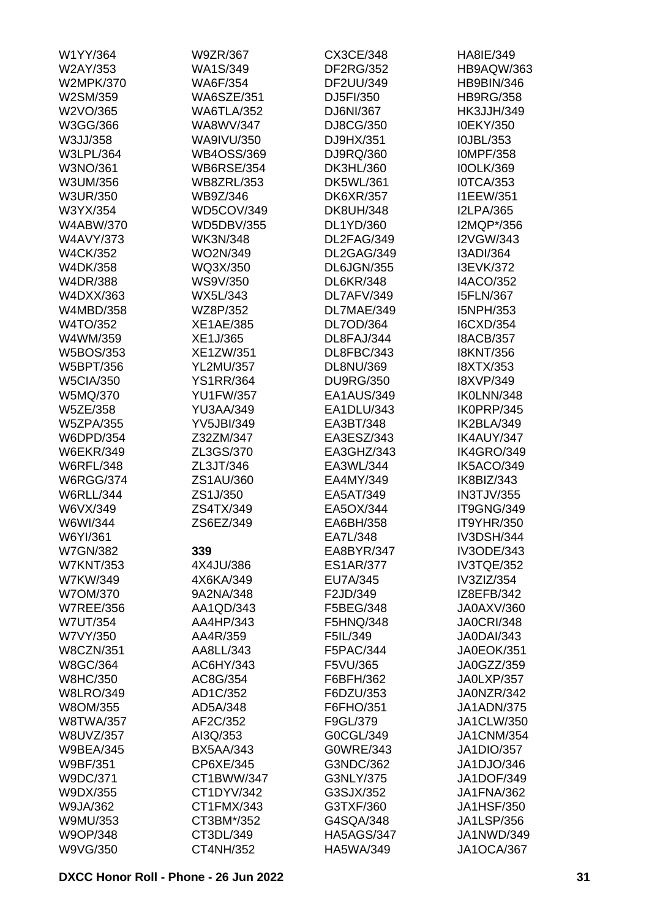| W1YY/364         | W9ZR/367          | CX3CE/348         | HA8IE/349         |
|------------------|-------------------|-------------------|-------------------|
| W2AY/353         | WA1S/349          | <b>DF2RG/352</b>  | HB9AQW/363        |
| <b>W2MPK/370</b> | <b>WA6F/354</b>   | DF2UU/349         | <b>HB9BIN/346</b> |
| W2SM/359         | <b>WA6SZE/351</b> | DJ5FI/350         | <b>HB9RG/358</b>  |
| W2VO/365         | <b>WA6TLA/352</b> | DJ6NI/367         | <b>HK3JJH/349</b> |
| W3GG/366         | WA8WV/347         | DJ8CG/350         | <b>I0EKY/350</b>  |
| W3JJ/358         | WA9IVU/350        | DJ9HX/351         | I0JBL/353         |
| <b>W3LPL/364</b> | <b>WB4OSS/369</b> | DJ9RQ/360         | <b>IOMPF/358</b>  |
| W3NO/361         | <b>WB6RSE/354</b> | DK3HL/360         | <b>IOOLK/369</b>  |
| W3UM/356         | <b>WB8ZRL/353</b> | DK5WL/361         | <b>IOTCA/353</b>  |
| <b>W3UR/350</b>  | WB9Z/346          | <b>DK6XR/357</b>  | <b>I1EEW/351</b>  |
| W3YX/354         | WD5COV/349        | <b>DK8UH/348</b>  | <b>I2LPA/365</b>  |
| W4ABW/370        | <b>WD5DBV/355</b> | DL1YD/360         | I2MQP*/356        |
| <b>W4AVY/373</b> | <b>WK3N/348</b>   | DL2FAG/349        | <b>I2VGW/343</b>  |
| <b>W4CK/352</b>  | WO2N/349          | DL2GAG/349        | I3ADI/364         |
| W4DK/358         | WQ3X/350          | DL6JGN/355        | <b>I3EVK/372</b>  |
| W4DR/388         | WS9V/350          | <b>DL6KR/348</b>  | <b>I4ACO/352</b>  |
|                  |                   |                   | <b>I5FLN/367</b>  |
| W4DXX/363        | WX5L/343          | DL7AFV/349        |                   |
| W4MBD/358        | WZ8P/352          | DL7MAE/349        | I5NPH/353         |
| W4TO/352         | <b>XE1AE/385</b>  | DL7OD/364         | I6CXD/354         |
| W4WM/359         | XE1J/365          | DL8FAJ/344        | <b>I8ACB/357</b>  |
| W5BOS/353        | XE1ZW/351         | DL8FBC/343        | <b>I8KNT/356</b>  |
| W5BPT/356        | <b>YL2MU/357</b>  | DL8NU/369         | <b>I8XTX/353</b>  |
| <b>W5CIA/350</b> | <b>YS1RR/364</b>  | <b>DU9RG/350</b>  | <b>I8XVP/349</b>  |
| W5MQ/370         | <b>YU1FW/357</b>  | EA1AUS/349        | IK0LNN/348        |
| <b>W5ZE/358</b>  | <b>YU3AA/349</b>  | EA1DLU/343        | IK0PRP/345        |
| <b>W5ZPA/355</b> | <b>YV5JBI/349</b> | EA3BT/348         | IK2BLA/349        |
| W6DPD/354        | Z32ZM/347         | EA3ESZ/343        | IK4AUY/347        |
| <b>W6EKR/349</b> | ZL3GS/370         | EA3GHZ/343        | IK4GRO/349        |
| <b>W6RFL/348</b> | ZL3JT/346         | EA3WL/344         | IK5ACO/349        |
| <b>W6RGG/374</b> | ZS1AU/360         | EA4MY/349         | IK8BIZ/343        |
| <b>W6RLL/344</b> | ZS1J/350          | EA5AT/349         | <b>IN3TJV/355</b> |
| W6VX/349         | ZS4TX/349         | EA5OX/344         | IT9GNG/349        |
| W6WI/344         | ZS6EZ/349         | EA6BH/358         | <b>IT9YHR/350</b> |
| W6YI/361         |                   | FA71 /348         | <b>IV3DSH/344</b> |
| <b>W7GN/382</b>  | 339               | EA8BYR/347        | <b>IV3ODE/343</b> |
| <b>W7KNT/353</b> | 4X4JU/386         | <b>ES1AR/377</b>  | IV3TQE/352        |
| W7KW/349         | 4X6KA/349         | EU7A/345          | IV3ZIZ/354        |
| W7OM/370         | 9A2NA/348         | F2JD/349          | IZ8EFB/342        |
| <b>W7REE/356</b> | AA1QD/343         | F5BEG/348         | JA0AXV/360        |
| <b>W7UT/354</b>  | AA4HP/343         | F5HNQ/348         | <b>JA0CRI/348</b> |
| W7VY/350         | AA4R/359          | F5IL/349          | <b>JA0DAI/343</b> |
| <b>W8CZN/351</b> | AA8LL/343         | F5PAC/344         | <b>JA0EOK/351</b> |
| W8GC/364         | AC6HY/343         | F5VU/365          | JA0GZZ/359        |
| <b>W8HC/350</b>  | AC8G/354          | F6BFH/362         | JA0LXP/357        |
| <b>W8LRO/349</b> | AD1C/352          | F6DZU/353         | JA0NZR/342        |
| W8OM/355         | AD5A/348          | F6FHO/351         | <b>JA1ADN/375</b> |
| <b>W8TWA/357</b> | AF2C/352          | F9GL/379          | JA1CLW/350        |
|                  |                   |                   |                   |
| W8UVZ/357        | AI3Q/353          | G0CGL/349         | <b>JA1CNM/354</b> |
| <b>W9BEA/345</b> | <b>BX5AA/343</b>  | G0WRE/343         | JA1DIO/357        |
| W9BF/351         | CP6XE/345         | G3NDC/362         | JA1DJO/346        |
| W9DC/371         | CT1BWW/347        | G3NLY/375         | <b>JA1DOF/349</b> |
| W9DX/355         | CT1DYV/342        | G3SJX/352         | JA1FNA/362        |
| W9JA/362         | CT1FMX/343        | G3TXF/360         | <b>JA1HSF/350</b> |
| W9MU/353         | CT3BM*/352        | G4SQA/348         | <b>JA1LSP/356</b> |
| W9OP/348         | CT3DL/349         | <b>HA5AGS/347</b> | JA1NWD/349        |
| W9VG/350         | CT4NH/352         | HA5WA/349         | <b>JA1OCA/367</b> |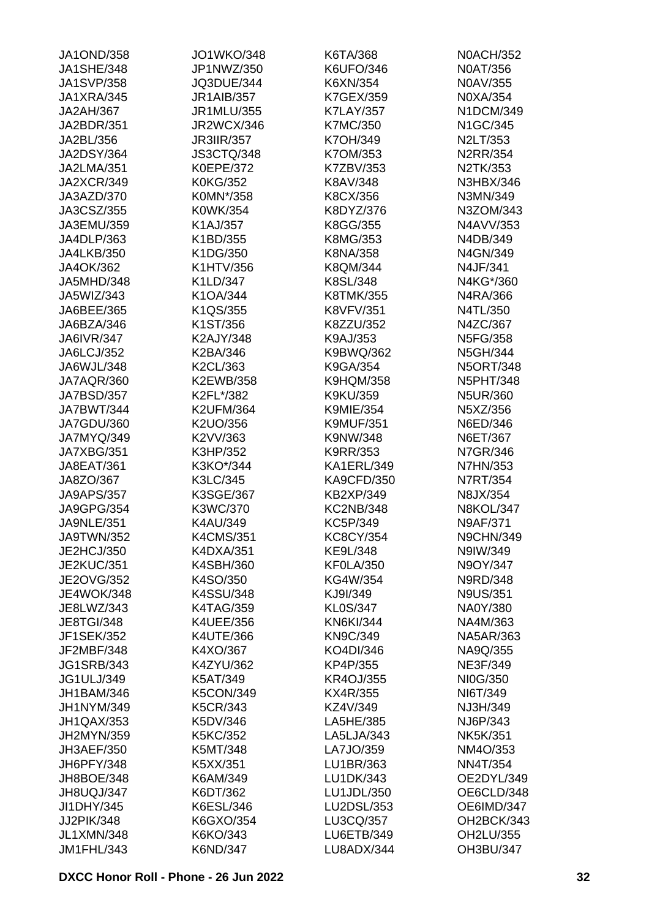| <b>JA1OND/358</b> | <b>JO1WKO/348</b> | K6TA/368          | <b>N0ACH/352</b> |
|-------------------|-------------------|-------------------|------------------|
| <b>JA1SHE/348</b> | JP1NWZ/350        | K6UFO/346         | <b>N0AT/356</b>  |
| <b>JA1SVP/358</b> | JQ3DUE/344        | K6XN/354          | N0AV/355         |
| JA1XRA/345        | <b>JR1AIB/357</b> | K7GEX/359         | N0XA/354         |
| <b>JA2AH/367</b>  | JR1MLU/355        | <b>K7LAY/357</b>  | N1DCM/349        |
| JA2BDR/351        | <b>JR2WCX/346</b> | <b>K7MC/350</b>   | N1GC/345         |
| JA2BL/356         | <b>JR3IIR/357</b> | K7OH/349          | N2LT/353         |
| <b>JA2DSY/364</b> | <b>JS3CTQ/348</b> | K7OM/353          | <b>N2RR/354</b>  |
| JA2LMA/351        | <b>K0EPE/372</b>  | K7ZBV/353         | N2TK/353         |
| <b>JA2XCR/349</b> | <b>K0KG/352</b>   | K8AV/348          | N3HBX/346        |
| JA3AZD/370        | K0MN*/358         | K8CX/356          | N3MN/349         |
| JA3CSZ/355        | K0WK/354          | K8DYZ/376         | N3ZOM/343        |
| JA3EMU/359        | K1AJ/357          | K8GG/355          | N4AVV/353        |
| JA4DLP/363        | K1BD/355          | K8MG/353          | N4DB/349         |
| <b>JA4LKB/350</b> | K1DG/350          | K8NA/358          | N4GN/349         |
| JA4OK/362         | K1HTV/356         | K8QM/344          | N4JF/341         |
| JA5MHD/348        | K1LD/347          | K8SL/348          | N4KG*/360        |
| JA5WIZ/343        | K1OA/344          | <b>K8TMK/355</b>  | N4RA/366         |
| JA6BEE/365        | K1QS/355          | <b>K8VFV/351</b>  | N4TL/350         |
| JA6BZA/346        |                   | K8ZZU/352         |                  |
|                   | K1ST/356          |                   | N4ZC/367         |
| <b>JA6IVR/347</b> | K2AJY/348         | K9AJ/353          | N5FG/358         |
| JA6LCJ/352        | K2BA/346          | K9BWQ/362         | N5GH/344         |
| JA6WJL/348        | K2CL/363          | K9GA/354          | <b>N5ORT/348</b> |
| JA7AQR/360        | K2EWB/358         | <b>K9HQM/358</b>  | <b>N5PHT/348</b> |
| JA7BSD/357        | K2FL*/382         | K9KU/359          | <b>N5UR/360</b>  |
| JA7BWT/344        | <b>K2UFM/364</b>  | <b>K9MIE/354</b>  | N5XZ/356         |
| JA7GDU/360        | K2UO/356          | <b>K9MUF/351</b>  | N6ED/346         |
| JA7MYQ/349        | K2VV/363          | K9NW/348          | N6ET/367         |
| JA7XBG/351        | K3HP/352          | K9RR/353          | N7GR/346         |
| JA8EAT/361        | K3KO*/344         | KA1ERL/349        | N7HN/353         |
| JA8ZO/367         | K3LC/345          | <b>KA9CFD/350</b> | N7RT/354         |
| <b>JA9APS/357</b> | K3SGE/367         | <b>KB2XP/349</b>  | N8JX/354         |
| <b>JA9GPG/354</b> | K3WC/370          | <b>KC2NB/348</b>  | <b>N8KOL/347</b> |
| <b>JA9NLE/351</b> | K4AU/349          | KC5P/349          | <b>N9AF/371</b>  |
| JA9TWN/352        | <b>K4CMS/351</b>  | KC8CY/354         | <b>N9CHN/349</b> |
| JE2HCJ/350        | K4DXA/351         | KE9L/348          | N9IW/349         |
| <b>JE2KUC/351</b> | K4SBH/360         | <b>KF0LA/350</b>  | N9OY/347         |
| <b>JE2OVG/352</b> | K4SO/350          | KG4W/354          | N9RD/348         |
| <b>JE4WOK/348</b> | K4SSU/348         | KJ9I/349          | <b>N9US/351</b>  |
| JE8LWZ/343        | <b>K4TAG/359</b>  | <b>KL0S/347</b>   | NA0Y/380         |
| <b>JE8TGI/348</b> | <b>K4UEE/356</b>  | <b>KN6KI/344</b>  | NA4M/363         |
| <b>JF1SEK/352</b> | K4UTE/366         | <b>KN9C/349</b>   | <b>NA5AR/363</b> |
| JF2MBF/348        | K4XO/367          | KO4DI/346         | NA9Q/355         |
| <b>JG1SRB/343</b> | K4ZYU/362         | KP4P/355          | <b>NE3F/349</b>  |
| <b>JG1ULJ/349</b> | K5AT/349          | <b>KR4OJ/355</b>  | NI0G/350         |
| <b>JH1BAM/346</b> | <b>K5CON/349</b>  | KX4R/355          | NI6T/349         |
| JH1NYM/349        | <b>K5CR/343</b>   | KZ4V/349          | NJ3H/349         |
| JH1QAX/353        | K5DV/346          | LA5HE/385         | NJ6P/343         |
| JH2MYN/359        | <b>K5KC/352</b>   | LA5LJA/343        | <b>NK5K/351</b>  |
| JH3AEF/350        | K5MT/348          | LA7JO/359         | NM4O/353         |
| JH6PFY/348        | K5XX/351          | LU1BR/363         | <b>NN4T/354</b>  |
| JH8BOE/348        | K6AM/349          | LU1DK/343         | OE2DYL/349       |
| JH8UQJ/347        | K6DT/362          | LU1JDL/350        | OE6CLD/348       |
| JI1DHY/345        | K6ESL/346         | LU2DSL/353        | OE6IMD/347       |
| JJ2PIK/348        | K6GXO/354         | LU3CQ/357         | OH2BCK/343       |
| <b>JL1XMN/348</b> | K6KO/343          | <b>LU6ETB/349</b> | OH2LU/355        |
| JM1FHL/343        | K6ND/347          | LU8ADX/344        | OH3BU/347        |
|                   |                   |                   |                  |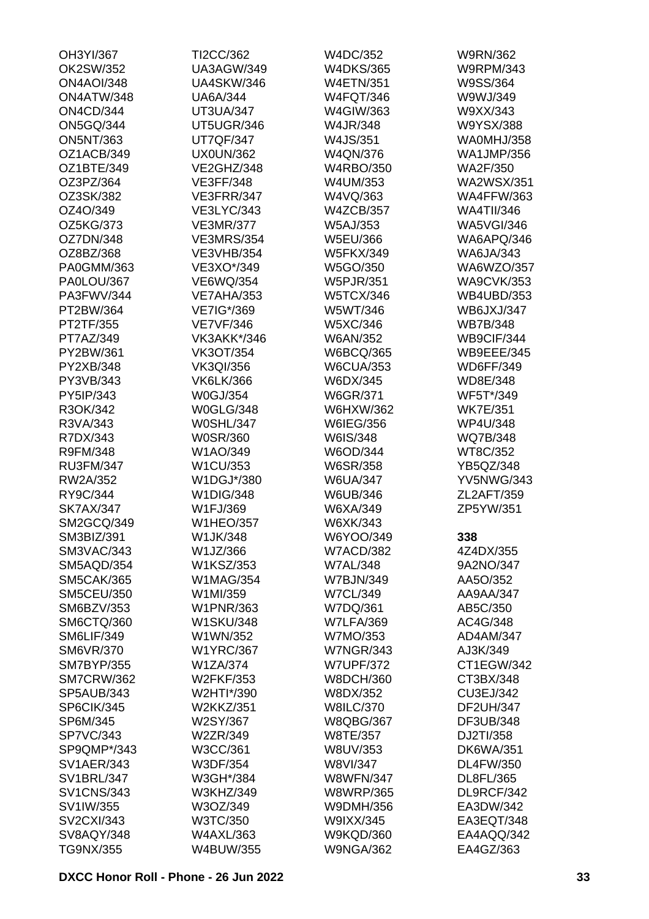| OH3YI/367         | TI2CC/362         | W4DC/352         | W9RN/362          |
|-------------------|-------------------|------------------|-------------------|
| OK2SW/352         | <b>UA3AGW/349</b> | <b>W4DKS/365</b> | <b>W9RPM/343</b>  |
| <b>ON4AOI/348</b> | <b>UA4SKW/346</b> | <b>W4ETN/351</b> | W9SS/364          |
| ON4ATW/348        | <b>UA6A/344</b>   | <b>W4FQT/346</b> | W9WJ/349          |
| <b>ON4CD/344</b>  | <b>UT3UA/347</b>  | W4GIW/363        | W9XX/343          |
| <b>ON5GQ/344</b>  | UT5UGR/346        | W4JR/348         | W9YSX/388         |
| <b>ON5NT/363</b>  | <b>UT7QF/347</b>  | W4JS/351         | WA0MHJ/358        |
| OZ1ACB/349        | <b>UX0UN/362</b>  | W4QN/376         | <b>WA1JMP/356</b> |
| OZ1BTE/349        | VE2GHZ/348        | <b>W4RBO/350</b> | <b>WA2F/350</b>   |
| OZ3PZ/364         | <b>VE3FF/348</b>  | W4UM/353         | <b>WA2WSX/351</b> |
| OZ3SK/382         | VE3FRR/347        | W4VQ/363         | <b>WA4FFW/363</b> |
| OZ4O/349          | <b>VE3LYC/343</b> | <b>W4ZCB/357</b> | <b>WA4TII/346</b> |
| OZ5KG/373         | <b>VE3MR/377</b>  | <b>W5AJ/353</b>  | <b>WA5VGI/346</b> |
| OZ7DN/348         | <b>VE3MRS/354</b> | W5EU/366         | WA6APQ/346        |
| OZ8BZ/368         | <b>VE3VHB/354</b> | <b>W5FKX/349</b> | <b>WA6JA/343</b>  |
| PA0GMM/363        | VE3XO*/349        | W5GO/350         | WA6WZO/357        |
| PA0LOU/367        | <b>VE6WQ/354</b>  | <b>W5PJR/351</b> | <b>WA9CVK/353</b> |
| PA3FWV/344        | <b>VE7AHA/353</b> | <b>W5TCX/346</b> | <b>WB4UBD/353</b> |
| PT2BW/364         | VE7IG*/369        | W5WT/346         | <b>WB6JXJ/347</b> |
| PT2TF/355         | <b>VE7VF/346</b>  | W5XC/346         | <b>WB7B/348</b>   |
| PT7AZ/349         | VK3AKK*/346       | <b>W6AN/352</b>  | WB9CIF/344        |
| PY2BW/361         | <b>VK3OT/354</b>  | <b>W6BCQ/365</b> | <b>WB9EEE/345</b> |
| PY2XB/348         | <b>VK3QI/356</b>  | <b>W6CUA/353</b> | <b>WD6FF/349</b>  |
| PY3VB/343         | <b>VK6LK/366</b>  | W6DX/345         | WD8E/348          |
| PY5IP/343         | W0GJ/354          |                  | WF5T*/349         |
|                   |                   | W6GR/371         |                   |
| R3OK/342          | <b>W0GLG/348</b>  | W6HXW/362        | <b>WK7E/351</b>   |
| R3VA/343          | <b>W0SHL/347</b>  | W6IEG/356        | <b>WP4U/348</b>   |
| R7DX/343          | W0SR/360          | W6IS/348         | WQ7B/348          |
| R9FM/348          | W1AO/349          | W6OD/344         | WT8C/352          |
| <b>RU3FM/347</b>  | W1CU/353          | <b>W6SR/358</b>  | YB5QZ/348         |
| RW2A/352          | W1DGJ*/380        | <b>W6UA/347</b>  | <b>YV5NWG/343</b> |
| RY9C/344          | <b>W1DIG/348</b>  | W6UB/346         | ZL2AFT/359        |
| <b>SK7AX/347</b>  | W1FJ/369          | W6XA/349         | ZP5YW/351         |
| SM2GCQ/349        | <b>W1HEO/357</b>  | W6XK/343         |                   |
| SM3BIZ/391        | W1JK/348          | W6YOO/349        | 338               |
| SM3VAC/343        | W1JZ/366          | <b>W7ACD/382</b> | 4Z4DX/355         |
| SM5AQD/354        | W1KSZ/353         | <b>W7AL/348</b>  | 9A2NO/347         |
| <b>SM5CAK/365</b> | <b>W1MAG/354</b>  | <b>W7BJN/349</b> | AA5O/352          |
| <b>SM5CEU/350</b> | W1MI/359          | <b>W7CL/349</b>  | AA9AA/347         |
| SM6BZV/353        | <b>W1PNR/363</b>  | W7DQ/361         | AB5C/350          |
| SM6CTQ/360        | <b>W1SKU/348</b>  | <b>W7LFA/369</b> | AC4G/348          |
| SM6LIF/349        | W1WN/352          | W7MO/353         | AD4AM/347         |
| <b>SM6VR/370</b>  | <b>W1YRC/367</b>  | <b>W7NGR/343</b> | AJ3K/349          |
| <b>SM7BYP/355</b> | W1ZA/374          | <b>W7UPF/372</b> | CT1EGW/342        |
| <b>SM7CRW/362</b> | <b>W2FKF/353</b>  | <b>W8DCH/360</b> | CT3BX/348         |
| SP5AUB/343        | W2HTI*/390        | W8DX/352         | CU3EJ/342         |
| SP6CIK/345        | <b>W2KKZ/351</b>  | <b>W8ILC/370</b> | <b>DF2UH/347</b>  |
| SP6M/345          | W2SY/367          | <b>W8QBG/367</b> | DF3UB/348         |
| <b>SP7VC/343</b>  | W2ZR/349          | W8TE/357         | DJ2TI/358         |
| SP9QMP*/343       | W3CC/361          | W8UV/353         | <b>DK6WA/351</b>  |
| <b>SV1AER/343</b> | W3DF/354          | W8VI/347         | DL4FW/350         |
| <b>SV1BRL/347</b> | W3GH*/384         | <b>W8WFN/347</b> | DL8FL/365         |
| <b>SV1CNS/343</b> | W3KHZ/349         | <b>W8WRP/365</b> | DL9RCF/342        |
| SV1IW/355         | W3OZ/349          | W9DMH/356        | EA3DW/342         |
| <b>SV2CXI/343</b> | W3TC/350          | W9IXX/345        | EA3EQT/348        |
| SV8AQY/348        | <b>W4AXL/363</b>  | <b>W9KQD/360</b> | EA4AQQ/342        |
| TG9NX/355         | W4BUW/355         | <b>W9NGA/362</b> | EA4GZ/363         |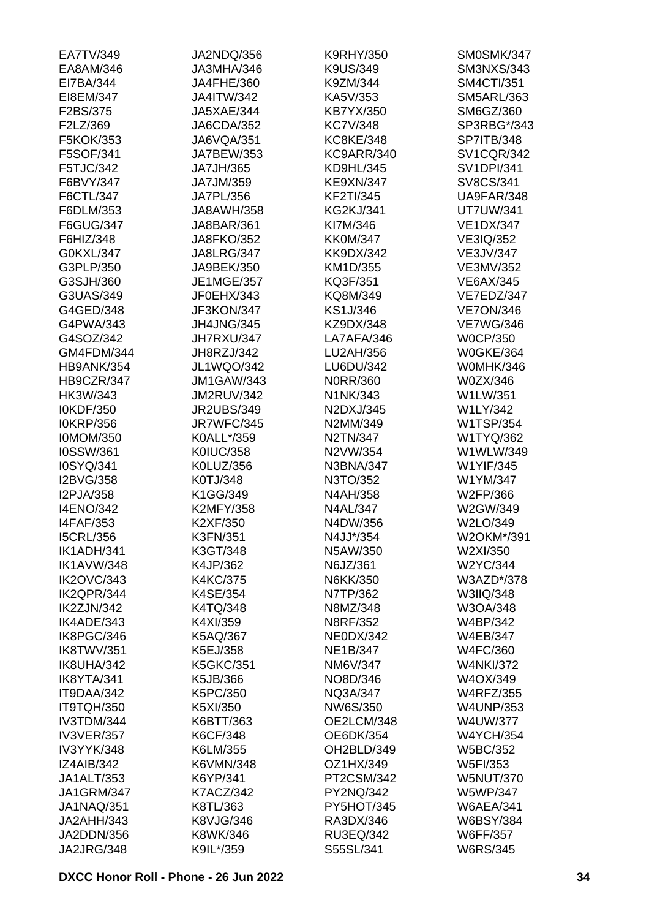| EA7TV/349         | JA2NDQ/356        | <b>K9RHY/350</b>        | SM0SMK/347        |
|-------------------|-------------------|-------------------------|-------------------|
| EA8AM/346         | JA3MHA/346        | K9US/349                | <b>SM3NXS/343</b> |
| EI7BA/344         | JA4FHE/360        | K9ZM/344                | <b>SM4CTI/351</b> |
| EI8EM/347         | <b>JA4ITW/342</b> | KA5V/353                | <b>SM5ARL/363</b> |
| F2BS/375          | JA5XAE/344        | KB7YX/350               | SM6GZ/360         |
| F2LZ/369          | JA6CDA/352        | <b>KC7V/348</b>         | SP3RBG*/343       |
| F5KOK/353         | JA6VQA/351        | <b>KC8KE/348</b>        | <b>SP7ITB/348</b> |
| F5SOF/341         | JA7BEW/353        | KC9ARR/340              | <b>SV1CQR/342</b> |
| F5TJC/342         | JA7JH/365         | KD9HL/345               | <b>SV1DPI/341</b> |
| F6BVY/347         | JA7JM/359         | <b>KE9XN/347</b>        | SV8CS/341         |
| F6CTL/347         | JA7PL/356         | <b>KF2TI/345</b>        | UA9FAR/348        |
| F6DLM/353         | <b>JA8AWH/358</b> | <b>KG2KJ/341</b>        | <b>UT7UW/341</b>  |
| F6GUG/347         | JA8BAR/361        | KI7M/346                | <b>VE1DX/347</b>  |
| F6HIZ/348         | <b>JA8FKO/352</b> | <b>KK0M/347</b>         | VE3IQ/352         |
| G0KXL/347         | <b>JA8LRG/347</b> | <b>KK9DX/342</b>        | <b>VE3JV/347</b>  |
| G3PLP/350         | JA9BEK/350        | KM1D/355                | VE3MV/352         |
| G3SJH/360         | <b>JE1MGE/357</b> | KQ3F/351                | <b>VE6AX/345</b>  |
| G3UAS/349         | JF0EHX/343        | KQ8M/349                | VE7EDZ/347        |
| G4GED/348         | JF3KON/347        | KS1J/346                | <b>VE7ON/346</b>  |
| G4PWA/343         | <b>JH4JNG/345</b> |                         |                   |
|                   |                   | KZ9DX/348<br>LA7AFA/346 | <b>VE7WG/346</b>  |
| G4SOZ/342         | JH7RXU/347        |                         | <b>W0CP/350</b>   |
| GM4FDM/344        | JH8RZJ/342        | LU2AH/356               | <b>W0GKE/364</b>  |
| HB9ANK/354        | <b>JL1WQO/342</b> | LU6DU/342               | W0MHK/346         |
| HB9CZR/347        | <b>JM1GAW/343</b> | N0RR/360                | W0ZX/346          |
| HK3W/343          | <b>JM2RUV/342</b> | N1NK/343                | W1LW/351          |
| I0KDF/350         | <b>JR2UBS/349</b> | N2DXJ/345               | W1LY/342          |
| <b>I0KRP/356</b>  | JR7WFC/345        | N2MM/349                | <b>W1TSP/354</b>  |
| <b>I0MOM/350</b>  | K0ALL*/359        | N2TN/347                | W1TYQ/362         |
| I0SSW/361         | <b>K0IUC/358</b>  | N2VW/354                | W1WLW/349         |
| I0SYQ/341         | K0LUZ/356         | N3BNA/347               | <b>W1YIF/345</b>  |
| I2BVG/358         | K0TJ/348          | N3TO/352                | W1YM/347          |
| I2PJA/358         | K1GG/349          | N4AH/358                | W2FP/366          |
| <b>I4ENO/342</b>  | <b>K2MFY/358</b>  | <b>N4AL/347</b>         | W2GW/349          |
| <b>I4FAF/353</b>  | K2XF/350          | N4DW/356                | W2LO/349          |
| <b>I5CRL/356</b>  | K3FN/351          | N4JJ*/354               | W2OKM*/391        |
| IK1ADH/341        | K3GT/348          | N5AW/350                | W2XI/350          |
| <b>IK1AVW/348</b> | K4JP/362          | N6JZ/361                | W2YC/344          |
| <b>IK2OVC/343</b> | <b>K4KC/375</b>   | N6KK/350                | W3AZD*/378        |
| IK2QPR/344        | K4SE/354          | N7TP/362                | W3IIQ/348         |
| IK2ZJN/342        | K4TQ/348          | N8MZ/348                | W3OA/348          |
| IK4ADE/343        | K4XI/359          | N8RF/352                | W4BP/342          |
| IK8PGC/346        | K5AQ/367          | <b>NE0DX/342</b>        | <b>W4EB/347</b>   |
| IK8TWV/351        | K5EJ/358          | NE1B/347                | <b>W4FC/360</b>   |
| IK8UHA/342        | <b>K5GKC/351</b>  | NM6V/347                | <b>W4NKI/372</b>  |
| IK8YTA/341        | K5JB/366          | NO8D/346                | W4OX/349          |
| IT9DAA/342        | K5PC/350          | NQ3A/347                | <b>W4RFZ/355</b>  |
| IT9TQH/350        | K5XI/350          | NW6S/350                | <b>W4UNP/353</b>  |
| IV3TDM/344        | K6BTT/363         | OE2LCM/348              | <b>W4UW/377</b>   |
| <b>IV3VER/357</b> | K6CF/348          | OE6DK/354               | <b>W4YCH/354</b>  |
| IV3YYK/348        | K6LM/355          | OH2BLD/349              | <b>W5BC/352</b>   |
| <b>IZ4AIB/342</b> | K6VMN/348         | OZ1HX/349               | W5FI/353          |
| JA1ALT/353        | K6YP/341          | PT2CSM/342              | <b>W5NUT/370</b>  |
| <b>JA1GRM/347</b> | <b>K7ACZ/342</b>  | PY2NQ/342               | <b>W5WP/347</b>   |
| <b>JA1NAQ/351</b> | K8TL/363          | PY5HOT/345              | <b>W6AEA/341</b>  |
| JA2AHH/343        | K8VJG/346         | RA3DX/346               | <b>W6BSY/384</b>  |
| JA2DDN/356        | K8WK/346          | RU3EQ/342               | W6FF/357          |
| JA2JRG/348        | K9IL*/359         | S55SL/341               | <b>W6RS/345</b>   |
|                   |                   |                         |                   |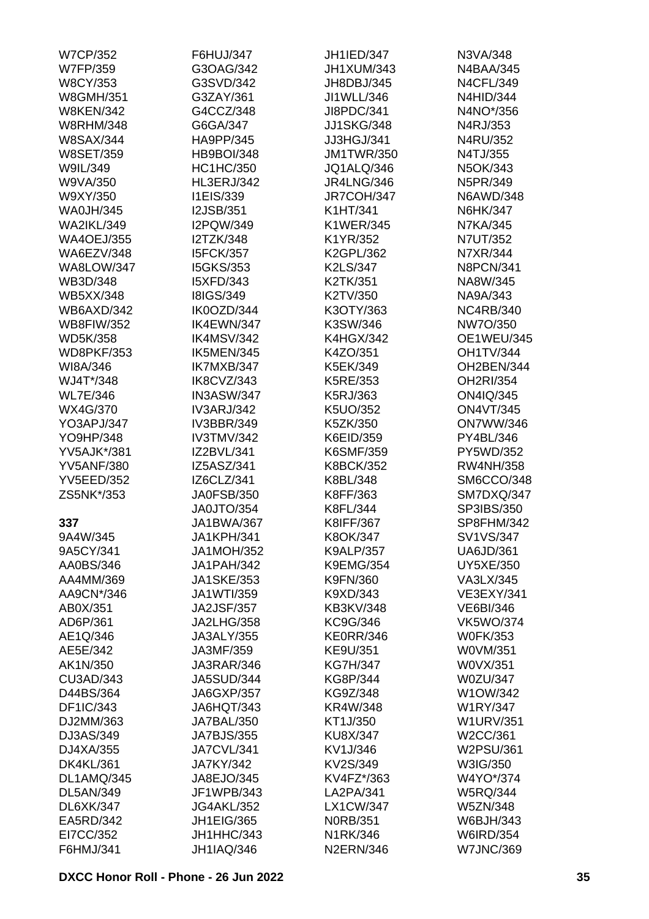| <b>W7CP/352</b>                | F6HUJ/347         | <b>JH1IED/347</b> | N3VA/348          |
|--------------------------------|-------------------|-------------------|-------------------|
| <b>W7FP/359</b>                | G3OAG/342         | JH1XUM/343        | <b>N4BAA/345</b>  |
| <b>W8CY/353</b>                | G3SVD/342         | JH8DBJ/345        | <b>N4CFL/349</b>  |
| <b>W8GMH/351</b>               | G3ZAY/361         | JI1WLL/346        | <b>N4HID/344</b>  |
| <b>W8KEN/342</b>               | G4CCZ/348         | JI8PDC/341        | N4NO*/356         |
| <b>W8RHM/348</b>               | G6GA/347          | <b>JJ1SKG/348</b> | N4RJ/353          |
| <b>W8SAX/344</b>               | HA9PP/345         | JJ3HGJ/341        | N4RU/352          |
| <b>W8SET/359</b>               | <b>HB9BOI/348</b> | <b>JM1TWR/350</b> | N4TJ/355          |
| W9IL/349                       | <b>HC1HC/350</b>  | JQ1ALQ/346        | N5OK/343          |
| W9VA/350                       | <b>HL3ERJ/342</b> | <b>JR4LNG/346</b> | N5PR/349          |
| W9XY/350                       | I1EIS/339         | JR7COH/347        | <b>N6AWD/348</b>  |
| <b>WA0JH/345</b>               | <b>I2JSB/351</b>  | K1HT/341          | N6HK/347          |
| <b>WA2IKL/349</b>              | I2PQW/349         | <b>K1WER/345</b>  | <b>N7KA/345</b>   |
| <b>WA4OEJ/355</b>              | <b>I2TZK/348</b>  | K1YR/352          | N7UT/352          |
| WA6EZV/348                     | <b>I5FCK/357</b>  | K2GPL/362         | N7XR/344          |
| <b>WA8LOW/347</b>              | <b>I5GKS/353</b>  | K2LS/347          | <b>N8PCN/341</b>  |
| WB3D/348                       | <b>I5XFD/343</b>  | K2TK/351          | NA8W/345          |
|                                | <b>I8IGS/349</b>  |                   |                   |
| <b>WB5XX/348</b><br>WB6AXD/342 |                   | K2TV/350          | NA9A/343          |
|                                | IK0OZD/344        | K3OTY/363         | <b>NC4RB/340</b>  |
| <b>WB8FIW/352</b>              | IK4EWN/347        | K3SW/346          | NW7O/350          |
| <b>WD5K/358</b>                | IK4MSV/342        | <b>K4HGX/342</b>  | <b>OE1WEU/345</b> |
| <b>WD8PKF/353</b>              | IK5MEN/345        | K4ZO/351          | <b>OH1TV/344</b>  |
| WI8A/346                       | IK7MXB/347        | K5EK/349          | OH2BEN/344        |
| WJ4T*/348                      | IK8CVZ/343        | K5RE/353          | OH2RI/354         |
| <b>WL7E/346</b>                | IN3ASW/347        | K5RJ/363          | <b>ON4IQ/345</b>  |
| WX4G/370                       | <b>IV3ARJ/342</b> | K5UO/352          | <b>ON4VT/345</b>  |
| YO3APJ/347                     | <b>IV3BBR/349</b> | K5ZK/350          | <b>ON7WW/346</b>  |
| YO9HP/348                      | <b>IV3TMV/342</b> | K6EID/359         | PY4BL/346         |
| <b>YV5AJK*/381</b>             | IZ2BVL/341        | K6SMF/359         | PY5WD/352         |
| <b>YV5ANF/380</b>              | IZ5ASZ/341        | <b>K8BCK/352</b>  | <b>RW4NH/358</b>  |
| <b>YV5EED/352</b>              | IZ6CLZ/341        | K8BL/348          | SM6CCO/348        |
| ZS5NK*/353                     | <b>JA0FSB/350</b> | K8FF/363          | SM7DXQ/347        |
|                                | JA0JTO/354        | K8FL/344          | SP3IBS/350        |
| 337                            | <b>JA1BWA/367</b> | K8IFF/367         | SP8FHM/342        |
| 9A4W/345                       | JA1KPH/341        | K8OK/347          | SV1VS/347         |
| 9A5CY/341                      | <b>JA1MOH/352</b> | <b>K9ALP/357</b>  | <b>UA6JD/361</b>  |
| AA0BS/346                      | JA1PAH/342        | <b>K9EMG/354</b>  | <b>UY5XE/350</b>  |
| AA4MM/369                      | <b>JA1SKE/353</b> | K9FN/360          | VA3LX/345         |
| AA9CN*/346                     | JA1WTI/359        | K9XD/343          | <b>VE3EXY/341</b> |
| AB0X/351                       | <b>JA2JSF/357</b> | <b>KB3KV/348</b>  | <b>VE6BI/346</b>  |
| AD6P/361                       | <b>JA2LHG/358</b> | KC9G/346          | <b>VK5WO/374</b>  |
| AE1Q/346                       | <b>JA3ALY/355</b> | <b>KE0RR/346</b>  | <b>W0FK/353</b>   |
| AE5E/342                       | JA3MF/359         | KE9U/351          | W0VM/351          |
| AK1N/350                       | JA3RAR/346        | <b>KG7H/347</b>   | W0VX/351          |
| CU3AD/343                      | <b>JA5SUD/344</b> | KG8P/344          | <b>W0ZU/347</b>   |
| D44BS/364                      | <b>JA6GXP/357</b> | KG9Z/348          | W1OW/342          |
| DF1IC/343                      | JA6HQT/343        | KR4W/348          | <b>W1RY/347</b>   |
| DJ2MM/363                      | JA7BAL/350        | KT1J/350          | <b>W1URV/351</b>  |
| DJ3AS/349                      | <b>JA7BJS/355</b> | <b>KU8X/347</b>   | W2CC/361          |
| DJ4XA/355                      | JA7CVL/341        | KV1J/346          | W2PSU/361         |
| <b>DK4KL/361</b>               | <b>JA7KY/342</b>  | KV2S/349          | W3IG/350          |
| DL1AMQ/345                     | JA8EJO/345        | KV4FZ*/363        | W4YO*/374         |
| DL5AN/349                      | JF1WPB/343        | LA2PA/341         | <b>W5RQ/344</b>   |
| DL6XK/347                      | <b>JG4AKL/352</b> | <b>LX1CW/347</b>  | <b>W5ZN/348</b>   |
| EA5RD/342                      | <b>JH1EIG/365</b> | <b>N0RB/351</b>   | W6BJH/343         |
| EI7CC/352                      | JH1HHC/343        | N1RK/346          | <b>W6IRD/354</b>  |
| F6HMJ/341                      | <b>JH1IAQ/346</b> | <b>N2ERN/346</b>  | <b>W7JNC/369</b>  |
|                                |                   |                   |                   |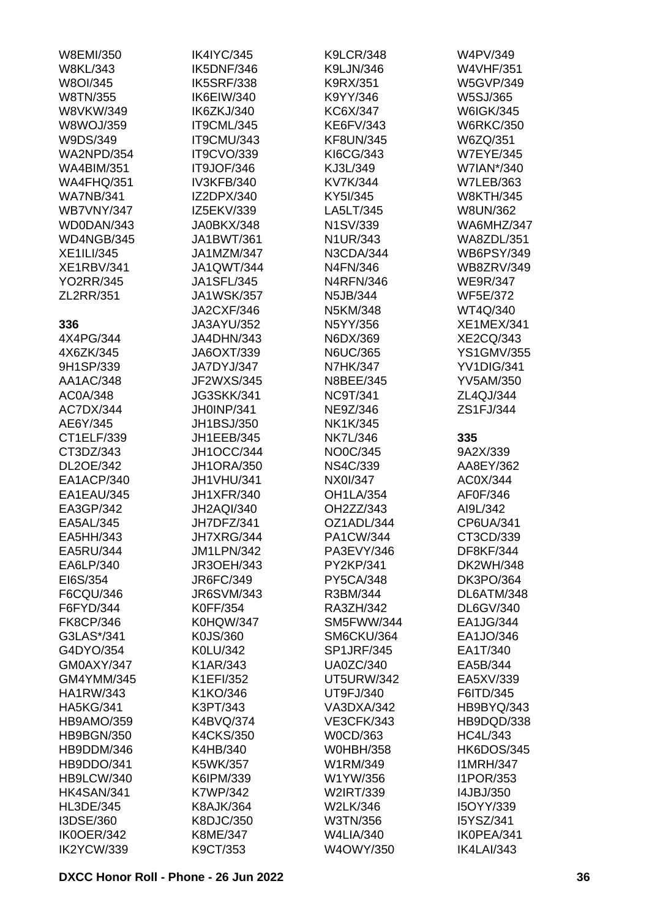| W8EMI/350         | <b>IK4IYC/345</b> | <b>K9LCR/348</b>  | W4PV/349          |
|-------------------|-------------------|-------------------|-------------------|
| <b>W8KL/343</b>   | IK5DNF/346        | K9LJN/346         | <b>W4VHF/351</b>  |
| W8OI/345          | <b>IK5SRF/338</b> | K9RX/351          | <b>W5GVP/349</b>  |
| W8TN/355          | IK6EIW/340        | K9YY/346          | W5SJ/365          |
| <b>W8VKW/349</b>  | IK6ZKJ/340        | KC6X/347          | <b>W6IGK/345</b>  |
| <b>W8WOJ/359</b>  | IT9CML/345        | KE6FV/343         | <b>W6RKC/350</b>  |
| W9DS/349          | IT9CMU/343        | <b>KF8UN/345</b>  | W6ZQ/351          |
| <b>WA2NPD/354</b> | <b>IT9CVO/339</b> | KI6CG/343         | <b>W7EYE/345</b>  |
| <b>WA4BIM/351</b> | IT9JOF/346        | KJ3L/349          | W7IAN*/340        |
| <b>WA4FHQ/351</b> | IV3KFB/340        | KV7K/344          | <b>W7LEB/363</b>  |
| <b>WA7NB/341</b>  | IZ2DPX/340        | KY5I/345          | <b>W8KTH/345</b>  |
| <b>WB7VNY/347</b> | IZ5EKV/339        | LA5LT/345         | W8UN/362          |
| WD0DAN/343        | JA0BKX/348        | N1SV/339          | WA6MHZ/347        |
| WD4NGB/345        | JA1BWT/361        | N1UR/343          | <b>WA8ZDL/351</b> |
| <b>XE1ILI/345</b> | JA1MZM/347        | N3CDA/344         | <b>WB6PSY/349</b> |
| <b>XE1RBV/341</b> | <b>JA1QWT/344</b> | N4FN/346          | <b>WB8ZRV/349</b> |
| <b>YO2RR/345</b>  |                   | <b>N4RFN/346</b>  |                   |
|                   | <b>JA1SFL/345</b> |                   | <b>WE9R/347</b>   |
| ZL2RR/351         | <b>JA1WSK/357</b> | N5JB/344          | <b>WF5E/372</b>   |
|                   | <b>JA2CXF/346</b> | N5KM/348          | WT4Q/340          |
| 336               | JA3AYU/352        | N5YY/356          | <b>XE1MEX/341</b> |
| 4X4PG/344         | JA4DHN/343        | N6DX/369          | <b>XE2CQ/343</b>  |
| 4X6ZK/345         | JA6OXT/339        | <b>N6UC/365</b>   | <b>YS1GMV/355</b> |
| 9H1SP/339         | JA7DYJ/347        | <b>N7HK/347</b>   | YV1DIG/341        |
| AA1AC/348         | JF2WXS/345        | N8BEE/345         | <b>YV5AM/350</b>  |
| AC0A/348          | <b>JG3SKK/341</b> | <b>NC9T/341</b>   | ZL4QJ/344         |
| AC7DX/344         | JH0INP/341        | NE9Z/346          | ZS1FJ/344         |
| AE6Y/345          | JH1BSJ/350        | NK1K/345          |                   |
| CT1ELF/339        | JH1EEB/345        | <b>NK7L/346</b>   | 335               |
| CT3DZ/343         | JH1OCC/344        | NO0C/345          | 9A2X/339          |
| DL2OE/342         | <b>JH1ORA/350</b> | <b>NS4C/339</b>   | AA8EY/362         |
| EA1ACP/340        | JH1VHU/341        | NX0I/347          | AC0X/344          |
| EA1EAU/345        | <b>JH1XFR/340</b> | <b>OH1LA/354</b>  | AF0F/346          |
| EA3GP/342         | <b>JH2AQI/340</b> | OH2ZZ/343         | AI9L/342          |
| EA5AL/345         | JH7DFZ/341        | OZ1ADL/344        | CP6UA/341         |
| EA5HH/343         | JH7XRG/344        | PA1CW/344         | CT3CD/339         |
| EA5RU/344         | JM1LPN/342        | PA3EVY/346        | <b>DF8KF/344</b>  |
| EA6LP/340         | <b>JR3OEH/343</b> | PY2KP/341         | <b>DK2WH/348</b>  |
| EI6S/354          | JR6FC/349         | <b>PY5CA/348</b>  | <b>DK3PO/364</b>  |
| F6CQU/346         | <b>JR6SVM/343</b> | R3BM/344          | DL6ATM/348        |
| F6FYD/344         | K0FF/354          | RA3ZH/342         | DL6GV/340         |
| <b>FK8CP/346</b>  | <b>K0HQW/347</b>  | SM5FWW/344        | EA1JG/344         |
| G3LAS*/341        | K0JS/360          | SM6CKU/364        | EA1JO/346         |
| G4DYO/354         | K0LU/342          | <b>SP1JRF/345</b> | EA1T/340          |
| GM0AXY/347        | K1AR/343          | <b>UA0ZC/340</b>  | EA5B/344          |
| GM4YMM/345        | K1EFI/352         | <b>UT5URW/342</b> | EA5XV/339         |
| <b>HA1RW/343</b>  | K1KO/346          | UT9FJ/340         | F6ITD/345         |
| <b>HA5KG/341</b>  | K3PT/343          | VA3DXA/342        | HB9BYQ/343        |
| <b>HB9AMO/359</b> | K4BVQ/374         | <b>VE3CFK/343</b> | HB9DQD/338        |
|                   |                   |                   |                   |
| <b>HB9BGN/350</b> | <b>K4CKS/350</b>  | W0CD/363          | <b>HC4L/343</b>   |
| HB9DDM/346        | K4HB/340          | <b>W0HBH/358</b>  | <b>HK6DOS/345</b> |
| HB9DDO/341        | K5WK/357          | W1RM/349          | <b>I1MRH/347</b>  |
| HB9LCW/340        | K6IPM/339         | W1YW/356          | <b>I1POR/353</b>  |
| HK4SAN/341        | K7WP/342          | W2IRT/339         | 14JBJ/350         |
| <b>HL3DE/345</b>  | <b>K8AJK/364</b>  | W2LK/346          | I5OYY/339         |
| I3DSE/360         | K8DJC/350         | W3TN/356          | I5YSZ/341         |
| IK0OER/342        | K8ME/347          | <b>W4LIA/340</b>  | IK0PEA/341        |
| IK2YCW/339        | K9CT/353          | W4OWY/350         | <b>IK4LAI/343</b> |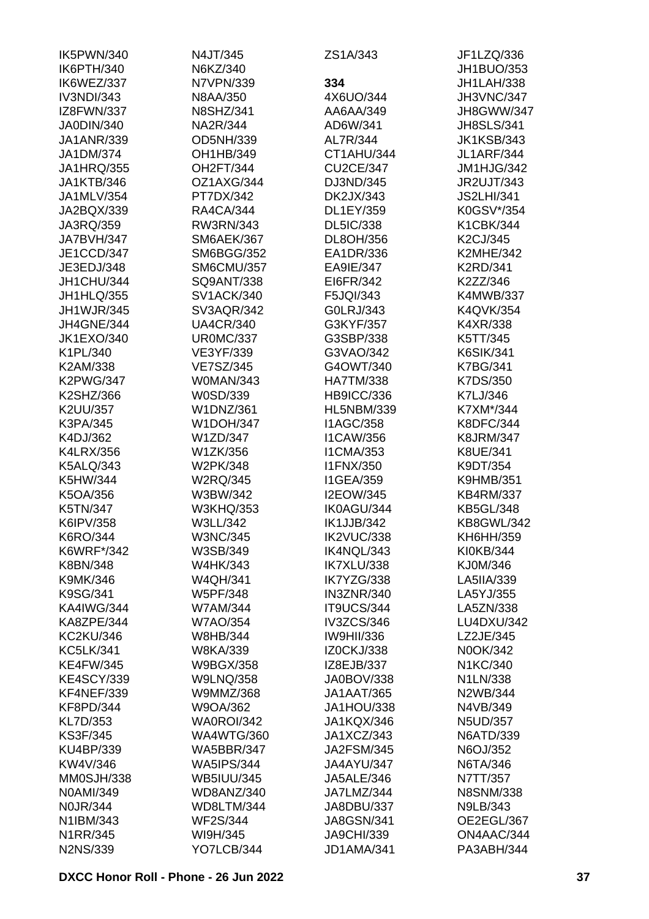| IK5PWN/340        | N4JT/345          | ZS1A/343          | JF1LZQ/336        |
|-------------------|-------------------|-------------------|-------------------|
| IK6PTH/340        | N6KZ/340          |                   | JH1BUO/353        |
| IK6WEZ/337        | N7VPN/339         | 334               | JH1LAH/338        |
| IV3NDI/343        | N8AA/350          | 4X6UO/344         | <b>JH3VNC/347</b> |
| IZ8FWN/337        | <b>N8SHZ/341</b>  | AA6AA/349         | JH8GWW/347        |
| JA0DIN/340        | NA2R/344          | AD6W/341          | <b>JH8SLS/341</b> |
| <b>JA1ANR/339</b> | OD5NH/339         | AL7R/344          | <b>JK1KSB/343</b> |
| JA1DM/374         | OH1HB/349         | CT1AHU/344        | <b>JL1ARF/344</b> |
| <b>JA1HRQ/355</b> | OH2FT/344         | <b>CU2CE/347</b>  | JM1HJG/342        |
| <b>JA1KTB/346</b> | OZ1AXG/344        | DJ3ND/345         | JR2UJT/343        |
| JA1MLV/354        | PT7DX/342         | DK2JX/343         | <b>JS2LHI/341</b> |
| JA2BQX/339        | <b>RA4CA/344</b>  | DL1EY/359         | K0GSV*/354        |
| JA3RQ/359         | RW3RN/343         | DL5IC/338         | K1CBK/344         |
| JA7BVH/347        | <b>SM6AEK/367</b> | DL8OH/356         | K2CJ/345          |
| JE1CCD/347        | <b>SM6BGG/352</b> | EA1DR/336         | <b>K2MHE/342</b>  |
| JE3EDJ/348        | <b>SM6CMU/357</b> | EA9IE/347         | <b>K2RD/341</b>   |
| JH1CHU/344        | SQ9ANT/338        | EI6FR/342         | K2ZZ/346          |
|                   |                   |                   |                   |
| JH1HLQ/355        | <b>SV1ACK/340</b> | F5JQI/343         | <b>K4MWB/337</b>  |
| <b>JH1WJR/345</b> | SV3AQR/342        | G0LRJ/343         | K4QVK/354         |
| JH4GNE/344        | <b>UA4CR/340</b>  | G3KYF/357         | K4XR/338          |
| <b>JK1EXO/340</b> | <b>UR0MC/337</b>  | G3SBP/338         | K5TT/345          |
| K1PL/340          | VE3YF/339         | G3VAO/342         | <b>K6SIK/341</b>  |
| K2AM/338          | <b>VE7SZ/345</b>  | G4OWT/340         | <b>K7BG/341</b>   |
| <b>K2PWG/347</b>  | W0MAN/343         | <b>HA7TM/338</b>  | K7DS/350          |
| K2SHZ/366         | W0SD/339          | <b>HB9ICC/336</b> | K7LJ/346          |
| K2UU/357          | <b>W1DNZ/361</b>  | <b>HL5NBM/339</b> | K7XM*/344         |
| K3PA/345          | <b>W1DOH/347</b>  | <b>I1AGC/358</b>  | <b>K8DFC/344</b>  |
| K4DJ/362          | W1ZD/347          | <b>I1CAW/356</b>  | <b>K8JRM/347</b>  |
| <b>K4LRX/356</b>  | W1ZK/356          | <b>I1CMA/353</b>  | <b>K8UE/341</b>   |
| <b>K5ALQ/343</b>  | W2PK/348          | <b>I1FNX/350</b>  | K9DT/354          |
| K5HW/344          | <b>W2RQ/345</b>   | <b>I1GEA/359</b>  | <b>K9HMB/351</b>  |
| K5OA/356          | W3BW/342          | <b>I2EOW/345</b>  | <b>KB4RM/337</b>  |
| K5TN/347          | <b>W3KHQ/353</b>  | IK0AGU/344        | <b>KB5GL/348</b>  |
| K6IPV/358         | W3LL/342          | IK1JJB/342        | <b>KB8GWL/342</b> |
| K6RO/344          | <b>W3NC/345</b>   | IK2VUC/338        | KH6HH/359         |
| K6WRF*/342        | W3SB/349          | IK4NQL/343        | KI0KB/344         |
| K8BN/348          | <b>W4HK/343</b>   | IK7XLU/338        | KJ0M/346          |
| K9MK/346          | <b>W4QH/341</b>   | IK7YZG/338        | LA5IIA/339        |
| K9SG/341          | <b>W5PF/348</b>   | <b>IN3ZNR/340</b> | LA5YJ/355         |
| <b>KA4IWG/344</b> | W7AM/344          | IT9UCS/344        | LA5ZN/338         |
| KA8ZPE/344        | <b>W7AO/354</b>   | <b>IV3ZCS/346</b> | LU4DXU/342        |
| <b>KC2KU/346</b>  | W8HB/344          | <b>IW9HII/336</b> | LZ2JE/345         |
| <b>KC5LK/341</b>  | <b>W8KA/339</b>   | <b>IZ0CKJ/338</b> | N0OK/342          |
| <b>KE4FW/345</b>  | <b>W9BGX/358</b>  | IZ8EJB/337        | N1KC/340          |
| <b>KE4SCY/339</b> | <b>W9LNQ/358</b>  | JA0BOV/338        | N1LN/338          |
| KF4NEF/339        | W9MMZ/368         | <b>JA1AAT/365</b> | N2WB/344          |
| <b>KF8PD/344</b>  | W9OA/362          | JA1HOU/338        | N4VB/349          |
| KL7D/353          | WA0ROI/342        | JA1KQX/346        | <b>N5UD/357</b>   |
| <b>KS3F/345</b>   | <b>WA4WTG/360</b> | JA1XCZ/343        | <b>N6ATD/339</b>  |
| KU4BP/339         | <b>WA5BBR/347</b> | <b>JA2FSM/345</b> | N6OJ/352          |
|                   |                   |                   |                   |
| KW4V/346          | <b>WA5IPS/344</b> | JA4AYU/347        | N6TA/346          |
| MM0SJH/338        | <b>WB5IUU/345</b> | JA5ALE/346        | N7TT/357          |
| N0AMI/349         | WD8ANZ/340        | JA7LMZ/344        | <b>N8SNM/338</b>  |
| <b>N0JR/344</b>   | WD8LTM/344        | JA8DBU/337        | N9LB/343          |
| N1IBM/343         | <b>WF2S/344</b>   | <b>JA8GSN/341</b> | OE2EGL/367        |
| N1RR/345          | WI9H/345          | <b>JA9CHI/339</b> | ON4AAC/344        |
| <b>N2NS/339</b>   | YO7LCB/344        | JD1AMA/341        | PA3ABH/344        |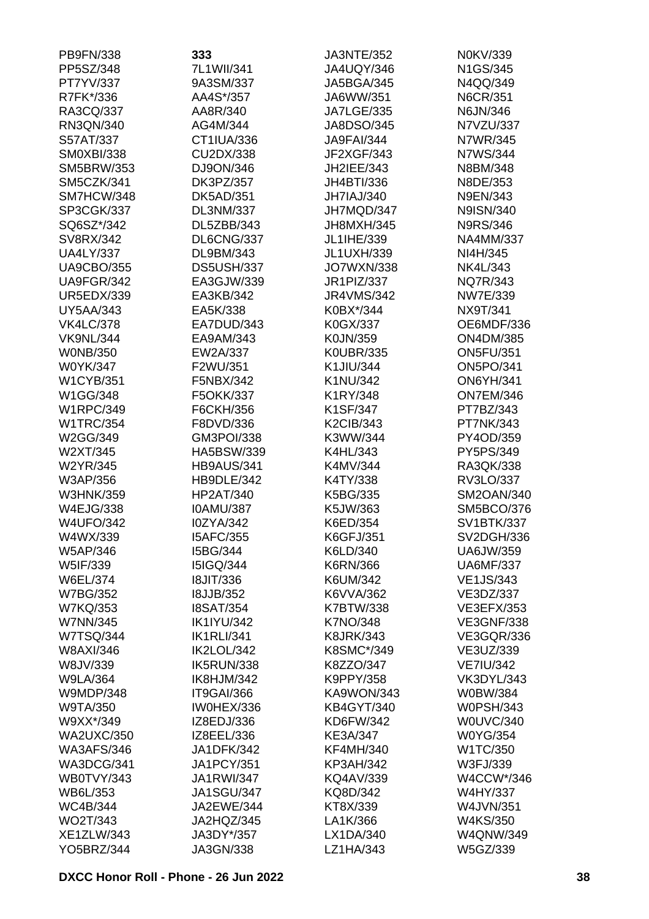| PB9FN/338                     | 333                                  | <b>JA3NTE/352</b>    | N0KV/339                        |
|-------------------------------|--------------------------------------|----------------------|---------------------------------|
| PP5SZ/348                     | 7L1WII/341                           | <b>JA4UQY/346</b>    | N1GS/345                        |
| PT7YV/337                     | 9A3SM/337                            | <b>JA5BGA/345</b>    | N4QQ/349                        |
| R7FK*/336                     | AA4S*/357                            | JA6WW/351            | N6CR/351                        |
| RA3CQ/337                     | AA8R/340                             | <b>JA7LGE/335</b>    | N6JN/346                        |
| RN3QN/340                     | AG4M/344                             | JA8DSO/345           | N7VZU/337                       |
| S57AT/337                     | CT1IUA/336                           | <b>JA9FAI/344</b>    | N7WR/345                        |
| <b>SM0XBI/338</b>             | CU2DX/338                            | JF2XGF/343           | N7WS/344                        |
| <b>SM5BRW/353</b>             | DJ9ON/346                            | JH2IEE/343           | N8BM/348                        |
| SM5CZK/341                    | DK3PZ/357                            | JH4BTI/336           | N8DE/353                        |
| SM7HCW/348                    | <b>DK5AD/351</b>                     | JH7IAJ/340           | N9EN/343                        |
| SP3CGK/337                    | DL3NM/337                            | JH7MQD/347           | N9ISN/340                       |
| SQ6SZ*/342                    | DL5ZBB/343                           | JH8MXH/345           | <b>N9RS/346</b>                 |
| SV8RX/342                     | DL6CNG/337                           | JL1IHE/339           | <b>NA4MM/337</b>                |
| <b>UA4LY/337</b>              | DL9BM/343                            | <b>JL1UXH/339</b>    | NI4H/345                        |
| <b>UA9CBO/355</b>             | DS5USH/337                           | <b>JO7WXN/338</b>    | NK4L/343                        |
| UA9FGR/342                    | EA3GJW/339                           | JR1PIZ/337           | NQ7R/343                        |
| <b>UR5EDX/339</b>             | EA3KB/342                            | <b>JR4VMS/342</b>    | <b>NW7E/339</b>                 |
| <b>UY5AA/343</b>              | EA5K/338                             | K0BX*/344            | NX9T/341                        |
| <b>VK4LC/378</b>              | EA7DUD/343                           | K0GX/337             | OE6MDF/336                      |
| <b>VK9NL/344</b>              | EA9AM/343                            | K0JN/359             | <b>ON4DM/385</b>                |
| <b>WONB/350</b>               | EW2A/337                             | <b>K0UBR/335</b>     | <b>ON5FU/351</b>                |
| W0YK/347                      | F2WU/351                             | K1JIU/344            | <b>ON5PO/341</b>                |
| <b>W1CYB/351</b>              | F5NBX/342                            | K1NU/342             | <b>ON6YH/341</b>                |
| W1GG/348                      | F5OKK/337                            | K1RY/348             | <b>ON7EM/346</b>                |
| <b>W1RPC/349</b>              | F6CKH/356                            | K1SF/347             | PT7BZ/343                       |
| <b>W1TRC/354</b>              | F8DVD/336                            | <b>K2CIB/343</b>     | PT7NK/343                       |
| W2GG/349                      | GM3POI/338                           | K3WW/344             | PY4OD/359                       |
| W2XT/345                      | HA5BSW/339                           | K4HL/343             | PY5PS/349                       |
| W2YR/345                      | <b>HB9AUS/341</b>                    | K4MV/344             | RA3QK/338                       |
| W3AP/356                      | HB9DLE/342                           | K4TY/338             | RV3LO/337                       |
| <b>W3HNK/359</b><br>W4EJG/338 | <b>HP2AT/340</b><br><b>IOAMU/387</b> | K5BG/335             | SM2OAN/340<br><b>SM5BCO/376</b> |
| <b>W4UFO/342</b>              | I0ZYA/342                            | K5JW/363<br>K6ED/354 | <b>SV1BTK/337</b>               |
| W4WX/339                      | <b>I5AFC/355</b>                     | K6GFJ/351            | SV2DGH/336                      |
| W5AP/346                      | I5BG/344                             | K6LD/340             | <b>UA6JW/359</b>                |
| W5IF/339                      | <b>I5IGQ/344</b>                     | K6RN/366             | <b>UA6MF/337</b>                |
| W6EL/374                      | <b>18JIT/336</b>                     | K6UM/342             | <b>VE1JS/343</b>                |
| <b>W7BG/352</b>               | <b>I8JJB/352</b>                     | K6VVA/362            | VE3DZ/337                       |
| <b>W7KQ/353</b>               | <b>I8SAT/354</b>                     | K7BTW/338            | <b>VE3EFX/353</b>               |
| <b>W7NN/345</b>               | <b>IK1IYU/342</b>                    | <b>K7NO/348</b>      | <b>VE3GNF/338</b>               |
| <b>W7TSQ/344</b>              | <b>IK1RLI/341</b>                    | <b>K8JRK/343</b>     | <b>VE3GQR/336</b>               |
| W8AXI/346                     | IK2LOL/342                           | K8SMC*/349           | VE3UZ/339                       |
| W8JV/339                      | IK5RUN/338                           | K8ZZO/347            | <b>VE7IU/342</b>                |
| <b>W9LA/364</b>               | IK8HJM/342                           | K9PPY/358            | <b>VK3DYL/343</b>               |
| <b>W9MDP/348</b>              | IT9GAI/366                           | KA9WON/343           | W0BW/384                        |
| W9TA/350                      | IW0HEX/336                           | <b>KB4GYT/340</b>    | <b>W0PSH/343</b>                |
| W9XX*/349                     | IZ8EDJ/336                           | KD6FW/342            | <b>W0UVC/340</b>                |
| <b>WA2UXC/350</b>             | IZ8EEL/336                           | KE3A/347             | <b>W0YG/354</b>                 |
| <b>WA3AFS/346</b>             | <b>JA1DFK/342</b>                    | <b>KF4MH/340</b>     | W1TC/350                        |
| WA3DCG/341                    | <b>JA1PCY/351</b>                    | <b>KP3AH/342</b>     | W3FJ/339                        |
| WB0TVY/343                    | <b>JA1RWI/347</b>                    | <b>KQ4AV/339</b>     | W4CCW*/346                      |
| WB6L/353                      | <b>JA1SGU/347</b>                    | KQ8D/342             | W4HY/337                        |
| <b>WC4B/344</b>               | JA2EWE/344                           | KT8X/339             | W4JVN/351                       |
| WO2T/343                      | JA2HQZ/345                           | LA1K/366             | W4KS/350                        |
| XE1ZLW/343                    | JA3DY*/357                           | LX1DA/340            | <b>W4QNW/349</b>                |
| <b>YO5BRZ/344</b>             | JA3GN/338                            | LZ1HA/343            | W5GZ/339                        |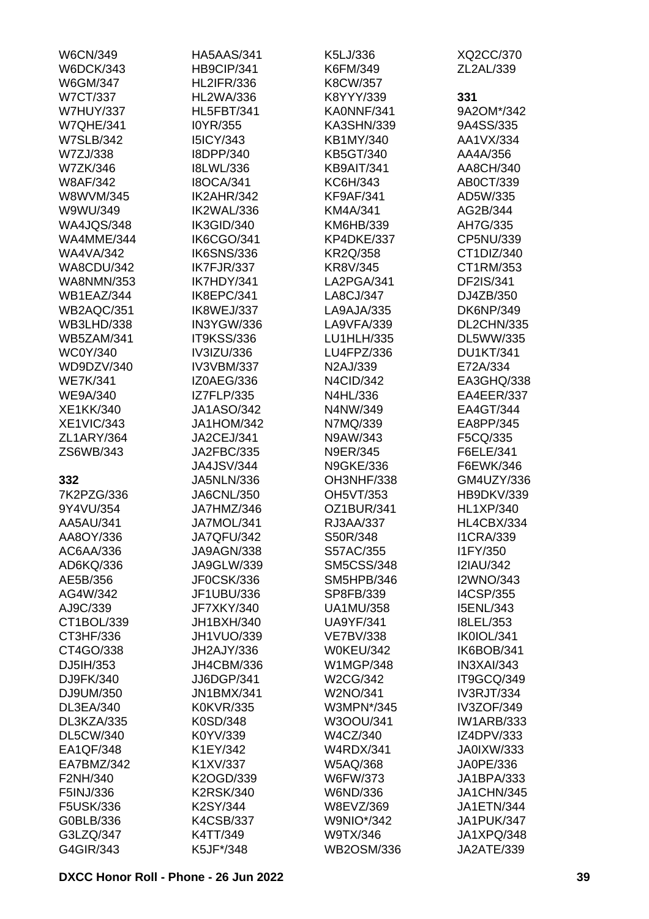| <b>W6CN/349</b>   | <b>HA5AAS/341</b> | K5LJ/336          | XQ2CC/370         |
|-------------------|-------------------|-------------------|-------------------|
| <b>W6DCK/343</b>  | HB9CIP/341        | K6FM/349          | ZL2AL/339         |
| W6GM/347          | <b>HL2IFR/336</b> | K8CW/357          |                   |
| <b>W7CT/337</b>   | <b>HL2WA/336</b>  | K8YYY/339         | 331               |
| <b>W7HUY/337</b>  | <b>HL5FBT/341</b> | KA0NNF/341        | 9A2OM*/342        |
| <b>W7QHE/341</b>  | I0YR/355          | KA3SHN/339        | 9A4SS/335         |
| <b>W7SLB/342</b>  | <b>I5ICY/343</b>  | KB1MY/340         | AA1VX/334         |
| W7ZJ/338          | I8DPP/340         | KB5GT/340         | AA4A/356          |
| W7ZK/346          | <b>I8LWL/336</b>  | KB9AIT/341        | AA8CH/340         |
| <b>W8AF/342</b>   | <b>I8OCA/341</b>  | KC6H/343          | AB0CT/339         |
| W8WVM/345         | IK2AHR/342        | <b>KF9AF/341</b>  | AD5W/335          |
| W9WU/349          | IK2WAL/336        | KM4A/341          | AG2B/344          |
| <b>WA4JQS/348</b> | IK3GID/340        | KM6HB/339         | AH7G/335          |
| WA4MME/344        | IK6CGO/341        | KP4DKE/337        | CP5NU/339         |
| <b>WA4VA/342</b>  | <b>IK6SNS/336</b> | <b>KR2Q/358</b>   | CT1DIZ/340        |
| <b>WA8CDU/342</b> | IK7FJR/337        | KR8V/345          | CT1RM/353         |
| <b>WA8NMN/353</b> | IK7HDY/341        | LA2PGA/341        | DF2IS/341         |
| WB1EAZ/344        | IK8EPC/341        | LA8CJ/347         | DJ4ZB/350         |
| WB2AQC/351        | IK8WEJ/337        | LA9AJA/335        | <b>DK6NP/349</b>  |
| <b>WB3LHD/338</b> | IN3YGW/336        | LA9VFA/339        | <b>DL2CHN/335</b> |
| <b>WB5ZAM/341</b> | <b>IT9KSS/336</b> | LU1HLH/335        | DL5WW/335         |
|                   |                   | LU4FPZ/336        |                   |
| <b>WC0Y/340</b>   | IV3IZU/336        |                   | <b>DU1KT/341</b>  |
| WD9DZV/340        | IV3VBM/337        | N2AJ/339          | E72A/334          |
| <b>WE7K/341</b>   | IZ0AEG/336        | <b>N4CID/342</b>  | EA3GHQ/338        |
| <b>WE9A/340</b>   | <b>IZ7FLP/335</b> | N4HL/336          | EA4EER/337        |
| XE1KK/340         | <b>JA1ASO/342</b> | N4NW/349          | EA4GT/344         |
| <b>XE1VIC/343</b> | <b>JA1HOM/342</b> | N7MQ/339          | EA8PP/345         |
| ZL1ARY/364        | JA2CEJ/341        | N9AW/343          | F5CQ/335          |
| ZS6WB/343         | JA2FBC/335        | <b>N9ER/345</b>   | F6ELE/341         |
|                   | <b>JA4JSV/344</b> | <b>N9GKE/336</b>  | F6EWK/346         |
| 332               | <b>JA5NLN/336</b> | OH3NHF/338        | GM4UZY/336        |
| 7K2PZG/336        | <b>JA6CNL/350</b> | OH5VT/353         | <b>HB9DKV/339</b> |
| 9Y4VU/354         | JA7HMZ/346        | OZ1BUR/341        | <b>HL1XP/340</b>  |
| AA5AU/341         | JA7MOL/341        | RJ3AA/337         | HL4CBX/334        |
| AA8OY/336         | <b>JA7QFU/342</b> | S50R/348          | <b>I1CRA/339</b>  |
| AC6AA/336         | JA9AGN/338        | S57AC/355         | I1FY/350          |
| AD6KQ/336         | JA9GLW/339        | <b>SM5CSS/348</b> | <b>I2IAU/342</b>  |
| AE5B/356          | JF0CSK/336        | SM5HPB/346        | <b>I2WNO/343</b>  |
| AG4W/342          | JF1UBU/336        | SP8FB/339         | <b>I4CSP/355</b>  |
| AJ9C/339          | JF7XKY/340        | <b>UA1MU/358</b>  | <b>I5ENL/343</b>  |
| CT1BOL/339        | JH1BXH/340        | <b>UA9YF/341</b>  | <b>I8LEL/353</b>  |
| CT3HF/336         | <b>JH1VUO/339</b> | <b>VE7BV/338</b>  | IK0IOL/341        |
| CT4GO/338         | JH2AJY/336        | <b>W0KEU/342</b>  | IK6BOB/341        |
| DJ5IH/353         | JH4CBM/336        | <b>W1MGP/348</b>  | IN3XAI/343        |
| DJ9FK/340         | JJ6DGP/341        | W2CG/342          | IT9GCQ/349        |
| DJ9UM/350         | <b>JN1BMX/341</b> | W2NO/341          | <b>IV3RJT/334</b> |
| DL3EA/340         | <b>K0KVR/335</b>  | W3MPN*/345        | <b>IV3ZOF/349</b> |
| DL3KZA/335        | K0SD/348          | W3OOU/341         | <b>IW1ARB/333</b> |
| <b>DL5CW/340</b>  | K0YV/339          | W4CZ/340          | IZ4DPV/333        |
| EA1QF/348         | K1EY/342          | <b>W4RDX/341</b>  | <b>JA0IXW/333</b> |
| EA7BMZ/342        | K1XV/337          | W5AQ/368          | JA0PE/336         |
| F2NH/340          | K2OGD/339         | W6FW/373          | JA1BPA/333        |
| F5INJ/336         | <b>K2RSK/340</b>  | W6ND/336          | <b>JA1CHN/345</b> |
| F5USK/336         | K2SY/344          | W8EVZ/369         | <b>JA1ETN/344</b> |
| G0BLB/336         | <b>K4CSB/337</b>  | W9NIO*/342        | JA1PUK/347        |
| G3LZQ/347         | K4TT/349          | W9TX/346          | JA1XPQ/348        |
| G4GIR/343         | K5JF*/348         | WB2OSM/336        | <b>JA2ATE/339</b> |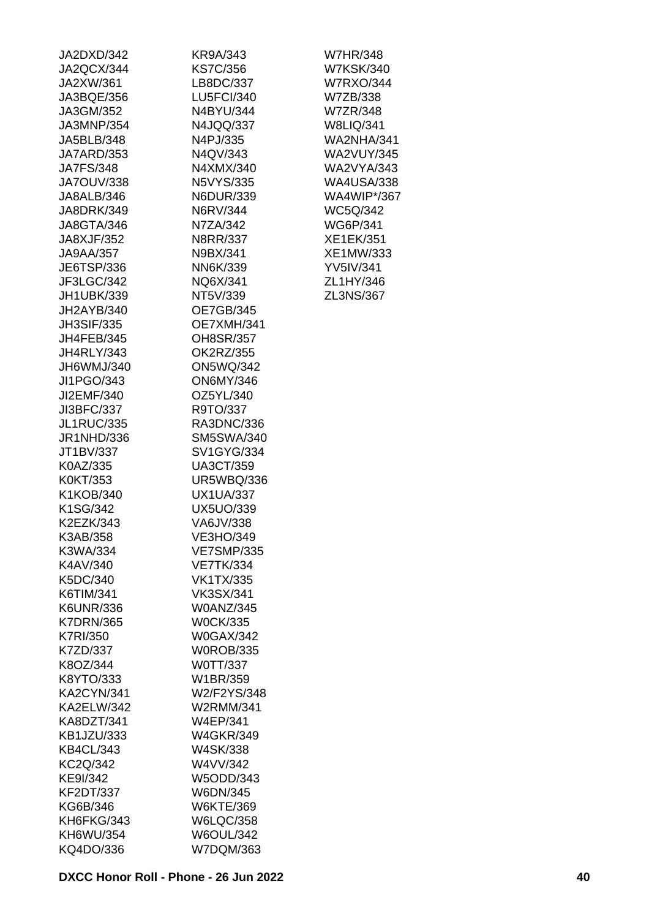| JA2DXD/342        | KR9A/343          |
|-------------------|-------------------|
| JA2QCX/344        | <b>KS7C/356</b>   |
| JA2XW/361         | LB8DC/337         |
| JA3BQE/356        | <b>LU5FCI/340</b> |
| JA3GM/352         | N4BYU/344         |
| JA3MNP/354        | N4JQQ/337         |
| JA5BLB/348        | N4PJ/335          |
| JA7ARD/353        | N4QV/343          |
| <b>JA7FS/348</b>  | N4XMX/340         |
| JA7OUV/338        | <b>N5VYS/335</b>  |
| JA8ALB/346        | N6DUR/339         |
| JA8DRK/349        | N6RV/344          |
| JA8GTA/346        | N7ZA/342          |
| JA8XJF/352        | N8RR/337          |
| JA9AA/357         | N9BX/341          |
| JE6TSP/336        | NN6K/339          |
|                   |                   |
| JF3LGC/342        | NQ6X/341          |
| JH1UBK/339        | NT5V/339          |
| JH2AYB/340        | <b>OE7GB/345</b>  |
| <b>JH3SIF/335</b> | OE7XMH/341        |
| JH4FEB/345        | OH8SR/357         |
| <b>JH4RLY/343</b> | OK2RZ/355         |
| JH6WMJ/340        | <b>ON5WQ/342</b>  |
| JI1PGO/343        | <b>ON6MY/346</b>  |
| JI2EMF/340        | OZ5YL/340         |
| JI3BFC/337        | R9TO/337          |
| <b>JL1RUC/335</b> | RA3DNC/336        |
| JR1NHD/336        | <b>SM5SWA/340</b> |
| JT1BV/337         | SV1GYG/334        |
| K0AZ/335          | <b>UA3CT/359</b>  |
| K0KT/353          | <b>UR5WBQ/336</b> |
| K1KOB/340         | <b>UX1UA/337</b>  |
| K1SG/342          | UX5UO/339         |
| K2EZK/343         | VA6JV/338         |
| K3AB/358          | <b>VE3HO/349</b>  |
| K3WA/334          | <b>VE7SMP/335</b> |
| K4AV/340          | <b>VE7TK/334</b>  |
| K5DC/340          | VK1TX/335         |
| K6TIM/341         | <b>VK3SX/341</b>  |
| K6UNR/336         | W0ANZ/345         |
| <b>K7DRN/365</b>  | <b>W0CK/335</b>   |
| K7RI/350          | <b>W0GAX/342</b>  |
| K7ZD/337          | <b>W0ROB/335</b>  |
| K8OZ/344          | W0TT/337          |
| K8YTO/333         | W1BR/359          |
| <b>KA2CYN/341</b> | W2/F2YS/348       |
| <b>KA2ELW/342</b> | W2RMM/341         |
| KA8DZT/341        | W4EP/341          |
|                   | <b>W4GKR/349</b>  |
| <b>KB1JZU/333</b> |                   |
| <b>KB4CL/343</b>  | W4SK/338          |
| KC2Q/342          | W4VV/342          |
| KE9I/342          | W5ODD/343         |
| <b>KF2DT/337</b>  | W6DN/345          |
| KG6B/346          | <b>W6KTE/369</b>  |
| KH6FKG/343        | <b>W6LQC/358</b>  |
| KH6WU/354         | <b>W6OUL/342</b>  |
| KQ4DO/336         | W7DQM/363         |

W7HR/348 W7KSK/340 W7RXO/344 W7ZB/338 W7ZR/348 W8LIQ/341 WA2NHA/341 WA2VUY/345 WA2VYA/343 WA4USA/338 WA4WIP\*/367 WC5Q/342 WG6P/341 XE1EK/351 XE1MW/333 YV5IV/341 ZL1HY/346 ZL3NS/367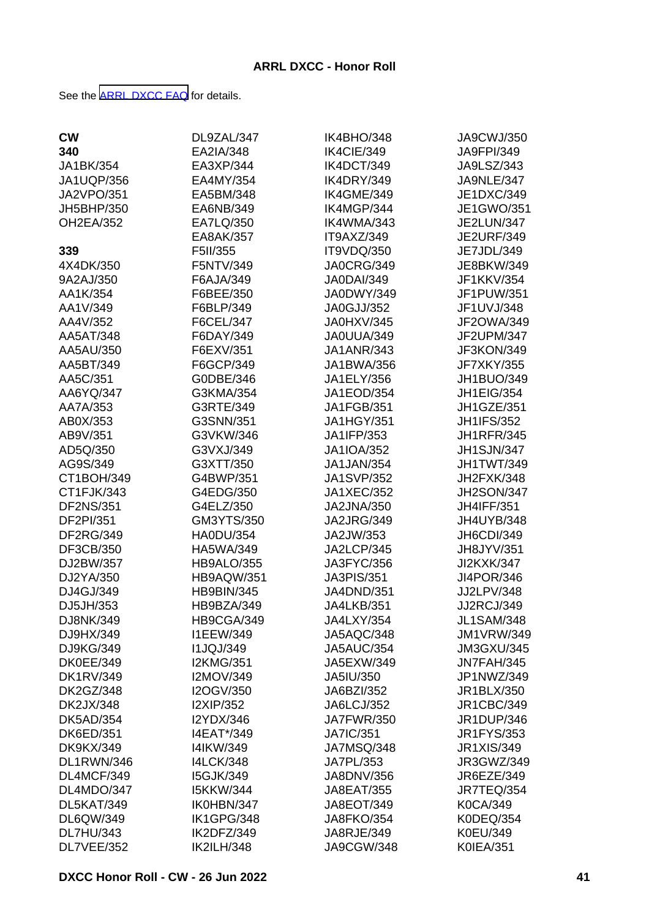See the [ARRL DXCC FAQ](http://www.arrl.org/dxcc-faq/) for details.

| <b>CW</b>         | DL9ZAL/347        | IK4BHO/348        | JA9CWJ/350        |
|-------------------|-------------------|-------------------|-------------------|
| 340               | EA2IA/348         | IK4CIE/349        | JA9FPI/349        |
| JA1BK/354         | EA3XP/344         | IK4DCT/349        | JA9LSZ/343        |
| <b>JA1UQP/356</b> | EA4MY/354         | IK4DRY/349        | JA9NLE/347        |
| <b>JA2VPO/351</b> | EA5BM/348         | IK4GME/349        | JE1DXC/349        |
| JH5BHP/350        | EA6NB/349         | IK4MGP/344        | JE1GWO/351        |
| <b>OH2EA/352</b>  | EA7LQ/350         | IK4WMA/343        | <b>JE2LUN/347</b> |
|                   | EA8AK/357         | IT9AXZ/349        | <b>JE2URF/349</b> |
| 339               | F5II/355          | IT9VDQ/350        | JE7JDL/349        |
| 4X4DK/350         | F5NTV/349         | <b>JA0CRG/349</b> | JE8BKW/349        |
| 9A2AJ/350         | F6AJA/349         | <b>JA0DAI/349</b> | JF1KKV/354        |
| AA1K/354          | F6BEE/350         | JA0DWY/349        | JF1PUW/351        |
| AA1V/349          | F6BLP/349         | <b>JA0GJJ/352</b> | JF1UVJ/348        |
| AA4V/352          | F6CEL/347         | JA0HXV/345        | JF2OWA/349        |
| AA5AT/348         | F6DAY/349         | JA0UUA/349        | JF2UPM/347        |
|                   | F6EXV/351         | <b>JA1ANR/343</b> | JF3KON/349        |
| AA5AU/350         |                   |                   |                   |
| AA5BT/349         | F6GCP/349         | JA1BWA/356        | <b>JF7XKY/355</b> |
| AA5C/351          | G0DBE/346         | JA1ELY/356        | JH1BUO/349        |
| AA6YQ/347         | G3KMA/354         | JA1EOD/354        | <b>JH1EIG/354</b> |
| AA7A/353          | G3RTE/349         | <b>JA1FGB/351</b> | JH1GZE/351        |
| AB0X/353          | G3SNN/351         | <b>JA1HGY/351</b> | <b>JH1IFS/352</b> |
| AB9V/351          | G3VKW/346         | JA1IFP/353        | <b>JH1RFR/345</b> |
| AD5Q/350          | G3VXJ/349         | <b>JA1IOA/352</b> | <b>JH1SJN/347</b> |
| AG9S/349          | G3XTT/350         | JA1JAN/354        | JH1TWT/349        |
| CT1BOH/349        | G4BWP/351         | <b>JA1SVP/352</b> | JH2FXK/348        |
| CT1FJK/343        | G4EDG/350         | <b>JA1XEC/352</b> | <b>JH2SON/347</b> |
| <b>DF2NS/351</b>  | G4ELZ/350         | <b>JA2JNA/350</b> | <b>JH4IFF/351</b> |
| DF2PI/351         | GM3YTS/350        | <b>JA2JRG/349</b> | JH4UYB/348        |
| <b>DF2RG/349</b>  | <b>HA0DU/354</b>  | JA2JW/353         | JH6CDI/349        |
| DF3CB/350         | HA5WA/349         | JA2LCP/345        | JH8JYV/351        |
| DJ2BW/357         | HB9ALO/355        | JA3FYC/356        | JI2KXK/347        |
| DJ2YA/350         | HB9AQW/351        | <b>JA3PIS/351</b> | JI4POR/346        |
| DJ4GJ/349         | <b>HB9BIN/345</b> | <b>JA4DND/351</b> | JJ2LPV/348        |
| DJ5JH/353         | HB9BZA/349        | JA4LKB/351        | <b>JJ2RCJ/349</b> |
| DJ8NK/349         | HB9CGA/349        | <b>JA4LXY/354</b> | <b>JL1SAM/348</b> |
| DJ9HX/349         | <b>I1EEW/349</b>  | JA5AQC/348        | <b>JM1VRW/349</b> |
| DJ9KG/349         | <b>I1JQJ/349</b>  | <b>JA5AUC/354</b> | <b>JM3GXU/345</b> |
| <b>DK0EE/349</b>  | <b>I2KMG/351</b>  | JA5EXW/349        | JN7FAH/345        |
| <b>DK1RV/349</b>  | I2MOV/349         | JA5IU/350         | JP1NWZ/349        |
| <b>DK2GZ/348</b>  | I2OGV/350         | JA6BZI/352        | JR1BLX/350        |
| <b>DK2JX/348</b>  | <b>I2XIP/352</b>  | <b>JA6LCJ/352</b> | <b>JR1CBC/349</b> |
| <b>DK5AD/354</b>  | I2YDX/346         | <b>JA7FWR/350</b> | <b>JR1DUP/346</b> |
| <b>DK6ED/351</b>  | I4EAT*/349        | <b>JA7IC/351</b>  | <b>JR1FYS/353</b> |
| <b>DK9KX/349</b>  | I4IKW/349         | JA7MSQ/348        | <b>JR1XIS/349</b> |
| DL1RWN/346        | <b>I4LCK/348</b>  | JA7PL/353         | JR3GWZ/349        |
| DL4MCF/349        | <b>I5GJK/349</b>  | JA8DNV/356        | JR6EZE/349        |
| DL4MDO/347        | <b>I5KKW/344</b>  | <b>JA8EAT/355</b> | JR7TEQ/354        |
| DL5KAT/349        | IK0HBN/347        | JA8EOT/349        | K0CA/349          |
| DL6QW/349         | IK1GPG/348        | <b>JA8FKO/354</b> | K0DEQ/354         |
| <b>DL7HU/343</b>  | IK2DFZ/349        | JA8RJE/349        | K0EU/349          |
| DL7VEE/352        | <b>IK2ILH/348</b> | JA9CGW/348        | <b>K0IEA/351</b>  |
|                   |                   |                   |                   |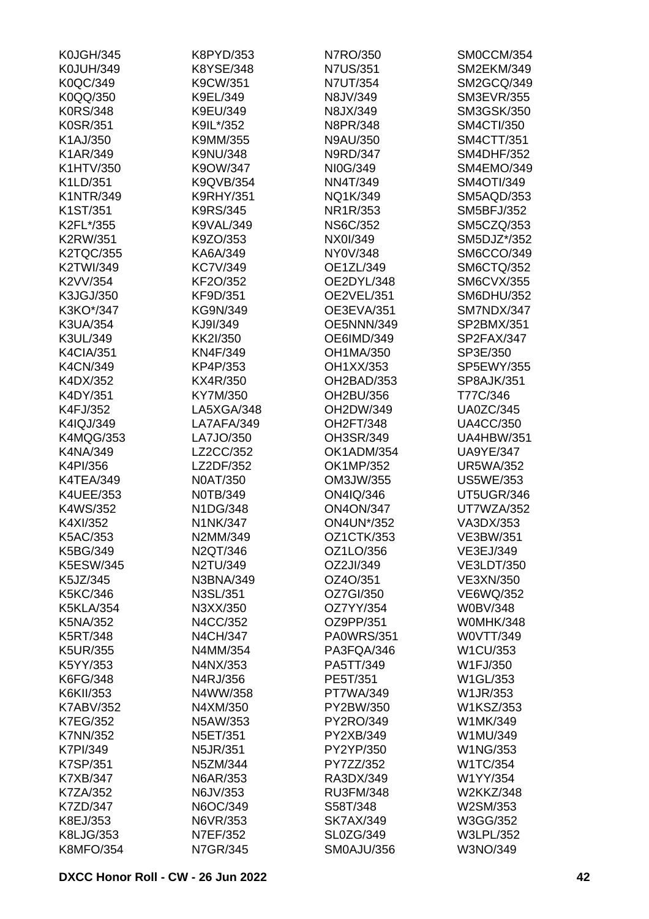| <b>K0JGH/345</b> | K8PYD/353        | N7RO/350          | SM0CCM/354            |
|------------------|------------------|-------------------|-----------------------|
| <b>K0JUH/349</b> | K8YSE/348        | <b>N7US/351</b>   | <b>SM2EKM/349</b>     |
| K0QC/349         | K9CW/351         | N7UT/354          | SM2GCQ/349            |
| K0QQ/350         | K9EL/349         | N8JV/349          | <b>SM3EVR/355</b>     |
| <b>K0RS/348</b>  | K9EU/349         | N8JX/349          | <b>SM3GSK/350</b>     |
| K0SR/351         | K9IL*/352        | N8PR/348          | <b>SM4CTI/350</b>     |
| K1AJ/350         | K9MM/355         | N9AU/350          | <b>SM4CTT/351</b>     |
| K1AR/349         | K9NU/348         | N9RD/347          | <b>SM4DHF/352</b>     |
| K1HTV/350        | K9OW/347         | NI0G/349          | SM4EMO/349            |
| K1LD/351         | K9QVB/354        | NN4T/349          | <b>SM4OTI/349</b>     |
| <b>K1NTR/349</b> | <b>K9RHY/351</b> | NQ1K/349          | SM5AQD/353            |
| K1ST/351         | K9RS/345         | NR1R/353          | <b>SM5BFJ/352</b>     |
| K2FL*/355        | K9VAL/349        | <b>NS6C/352</b>   | SM5CZQ/353            |
| <b>K2RW/351</b>  | K9ZO/353         | NX0I/349          | SM5DJZ*/352           |
| <b>K2TQC/355</b> | KA6A/349         | NY0V/348          | SM6CCO/349            |
| K2TWI/349        | <b>KC7V/349</b>  | OE1ZL/349         | <b>SM6CTQ/352</b>     |
| K2VV/354         | KF2O/352         | OE2DYL/348        | <b>SM6CVX/355</b>     |
| K3JGJ/350        | KF9D/351         | OE2VEL/351        | <b>SM6DHU/352</b>     |
|                  |                  |                   |                       |
| K3KO*/347        | KG9N/349         | OE3EVA/351        | SM7NDX/347            |
| K3UA/354         | KJ9I/349         | OE5NNN/349        | SP2BMX/351            |
| K3UL/349         | KK2I/350         | OE6IMD/349        | SP2FAX/347            |
| <b>K4CIA/351</b> | KN4F/349         | OH1MA/350         | SP3E/350              |
| K4CN/349         | KP4P/353         | OH1XX/353         | SP5EWY/355            |
| K4DX/352         | KX4R/350         | OH2BAD/353        | <b>SP8AJK/351</b>     |
| K4DY/351         | KY7M/350         | OH2BU/356         | T77C/346              |
| K4FJ/352         | LA5XGA/348       | OH2DW/349         | <b>UA0ZC/345</b>      |
| K4IQJ/349        | LA7AFA/349       | OH2FT/348         | <b>UA4CC/350</b>      |
| <b>K4MQG/353</b> | LA7JO/350        | OH3SR/349         | <b>UA4HBW/351</b>     |
| K4NA/349         | LZ2CC/352        | OK1ADM/354        | <b>UA9YE/347</b>      |
| K4PI/356         | LZ2DF/352        | OK1MP/352         | <b>UR5WA/352</b>      |
| K4TEA/349        | <b>N0AT/350</b>  | OM3JW/355         | <b>US5WE/353</b>      |
| K4UEE/353        | N0TB/349         | ON4IQ/346         | UT5UGR/346            |
| K4WS/352         | N1DG/348         | <b>ON4ON/347</b>  | UT7WZA/352            |
| K4XI/352         | N1NK/347         | <b>ON4UN*/352</b> | VA3DX/353             |
| K5AC/353         | N2MM/349         | OZ1CTK/353        | VE3BW/351             |
| K5BG/349         | N2QT/346         | OZ1LO/356         | VE3EJ/349             |
| <b>K5ESW/345</b> | N2TU/349         | OZ2JI/349         | <b>VE3LDT/350</b>     |
| K5JZ/345         | N3BNA/349        | OZ4O/351          | <b>VE3XN/350</b>      |
| K5KC/346         | N3SL/351         | OZ7GI/350         | VE6WQ/352             |
| <b>K5KLA/354</b> | N3XX/350         | OZ7YY/354         | <b>W0BV/348</b>       |
| K5NA/352         | N4CC/352         | OZ9PP/351         | W0MHK/348             |
| K5RT/348         | <b>N4CH/347</b>  | <b>PA0WRS/351</b> | W0VTT/349             |
| K5UR/355         | N4MM/354         | PA3FQA/346        | W1CU/353              |
| K5YY/353         | N4NX/353         | PA5TT/349         | W1FJ/350              |
| K6FG/348         | N4RJ/356         | PE5T/351          | W1GL/353              |
| K6KII/353        | N4WW/358         | PT7WA/349         | W1JR/353              |
| <b>K7ABV/352</b> | N4XM/350         | PY2BW/350         | W1KSZ/353             |
| <b>K7EG/352</b>  | N5AW/353         | PY2RO/349         | W1MK/349              |
| <b>K7NN/352</b>  | N5ET/351         | PY2XB/349         | W1MU/349              |
| K7PI/349         | N5JR/351         | PY2YP/350         | W1NG/353              |
| K7SP/351         | N5ZM/344         | PY7ZZ/352         | W1TC/354              |
| <b>K7XB/347</b>  | N6AR/353         | RA3DX/349         |                       |
|                  |                  | <b>RU3FM/348</b>  | W1YY/354<br>W2KKZ/348 |
| <b>K7ZA/352</b>  | N6JV/353         |                   |                       |
| K7ZD/347         | N6OC/349         | S58T/348          | W2SM/353              |
| K8EJ/353         | N6VR/353         | <b>SK7AX/349</b>  | W3GG/352              |
| K8LJG/353        | N7EF/352         | SL0ZG/349         | <b>W3LPL/352</b>      |
| <b>K8MFO/354</b> | N7GR/345         | SM0AJU/356        | W3NO/349              |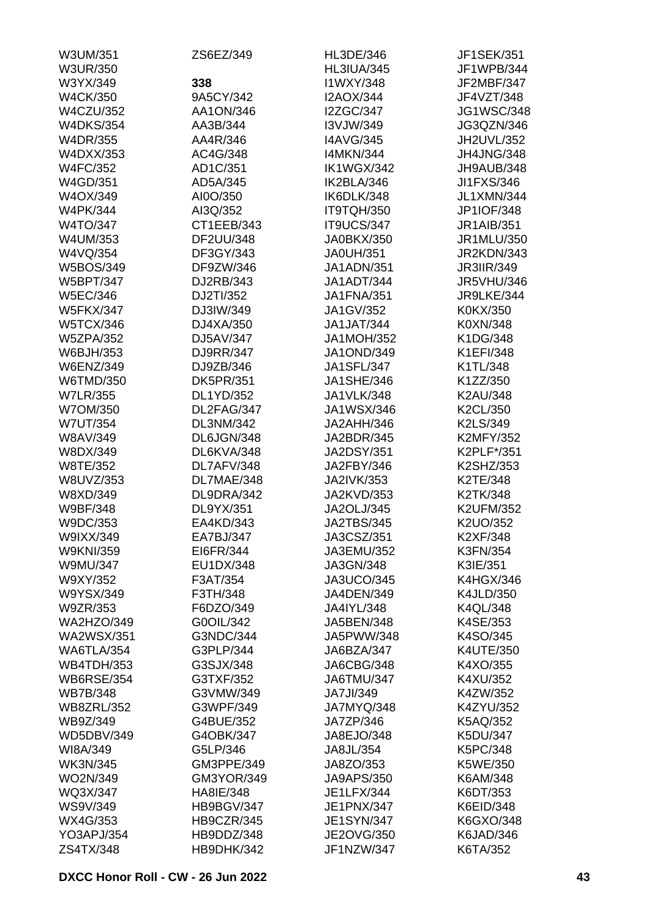| W3UM/351          | ZS6EZ/349        | HL3DE/346         | <b>JF1SEK/351</b> |
|-------------------|------------------|-------------------|-------------------|
| <b>W3UR/350</b>   |                  | <b>HL3IUA/345</b> | JF1WPB/344        |
| W3YX/349          | 338              | I1WXY/348         | JF2MBF/347        |
| <b>W4CK/350</b>   | 9A5CY/342        | <b>I2AOX/344</b>  | JF4VZT/348        |
| <b>W4CZU/352</b>  | AA1ON/346        | <b>I2ZGC/347</b>  | <b>JG1WSC/348</b> |
| <b>W4DKS/354</b>  | AA3B/344         | I3VJW/349         | JG3QZN/346        |
| <b>W4DR/355</b>   | AA4R/346         | <b>I4AVG/345</b>  | JH2UVL/352        |
| W4DXX/353         | AC4G/348         | <b>I4MKN/344</b>  | JH4JNG/348        |
| <b>W4FC/352</b>   | AD1C/351         | IK1WGX/342        | JH9AUB/348        |
| W4GD/351          | AD5A/345         | IK2BLA/346        | JI1FXS/346        |
| W4OX/349          | AI0O/350         | IK6DLK/348        | <b>JL1XMN/344</b> |
| <b>W4PK/344</b>   | AI3Q/352         | IT9TQH/350        | JP1IOF/348        |
| W4TO/347          | CT1EEB/343       | IT9UCS/347        | <b>JR1AIB/351</b> |
| W4UM/353          | DF2UU/348        | JA0BKX/350        | JR1MLU/350        |
| W4VQ/354          | DF3GY/343        | <b>JA0UH/351</b>  | <b>JR2KDN/343</b> |
| <b>W5BOS/349</b>  | DF9ZW/346        | <b>JA1ADN/351</b> | <b>JR3IIR/349</b> |
| <b>W5BPT/347</b>  | DJ2RB/343        | JA1ADT/344        | <b>JR5VHU/346</b> |
| <b>W5EC/346</b>   | DJ2TI/352        | <b>JA1FNA/351</b> | JR9LKE/344        |
| <b>W5FKX/347</b>  |                  |                   |                   |
|                   | DJ3IW/349        | JA1GV/352         | K0KX/350          |
| <b>W5TCX/346</b>  | DJ4XA/350        | <b>JA1JAT/344</b> | K0XN/348          |
| <b>W5ZPA/352</b>  | DJ5AV/347        | <b>JA1MOH/352</b> | K1DG/348          |
| W6BJH/353         | DJ9RR/347        | <b>JA1OND/349</b> | <b>K1EFI/348</b>  |
| <b>W6ENZ/349</b>  | DJ9ZB/346        | <b>JA1SFL/347</b> | K1TL/348          |
| W6TMD/350         | <b>DK5PR/351</b> | <b>JA1SHE/346</b> | K1ZZ/350          |
| <b>W7LR/355</b>   | DL1YD/352        | <b>JA1VLK/348</b> | K2AU/348          |
| W7OM/350          | DL2FAG/347       | JA1WSX/346        | K2CL/350          |
| <b>W7UT/354</b>   | <b>DL3NM/342</b> | JA2AHH/346        | K2LS/349          |
| W8AV/349          | DL6JGN/348       | JA2BDR/345        | <b>K2MFY/352</b>  |
| W8DX/349          | DL6KVA/348       | <b>JA2DSY/351</b> | K2PLF*/351        |
| W8TE/352          | DL7AFV/348       | JA2FBY/346        | K2SHZ/353         |
| W8UVZ/353         | DL7MAE/348       | <b>JA2IVK/353</b> | K2TE/348          |
| W8XD/349          | DL9DRA/342       | JA2KVD/353        | K2TK/348          |
| W9BF/348          | DL9YX/351        | <b>JA2OLJ/345</b> | <b>K2UFM/352</b>  |
| W9DC/353          | EA4KD/343        | <b>JA2TBS/345</b> | K2UO/352          |
| W9IXX/349         | EA7BJ/347        | JA3CSZ/351        | K2XF/348          |
| <b>W9KNI/359</b>  | EI6FR/344        | JA3EMU/352        | K3FN/354          |
| <b>W9MU/347</b>   | EU1DX/348        | JA3GN/348         | K3IE/351          |
| W9XY/352          | F3AT/354         | JA3UCO/345        | <b>K4HGX/346</b>  |
| W9YSX/349         | F3TH/348         | JA4DEN/349        | K4JLD/350         |
| W9ZR/353          | F6DZO/349        | JA4IYL/348        | <b>K4QL/348</b>   |
| <b>WA2HZO/349</b> | G0OIL/342        | JA5BEN/348        | K4SE/353          |
| <b>WA2WSX/351</b> | G3NDC/344        | JA5PWW/348        | K4SO/345          |
| WA6TLA/354        | G3PLP/344        | JA6BZA/347        | K4UTE/350         |
| <b>WB4TDH/353</b> | G3SJX/348        | JA6CBG/348        | K4XO/355          |
| <b>WB6RSE/354</b> | G3TXF/352        | JA6TMU/347        | K4XU/352          |
| <b>WB7B/348</b>   | G3VMW/349        | JA7JI/349         | K4ZW/352          |
| <b>WB8ZRL/352</b> | G3WPF/349        | JA7MYQ/348        | K4ZYU/352         |
| WB9Z/349          | G4BUE/352        | JA7ZP/346         | K5AQ/352          |
| <b>WD5DBV/349</b> | G4OBK/347        | JA8EJO/348        | K5DU/347          |
| WI8A/349          | G5LP/346         | JA8JL/354         | K5PC/348          |
| <b>WK3N/345</b>   | GM3PPE/349       | JA8ZO/353         | K5WE/350          |
|                   |                  |                   |                   |
| WO2N/349          | GM3YOR/349       | JA9APS/350        | K6AM/348          |
| WQ3X/347          | HA8IE/348        | JE1LFX/344        | K6DT/353          |
| <b>WS9V/349</b>   | HB9BGV/347       | JE1PNX/347        | K6EID/348         |
| WX4G/353          | HB9CZR/345       | <b>JE1SYN/347</b> | K6GXO/348         |
| <b>YO3APJ/354</b> | HB9DDZ/348       | JE2OVG/350        | K6JAD/346         |
| ZS4TX/348         | HB9DHK/342       | JF1NZW/347        | K6TA/352          |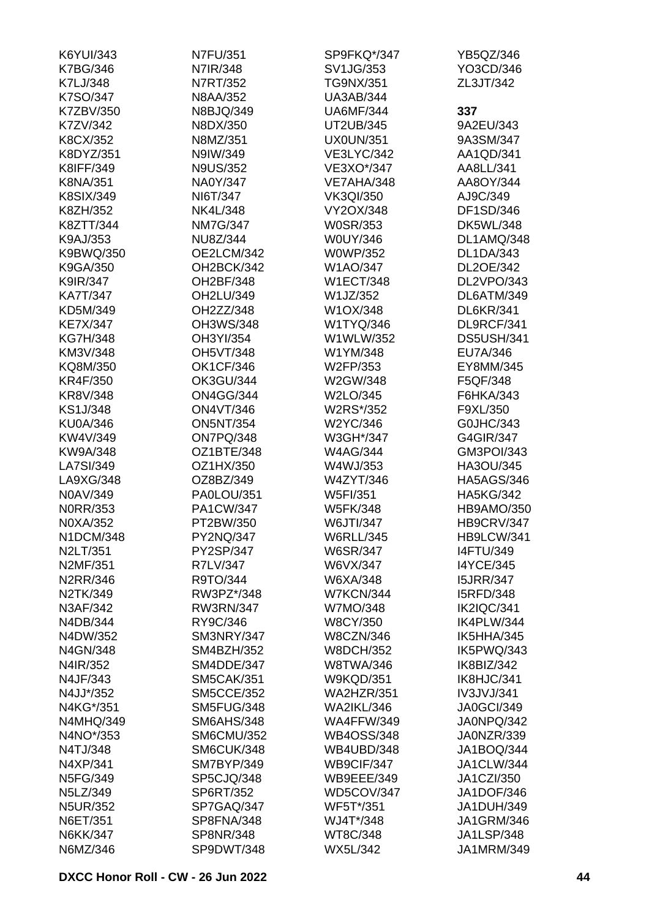| K6YUI/343        | N7FU/351          | SP9FKQ*/347       | YB5QZ/346         |
|------------------|-------------------|-------------------|-------------------|
| <b>K7BG/346</b>  | N7IR/348          | SV1JG/353         | YO3CD/346         |
| K7LJ/348         | N7RT/352          | <b>TG9NX/351</b>  | ZL3JT/342         |
| K7SO/347         | <b>N8AA/352</b>   | <b>UA3AB/344</b>  |                   |
| K7ZBV/350        | N8BJQ/349         | <b>UA6MF/344</b>  | 337               |
| K7ZV/342         | N8DX/350          | UT2UB/345         | 9A2EU/343         |
| K8CX/352         | N8MZ/351          | <b>UX0UN/351</b>  | 9A3SM/347         |
| K8DYZ/351        | N9IW/349          | <b>VE3LYC/342</b> | AA1QD/341         |
| K8IFF/349        | <b>N9US/352</b>   | VE3XO*/347        | AA8LL/341         |
| K8NA/351         | NA0Y/347          | VE7AHA/348        | AA8OY/344         |
| K8SIX/349        | NI6T/347          | <b>VK3QI/350</b>  | AJ9C/349          |
| K8ZH/352         | <b>NK4L/348</b>   | VY2OX/348         | DF1SD/346         |
| K8ZTT/344        | <b>NM7G/347</b>   | <b>W0SR/353</b>   | <b>DK5WL/348</b>  |
| K9AJ/353         | NU8Z/344          | W0UY/346          | DL1AMQ/348        |
| K9BWQ/350        | OE2LCM/342        | <b>W0WP/352</b>   | <b>DL1DA/343</b>  |
| K9GA/350         | OH2BCK/342        | W1AO/347          | DL2OE/342         |
|                  |                   | <b>W1ECT/348</b>  | DL2VPO/343        |
| K9IR/347         | OH2BF/348         |                   |                   |
| <b>KA7T/347</b>  | OH2LU/349         | W1JZ/352          | DL6ATM/349        |
| KD5M/349         | OH2ZZ/348         | W1OX/348          | <b>DL6KR/341</b>  |
| <b>KE7X/347</b>  | OH3WS/348         | W1TYQ/346         | DL9RCF/341        |
| <b>KG7H/348</b>  | OH3YI/354         | W1WLW/352         | <b>DS5USH/341</b> |
| KM3V/348         | <b>OH5VT/348</b>  | W1YM/348          | EU7A/346          |
| KQ8M/350         | <b>OK1CF/346</b>  | W2FP/353          | EY8MM/345         |
| <b>KR4F/350</b>  | <b>OK3GU/344</b>  | W2GW/348          | F5QF/348          |
| KR8V/348         | <b>ON4GG/344</b>  | W2LO/345          | F6HKA/343         |
| KS1J/348         | <b>ON4VT/346</b>  | W2RS*/352         | F9XL/350          |
| <b>KU0A/346</b>  | <b>ON5NT/354</b>  | W2YC/346          | G0JHC/343         |
| KW4V/349         | ON7PQ/348         | W3GH*/347         | G4GIR/347         |
| KW9A/348         | OZ1BTE/348        | <b>W4AG/344</b>   | GM3POI/343        |
| LA7SI/349        | OZ1HX/350         | W4WJ/353          | HA3OU/345         |
| LA9XG/348        | OZ8BZ/349         | W4ZYT/346         | <b>HA5AGS/346</b> |
| N0AV/349         | PA0LOU/351        | W5FI/351          | <b>HA5KG/342</b>  |
| <b>NORR/353</b>  | PA1CW/347         | <b>W5FK/348</b>   | HB9AMO/350        |
| N0XA/352         | PT2BW/350         | W6JTI/347         | HB9CRV/347        |
| N1DCM/348        | PY2NQ/347         | <b>W6RLL/345</b>  | HB9LCW/341        |
| N2LT/351         | PY2SP/347         | <b>W6SR/347</b>   | <b>I4FTU/349</b>  |
| N2MF/351         | R7LV/347          | W6VX/347          | <b>I4YCE/345</b>  |
| N2RR/346         | R9TO/344          | W6XA/348          | <b>I5JRR/347</b>  |
| N2TK/349         | RW3PZ*/348        | <b>W7KCN/344</b>  | <b>I5RFD/348</b>  |
| N3AF/342         | <b>RW3RN/347</b>  | W7MO/348          | IK2IQC/341        |
| N4DB/344         | RY9C/346          | <b>W8CY/350</b>   | IK4PLW/344        |
| N4DW/352         | SM3NRY/347        | <b>W8CZN/346</b>  | IK5HHA/345        |
| N4GN/348         | SM4BZH/352        | <b>W8DCH/352</b>  | IK5PWQ/343        |
| N4IR/352         | SM4DDE/347        | <b>W8TWA/346</b>  | IK8BIZ/342        |
| N4JF/343         | <b>SM5CAK/351</b> | <b>W9KQD/351</b>  | IK8HJC/341        |
| N4JJ*/352        | <b>SM5CCE/352</b> | <b>WA2HZR/351</b> | IV3JVJ/341        |
| N4KG*/351        | SM5FUG/348        | <b>WA2IKL/346</b> | <b>JA0GCI/349</b> |
| <b>N4MHQ/349</b> | <b>SM6AHS/348</b> | <b>WA4FFW/349</b> | JA0NPQ/342        |
| N4NO*/353        | <b>SM6CMU/352</b> | <b>WB4OSS/348</b> | JA0NZR/339        |
|                  |                   | WB4UBD/348        |                   |
| N4TJ/348         | SM6CUK/348        |                   | JA1BOQ/344        |
| N4XP/341         | SM7BYP/349        | WB9CIF/347        | <b>JA1CLW/344</b> |
| N5FG/349         | SP5CJQ/348        | <b>WB9EEE/349</b> | <b>JA1CZI/350</b> |
| N5LZ/349         | SP6RT/352         | WD5COV/347        | JA1DOF/346        |
| <b>N5UR/352</b>  | SP7GAQ/347        | WF5T*/351         | <b>JA1DUH/349</b> |
| N6ET/351         | SP8FNA/348        | WJ4T*/348         | <b>JA1GRM/346</b> |
| N6KK/347         | <b>SP8NR/348</b>  | WT8C/348          | <b>JA1LSP/348</b> |
| N6MZ/346         | SP9DWT/348        | WX5L/342          | JA1MRM/349        |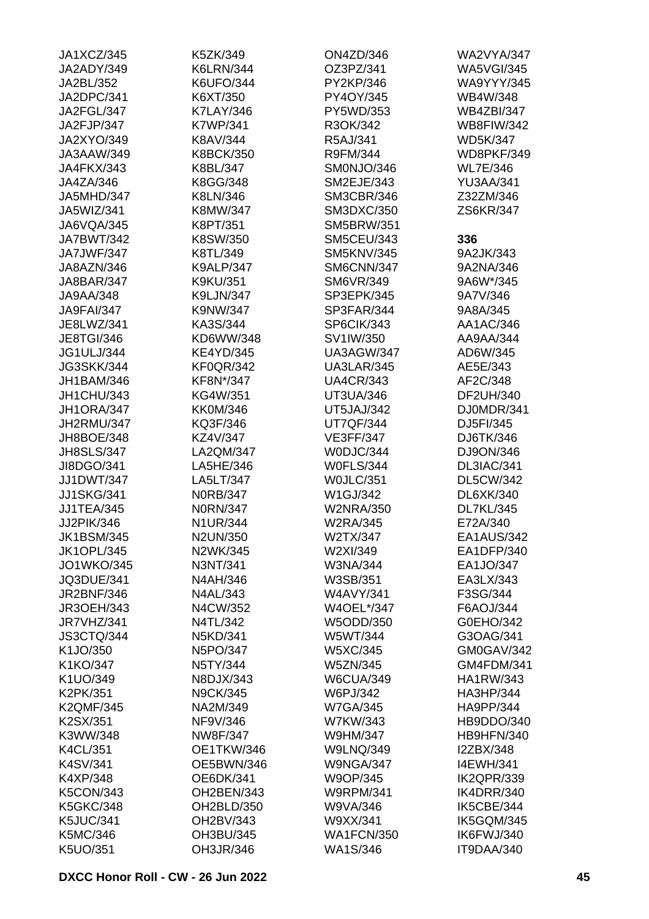| JA1XCZ/345        | K5ZK/349         | <b>ON4ZD/346</b>  | <b>WA2VYA/347</b> |
|-------------------|------------------|-------------------|-------------------|
| JA2ADY/349        | <b>K6LRN/344</b> | OZ3PZ/341         | <b>WA5VGI/345</b> |
| JA2BL/352         | K6UFO/344        | PY2KP/346         | <b>WA9YYY/345</b> |
| JA2DPC/341        | K6XT/350         | PY4OY/345         | WB4W/348          |
| JA2FGL/347        | <b>K7LAY/346</b> | PY5WD/353         | <b>WB4ZBI/347</b> |
| JA2FJP/347        | <b>K7WP/341</b>  | R3OK/342          | <b>WB8FIW/342</b> |
| <b>JA2XYO/349</b> | K8AV/344         | R5AJ/341          | <b>WD5K/347</b>   |
| JA3AAW/349        | <b>K8BCK/350</b> | R9FM/344          | WD8PKF/349        |
| JA4FKX/343        | K8BL/347         | SM0NJO/346        | <b>WL7E/346</b>   |
| JA4ZA/346         | K8GG/348         | SM2EJE/343        | <b>YU3AA/341</b>  |
| JA5MHD/347        | K8LN/346         | SM3CBR/346        | Z32ZM/346         |
| JA5WIZ/341        | K8MW/347         | SM3DXC/350        | ZS6KR/347         |
| JA6VQA/345        | K8PT/351         | <b>SM5BRW/351</b> |                   |
| JA7BWT/342        | K8SW/350         | <b>SM5CEU/343</b> | 336               |
| JA7JWF/347        | K8TL/349         | SM5KNV/345        | 9A2JK/343         |
| JA8AZN/346        | <b>K9ALP/347</b> | SM6CNN/347        | 9A2NA/346         |
| JA8BAR/347        | K9KU/351         | SM6VR/349         | 9A6W*/345         |
| JA9AA/348         | K9LJN/347        | SP3EPK/345        | 9A7V/346          |
| <b>JA9FAI/347</b> | K9NW/347         | SP3FAR/344        | 9A8A/345          |
| JE8LWZ/341        | KA3S/344         | SP6CIK/343        | AA1AC/346         |
| <b>JE8TGI/346</b> | KD6WW/348        | SV1IW/350         | AA9AA/344         |
| <b>JG1ULJ/344</b> | <b>KE4YD/345</b> | UA3AGW/347        | AD6W/345          |
| <b>JG3SKK/344</b> | <b>KF0QR/342</b> | <b>UA3LAR/345</b> | AE5E/343          |
| JH1BAM/346        | KF8N*/347        | <b>UA4CR/343</b>  | AF2C/348          |
| JH1CHU/343        | KG4W/351         | UT3UA/346         | DF2UH/340         |
| JH1ORA/347        | <b>KK0M/346</b>  | <b>UT5JAJ/342</b> | DJ0MDR/341        |
| JH2RMU/347        | KQ3F/346         |                   | DJ5FI/345         |
|                   |                  | <b>UT7QF/344</b>  |                   |
| JH8BOE/348        | KZ4V/347         | <b>VE3FF/347</b>  | DJ6TK/346         |
| <b>JH8SLS/347</b> | LA2QM/347        | W0DJC/344         | DJ9ON/346         |
| JI8DGO/341        | LA5HE/346        | <b>W0FLS/344</b>  | DL3IAC/341        |
| <b>JJ1DWT/347</b> | LA5LT/347        | WOJLC/351         | <b>DL5CW/342</b>  |
| <b>JJ1SKG/341</b> | <b>NORB/347</b>  | W1GJ/342          | DL6XK/340         |
| <b>JJ1TEA/345</b> | <b>N0RN/347</b>  | <b>W2NRA/350</b>  | <b>DL7KL/345</b>  |
| JJ2PIK/346        | <b>N1UR/344</b>  | <b>W2RA/345</b>   | E72A/340          |
| <b>JK1BSM/345</b> | N2UN/350         | W2TX/347          | EA1AUS/342        |
| <b>JK1OPL/345</b> | N2WK/345         | W2XI/349          | EA1DFP/340        |
| <b>JO1WKO/345</b> | N3NT/341         | W3NA/344          | EA1JO/347         |
| <b>JQ3DUE/341</b> | N4AH/346         | W3SB/351          | EA3LX/343         |
| <b>JR2BNF/346</b> | N4AL/343         | <b>W4AVY/341</b>  | F3SG/344          |
| <b>JR3OEH/343</b> | N4CW/352         | W4OEL*/347        | F6AOJ/344         |
| JR7VHZ/341        | N4TL/342         | W5ODD/350         | G0EHO/342         |
| JS3CTQ/344        | N5KD/341         | W5WT/344          | G3OAG/341         |
| K1JO/350          | N5PO/347         | W5XC/345          | GM0GAV/342        |
| K1KO/347          | N5TY/344         | <b>W5ZN/345</b>   | GM4FDM/341        |
| K1UO/349          | N8DJX/343        | <b>W6CUA/349</b>  | <b>HA1RW/343</b>  |
| K2PK/351          | <b>N9CK/345</b>  | W6PJ/342          | HA3HP/344         |
| <b>K2QMF/345</b>  | NA2M/349         | <b>W7GA/345</b>   | HA9PP/344         |
| K2SX/351          | NF9V/346         | W7KW/343          | HB9DDO/340        |
| K3WW/348          | NW8F/347         | W9HM/347          | HB9HFN/340        |
| <b>K4CL/351</b>   | OE1TKW/346       | <b>W9LNQ/349</b>  | I2ZBX/348         |
| K4SV/341          | OE5BWN/346       | <b>W9NGA/347</b>  | <b>I4EWH/341</b>  |
| K4XP/348          | OE6DK/341        | W9OP/345          | IK2QPR/339        |
| <b>K5CON/343</b>  | OH2BEN/343       | <b>W9RPM/341</b>  | IK4DRR/340        |
| <b>K5GKC/348</b>  | OH2BLD/350       | W9VA/346          | IK5CBE/344        |
| <b>K5JUC/341</b>  | OH2BV/343        | W9XX/341          | IK5GQM/345        |
| K5MC/346          | OH3BU/345        | <b>WA1FCN/350</b> | IK6FWJ/340        |
| K5UO/351          | OH3JR/346        | <b>WA1S/346</b>   | IT9DAA/340        |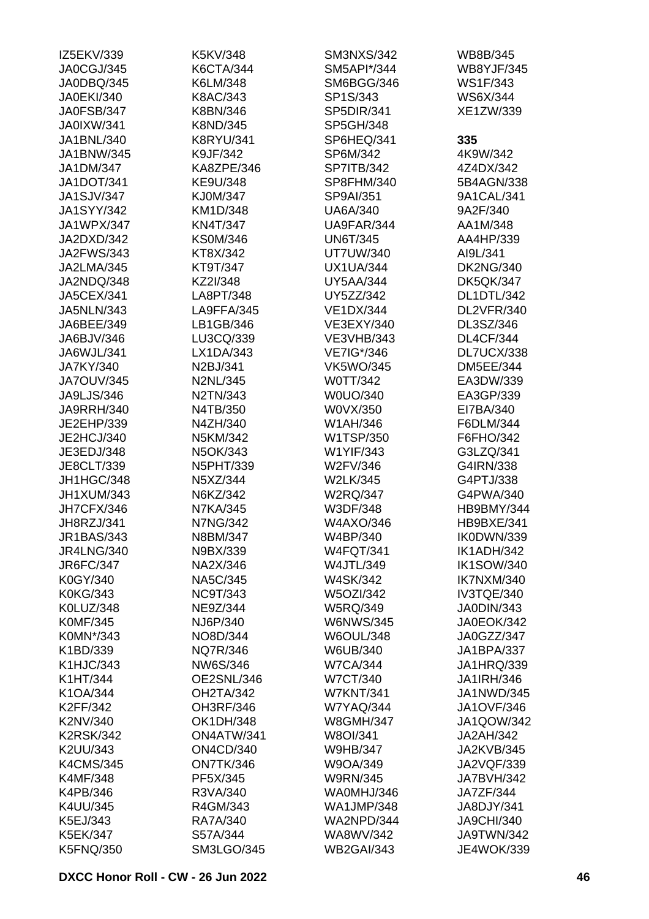| IZ5EKV/339        | K5KV/348          | <b>SM3NXS/342</b> | WB8B/345          |
|-------------------|-------------------|-------------------|-------------------|
| JA0CGJ/345        | <b>K6CTA/344</b>  | SM5API*/344       | <b>WB8YJF/345</b> |
| JA0DBQ/345        | K6LM/348          | SM6BGG/346        | WS1F/343          |
| <b>JA0EKI/340</b> | K8AC/343          | SP1S/343          | WS6X/344          |
| JA0FSB/347        | K8BN/346          | SP5DIR/341        | XE1ZW/339         |
| <b>JA0IXW/341</b> | K8ND/345          | SP5GH/348         |                   |
| JA1BNL/340        | <b>K8RYU/341</b>  | SP6HEQ/341        | 335               |
| JA1BNW/345        | K9JF/342          | SP6M/342          | 4K9W/342          |
| <b>JA1DM/347</b>  | KA8ZPE/346        | <b>SP7ITB/342</b> | 4Z4DX/342         |
| JA1DOT/341        | KE9U/348          | SP8FHM/340        | 5B4AGN/338        |
| <b>JA1SJV/347</b> | KJ0M/347          | SP9AI/351         | 9A1CAL/341        |
| <b>JA1SYY/342</b> | KM1D/348          | <b>UA6A/340</b>   | 9A2F/340          |
| JA1WPX/347        | <b>KN4T/347</b>   | UA9FAR/344        | AA1M/348          |
| JA2DXD/342        | <b>KS0M/346</b>   | <b>UN6T/345</b>   | AA4HP/339         |
| <b>JA2FWS/343</b> | KT8X/342          | <b>UT7UW/340</b>  | AI9L/341          |
| JA2LMA/345        | KT9T/347          | <b>UX1UA/344</b>  | <b>DK2NG/340</b>  |
| JA2NDQ/348        | KZ2I/348          | <b>UY5AA/344</b>  | <b>DK5QK/347</b>  |
| <b>JA5CEX/341</b> | LA8PT/348         | UY5ZZ/342         | DL1DTL/342        |
| <b>JA5NLN/343</b> | LA9FFA/345        | <b>VE1DX/344</b>  | DL2VFR/340        |
|                   | LB1GB/346         |                   |                   |
| JA6BEE/349        |                   | VE3EXY/340        | DL3SZ/346         |
| JA6BJV/346        | LU3CQ/339         | <b>VE3VHB/343</b> | <b>DL4CF/344</b>  |
| JA6WJL/341        | LX1DA/343         | VE7IG*/346        | DL7UCX/338        |
| JA7KY/340         | N2BJ/341          | <b>VK5WO/345</b>  | <b>DM5EE/344</b>  |
| <b>JA7OUV/345</b> | <b>N2NL/345</b>   | W0TT/342          | EA3DW/339         |
| JA9LJS/346        | N2TN/343          | W0UO/340          | EA3GP/339         |
| <b>JA9RRH/340</b> | N4TB/350          | W0VX/350          | EI7BA/340         |
| JE2EHP/339        | N4ZH/340          | W1AH/346          | F6DLM/344         |
| JE2HCJ/340        | N5KM/342          | W1TSP/350         | F6FHO/342         |
| JE3EDJ/348        | N5OK/343          | W1YIF/343         | G3LZQ/341         |
| JE8CLT/339        | <b>N5PHT/339</b>  | W2FV/346          | G4IRN/338         |
| JH1HGC/348        | N5XZ/344          | <b>W2LK/345</b>   | G4PTJ/338         |
| JH1XUM/343        | N6KZ/342          | <b>W2RQ/347</b>   | G4PWA/340         |
| JH7CFX/346        | <b>N7KA/345</b>   | W3DF/348          | HB9BMY/344        |
| JH8RZJ/341        | <b>N7NG/342</b>   | W4AXO/346         | HB9BXE/341        |
| <b>JR1BAS/343</b> | N8BM/347          | W4BP/340          | IK0DWN/339        |
| <b>JR4LNG/340</b> | N9BX/339          | <b>W4FQT/341</b>  | IK1ADH/342        |
| JR6FC/347         | NA2X/346          | <b>W4JTL/349</b>  | <b>IK1SOW/340</b> |
| K0GY/340          | <b>NA5C/345</b>   | <b>W4SK/342</b>   | IK7NXM/340        |
| <b>K0KG/343</b>   | <b>NC9T/343</b>   | <b>W5OZI/342</b>  | IV3TQE/340        |
| K0LUZ/348         | NE9Z/344          | <b>W5RQ/349</b>   | JA0DIN/343        |
| <b>K0MF/345</b>   | NJ6P/340          | <b>W6NWS/345</b>  | JA0EOK/342        |
| K0MN*/343         | NO8D/344          | <b>W6OUL/348</b>  | JA0GZZ/347        |
| K1BD/339          | <b>NQ7R/346</b>   | W6UB/340          | <b>JA1BPA/337</b> |
| K1HJC/343         | NW6S/346          | <b>W7CA/344</b>   | JA1HRQ/339        |
| K1HT/344          | OE2SNL/346        | <b>W7CT/340</b>   | <b>JA1IRH/346</b> |
| K1OA/344          | OH2TA/342         | <b>W7KNT/341</b>  | JA1NWD/345        |
| K2FF/342          | OH3RF/346         | <b>W7YAQ/344</b>  | <b>JA1OVF/346</b> |
| K2NV/340          | <b>OK1DH/348</b>  | <b>W8GMH/347</b>  | JA1QOW/342        |
| <b>K2RSK/342</b>  | ON4ATW/341        | W8OI/341          | JA2AH/342         |
| K2UU/343          | <b>ON4CD/340</b>  | <b>W9HB/347</b>   | <b>JA2KVB/345</b> |
| <b>K4CMS/345</b>  | ON7TK/346         | W9OA/349          | JA2VQF/339        |
| <b>K4MF/348</b>   | PF5X/345          | <b>W9RN/345</b>   | <b>JA7BVH/342</b> |
| K4PB/346          | R3VA/340          | WA0MHJ/346        | JA7ZF/344         |
| K4UU/345          | R4GM/343          | <b>WA1JMP/348</b> | JA8DJY/341        |
| K5EJ/343          | RA7A/340          | WA2NPD/344        | <b>JA9CHI/340</b> |
|                   |                   |                   |                   |
| <b>K5EK/347</b>   | S57A/344          | WA8WV/342         | JA9TWN/342        |
| <b>K5FNQ/350</b>  | <b>SM3LGO/345</b> | <b>WB2GAI/343</b> | <b>JE4WOK/339</b> |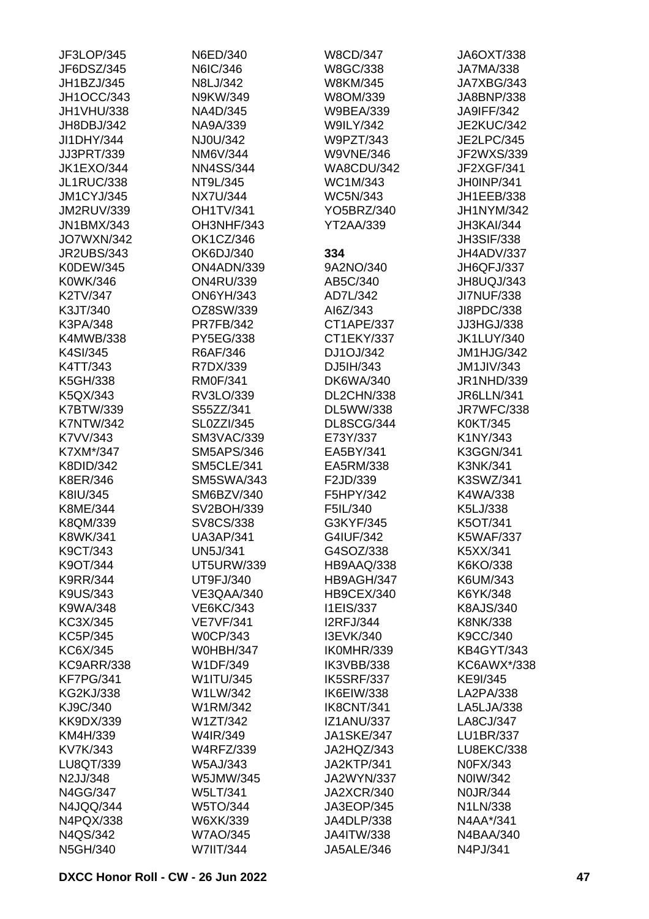| JF3LOP/345        | N6ED/340          | <b>W8CD/347</b>   | JA6OXT/338        |
|-------------------|-------------------|-------------------|-------------------|
| JF6DSZ/345        | N6IC/346          | W8GC/338          | JA7MA/338         |
| JH1BZJ/345        | N8LJ/342          | W8KM/345          | JA7XBG/343        |
| <b>JH1OCC/343</b> | N9KW/349          | W8OM/339          | JA8BNP/338        |
| JH1VHU/338        | NA4D/345          | <b>W9BEA/339</b>  | <b>JA9IFF/342</b> |
| JH8DBJ/342        | NA9A/339          | <b>W9ILY/342</b>  | <b>JE2KUC/342</b> |
| JI1DHY/344        | NJ0U/342          | W9PZT/343         | <b>JE2LPC/345</b> |
| JJ3PRT/339        | NM6V/344          | <b>W9VNE/346</b>  | JF2WXS/339        |
| <b>JK1EXO/344</b> | <b>NN4SS/344</b>  | WA8CDU/342        | JF2XGF/341        |
| <b>JL1RUC/338</b> | NT9L/345          | WC1M/343          | JH0INP/341        |
| <b>JM1CYJ/345</b> | <b>NX7U/344</b>   | <b>WC5N/343</b>   | JH1EEB/338        |
| <b>JM2RUV/339</b> | <b>OH1TV/341</b>  | YO5BRZ/340        | JH1NYM/342        |
| <b>JN1BMX/343</b> | OH3NHF/343        | <b>YT2AA/339</b>  | JH3KAI/344        |
| <b>JO7WXN/342</b> | OK1CZ/346         |                   | <b>JH3SIF/338</b> |
| <b>JR2UBS/343</b> | OK6DJ/340         | 334               | JH4ADV/337        |
| K0DEW/345         | ON4ADN/339        | 9A2NO/340         | JH6QFJ/337        |
| K0WK/346          | <b>ON4RU/339</b>  | AB5C/340          | JH8UQJ/343        |
| K2TV/347          | <b>ON6YH/343</b>  | AD7L/342          | <b>JI7NUF/338</b> |
| K3JT/340          | OZ8SW/339         | AI6Z/343          | JI8PDC/338        |
| K3PA/348          | <b>PR7FB/342</b>  | CT1APE/337        | JJ3HGJ/338        |
| K4MWB/338         | PY5EG/338         | CT1EKY/337        | <b>JK1LUY/340</b> |
| K4SI/345          | R6AF/346          | DJ1OJ/342         | JM1HJG/342        |
| K4TT/343          | R7DX/339          | DJ5IH/343         | <b>JM1JIV/343</b> |
| K5GH/338          | <b>RM0F/341</b>   | <b>DK6WA/340</b>  | JR1NHD/339        |
| K5QX/343          | RV3LO/339         | DL2CHN/338        | <b>JR6LLN/341</b> |
| K7BTW/339         | S55ZZ/341         | DL5WW/338         | JR7WFC/338        |
| <b>K7NTW/342</b>  | SL0ZZI/345        | DL8SCG/344        | K0KT/345          |
| K7VV/343          | <b>SM3VAC/339</b> | E73Y/337          | K1NY/343          |
| K7XM*/347         | <b>SM5APS/346</b> | EA5BY/341         | K3GGN/341         |
| K8DID/342         | <b>SM5CLE/341</b> | EA5RM/338         | <b>K3NK/341</b>   |
| K8ER/346          | <b>SM5SWA/343</b> | F2JD/339          | K3SWZ/341         |
| K8IU/345          | SM6BZV/340        | F5HPY/342         | K4WA/338          |
| K8ME/344          | SV2BOH/339        | F5IL/340          | K5LJ/338          |
| K8QM/339          | SV8CS/338         | G3KYF/345         | K5OT/341          |
| K8WK/341          | <b>UA3AP/341</b>  | G4IUF/342         | <b>K5WAF/337</b>  |
| K9CT/343          | <b>UN5J/341</b>   | G4SOZ/338         | K5XX/341          |
| K9OT/344          | <b>UT5URW/339</b> | HB9AAQ/338        | K6KO/338          |
| <b>K9RR/344</b>   | UT9FJ/340         | HB9AGH/347        | K6UM/343          |
| K9US/343          | VE3QAA/340        | HB9CEX/340        | K6YK/348          |
| K9WA/348          | VE6KC/343         | <b>I1EIS/337</b>  | K8AJS/340         |
| KC3X/345          | <b>VE7VF/341</b>  | <b>I2RFJ/344</b>  | <b>K8NK/338</b>   |
| KC5P/345          | <b>W0CP/343</b>   | I3EVK/340         | K9CC/340          |
| KC6X/345          | <b>W0HBH/347</b>  | IK0MHR/339        | <b>KB4GYT/343</b> |
| <b>KC9ARR/338</b> | W1DF/349          | IK3VBB/338        | KC6AWX*/338       |
| KF7PG/341         | W1ITU/345         | IK5SRF/337        | KE9I/345          |
| <b>KG2KJ/338</b>  | W1LW/342          | IK6EIW/338        | LA2PA/338         |
| KJ9C/340          | W1RM/342          | IK8CNT/341        | LA5LJA/338        |
| KK9DX/339         | W1ZT/342          | <b>IZ1ANU/337</b> | LA8CJ/347         |
| KM4H/339          | W4IR/349          | <b>JA1SKE/347</b> | LU1BR/337         |
| KV7K/343          | <b>W4RFZ/339</b>  | JA2HQZ/343        | LU8EKC/338        |
| LU8QT/339         | W5AJ/343          | JA2KTP/341        | N0FX/343          |
| N2JJ/348          | W5JMW/345         | <b>JA2WYN/337</b> | N0IW/342          |
| N4GG/347          | <b>W5LT/341</b>   | <b>JA2XCR/340</b> | <b>N0JR/344</b>   |
| N4JQQ/344         | W5TO/344          | JA3EOP/345        | N1LN/338          |
| N4PQX/338         | W6XK/339          | JA4DLP/338        | N4AA*/341         |
| N4QS/342          | <b>W7AO/345</b>   | JA4ITW/338        | N4BAA/340         |
| N5GH/340          | W7IIT/344         | JA5ALE/346        | N4PJ/341          |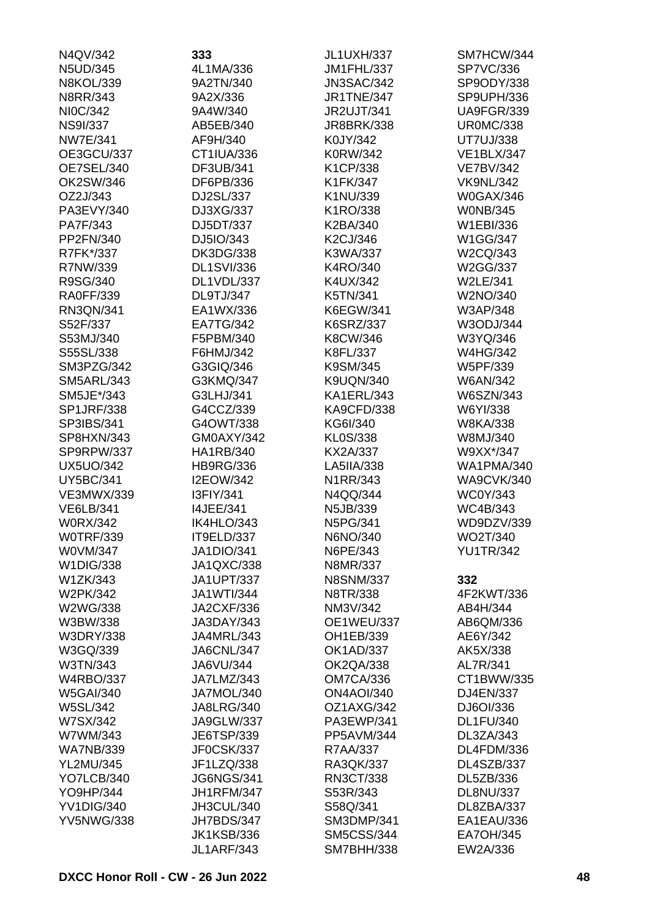| N4QV/342          | 333               | <b>JL1UXH/337</b> | SM7HCW/344        |
|-------------------|-------------------|-------------------|-------------------|
| N5UD/345          | 4L1MA/336         | <b>JM1FHL/337</b> | <b>SP7VC/336</b>  |
| <b>N8KOL/339</b>  | 9A2TN/340         | <b>JN3SAC/342</b> | SP9ODY/338        |
| N8RR/343          | 9A2X/336          | <b>JR1TNE/347</b> | SP9UPH/336        |
| NI0C/342          | 9A4W/340          | <b>JR2UJT/341</b> | <b>UA9FGR/339</b> |
| <b>NS9I/337</b>   | AB5EB/340         | <b>JR8BRK/338</b> | <b>UR0MC/338</b>  |
| <b>NW7E/341</b>   | AF9H/340          | K0JY/342          | <b>UT7UJ/338</b>  |
| OE3GCU/337        | CT1IUA/336        | K0RW/342          | <b>VE1BLX/347</b> |
| OE7SEL/340        | DF3UB/341         | K1CP/338          | <b>VE7BV/342</b>  |
| OK2SW/346         | DF6PB/336         | K1FK/347          | <b>VK9NL/342</b>  |
| OZ2J/343          | DJ2SL/337         | K1NU/339          | <b>W0GAX/346</b>  |
| PA3EVY/340        | DJ3XG/337         | K1RO/338          | <b>WONB/345</b>   |
| PA7F/343          | DJ5DT/337         | K2BA/340          | W1EBI/336         |
| PP2FN/340         | DJ5IO/343         | K2CJ/346          | <b>W1GG/347</b>   |
| R7FK*/337         | <b>DK3DG/338</b>  | K3WA/337          | W2CQ/343          |
| R7NW/339          | <b>DL1SVI/336</b> | K4RO/340          | W2GG/337          |
| R9SG/340          | DL1VDL/337        | K4UX/342          | W2LE/341          |
| <b>RA0FF/339</b>  | DL9TJ/347         | K5TN/341          | W2NO/340          |
| RN3QN/341         | EA1WX/336         | K6EGW/341         | W3AP/348          |
| S52F/337          | EA7TG/342         | K6SRZ/337         | W3ODJ/344         |
| S53MJ/340         | F5PBM/340         | K8CW/346          | W3YQ/346          |
| S55SL/338         | F6HMJ/342         | K8FL/337          | <b>W4HG/342</b>   |
| SM3PZG/342        | G3GIQ/346         | K9SM/345          | W5PF/339          |
| <b>SM5ARL/343</b> | G3KMQ/347         | <b>K9UQN/340</b>  | <b>W6AN/342</b>   |
| SM5JE*/343        | G3LHJ/341         | KA1ERL/343        | W6SZN/343         |
| <b>SP1JRF/338</b> | G4CCZ/339         | KA9CFD/338        | W6YI/338          |
| SP3IBS/341        | G4OWT/338         | KG6I/340          | <b>W8KA/338</b>   |
| SP8HXN/343        | GM0AXY/342        | KL0S/338          | W8MJ/340          |
| SP9RPW/337        | <b>HA1RB/340</b>  | KX2A/337          | W9XX*/347         |
| <b>UX5UO/342</b>  | <b>HB9RG/336</b>  | LA5IIA/338        | <b>WA1PMA/340</b> |
| <b>UY5BC/341</b>  | <b>I2EOW/342</b>  | N1RR/343          | <b>WA9CVK/340</b> |
| <b>VE3MWX/339</b> | I3FIY/341         | N4QQ/344          | <b>WC0Y/343</b>   |
| <b>VE6LB/341</b>  | 14JEE/341         | N5JB/339          | WC4B/343          |
| <b>W0RX/342</b>   | IK4HLO/343        | N5PG/341          | WD9DZV/339        |
| <b>WOTRF/339</b>  | IT9ELD/337        | N6NO/340          | WO2T/340          |
| W0VM/347          | <b>JA1DIO/341</b> | N6PE/343          | <b>YU1TR/342</b>  |
| W1DIG/338         | JA1QXC/338        | N8MR/337          |                   |
| W1ZK/343          | <b>JA1UPT/337</b> | <b>N8SNM/337</b>  | 332               |
| W2PK/342          | <b>JA1WTI/344</b> | N8TR/338          | 4F2KWT/336        |
| W2WG/338          | <b>JA2CXF/336</b> | NM3V/342          | AB4H/344          |
| W3BW/338          | JA3DAY/343        | <b>OE1WEU/337</b> | AB6QM/336         |
| <b>W3DRY/338</b>  | JA4MRL/343        | OH1EB/339         | AE6Y/342          |
| W3GQ/339          | JA6CNL/347        | <b>OK1AD/337</b>  | AK5X/338          |
| W3TN/343          | JA6VU/344         | <b>OK2QA/338</b>  | AL7R/341          |
| <b>W4RBO/337</b>  | JA7LMZ/343        | <b>OM7CA/336</b>  | CT1BWW/335        |
| <b>W5GAI/340</b>  | JA7MOL/340        | <b>ON4AOI/340</b> | DJ4EN/337         |
| <b>W5SL/342</b>   | <b>JA8LRG/340</b> | OZ1AXG/342        | DJ6OI/336         |
| W7SX/342          | JA9GLW/337        | PA3EWP/341        | <b>DL1FU/340</b>  |
| W7WM/343          | JE6TSP/339        | PP5AVM/344        | DL3ZA/343         |
| <b>WA7NB/339</b>  | JF0CSK/337        | R7AA/337          | DL4FDM/336        |
| <b>YL2MU/345</b>  | JF1LZQ/338        | RA3QK/337         | DL4SZB/337        |
| YO7LCB/340        | <b>JG6NGS/341</b> | <b>RN3CT/338</b>  | DL5ZB/336         |
| YO9HP/344         | <b>JH1RFM/347</b> | S53R/343          | <b>DL8NU/337</b>  |
| <b>YV1DIG/340</b> | JH3CUL/340        | S58Q/341          | DL8ZBA/337        |
| <b>YV5NWG/338</b> | JH7BDS/347        | <b>SM3DMP/341</b> | EA1EAU/336        |
|                   | <b>JK1KSB/336</b> | <b>SM5CSS/344</b> | <b>EA7OH/345</b>  |
|                   | <b>JL1ARF/343</b> | <b>SM7BHH/338</b> | EW2A/336          |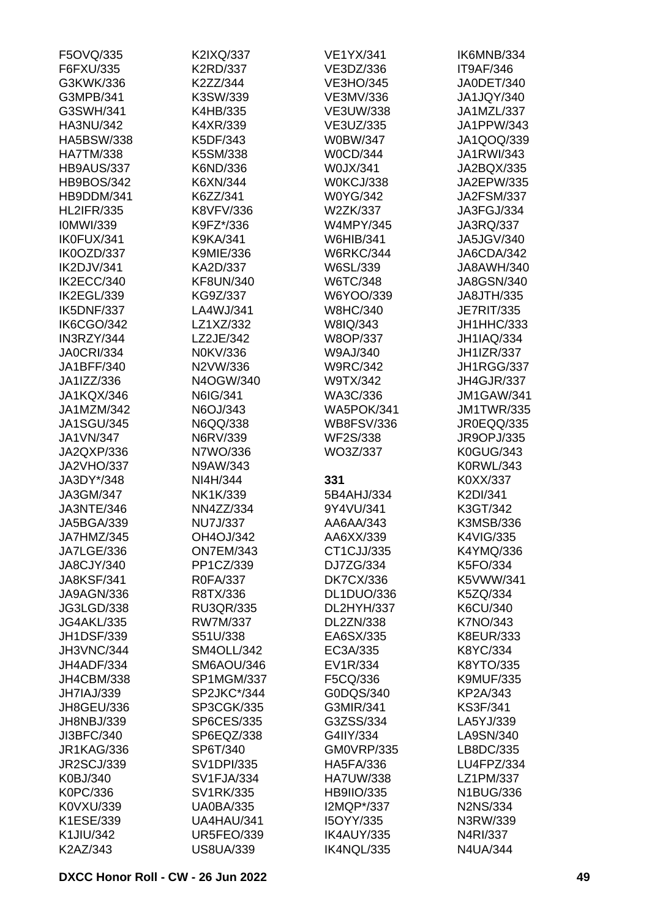| F5OVQ/335         | K2IXQ/337         | <b>VE1YX/341</b>  | IK6MNB/334        |
|-------------------|-------------------|-------------------|-------------------|
| F6FXU/335         | K2RD/337          | VE3DZ/336         | IT9AF/346         |
| G3KWK/336         | K2ZZ/344          | <b>VE3HO/345</b>  | JA0DET/340        |
| G3MPB/341         | K3SW/339          | VE3MV/336         | JA1JQY/340        |
| G3SWH/341         | K4HB/335          | <b>VE3UW/338</b>  | JA1MZL/337        |
| <b>HA3NU/342</b>  | K4XR/339          | VE3UZ/335         | JA1PPW/343        |
| <b>HA5BSW/338</b> | K5DF/343          | W0BW/347          | JA1QOQ/339        |
| <b>HA7TM/338</b>  | K5SM/338          | <b>W0CD/344</b>   | JA1RWI/343        |
| HB9AUS/337        | K6ND/336          | W0JX/341          | JA2BQX/335        |
| <b>HB9BOS/342</b> | K6XN/344          | W0KCJ/338         | JA2EPW/335        |
| HB9DDM/341        | K6ZZ/341          | <b>W0YG/342</b>   | <b>JA2FSM/337</b> |
| <b>HL2IFR/335</b> | K8VFV/336         | W2ZK/337          | JA3FGJ/334        |
| <b>IOMWI/339</b>  | K9FZ*/336         | <b>W4MPY/345</b>  | JA3RQ/337         |
| IK0FUX/341        | K9KA/341          | <b>W6HIB/341</b>  | JA5JGV/340        |
| IK0OZD/337        | <b>K9MIE/336</b>  | <b>W6RKC/344</b>  | JA6CDA/342        |
| IK2DJV/341        | KA2D/337          | W6SL/339          | JA8AWH/340        |
| IK2ECC/340        | KF8UN/340         | W6TC/348          | JA8GSN/340        |
| IK2EGL/339        | KG9Z/337          | W6YOO/339         | JA8JTH/335        |
| IK5DNF/337        | LA4WJ/341         | <b>W8HC/340</b>   | <b>JE7RIT/335</b> |
| <b>IK6CGO/342</b> | LZ1XZ/332         | W8IQ/343          | JH1HHC/333        |
| IN3RZY/344        | LZ2JE/342         | W8OP/337          | <b>JH1IAQ/334</b> |
| <b>JA0CRI/334</b> | N0KV/336          | W9AJ/340          | <b>JH1IZR/337</b> |
| JA1BFF/340        | N2VW/336          | <b>W9RC/342</b>   | JH1RGG/337        |
| JA1IZZ/336        | N4OGW/340         | W9TX/342          | JH4GJR/337        |
| JA1KQX/346        | N6IG/341          | WA3C/336          | <b>JM1GAW/341</b> |
| JA1MZM/342        | N6OJ/343          | <b>WA5POK/341</b> | <b>JM1TWR/335</b> |
| <b>JA1SGU/345</b> | N6QQ/338          | <b>WB8FSV/336</b> | JR0EQQ/335        |
| JA1VN/347         |                   |                   | JR9OPJ/335        |
|                   | N6RV/339          | <b>WF2S/338</b>   |                   |
| JA2QXP/336        | N7WO/336          | WO3Z/337          | K0GUG/343         |
| <b>JA2VHO/337</b> | N9AW/343          |                   | <b>K0RWL/343</b>  |
| JA3DY*/348        | NI4H/344          | 331               | K0XX/337          |
| JA3GM/347         | NK1K/339          | 5B4AHJ/334        | K2DI/341          |
| JA3NTE/346        | NN4ZZ/334         | 9Y4VU/341         | K3GT/342          |
| JA5BGA/339        | <b>NU7J/337</b>   | AA6AA/343         | K3MSB/336         |
| JA7HMZ/345        | OH4OJ/342         | AA6XX/339         | K4VIG/335         |
| JA7LGE/336        | <b>ON7EM/343</b>  | CT1CJJ/335        | K4YMQ/336         |
| JA8CJY/340        | PP1CZ/339         | DJ7ZG/334         | K5FO/334          |
| <b>JA8KSF/341</b> | R0FA/337          | <b>DK7CX/336</b>  | K5VWW/341         |
| JA9AGN/336        | R8TX/336          | DL1DUO/336        | K5ZQ/334          |
| JG3LGD/338        | <b>RU3QR/335</b>  | DL2HYH/337        | K6CU/340          |
| <b>JG4AKL/335</b> | RW7M/337          | DL2ZN/338         | <b>K7NO/343</b>   |
| <b>JH1DSF/339</b> | S51U/338          | EA6SX/335         | K8EUR/333         |
| JH3VNC/344        | SM4OLL/342        | EC3A/335          | K8YC/334          |
| JH4ADF/334        | <b>SM6AOU/346</b> | EV1R/334          | K8YTO/335         |
| <b>JH4CBM/338</b> | <b>SP1MGM/337</b> | F5CQ/336          | <b>K9MUF/335</b>  |
| <b>JH7IAJ/339</b> | SP2JKC*/344       | G0DQS/340         | KP2A/343          |
| JH8GEU/336        | SP3CGK/335        | G3MIR/341         | <b>KS3F/341</b>   |
| JH8NBJ/339        | <b>SP6CES/335</b> | G3ZSS/334         | LA5YJ/339         |
| JI3BFC/340        | SP6EQZ/338        | G4IIY/334         | LA9SN/340         |
| <b>JR1KAG/336</b> | SP6T/340          | <b>GM0VRP/335</b> | LB8DC/335         |
| <b>JR2SCJ/339</b> | <b>SV1DPI/335</b> | <b>HA5FA/336</b>  | LU4FPZ/334        |
| K0BJ/340          | <b>SV1FJA/334</b> | <b>HA7UW/338</b>  | LZ1PM/337         |
| K0PC/336          | SV1RK/335         | <b>HB9IIO/335</b> | <b>N1BUG/336</b>  |
| K0VXU/339         | <b>UA0BA/335</b>  | I2MQP*/337        | <b>N2NS/334</b>   |
| K1ESE/339         | UA4HAU/341        | I5OYY/335         | N3RW/339          |
| K1JIU/342         | <b>UR5FEO/339</b> | IK4AUY/335        | N4RI/337          |
| K2AZ/343          | <b>US8UA/339</b>  | IK4NQL/335        | <b>N4UA/344</b>   |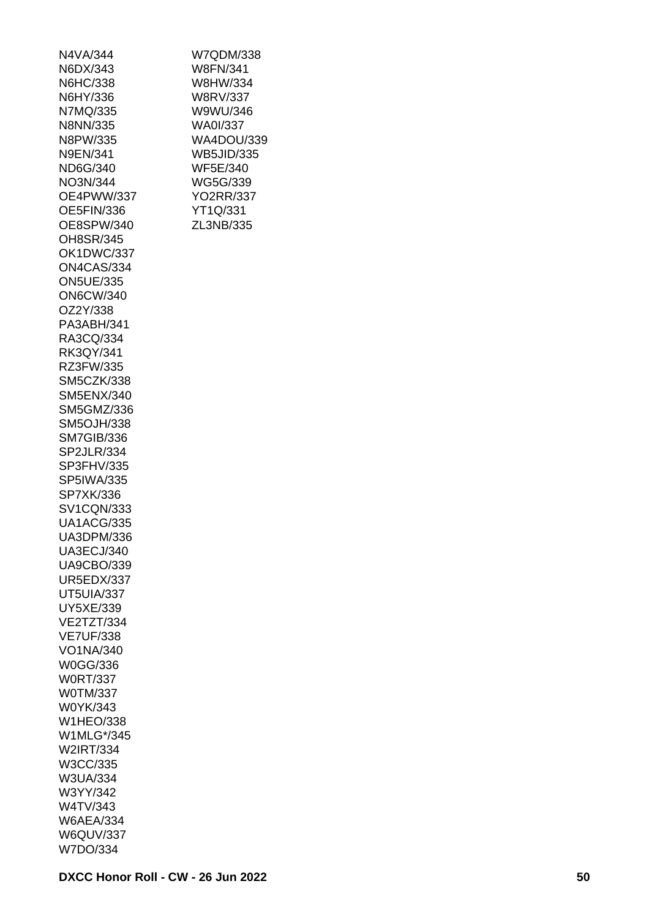| N4VA/344          |
|-------------------|
| N6DX/343          |
| N6HC/338          |
| N6HY/336          |
| N7MQ/335          |
| N8NN/335          |
| N8PW/335          |
|                   |
| N9EN/341          |
| ND6G/340          |
| NO3N/344          |
| OE4PWW/337        |
| OE5FIN/336        |
| OE8SPW/340        |
| OH8SR/345         |
| OK1DWC/337        |
| ON4CAS/334        |
| <b>ON5UE/335</b>  |
| <b>ON6CW/340</b>  |
| OZ2Y/338          |
| PA3ABH/341        |
|                   |
| RA3CQ/334         |
| RK3QY/341         |
| RZ3FW/335         |
| <b>SM5CZK/338</b> |
| <b>SM5ENX/340</b> |
| SM5GMZ/336        |
| <b>SM5OJH/338</b> |
| <b>SM7GIB/336</b> |
| SP2JLR/334        |
| SP3FHV/335        |
| <b>SP5IWA/335</b> |
| SP7XK/336         |
| <b>SV1CQN/333</b> |
|                   |
| <b>UA1ACG/335</b> |
| UA3DPM/336        |
| <b>UA3ECJ/340</b> |
| <b>UA9CBO/339</b> |
| <b>UR5EDX/337</b> |
| UT5UIA/337        |
| UY5XE/339         |
| <b>VE2TZT/334</b> |
| <b>VE7UF/338</b>  |
| VO1NA/340         |
| W0GG/336          |
| <b>W0RT/337</b>   |
| <b>W0TM/337</b>   |
|                   |
| W0YK/343          |
| <b>W1HEO/338</b>  |
| W1MLG*/345        |
| W2IRT/334         |
| W3CC/335          |
| W3UA/334          |
| W3YY/342          |
| W4TV/343          |
| <b>W6AEA/334</b>  |
| <b>W6QUV/337</b>  |
| W7DO/334          |
|                   |

W7QDM/338 W8FN/341 W8HW/334 W8RV/337 W9WU/346 WA0I/337 WA4DOU/339 WB5JID/335 WF5E/340 WG5G/339 YO2RR/337 YT1Q/331 ZL3NB/335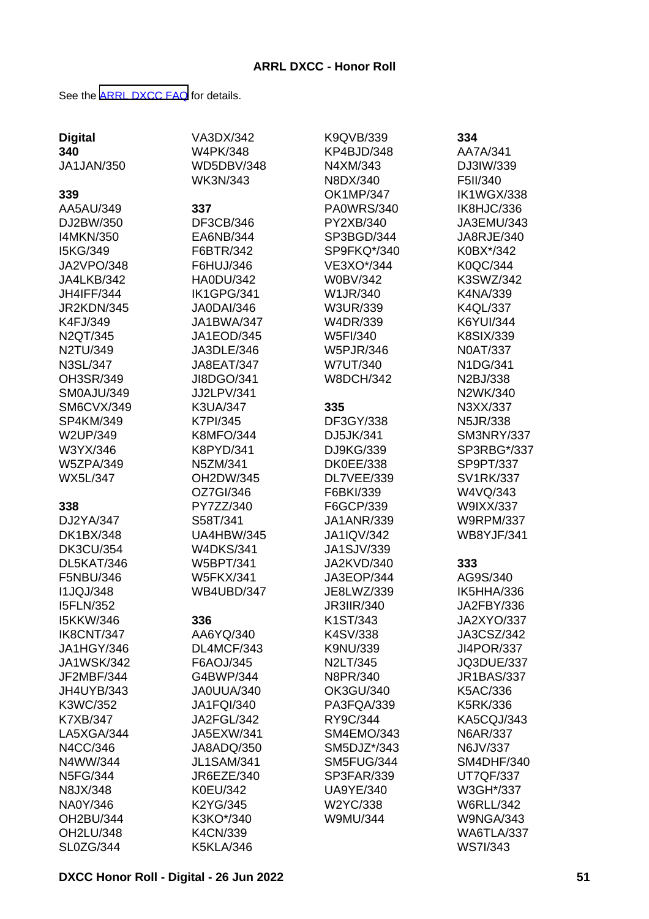See the [ARRL DXCC FAQ](http://www.arrl.org/dxcc-faq/) for details.

|                   | VA3DX/342         | K9QVB/339         | 334               |
|-------------------|-------------------|-------------------|-------------------|
| <b>Digital</b>    | <b>W4PK/348</b>   |                   | AA7A/341          |
| 340               |                   | KP4BJD/348        |                   |
| <b>JA1JAN/350</b> | <b>WD5DBV/348</b> | N4XM/343          | DJ3IW/339         |
|                   | <b>WK3N/343</b>   | N8DX/340          | F5II/340          |
| 339               |                   | <b>OK1MP/347</b>  | <b>IK1WGX/338</b> |
| AA5AU/349         | 337               | <b>PA0WRS/340</b> | IK8HJC/336        |
| DJ2BW/350         | DF3CB/346         | PY2XB/340         | JA3EMU/343        |
| I4MKN/350         | EA6NB/344         | SP3BGD/344        | JA8RJE/340        |
| I5KG/349          | F6BTR/342         | SP9FKQ*/340       | K0BX*/342         |
| JA2VPO/348        | F6HUJ/346         | VE3XO*/344        | K0QC/344          |
| JA4LKB/342        | <b>HA0DU/342</b>  | <b>W0BV/342</b>   | K3SWZ/342         |
| <b>JH4IFF/344</b> | IK1GPG/341        | W1JR/340          | K4NA/339          |
| JR2KDN/345        | <b>JA0DAI/346</b> | W3UR/339          | K4QL/337          |
| K4FJ/349          | JA1BWA/347        | W4DR/339          | <b>K6YUI/344</b>  |
| N2QT/345          | JA1EOD/345        | W5FI/340          | <b>K8SIX/339</b>  |
| N2TU/349          | JA3DLE/346        | W5PJR/346         | <b>N0AT/337</b>   |
| <b>N3SL/347</b>   | <b>JA8EAT/347</b> | <b>W7UT/340</b>   | N1DG/341          |
| OH3SR/349         | JI8DGO/341        | <b>W8DCH/342</b>  | N2BJ/338          |
| SM0AJU/349        | JJ2LPV/341        |                   | N2WK/340          |
| <b>SM6CVX/349</b> | <b>K3UA/347</b>   | 335               | N3XX/337          |
| SP4KM/349         | <b>K7PI/345</b>   | DF3GY/338         | <b>N5JR/338</b>   |
| W2UP/349          | <b>K8MFO/344</b>  | DJ5JK/341         | SM3NRY/337        |
| W3YX/346          | K8PYD/341         | DJ9KG/339         | SP3RBG*/337       |
| <b>W5ZPA/349</b>  | N5ZM/341          | <b>DK0EE/338</b>  | SP9PT/337         |
| <b>WX5L/347</b>   | OH2DW/345         | DL7VEE/339        | <b>SV1RK/337</b>  |
|                   | OZ7GI/346         | F6BKI/339         | W4VQ/343          |
| 338               | PY7ZZ/340         | F6GCP/339         | W9IXX/337         |
| DJ2YA/347         | S58T/341          | <b>JA1ANR/339</b> | <b>W9RPM/337</b>  |
| <b>DK1BX/348</b>  | <b>UA4HBW/345</b> | <b>JA1IQV/342</b> | <b>WB8YJF/341</b> |
| <b>DK3CU/354</b>  | <b>W4DKS/341</b>  | JA1SJV/339        |                   |
| DL5KAT/346        | <b>W5BPT/341</b>  | JA2KVD/340        | 333               |
| F5NBU/346         | <b>W5FKX/341</b>  | JA3EOP/344        | AG9S/340          |
| <b>I1JQJ/348</b>  | WB4UBD/347        | JE8LWZ/339        | IK5HHA/336        |
| <b>I5FLN/352</b>  |                   | <b>JR3IIR/340</b> | JA2FBY/336        |
| <b>I5KKW/346</b>  | 336               | K1ST/343          | JA2XYO/337        |
| IK8CNT/347        | AA6YQ/340         | K4SV/338          | JA3CSZ/342        |
| JA1HGY/346        | DL4MCF/343        | K9NU/339          | JI4POR/337        |
| <b>JA1WSK/342</b> | F6AOJ/345         | N2LT/345          | JQ3DUE/337        |
| JF2MBF/344        | G4BWP/344         | N8PR/340          | <b>JR1BAS/337</b> |
| JH4UYB/343        | JA0UUA/340        | OK3GU/340         | K5AC/336          |
| K3WC/352          | <b>JA1FQI/340</b> | PA3FQA/339        | <b>K5RK/336</b>   |
| <b>K7XB/347</b>   | JA2FGL/342        | RY9C/344          | KA5CQJ/343        |
| LA5XGA/344        | JA5EXW/341        | SM4EMO/343        | N6AR/337          |
| N4CC/346          | JA8ADQ/350        | SM5DJZ*/343       | N6JV/337          |
| N4WW/344          | <b>JL1SAM/341</b> | SM5FUG/344        | SM4DHF/340        |
| <b>N5FG/344</b>   | <b>JR6EZE/340</b> | SP3FAR/339        | UT7QF/337         |
| N8JX/348          | K0EU/342          | <b>UA9YE/340</b>  | W3GH*/337         |
| NA0Y/346          | K2YG/345          | W2YC/338          | <b>W6RLL/342</b>  |
| OH2BU/344         | K3KO*/340         | W9MU/344          | <b>W9NGA/343</b>  |
| OH2LU/348         | K4CN/339          |                   | WA6TLA/337        |
| SL0ZG/344         | <b>K5KLA/346</b>  |                   | <b>WS7I/343</b>   |
|                   |                   |                   |                   |